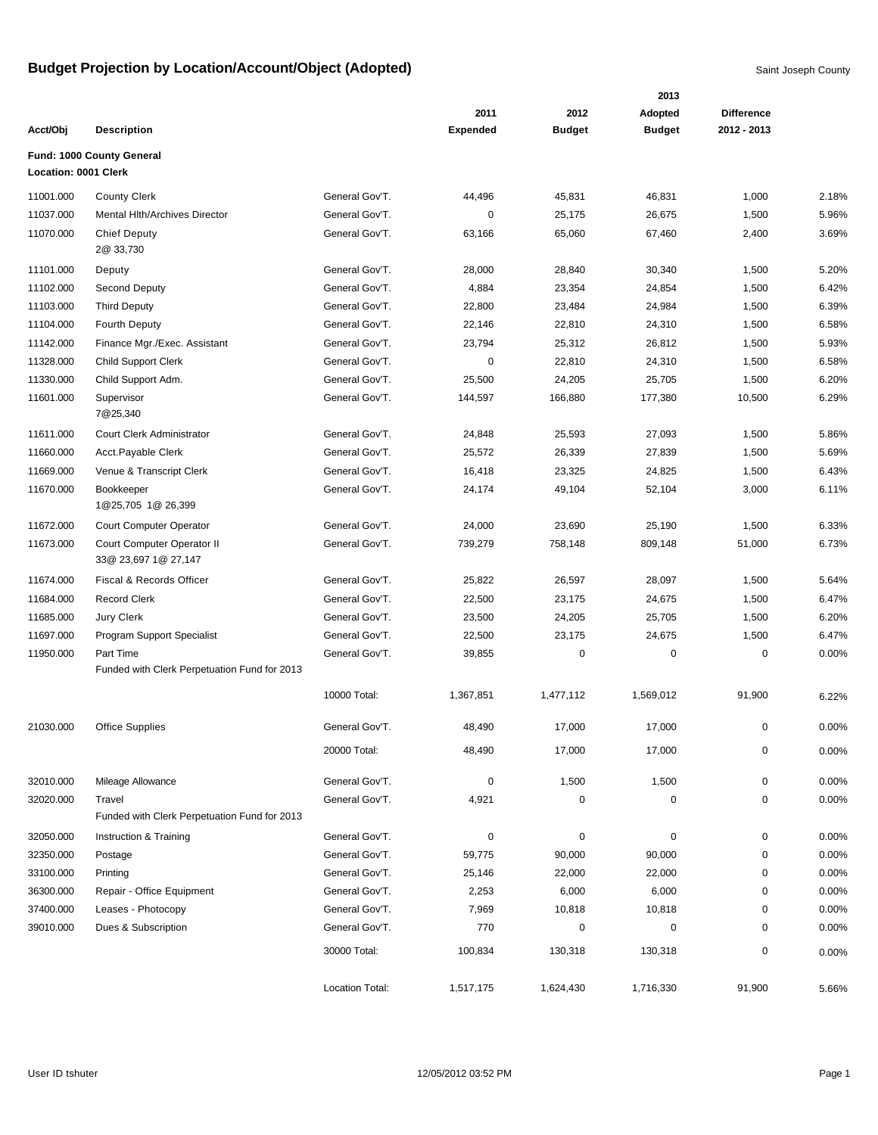|                             |                                              |                 |                 |               | 2013          |                   |          |
|-----------------------------|----------------------------------------------|-----------------|-----------------|---------------|---------------|-------------------|----------|
|                             |                                              |                 | 2011            | 2012          | Adopted       | <b>Difference</b> |          |
| Acct/Obj                    | <b>Description</b>                           |                 | <b>Expended</b> | <b>Budget</b> | <b>Budget</b> | 2012 - 2013       |          |
|                             | Fund: 1000 County General                    |                 |                 |               |               |                   |          |
| <b>Location: 0001 Clerk</b> |                                              |                 |                 |               |               |                   |          |
| 11001.000                   | <b>County Clerk</b>                          | General Gov'T.  | 44,496          | 45,831        | 46,831        | 1,000             | 2.18%    |
| 11037.000                   | Mental Hith/Archives Director                | General Gov'T.  | 0               | 25,175        | 26,675        | 1,500             | 5.96%    |
| 11070.000                   | <b>Chief Deputy</b>                          | General Gov'T.  | 63,166          | 65,060        | 67,460        | 2,400             | 3.69%    |
|                             | 2@ 33,730                                    |                 |                 |               |               |                   |          |
| 11101.000                   | Deputy                                       | General Gov'T.  | 28,000          | 28,840        | 30,340        | 1,500             | 5.20%    |
| 11102.000                   | Second Deputy                                | General Gov'T.  | 4,884           | 23,354        | 24,854        | 1,500             | 6.42%    |
| 11103.000                   | <b>Third Deputy</b>                          | General Gov'T.  | 22,800          | 23,484        | 24,984        | 1,500             | 6.39%    |
| 11104.000                   | Fourth Deputy                                | General Gov'T.  | 22,146          | 22,810        | 24,310        | 1,500             | 6.58%    |
| 11142.000                   | Finance Mgr./Exec. Assistant                 | General Gov'T.  | 23,794          | 25,312        | 26,812        | 1,500             | 5.93%    |
| 11328.000                   | <b>Child Support Clerk</b>                   | General Gov'T.  | 0               | 22,810        | 24,310        | 1,500             | 6.58%    |
| 11330.000                   | Child Support Adm.                           | General Gov'T.  | 25,500          | 24,205        | 25,705        | 1,500             | 6.20%    |
| 11601.000                   | Supervisor                                   | General Gov'T.  | 144,597         | 166,880       | 177,380       | 10,500            | 6.29%    |
|                             | 7@25,340                                     |                 |                 |               |               |                   |          |
| 11611.000                   | Court Clerk Administrator                    | General Gov'T.  | 24,848          | 25,593        | 27,093        | 1,500             | 5.86%    |
| 11660.000                   | Acct.Payable Clerk                           | General Gov'T.  | 25,572          | 26,339        | 27,839        | 1,500             | 5.69%    |
| 11669.000                   | Venue & Transcript Clerk                     | General Gov'T.  | 16,418          | 23,325        | 24,825        | 1,500             | 6.43%    |
| 11670.000                   | Bookkeeper                                   | General Gov'T.  | 24,174          | 49,104        | 52,104        | 3,000             | 6.11%    |
|                             | 1@25,705 1@ 26,399                           |                 |                 |               |               |                   |          |
| 11672.000                   | <b>Court Computer Operator</b>               | General Gov'T.  | 24,000          | 23,690        | 25,190        | 1,500             | 6.33%    |
| 11673.000                   | Court Computer Operator II                   | General Gov'T.  | 739,279         | 758,148       | 809,148       | 51,000            | 6.73%    |
|                             | 33@ 23,697 1@ 27,147                         |                 |                 |               |               |                   |          |
| 11674.000                   | Fiscal & Records Officer                     | General Gov'T.  | 25,822          | 26,597        | 28,097        | 1,500             | 5.64%    |
| 11684.000                   | <b>Record Clerk</b>                          | General Gov'T.  | 22,500          | 23,175        | 24,675        | 1,500             | 6.47%    |
| 11685.000                   | Jury Clerk                                   | General Gov'T.  | 23,500          | 24,205        | 25,705        | 1,500             | 6.20%    |
| 11697.000                   | Program Support Specialist                   | General Gov'T.  | 22,500          | 23,175        | 24,675        | 1,500             | 6.47%    |
| 11950.000                   | Part Time                                    | General Gov'T.  | 39,855          | $\pmb{0}$     | $\mathbf 0$   | 0                 | 0.00%    |
|                             | Funded with Clerk Perpetuation Fund for 2013 |                 |                 |               |               |                   |          |
|                             |                                              | 10000 Total:    | 1,367,851       | 1,477,112     | 1,569,012     | 91,900            | 6.22%    |
| 21030.000                   | <b>Office Supplies</b>                       | General Gov'T.  | 48,490          | 17,000        | 17,000        | 0                 | 0.00%    |
|                             |                                              | 20000 Total:    | 48,490          | 17,000        | 17,000        | 0                 | $0.00\%$ |
|                             |                                              |                 |                 |               |               |                   |          |
| 32010.000                   | Mileage Allowance                            | General Gov'T.  | 0               | 1,500         | 1,500         | 0                 | 0.00%    |
| 32020.000                   | Travel                                       | General Gov'T.  | 4,921           | $\pmb{0}$     | 0             | 0                 | 0.00%    |
|                             | Funded with Clerk Perpetuation Fund for 2013 |                 |                 |               |               |                   |          |
| 32050.000                   | Instruction & Training                       | General Gov'T.  | 0               | $\pmb{0}$     | $\mathbf 0$   | 0                 | 0.00%    |
| 32350.000                   | Postage                                      | General Gov'T.  | 59,775          | 90,000        | 90,000        | 0                 | $0.00\%$ |
| 33100.000                   | Printing                                     | General Gov'T.  | 25,146          | 22,000        | 22,000        | 0                 | 0.00%    |
| 36300.000                   | Repair - Office Equipment                    | General Gov'T.  | 2,253           | 6,000         | 6,000         | 0                 | 0.00%    |
| 37400.000                   | Leases - Photocopy                           | General Gov'T.  | 7,969           | 10,818        | 10,818        | 0                 | 0.00%    |
| 39010.000                   | Dues & Subscription                          | General Gov'T.  | 770             | $\pmb{0}$     | 0             | 0                 | 0.00%    |
|                             |                                              | 30000 Total:    | 100,834         | 130,318       | 130,318       | 0                 | 0.00%    |
|                             |                                              |                 |                 |               |               |                   |          |
|                             |                                              | Location Total: | 1,517,175       | 1,624,430     | 1,716,330     | 91,900            | 5.66%    |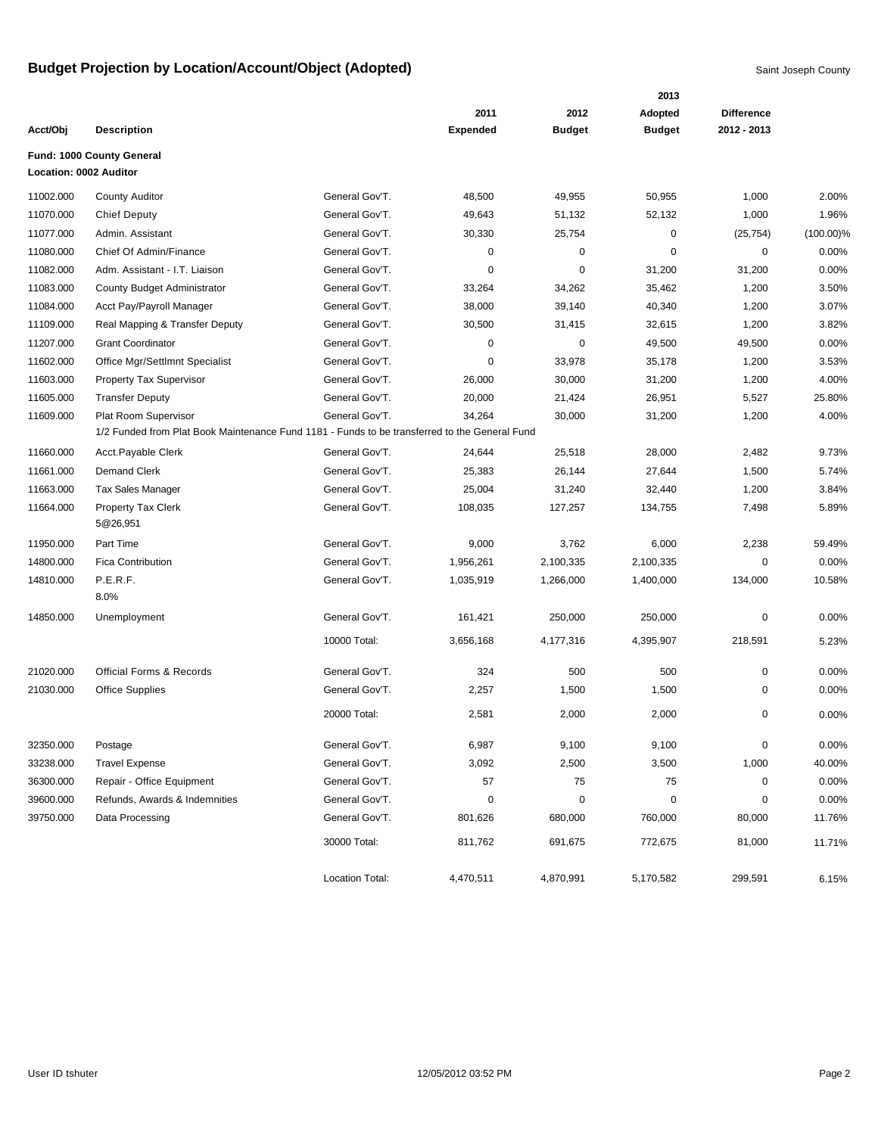|           |                                                                                               |                 |                 |               | 2013          |                   |              |
|-----------|-----------------------------------------------------------------------------------------------|-----------------|-----------------|---------------|---------------|-------------------|--------------|
|           |                                                                                               |                 | 2011            | 2012          | Adopted       | <b>Difference</b> |              |
| Acct/Obj  | <b>Description</b>                                                                            |                 | <b>Expended</b> | <b>Budget</b> | <b>Budget</b> | 2012 - 2013       |              |
|           | Fund: 1000 County General                                                                     |                 |                 |               |               |                   |              |
|           | Location: 0002 Auditor                                                                        |                 |                 |               |               |                   |              |
| 11002.000 | <b>County Auditor</b>                                                                         | General Gov'T.  | 48,500          | 49,955        | 50,955        | 1,000             | 2.00%        |
| 11070.000 | <b>Chief Deputy</b>                                                                           | General Gov'T.  | 49,643          | 51,132        | 52,132        | 1,000             | 1.96%        |
| 11077.000 | Admin. Assistant                                                                              | General Gov'T.  | 30,330          | 25,754        | 0             | (25, 754)         | $(100.00)\%$ |
| 11080.000 | Chief Of Admin/Finance                                                                        | General Gov'T.  | 0               | $\mathbf 0$   | $\mathbf 0$   | 0                 | 0.00%        |
| 11082.000 | Adm. Assistant - I.T. Liaison                                                                 | General Gov'T.  | 0               | $\mathbf 0$   | 31,200        | 31,200            | 0.00%        |
| 11083.000 | County Budget Administrator                                                                   | General Gov'T.  | 33,264          | 34,262        | 35,462        | 1,200             | 3.50%        |
| 11084.000 | Acct Pay/Payroll Manager                                                                      | General Gov'T.  | 38,000          | 39,140        | 40,340        | 1,200             | 3.07%        |
| 11109.000 | Real Mapping & Transfer Deputy                                                                | General Gov'T.  | 30,500          | 31,415        | 32,615        | 1,200             | 3.82%        |
| 11207.000 | <b>Grant Coordinator</b>                                                                      | General Gov'T.  | 0               | $\mathbf 0$   | 49,500        | 49,500            | 0.00%        |
| 11602.000 | Office Mgr/Settlmnt Specialist                                                                | General Gov'T.  | 0               | 33,978        | 35,178        | 1,200             | 3.53%        |
| 11603.000 | Property Tax Supervisor                                                                       | General Gov'T.  | 26,000          | 30,000        | 31,200        | 1,200             | 4.00%        |
| 11605.000 | <b>Transfer Deputy</b>                                                                        | General Gov'T.  | 20,000          | 21,424        | 26,951        | 5,527             | 25.80%       |
| 11609.000 | Plat Room Supervisor                                                                          | General Gov'T.  | 34,264          | 30,000        | 31,200        | 1,200             | 4.00%        |
|           | 1/2 Funded from Plat Book Maintenance Fund 1181 - Funds to be transferred to the General Fund |                 |                 |               |               |                   |              |
| 11660.000 | Acct.Payable Clerk                                                                            | General Gov'T.  | 24,644          | 25,518        | 28,000        | 2,482             | 9.73%        |
| 11661.000 | <b>Demand Clerk</b>                                                                           | General Gov'T.  | 25,383          | 26,144        | 27,644        | 1,500             | 5.74%        |
| 11663.000 | Tax Sales Manager                                                                             | General Gov'T.  | 25,004          | 31,240        | 32,440        | 1,200             | 3.84%        |
| 11664.000 | <b>Property Tax Clerk</b>                                                                     | General Gov'T.  | 108,035         | 127,257       | 134,755       | 7,498             | 5.89%        |
|           | 5@26,951                                                                                      |                 |                 |               |               |                   |              |
| 11950.000 | Part Time                                                                                     | General Gov'T.  | 9,000           | 3,762         | 6,000         | 2,238             | 59.49%       |
| 14800.000 | <b>Fica Contribution</b>                                                                      | General Gov'T.  | 1,956,261       | 2,100,335     | 2,100,335     | 0                 | 0.00%        |
| 14810.000 | P.E.R.F.                                                                                      | General Gov'T.  | 1,035,919       | 1,266,000     | 1,400,000     | 134,000           | 10.58%       |
|           | 8.0%                                                                                          |                 |                 |               |               |                   |              |
| 14850.000 | Unemployment                                                                                  | General Gov'T.  | 161,421         | 250,000       | 250,000       | 0                 | 0.00%        |
|           |                                                                                               | 10000 Total:    | 3,656,168       | 4,177,316     | 4,395,907     | 218,591           | 5.23%        |
|           |                                                                                               |                 |                 |               |               |                   |              |
| 21020.000 | <b>Official Forms &amp; Records</b>                                                           | General Gov'T.  | 324             | 500           | 500           | 0                 | 0.00%        |
| 21030.000 | <b>Office Supplies</b>                                                                        | General Gov'T.  | 2,257           | 1,500         | 1,500         | 0                 | 0.00%        |
|           |                                                                                               | 20000 Total:    | 2,581           | 2,000         | 2,000         | 0                 | 0.00%        |
| 32350.000 | Postage                                                                                       | General Gov'T.  | 6,987           | 9,100         | 9,100         | 0                 | 0.00%        |
| 33238.000 | <b>Travel Expense</b>                                                                         | General Gov'T.  | 3,092           | 2,500         | 3,500         | 1,000             | 40.00%       |
| 36300.000 | Repair - Office Equipment                                                                     | General Gov'T.  | 57              | 75            | 75            | 0                 | 0.00%        |
| 39600.000 | Refunds, Awards & Indemnities                                                                 | General Gov'T.  | 0               | $\pmb{0}$     | $\mathbf 0$   | 0                 | 0.00%        |
| 39750.000 | Data Processing                                                                               | General Gov'T.  | 801,626         | 680,000       | 760,000       | 80,000            | 11.76%       |
|           |                                                                                               | 30000 Total:    | 811,762         | 691,675       | 772,675       | 81,000            | 11.71%       |
|           |                                                                                               |                 |                 |               |               |                   |              |
|           |                                                                                               | Location Total: | 4,470,511       | 4,870,991     | 5,170,582     | 299,591           | 6.15%        |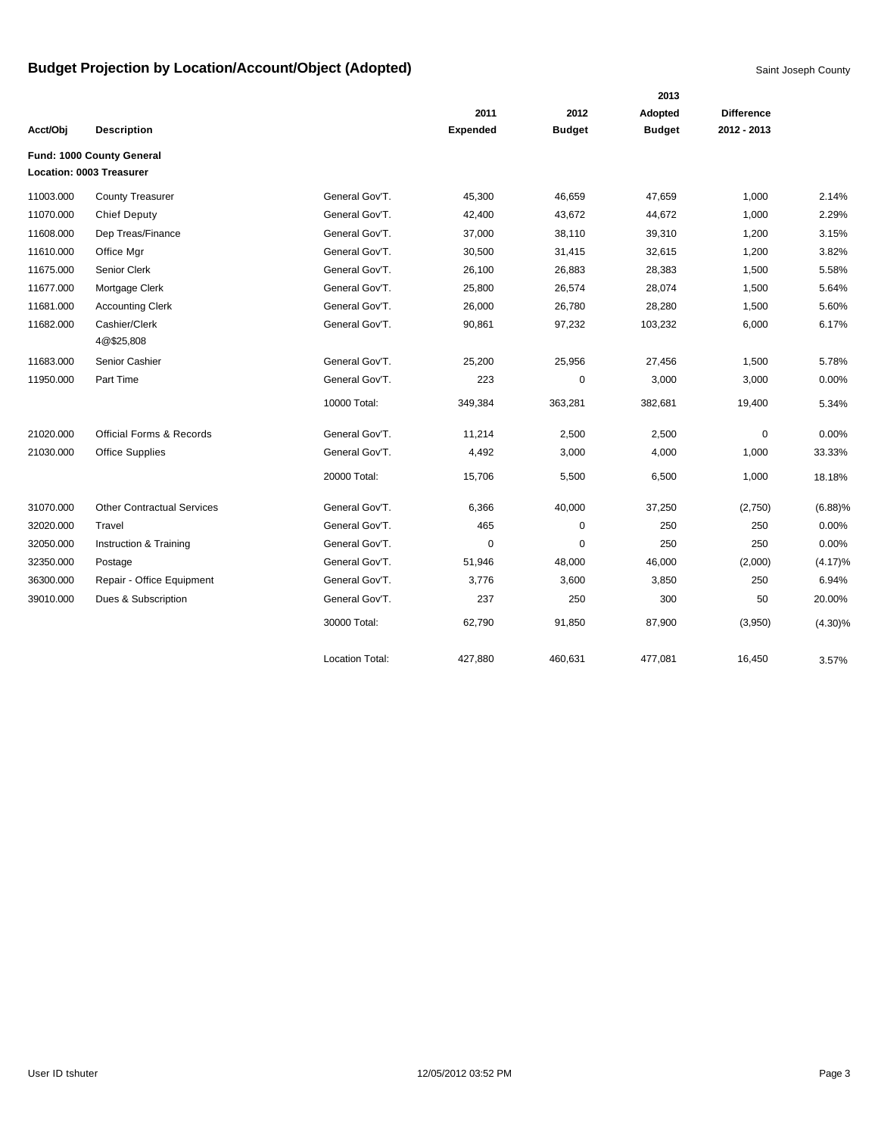|           |                                     |                        |                 |               | 2013          |                   |            |
|-----------|-------------------------------------|------------------------|-----------------|---------------|---------------|-------------------|------------|
|           |                                     |                        | 2011            | 2012          | Adopted       | <b>Difference</b> |            |
| Acct/Obj  | <b>Description</b>                  |                        | <b>Expended</b> | <b>Budget</b> | <b>Budget</b> | 2012 - 2013       |            |
|           | Fund: 1000 County General           |                        |                 |               |               |                   |            |
|           | Location: 0003 Treasurer            |                        |                 |               |               |                   |            |
| 11003.000 | <b>County Treasurer</b>             | General Gov'T.         | 45,300          | 46,659        | 47,659        | 1,000             | 2.14%      |
| 11070.000 | <b>Chief Deputy</b>                 | General Gov'T.         | 42,400          | 43,672        | 44,672        | 1,000             | 2.29%      |
| 11608.000 | Dep Treas/Finance                   | General Gov'T.         | 37,000          | 38,110        | 39,310        | 1,200             | 3.15%      |
| 11610.000 | Office Mgr                          | General Gov'T.         | 30,500          | 31,415        | 32,615        | 1,200             | 3.82%      |
| 11675.000 | Senior Clerk                        | General Gov'T.         | 26,100          | 26,883        | 28,383        | 1,500             | 5.58%      |
| 11677.000 | Mortgage Clerk                      | General Gov'T.         | 25,800          | 26,574        | 28,074        | 1,500             | 5.64%      |
| 11681.000 | <b>Accounting Clerk</b>             | General Gov'T.         | 26,000          | 26,780        | 28,280        | 1,500             | 5.60%      |
| 11682.000 | Cashier/Clerk                       | General Gov'T.         | 90,861          | 97,232        | 103,232       | 6,000             | 6.17%      |
|           | 4@\$25,808                          |                        |                 |               |               |                   |            |
| 11683.000 | Senior Cashier                      | General Gov'T.         | 25,200          | 25,956        | 27,456        | 1,500             | 5.78%      |
| 11950.000 | Part Time                           | General Gov'T.         | 223             | 0             | 3,000         | 3,000             | 0.00%      |
|           |                                     | 10000 Total:           | 349,384         | 363,281       | 382,681       | 19,400            | 5.34%      |
| 21020.000 | <b>Official Forms &amp; Records</b> | General Gov'T.         | 11,214          | 2,500         | 2,500         | $\mathbf 0$       | 0.00%      |
| 21030.000 | <b>Office Supplies</b>              | General Gov'T.         | 4,492           | 3,000         | 4,000         | 1,000             | 33.33%     |
|           |                                     | 20000 Total:           | 15,706          | 5,500         | 6,500         | 1,000             | 18.18%     |
| 31070.000 | <b>Other Contractual Services</b>   | General Gov'T.         | 6,366           | 40,000        | 37,250        | (2,750)           | (6.88)%    |
| 32020.000 | Travel                              | General Gov'T.         | 465             | $\mathbf 0$   | 250           | 250               | 0.00%      |
| 32050.000 | Instruction & Training              | General Gov'T.         | $\mathbf 0$     | $\mathbf 0$   | 250           | 250               | 0.00%      |
| 32350.000 | Postage                             | General Gov'T.         | 51,946          | 48,000        | 46,000        | (2,000)           | $(4.17)\%$ |
| 36300.000 | Repair - Office Equipment           | General Gov'T.         | 3,776           | 3,600         | 3,850         | 250               | 6.94%      |
| 39010.000 | Dues & Subscription                 | General Gov'T.         | 237             | 250           | 300           | 50                | 20.00%     |
|           |                                     | 30000 Total:           | 62,790          | 91,850        | 87,900        | (3,950)           | $(4.30)\%$ |
|           |                                     | <b>Location Total:</b> | 427,880         | 460,631       | 477,081       | 16,450            | 3.57%      |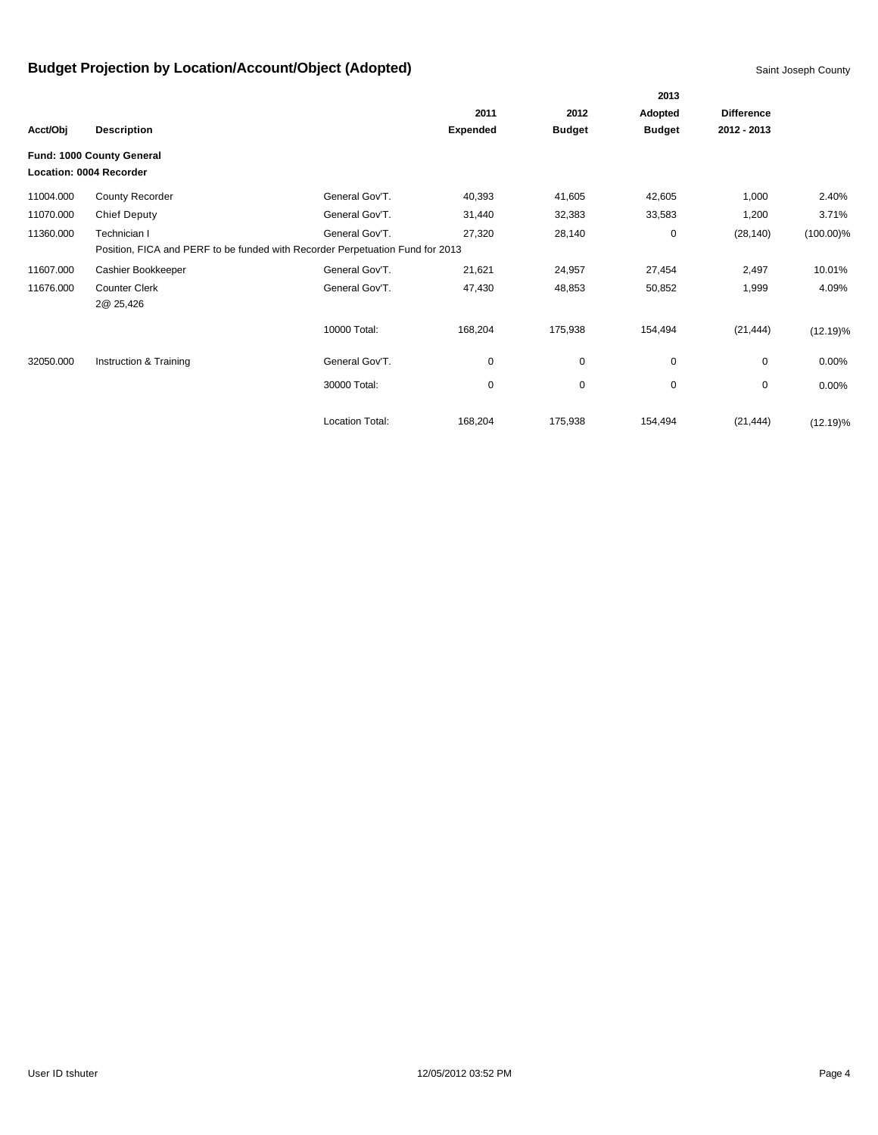|           |                                                                               |                        |                 |               | 2013          |                   |              |
|-----------|-------------------------------------------------------------------------------|------------------------|-----------------|---------------|---------------|-------------------|--------------|
|           |                                                                               |                        | 2011            | 2012          | Adopted       | <b>Difference</b> |              |
| Acct/Obj  | <b>Description</b>                                                            |                        | <b>Expended</b> | <b>Budget</b> | <b>Budget</b> | 2012 - 2013       |              |
|           | Fund: 1000 County General<br>Location: 0004 Recorder                          |                        |                 |               |               |                   |              |
| 11004.000 | County Recorder                                                               | General Gov'T.         | 40,393          | 41,605        | 42,605        | 1,000             | 2.40%        |
| 11070.000 | <b>Chief Deputy</b>                                                           | General Gov'T.         | 31,440          | 32,383        | 33,583        | 1,200             | 3.71%        |
| 11360.000 | Technician I                                                                  | General Gov'T.         | 27,320          | 28,140        | 0             | (28, 140)         | $(100.00)\%$ |
|           | Position, FICA and PERF to be funded with Recorder Perpetuation Fund for 2013 |                        |                 |               |               |                   |              |
| 11607.000 | Cashier Bookkeeper                                                            | General Gov'T.         | 21,621          | 24,957        | 27,454        | 2,497             | 10.01%       |
| 11676.000 | <b>Counter Clerk</b>                                                          | General Gov'T.         | 47,430          | 48,853        | 50,852        | 1,999             | 4.09%        |
|           | 2@ 25,426                                                                     |                        |                 |               |               |                   |              |
|           |                                                                               | 10000 Total:           | 168,204         | 175,938       | 154,494       | (21, 444)         | $(12.19)\%$  |
| 32050.000 | Instruction & Training                                                        | General Gov'T.         | 0               | 0             | 0             | 0                 | 0.00%        |
|           |                                                                               | 30000 Total:           | $\mathbf 0$     | 0             | $\pmb{0}$     | 0                 | 0.00%        |
|           |                                                                               | <b>Location Total:</b> | 168,204         | 175,938       | 154,494       | (21, 444)         | $(12.19)\%$  |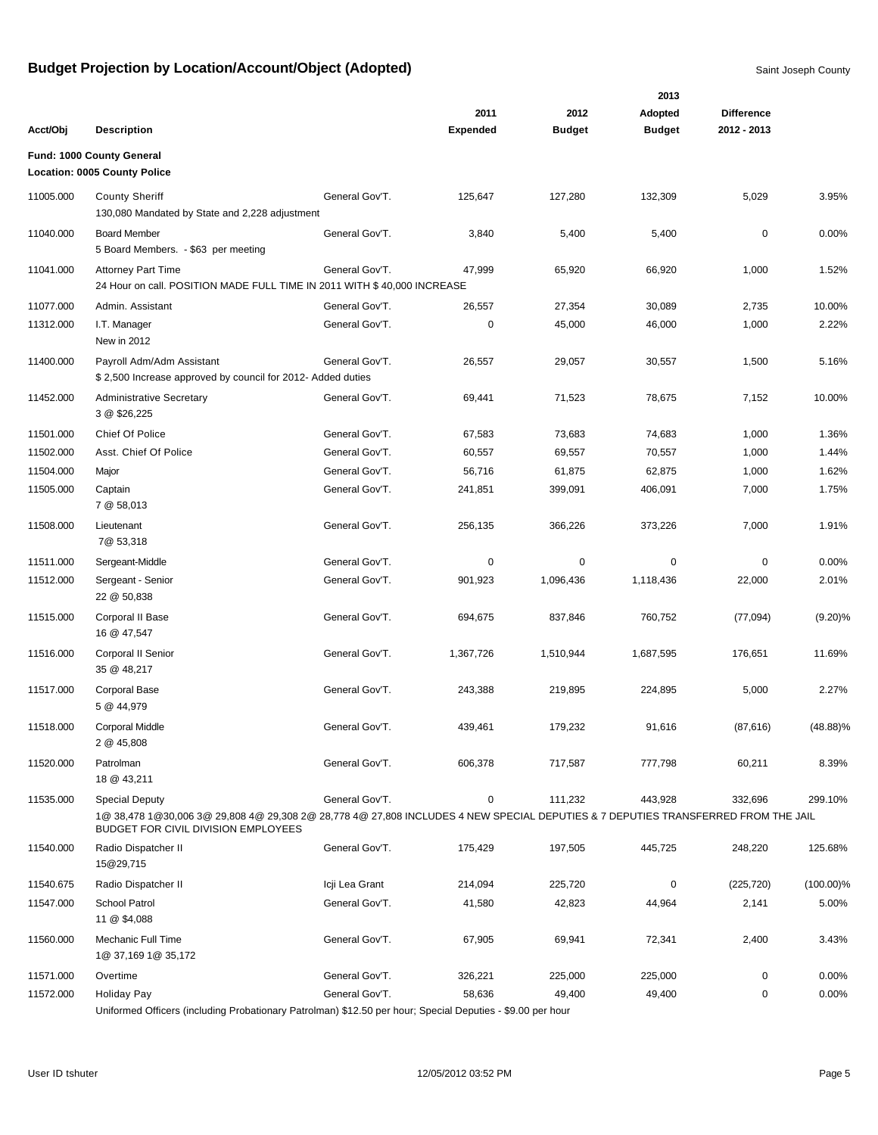|                        |                                                                                                                                   |                |                 | 2013          |               |                   |              |
|------------------------|-----------------------------------------------------------------------------------------------------------------------------------|----------------|-----------------|---------------|---------------|-------------------|--------------|
|                        |                                                                                                                                   |                | 2011            | 2012          | Adopted       | <b>Difference</b> |              |
| Acct/Obj               | <b>Description</b>                                                                                                                |                | <b>Expended</b> | <b>Budget</b> | <b>Budget</b> | 2012 - 2013       |              |
|                        | Fund: 1000 County General                                                                                                         |                |                 |               |               |                   |              |
|                        | <b>Location: 0005 County Police</b>                                                                                               |                |                 |               |               |                   |              |
| 11005.000              | <b>County Sheriff</b>                                                                                                             | General Gov'T. | 125,647         | 127,280       | 132,309       | 5,029             | 3.95%        |
|                        | 130,080 Mandated by State and 2,228 adjustment                                                                                    |                |                 |               |               |                   |              |
| 11040.000              | <b>Board Member</b>                                                                                                               | General Gov'T. | 3,840           | 5,400         | 5,400         | $\mathbf 0$       | 0.00%        |
|                        | 5 Board Members. - \$63 per meeting                                                                                               |                |                 |               |               |                   |              |
| 11041.000              | <b>Attorney Part Time</b>                                                                                                         | General Gov'T. | 47,999          | 65,920        | 66,920        | 1,000             | 1.52%        |
|                        | 24 Hour on call. POSITION MADE FULL TIME IN 2011 WITH \$40,000 INCREASE                                                           |                |                 |               |               |                   |              |
| 11077.000              | Admin. Assistant                                                                                                                  | General Gov'T. | 26,557          | 27,354        | 30,089        | 2,735             | 10.00%       |
| 11312.000              | I.T. Manager                                                                                                                      | General Gov'T. | 0               | 45,000        | 46,000        | 1,000             | 2.22%        |
|                        | New in 2012                                                                                                                       |                |                 |               |               |                   |              |
| 11400.000              | Payroll Adm/Adm Assistant                                                                                                         | General Gov'T. | 26,557          | 29,057        | 30,557        | 1,500             | 5.16%        |
|                        | \$2,500 Increase approved by council for 2012- Added duties                                                                       |                |                 |               |               |                   |              |
| 11452.000              | <b>Administrative Secretary</b>                                                                                                   | General Gov'T. | 69,441          | 71,523        | 78,675        | 7,152             | 10.00%       |
|                        | 3 @ \$26,225                                                                                                                      |                |                 |               |               |                   |              |
| 11501.000              | Chief Of Police                                                                                                                   | General Gov'T. | 67,583          | 73,683        | 74,683        | 1,000             | 1.36%        |
| 11502.000              | Asst. Chief Of Police                                                                                                             | General Gov'T. | 60,557          | 69,557        | 70,557        | 1,000             | 1.44%        |
| 11504.000              | Major                                                                                                                             | General Gov'T. | 56,716          | 61,875        | 62,875        | 1,000             | 1.62%        |
| 11505.000              | Captain                                                                                                                           | General Gov'T. | 241,851         | 399,091       | 406,091       | 7,000             | 1.75%        |
|                        | 7 @ 58,013                                                                                                                        |                |                 |               |               |                   |              |
| 11508.000              | Lieutenant<br>7@ 53,318                                                                                                           | General Gov'T. | 256,135         | 366,226       | 373,226       | 7,000             | 1.91%        |
|                        |                                                                                                                                   | General Gov'T. | 0               | 0             | 0             | 0                 | 0.00%        |
| 11511.000<br>11512.000 | Sergeant-Middle<br>Sergeant - Senior                                                                                              | General Gov'T. | 901,923         | 1,096,436     | 1,118,436     | 22,000            | 2.01%        |
|                        | 22 @ 50,838                                                                                                                       |                |                 |               |               |                   |              |
| 11515.000              | Corporal II Base                                                                                                                  | General Gov'T. | 694,675         | 837,846       | 760,752       | (77,094)          | (9.20)%      |
|                        | 16 @ 47,547                                                                                                                       |                |                 |               |               |                   |              |
| 11516.000              | Corporal II Senior                                                                                                                | General Gov'T. | 1,367,726       | 1,510,944     | 1,687,595     | 176,651           | 11.69%       |
|                        | 35 @ 48,217                                                                                                                       |                |                 |               |               |                   |              |
| 11517.000              | <b>Corporal Base</b>                                                                                                              | General Gov'T. | 243,388         | 219,895       | 224,895       | 5,000             | 2.27%        |
|                        | 5 @ 44,979                                                                                                                        |                |                 |               |               |                   |              |
| 11518.000              | <b>Corporal Middle</b>                                                                                                            | General Gov'T. | 439,461         | 179,232       | 91,616        | (87, 616)         | $(48.88)\%$  |
|                        | 2 @ 45,808                                                                                                                        |                |                 |               |               |                   |              |
| 11520.000              | Patrolman                                                                                                                         | General Gov'T. | 606,378         | 717,587       | 777,798       | 60,211            | 8.39%        |
|                        | 18 @ 43,211                                                                                                                       |                |                 |               |               |                   |              |
| 11535.000              | <b>Special Deputy</b>                                                                                                             | General Gov'T. | 0               | 111,232       | 443,928       | 332,696           | 299.10%      |
|                        | 1@ 38,478 1@30,006 3@ 29,808 4@ 29,308 2@ 28,778 4@ 27,808 INCLUDES 4 NEW SPECIAL DEPUTIES & 7 DEPUTIES TRANSFERRED FROM THE JAIL |                |                 |               |               |                   |              |
|                        | BUDGET FOR CIVIL DIVISION EMPLOYEES                                                                                               |                |                 |               |               |                   |              |
| 11540.000              | Radio Dispatcher II<br>15@29,715                                                                                                  | General Gov'T. | 175,429         | 197,505       | 445,725       | 248,220           | 125.68%      |
|                        |                                                                                                                                   |                |                 |               |               |                   |              |
| 11540.675              | Radio Dispatcher II                                                                                                               | Icji Lea Grant | 214,094         | 225,720       | 0             | (225, 720)        | $(100.00)\%$ |
| 11547.000              | School Patrol<br>11 @ \$4,088                                                                                                     | General Gov'T. | 41,580          | 42,823        | 44,964        | 2,141             | 5.00%        |
|                        |                                                                                                                                   |                |                 |               |               |                   |              |
| 11560.000              | Mechanic Full Time<br>1@ 37,169 1@ 35,172                                                                                         | General Gov'T. | 67,905          | 69,941        | 72,341        | 2,400             | 3.43%        |
| 11571.000              | Overtime                                                                                                                          | General Gov'T. | 326,221         | 225,000       | 225,000       | 0                 | 0.00%        |
| 11572.000              | Holiday Pay                                                                                                                       | General Gov'T. | 58,636          | 49,400        | 49,400        | 0                 | 0.00%        |
|                        |                                                                                                                                   |                |                 |               |               |                   |              |

Uniformed Officers (including Probationary Patrolman) \$12.50 per hour; Special Deputies - \$9.00 per hour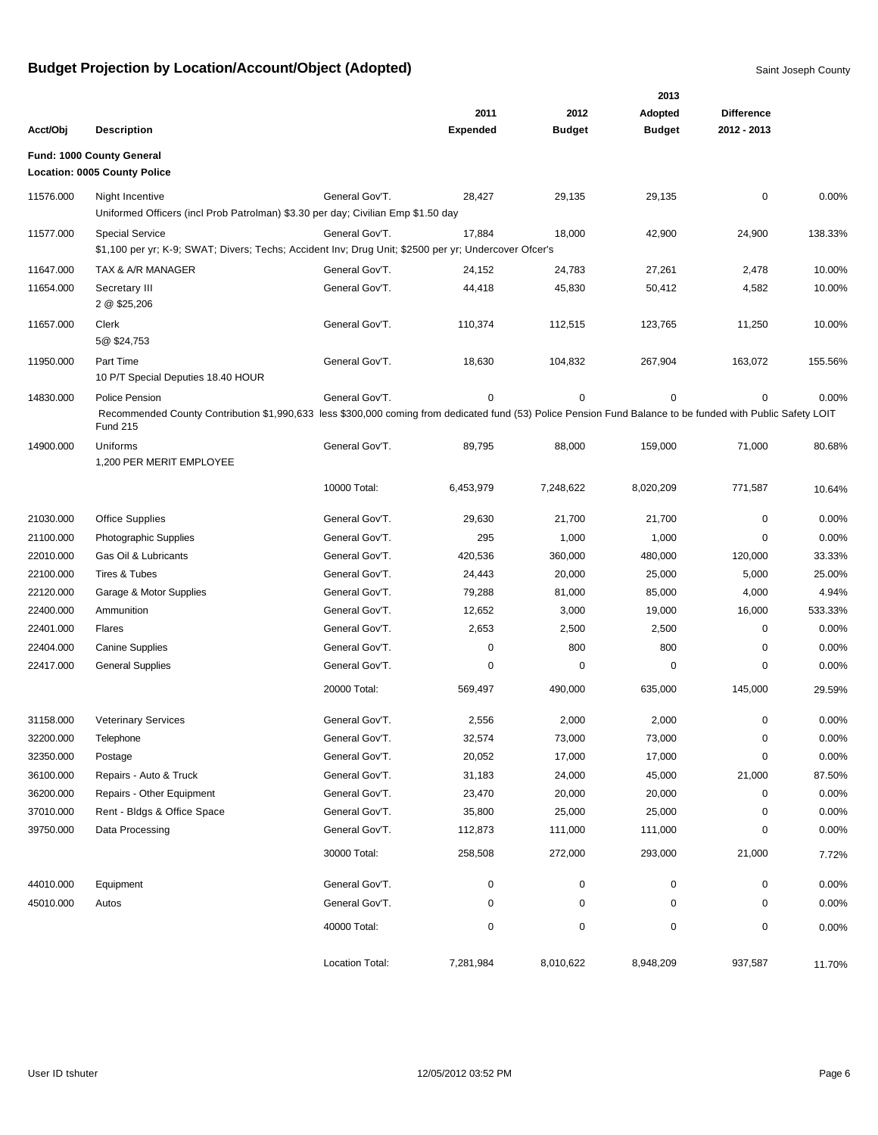|           |                                                                                                                                                                                                  |                 |                 |               | 2013          |                   |         |
|-----------|--------------------------------------------------------------------------------------------------------------------------------------------------------------------------------------------------|-----------------|-----------------|---------------|---------------|-------------------|---------|
|           |                                                                                                                                                                                                  |                 | 2011            | 2012          | Adopted       | <b>Difference</b> |         |
| Acct/Obj  | <b>Description</b>                                                                                                                                                                               |                 | <b>Expended</b> | <b>Budget</b> | <b>Budget</b> | 2012 - 2013       |         |
|           | Fund: 1000 County General<br><b>Location: 0005 County Police</b>                                                                                                                                 |                 |                 |               |               |                   |         |
| 11576.000 | Night Incentive<br>Uniformed Officers (incl Prob Patrolman) \$3.30 per day; Civilian Emp \$1.50 day                                                                                              | General Gov'T.  | 28,427          | 29,135        | 29,135        | $\mathbf 0$       | 0.00%   |
| 11577.000 | <b>Special Service</b><br>\$1,100 per yr; K-9; SWAT; Divers; Techs; Accident Inv; Drug Unit; \$2500 per yr; Undercover Ofcer's                                                                   | General Gov'T.  | 17,884          | 18,000        | 42,900        | 24,900            | 138.33% |
| 11647.000 | TAX & A/R MANAGER                                                                                                                                                                                | General Gov'T.  | 24,152          | 24,783        | 27,261        | 2,478             | 10.00%  |
| 11654.000 | Secretary III<br>2 @ \$25,206                                                                                                                                                                    | General Gov'T.  | 44,418          | 45,830        | 50,412        | 4,582             | 10.00%  |
| 11657.000 | Clerk<br>5@\$24,753                                                                                                                                                                              | General Gov'T.  | 110,374         | 112,515       | 123,765       | 11,250            | 10.00%  |
| 11950.000 | Part Time<br>10 P/T Special Deputies 18.40 HOUR                                                                                                                                                  | General Gov'T.  | 18,630          | 104,832       | 267,904       | 163,072           | 155.56% |
| 14830.000 | Police Pension<br>Recommended County Contribution \$1,990,633 less \$300,000 coming from dedicated fund (53) Police Pension Fund Balance to be funded with Public Safety LOIT<br><b>Fund 215</b> | General Gov'T.  | 0               | 0             | $\mathbf 0$   | $\mathbf 0$       | 0.00%   |
| 14900.000 | Uniforms<br>1,200 PER MERIT EMPLOYEE                                                                                                                                                             | General Gov'T.  | 89,795          | 88,000        | 159,000       | 71,000            | 80.68%  |
|           |                                                                                                                                                                                                  | 10000 Total:    | 6,453,979       | 7,248,622     | 8,020,209     | 771,587           | 10.64%  |
| 21030.000 | <b>Office Supplies</b>                                                                                                                                                                           | General Gov'T.  | 29,630          | 21,700        | 21,700        | 0                 | 0.00%   |
| 21100.000 | Photographic Supplies                                                                                                                                                                            | General Gov'T.  | 295             | 1,000         | 1,000         | 0                 | 0.00%   |
| 22010.000 | Gas Oil & Lubricants                                                                                                                                                                             | General Gov'T.  | 420,536         | 360,000       | 480,000       | 120,000           | 33.33%  |
| 22100.000 | Tires & Tubes                                                                                                                                                                                    | General Gov'T.  | 24,443          | 20,000        | 25,000        | 5,000             | 25.00%  |
| 22120.000 | Garage & Motor Supplies                                                                                                                                                                          | General Gov'T.  | 79,288          | 81,000        | 85,000        | 4,000             | 4.94%   |
| 22400.000 | Ammunition                                                                                                                                                                                       | General Gov'T.  | 12,652          | 3,000         | 19,000        | 16,000            | 533.33% |
| 22401.000 | Flares                                                                                                                                                                                           | General Gov'T.  | 2,653           | 2,500         | 2,500         | $\mathbf 0$       | 0.00%   |
| 22404.000 | <b>Canine Supplies</b>                                                                                                                                                                           | General Gov'T.  | 0               | 800           | 800           | 0                 | 0.00%   |
| 22417.000 | <b>General Supplies</b>                                                                                                                                                                          | General Gov'T.  | 0               | 0             | 0             | $\mathbf 0$       | 0.00%   |
|           |                                                                                                                                                                                                  | 20000 Total:    | 569,497         | 490,000       | 635,000       | 145,000           | 29.59%  |
| 31158.000 | <b>Veterinary Services</b>                                                                                                                                                                       | General Gov'T.  | 2,556           | 2,000         | 2,000         | 0                 | 0.00%   |
| 32200.000 | Telephone                                                                                                                                                                                        | General Gov'T.  | 32,574          | 73,000        | 73,000        | $\pmb{0}$         | 0.00%   |
| 32350.000 | Postage                                                                                                                                                                                          | General Gov'T.  | 20,052          | 17,000        | 17,000        | 0                 | 0.00%   |
| 36100.000 | Repairs - Auto & Truck                                                                                                                                                                           | General Gov'T.  | 31,183          | 24,000        | 45,000        | 21,000            | 87.50%  |
| 36200.000 | Repairs - Other Equipment                                                                                                                                                                        | General Gov'T.  | 23,470          | 20,000        | 20,000        | $\pmb{0}$         | 0.00%   |
| 37010.000 | Rent - Bldgs & Office Space                                                                                                                                                                      | General Gov'T.  | 35,800          | 25,000        | 25,000        | 0                 | 0.00%   |
| 39750.000 | Data Processing                                                                                                                                                                                  | General Gov'T.  | 112,873         | 111,000       | 111,000       | 0                 | 0.00%   |
|           |                                                                                                                                                                                                  | 30000 Total:    | 258,508         | 272,000       | 293,000       | 21,000            | 7.72%   |
| 44010.000 | Equipment                                                                                                                                                                                        | General Gov'T.  | 0               | 0             | $\mathbf 0$   | $\pmb{0}$         | 0.00%   |
| 45010.000 | Autos                                                                                                                                                                                            | General Gov'T.  | 0               | 0             | 0             | 0                 | 0.00%   |
|           |                                                                                                                                                                                                  | 40000 Total:    | 0               | 0             | $\pmb{0}$     | 0                 | 0.00%   |
|           |                                                                                                                                                                                                  | Location Total: | 7,281,984       | 8,010,622     | 8,948,209     | 937,587           | 11.70%  |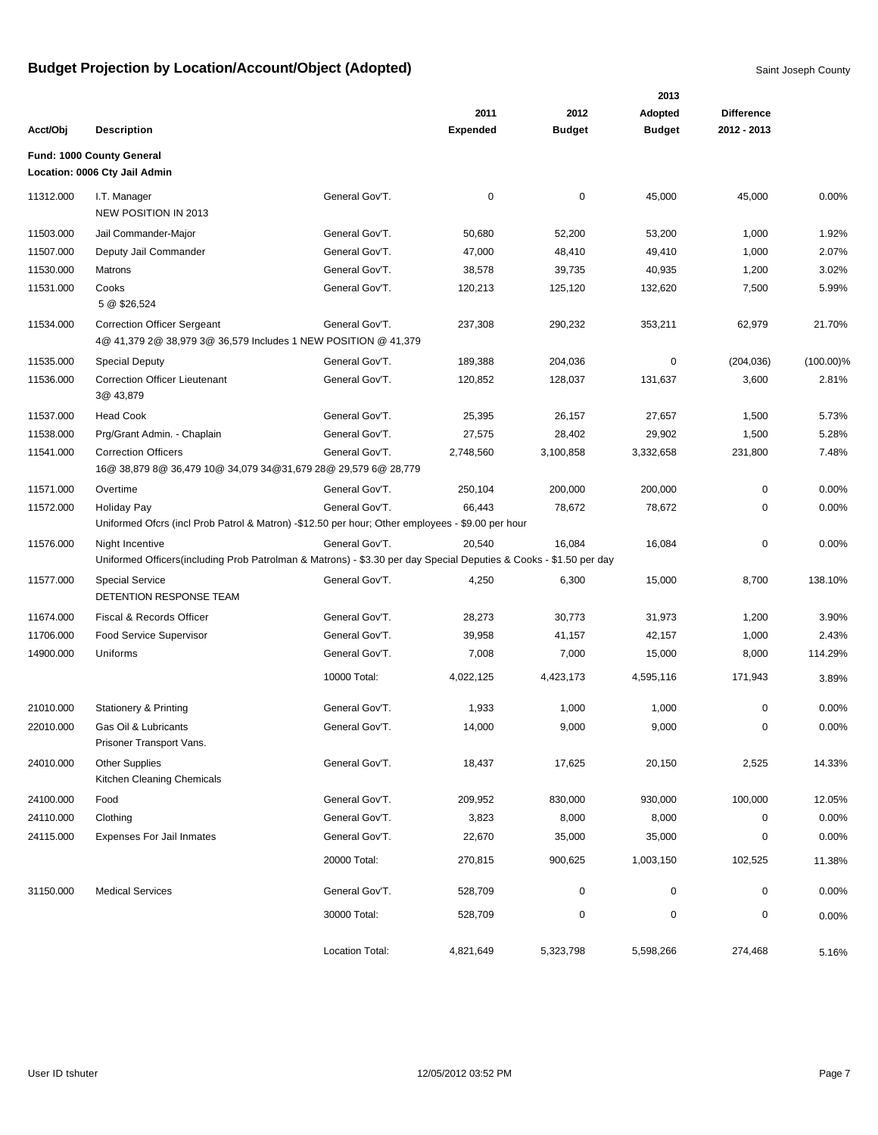|           |                                                                                                                                       |                 |                 |               | 2013          |                   |              |
|-----------|---------------------------------------------------------------------------------------------------------------------------------------|-----------------|-----------------|---------------|---------------|-------------------|--------------|
|           |                                                                                                                                       |                 | 2011            | 2012          | Adopted       | <b>Difference</b> |              |
| Acct/Obj  | <b>Description</b>                                                                                                                    |                 | <b>Expended</b> | <b>Budget</b> | <b>Budget</b> | 2012 - 2013       |              |
|           | Fund: 1000 County General<br>Location: 0006 Cty Jail Admin                                                                            |                 |                 |               |               |                   |              |
| 11312.000 | I.T. Manager<br>NEW POSITION IN 2013                                                                                                  | General Gov'T.  | 0               | 0             | 45,000        | 45,000            | 0.00%        |
| 11503.000 | Jail Commander-Major                                                                                                                  | General Gov'T.  | 50,680          | 52,200        | 53,200        | 1,000             | 1.92%        |
| 11507.000 | Deputy Jail Commander                                                                                                                 | General Gov'T.  | 47,000          | 48,410        | 49,410        | 1,000             | 2.07%        |
| 11530.000 | Matrons                                                                                                                               | General Gov'T.  | 38,578          | 39,735        | 40,935        | 1,200             | 3.02%        |
| 11531.000 | Cooks<br>5 @ \$26,524                                                                                                                 | General Gov'T.  | 120,213         | 125,120       | 132,620       | 7,500             | 5.99%        |
| 11534.000 | <b>Correction Officer Sergeant</b><br>4@ 41,379 2@ 38,979 3@ 36,579 Includes 1 NEW POSITION @ 41,379                                  | General Gov'T.  | 237,308         | 290,232       | 353,211       | 62,979            | 21.70%       |
| 11535.000 | <b>Special Deputy</b>                                                                                                                 | General Gov'T.  | 189,388         | 204,036       | 0             | (204, 036)        | $(100.00)\%$ |
| 11536.000 | <b>Correction Officer Lieutenant</b><br>3@ 43,879                                                                                     | General Gov'T.  | 120,852         | 128,037       | 131,637       | 3,600             | 2.81%        |
| 11537.000 | <b>Head Cook</b>                                                                                                                      | General Gov'T.  | 25,395          | 26,157        | 27,657        | 1,500             | 5.73%        |
| 11538.000 | Prg/Grant Admin. - Chaplain                                                                                                           | General Gov'T.  | 27,575          | 28,402        | 29,902        | 1,500             | 5.28%        |
| 11541.000 | <b>Correction Officers</b><br>16@ 38,879 8@ 36,479 10@ 34,079 34@31,679 28@ 29,579 6@ 28,779                                          | General Gov'T.  | 2,748,560       | 3,100,858     | 3,332,658     | 231,800           | 7.48%        |
| 11571.000 | Overtime                                                                                                                              | General Gov'T.  | 250,104         | 200,000       | 200,000       | 0                 | 0.00%        |
| 11572.000 | <b>Holiday Pay</b><br>Uniformed Ofcrs (incl Prob Patrol & Matron) -\$12.50 per hour; Other employees - \$9.00 per hour                | General Gov'T.  | 66,443          | 78,672        | 78,672        | 0                 | 0.00%        |
| 11576.000 | Night Incentive<br>Uniformed Officers (including Prob Patrolman & Matrons) - \$3.30 per day Special Deputies & Cooks - \$1.50 per day | General Gov'T.  | 20,540          | 16,084        | 16,084        | $\mathbf 0$       | 0.00%        |
| 11577.000 | <b>Special Service</b><br>DETENTION RESPONSE TEAM                                                                                     | General Gov'T.  | 4,250           | 6,300         | 15,000        | 8,700             | 138.10%      |
| 11674.000 | Fiscal & Records Officer                                                                                                              | General Gov'T.  | 28,273          | 30,773        | 31,973        | 1,200             | 3.90%        |
| 11706.000 | Food Service Supervisor                                                                                                               | General Gov'T.  | 39,958          | 41,157        | 42,157        | 1,000             | 2.43%        |
| 14900.000 | Uniforms                                                                                                                              | General Gov'T.  | 7,008           | 7,000         | 15,000        | 8,000             | 114.29%      |
|           |                                                                                                                                       | 10000 Total:    | 4,022,125       | 4,423,173     | 4,595,116     | 171,943           | 3.89%        |
| 21010.000 | <b>Stationery &amp; Printing</b>                                                                                                      | General Gov'T.  | 1,933           | 1,000         | 1,000         | 0                 | 0.00%        |
| 22010.000 | Gas Oil & Lubricants<br>Prisoner Transport Vans.                                                                                      | General Gov'T.  | 14,000          | 9,000         | 9,000         | 0                 | 0.00%        |
| 24010.000 | <b>Other Supplies</b><br>Kitchen Cleaning Chemicals                                                                                   | General Gov'T.  | 18,437          | 17,625        | 20,150        | 2,525             | 14.33%       |
| 24100.000 | Food                                                                                                                                  | General Gov'T.  | 209,952         | 830,000       | 930,000       | 100,000           | 12.05%       |
| 24110.000 | Clothing                                                                                                                              | General Gov'T.  | 3,823           | 8,000         | 8,000         | $\mathbf 0$       | 0.00%        |
| 24115.000 | <b>Expenses For Jail Inmates</b>                                                                                                      | General Gov'T.  | 22,670          | 35,000        | 35,000        | 0                 | 0.00%        |
|           |                                                                                                                                       | 20000 Total:    | 270,815         | 900,625       | 1,003,150     | 102,525           | 11.38%       |
| 31150.000 | <b>Medical Services</b>                                                                                                               | General Gov'T.  | 528,709         | 0             | 0             | 0                 | 0.00%        |
|           |                                                                                                                                       | 30000 Total:    | 528,709         | 0             | $\mathbf 0$   | $\pmb{0}$         | 0.00%        |
|           |                                                                                                                                       | Location Total: | 4,821,649       | 5,323,798     | 5,598,266     | 274,468           | 5.16%        |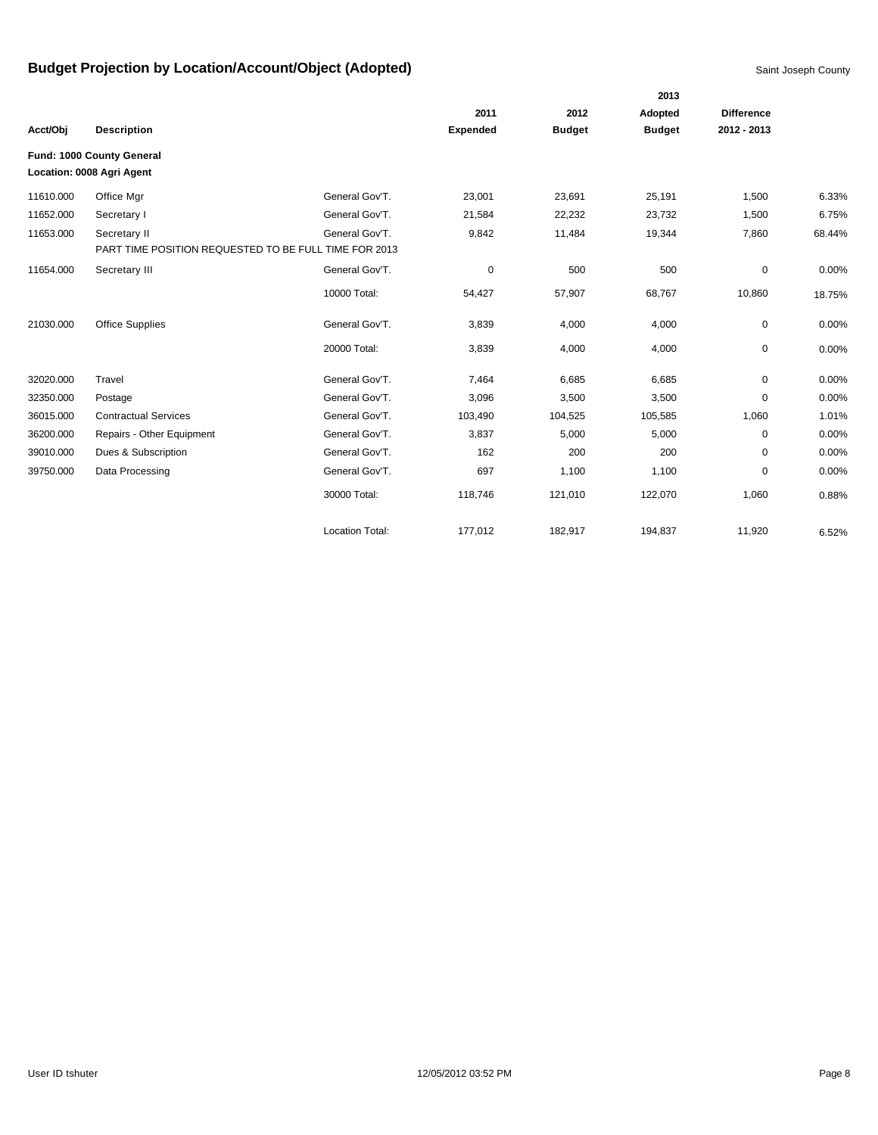|           |                                                       |                        |                 |               | 2013          |                   |        |
|-----------|-------------------------------------------------------|------------------------|-----------------|---------------|---------------|-------------------|--------|
|           |                                                       |                        | 2011            | 2012          | Adopted       | <b>Difference</b> |        |
| Acct/Obj  | <b>Description</b>                                    |                        | <b>Expended</b> | <b>Budget</b> | <b>Budget</b> | 2012 - 2013       |        |
|           | Fund: 1000 County General                             |                        |                 |               |               |                   |        |
|           | Location: 0008 Agri Agent                             |                        |                 |               |               |                   |        |
| 11610.000 | Office Mgr                                            | General Gov'T.         | 23,001          | 23,691        | 25,191        | 1,500             | 6.33%  |
| 11652.000 | Secretary I                                           | General Gov'T.         | 21,584          | 22,232        | 23,732        | 1,500             | 6.75%  |
| 11653.000 | Secretary II                                          | General Gov'T.         | 9,842           | 11,484        | 19,344        | 7,860             | 68.44% |
|           | PART TIME POSITION REQUESTED TO BE FULL TIME FOR 2013 |                        |                 |               |               |                   |        |
| 11654.000 | Secretary III                                         | General Gov'T.         | 0               | 500           | 500           | 0                 | 0.00%  |
|           |                                                       | 10000 Total:           | 54,427          | 57,907        | 68,767        | 10,860            | 18.75% |
| 21030.000 | <b>Office Supplies</b>                                | General Gov'T.         | 3,839           | 4,000         | 4,000         | 0                 | 0.00%  |
|           |                                                       | 20000 Total:           | 3,839           | 4,000         | 4,000         | 0                 | 0.00%  |
| 32020.000 | Travel                                                | General Gov'T.         | 7,464           | 6,685         | 6,685         | 0                 | 0.00%  |
| 32350.000 | Postage                                               | General Gov'T.         | 3,096           | 3,500         | 3,500         | 0                 | 0.00%  |
| 36015.000 | <b>Contractual Services</b>                           | General Gov'T.         | 103,490         | 104,525       | 105,585       | 1,060             | 1.01%  |
| 36200.000 | Repairs - Other Equipment                             | General Gov'T.         | 3,837           | 5,000         | 5,000         | 0                 | 0.00%  |
| 39010.000 | Dues & Subscription                                   | General Gov'T.         | 162             | 200           | 200           | 0                 | 0.00%  |
| 39750.000 | Data Processing                                       | General Gov'T.         | 697             | 1,100         | 1,100         | 0                 | 0.00%  |
|           |                                                       | 30000 Total:           | 118,746         | 121,010       | 122,070       | 1,060             | 0.88%  |
|           |                                                       | <b>Location Total:</b> | 177,012         | 182.917       | 194,837       | 11,920            | 6.52%  |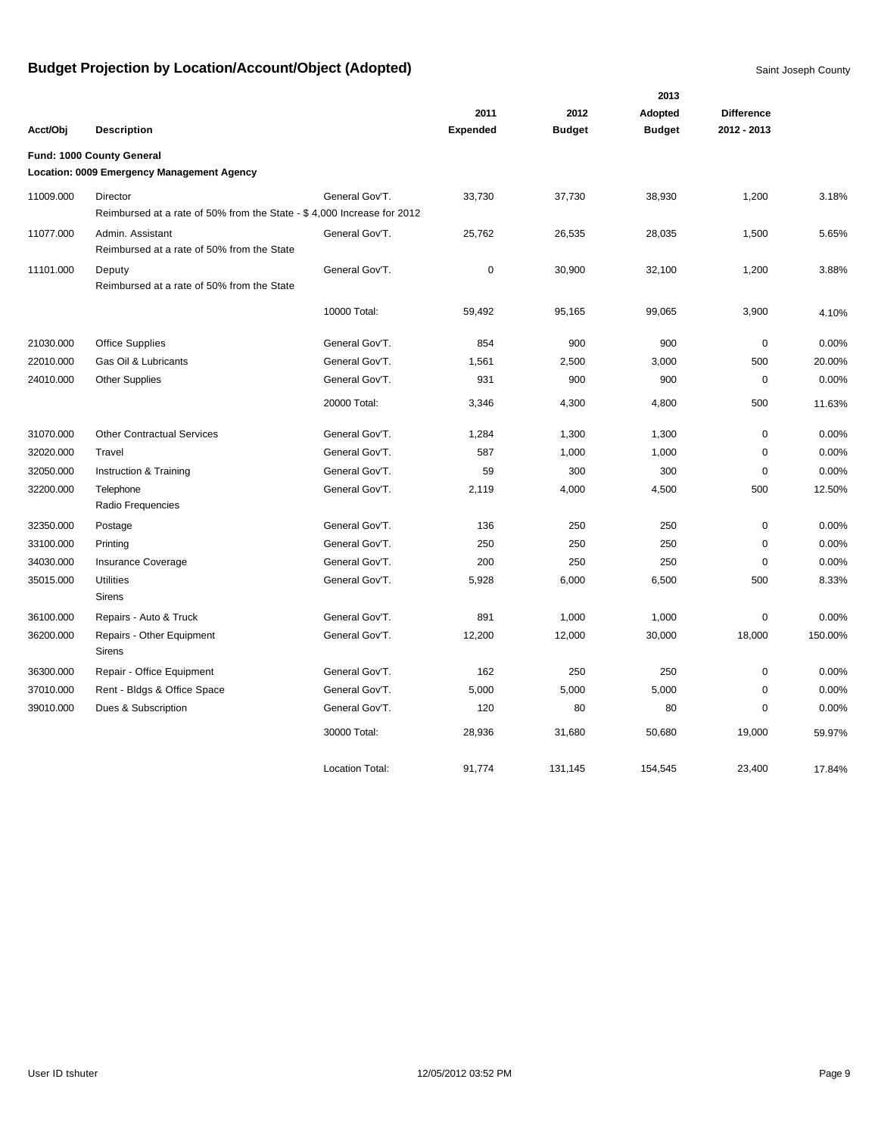|           |                                                                        |                        | 2011            | 2012          | 2013<br>Adopted | <b>Difference</b> |         |
|-----------|------------------------------------------------------------------------|------------------------|-----------------|---------------|-----------------|-------------------|---------|
| Acct/Obj  | <b>Description</b>                                                     |                        | <b>Expended</b> | <b>Budget</b> | <b>Budget</b>   | 2012 - 2013       |         |
|           | Fund: 1000 County General                                              |                        |                 |               |                 |                   |         |
|           | Location: 0009 Emergency Management Agency                             |                        |                 |               |                 |                   |         |
| 11009.000 | Director                                                               | General Gov'T.         | 33,730          | 37,730        | 38,930          | 1,200             | 3.18%   |
|           | Reimbursed at a rate of 50% from the State - \$4,000 Increase for 2012 |                        |                 |               |                 |                   |         |
| 11077.000 | Admin. Assistant                                                       | General Gov'T.         | 25,762          | 26,535        | 28,035          | 1,500             | 5.65%   |
|           | Reimbursed at a rate of 50% from the State                             |                        |                 |               |                 |                   |         |
| 11101.000 | Deputy                                                                 | General Gov'T.         | 0               | 30,900        | 32,100          | 1,200             | 3.88%   |
|           | Reimbursed at a rate of 50% from the State                             |                        |                 |               |                 |                   |         |
|           |                                                                        | 10000 Total:           | 59,492          | 95,165        | 99,065          | 3,900             | 4.10%   |
| 21030.000 | <b>Office Supplies</b>                                                 | General Gov'T.         | 854             | 900           | 900             | $\mathbf 0$       | 0.00%   |
| 22010.000 | Gas Oil & Lubricants                                                   | General Gov'T.         | 1,561           | 2,500         | 3,000           | 500               | 20.00%  |
| 24010.000 | <b>Other Supplies</b>                                                  | General Gov'T.         | 931             | 900           | 900             | $\mathbf 0$       | 0.00%   |
|           |                                                                        | 20000 Total:           | 3,346           | 4,300         | 4,800           | 500               | 11.63%  |
| 31070.000 | <b>Other Contractual Services</b>                                      | General Gov'T.         | 1,284           | 1,300         | 1,300           | 0                 | 0.00%   |
| 32020.000 | Travel                                                                 | General Gov'T.         | 587             | 1,000         | 1,000           | 0                 | 0.00%   |
| 32050.000 | Instruction & Training                                                 | General Gov'T.         | 59              | 300           | 300             | 0                 | 0.00%   |
| 32200.000 | Telephone                                                              | General Gov'T.         | 2,119           | 4,000         | 4,500           | 500               | 12.50%  |
|           | Radio Frequencies                                                      |                        |                 |               |                 |                   |         |
| 32350.000 | Postage                                                                | General Gov'T.         | 136             | 250           | 250             | 0                 | 0.00%   |
| 33100.000 | Printing                                                               | General Gov'T.         | 250             | 250           | 250             | 0                 | 0.00%   |
| 34030.000 | <b>Insurance Coverage</b>                                              | General Gov'T.         | 200             | 250           | 250             | 0                 | 0.00%   |
| 35015.000 | <b>Utilities</b>                                                       | General Gov'T.         | 5,928           | 6,000         | 6,500           | 500               | 8.33%   |
|           | <b>Sirens</b>                                                          |                        |                 |               |                 |                   |         |
| 36100.000 | Repairs - Auto & Truck                                                 | General Gov'T.         | 891             | 1,000         | 1,000           | 0                 | 0.00%   |
| 36200.000 | Repairs - Other Equipment<br>Sirens                                    | General Gov'T.         | 12,200          | 12,000        | 30,000          | 18,000            | 150.00% |
| 36300.000 | Repair - Office Equipment                                              | General Gov'T.         | 162             | 250           | 250             | 0                 | 0.00%   |
| 37010.000 | Rent - Bldgs & Office Space                                            | General Gov'T.         | 5,000           | 5,000         | 5,000           | $\mathbf 0$       | 0.00%   |
| 39010.000 | Dues & Subscription                                                    | General Gov'T.         | 120             | 80            | 80              | $\mathbf 0$       | 0.00%   |
|           |                                                                        | 30000 Total:           | 28,936          | 31,680        | 50,680          | 19,000            | 59.97%  |
|           |                                                                        | <b>Location Total:</b> | 91.774          | 131.145       | 154.545         | 23.400            | 17.84%  |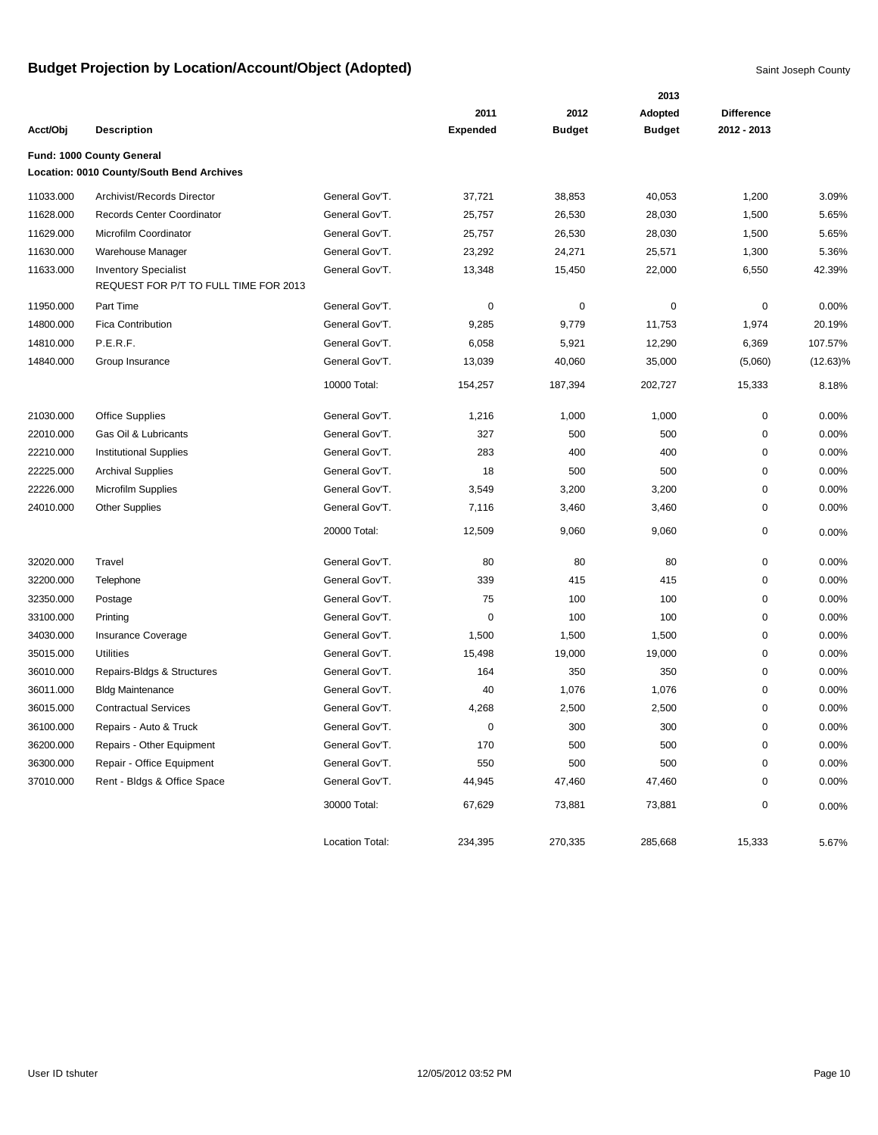|           |                                                                      |                        |                 |               | 2013          |                   |             |
|-----------|----------------------------------------------------------------------|------------------------|-----------------|---------------|---------------|-------------------|-------------|
|           |                                                                      |                        | 2011            | 2012          | Adopted       | <b>Difference</b> |             |
| Acct/Obj  | <b>Description</b>                                                   |                        | <b>Expended</b> | <b>Budget</b> | <b>Budget</b> | 2012 - 2013       |             |
|           | Fund: 1000 County General                                            |                        |                 |               |               |                   |             |
|           | Location: 0010 County/South Bend Archives                            |                        |                 |               |               |                   |             |
| 11033.000 | Archivist/Records Director                                           | General Gov'T.         | 37,721          | 38,853        | 40,053        | 1,200             | 3.09%       |
| 11628.000 | Records Center Coordinator                                           | General Gov'T.         | 25,757          | 26,530        | 28,030        | 1,500             | 5.65%       |
| 11629.000 | Microfilm Coordinator                                                | General Gov'T.         | 25,757          | 26,530        | 28,030        | 1,500             | 5.65%       |
| 11630.000 | Warehouse Manager                                                    | General Gov'T.         | 23,292          | 24,271        | 25,571        | 1,300             | 5.36%       |
| 11633.000 | <b>Inventory Specialist</b><br>REQUEST FOR P/T TO FULL TIME FOR 2013 | General Gov'T.         | 13,348          | 15,450        | 22,000        | 6,550             | 42.39%      |
| 11950.000 | Part Time                                                            | General Gov'T.         | 0               | 0             | 0             | 0                 | 0.00%       |
| 14800.000 | <b>Fica Contribution</b>                                             | General Gov'T.         | 9,285           | 9,779         | 11,753        | 1,974             | 20.19%      |
| 14810.000 | P.E.R.F.                                                             | General Gov'T.         | 6,058           | 5,921         | 12,290        | 6,369             | 107.57%     |
| 14840.000 | Group Insurance                                                      | General Gov'T.         | 13,039          | 40,060        | 35,000        | (5,060)           | $(12.63)\%$ |
|           |                                                                      | 10000 Total:           | 154,257         | 187,394       | 202,727       | 15,333            | 8.18%       |
| 21030.000 | <b>Office Supplies</b>                                               | General Gov'T.         | 1,216           | 1,000         | 1,000         | 0                 | 0.00%       |
| 22010.000 | Gas Oil & Lubricants                                                 | General Gov'T.         | 327             | 500           | 500           | 0                 | 0.00%       |
| 22210.000 | <b>Institutional Supplies</b>                                        | General Gov'T.         | 283             | 400           | 400           | 0                 | 0.00%       |
| 22225.000 | <b>Archival Supplies</b>                                             | General Gov'T.         | 18              | 500           | 500           | 0                 | 0.00%       |
| 22226.000 | <b>Microfilm Supplies</b>                                            | General Gov'T.         | 3,549           | 3,200         | 3,200         | 0                 | 0.00%       |
| 24010.000 | <b>Other Supplies</b>                                                | General Gov'T.         | 7,116           | 3,460         | 3,460         | 0                 | 0.00%       |
|           |                                                                      | 20000 Total:           | 12,509          | 9,060         | 9,060         | 0                 | 0.00%       |
| 32020.000 | Travel                                                               | General Gov'T.         | 80              | 80            | 80            | 0                 | 0.00%       |
| 32200.000 | Telephone                                                            | General Gov'T.         | 339             | 415           | 415           | 0                 | 0.00%       |
| 32350.000 | Postage                                                              | General Gov'T.         | 75              | 100           | 100           | 0                 | 0.00%       |
| 33100.000 | Printing                                                             | General Gov'T.         | 0               | 100           | 100           | 0                 | 0.00%       |
| 34030.000 | Insurance Coverage                                                   | General Gov'T.         | 1,500           | 1,500         | 1,500         | 0                 | 0.00%       |
| 35015.000 | <b>Utilities</b>                                                     | General Gov'T.         | 15,498          | 19,000        | 19,000        | 0                 | 0.00%       |
| 36010.000 | Repairs-Bldgs & Structures                                           | General Gov'T.         | 164             | 350           | 350           | 0                 | 0.00%       |
| 36011.000 | <b>Bldg Maintenance</b>                                              | General Gov'T.         | 40              | 1,076         | 1,076         | 0                 | 0.00%       |
| 36015.000 | <b>Contractual Services</b>                                          | General Gov'T.         | 4,268           | 2,500         | 2,500         | 0                 | 0.00%       |
| 36100.000 | Repairs - Auto & Truck                                               | General Gov'T.         | 0               | 300           | 300           | 0                 | 0.00%       |
| 36200.000 | Repairs - Other Equipment                                            | General Gov'T.         | 170             | 500           | 500           | 0                 | 0.00%       |
| 36300.000 | Repair - Office Equipment                                            | General Gov'T.         | 550             | 500           | 500           | 0                 | 0.00%       |
| 37010.000 | Rent - Bldgs & Office Space                                          | General Gov'T.         | 44,945          | 47,460        | 47,460        | 0                 | 0.00%       |
|           |                                                                      | 30000 Total:           | 67,629          | 73,881        | 73,881        | 0                 | 0.00%       |
|           |                                                                      | <b>Location Total:</b> | 234,395         | 270,335       | 285,668       | 15,333            | 5.67%       |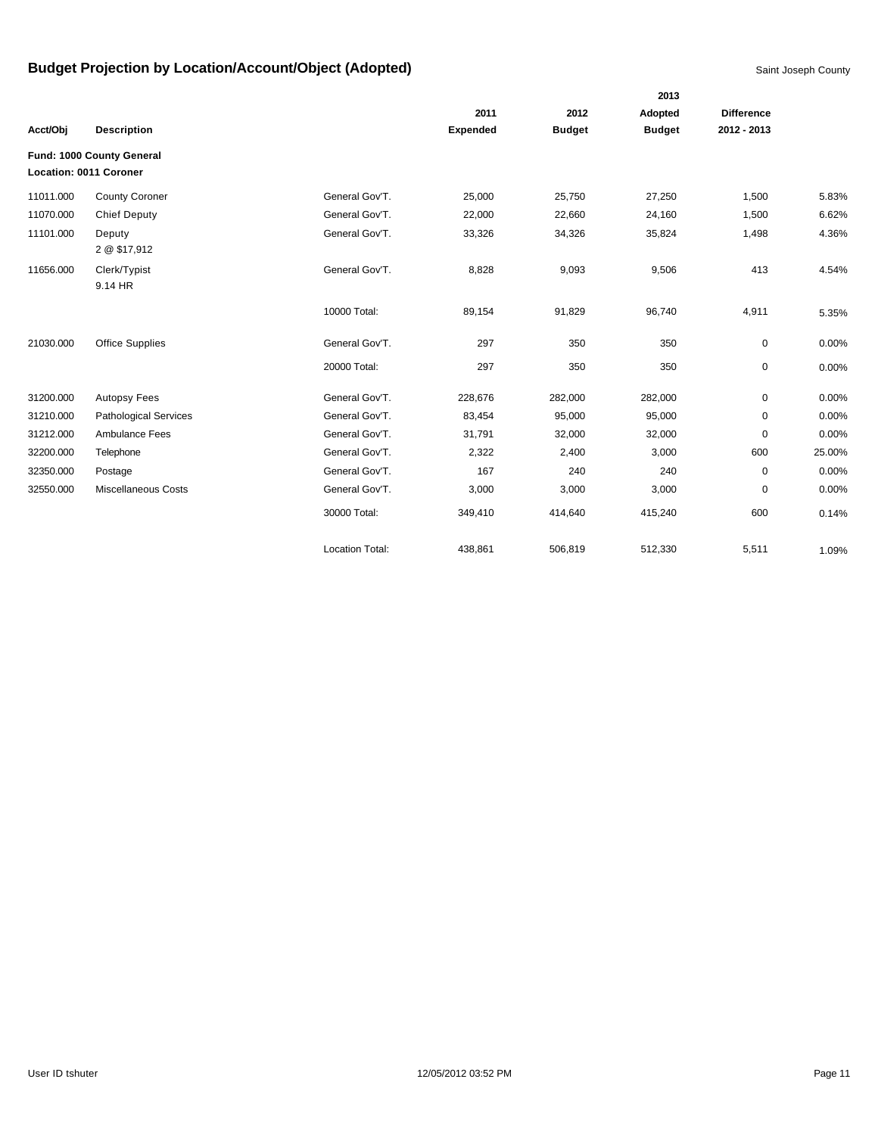|           |                              |                        |                 |               | 2013          |                   |        |
|-----------|------------------------------|------------------------|-----------------|---------------|---------------|-------------------|--------|
|           |                              |                        | 2011            | 2012          | Adopted       | <b>Difference</b> |        |
| Acct/Obj  | <b>Description</b>           |                        | <b>Expended</b> | <b>Budget</b> | <b>Budget</b> | 2012 - 2013       |        |
|           | Fund: 1000 County General    |                        |                 |               |               |                   |        |
|           | Location: 0011 Coroner       |                        |                 |               |               |                   |        |
| 11011.000 | <b>County Coroner</b>        | General Gov'T.         | 25,000          | 25,750        | 27,250        | 1,500             | 5.83%  |
| 11070.000 | <b>Chief Deputy</b>          | General Gov'T.         | 22,000          | 22,660        | 24,160        | 1,500             | 6.62%  |
| 11101.000 | Deputy<br>2 @ \$17,912       | General Gov'T.         | 33,326          | 34,326        | 35,824        | 1,498             | 4.36%  |
| 11656.000 | Clerk/Typist<br>9.14 HR      | General Gov'T.         | 8,828           | 9,093         | 9,506         | 413               | 4.54%  |
|           |                              | 10000 Total:           | 89,154          | 91,829        | 96,740        | 4,911             | 5.35%  |
| 21030.000 | <b>Office Supplies</b>       | General Gov'T.         | 297             | 350           | 350           | 0                 | 0.00%  |
|           |                              | 20000 Total:           | 297             | 350           | 350           | 0                 | 0.00%  |
| 31200.000 | <b>Autopsy Fees</b>          | General Gov'T.         | 228,676         | 282,000       | 282,000       | $\mathbf{0}$      | 0.00%  |
| 31210.000 | <b>Pathological Services</b> | General Gov'T.         | 83,454          | 95,000        | 95,000        | 0                 | 0.00%  |
| 31212.000 | Ambulance Fees               | General Gov'T.         | 31,791          | 32,000        | 32,000        | 0                 | 0.00%  |
| 32200.000 | Telephone                    | General Gov'T.         | 2,322           | 2,400         | 3,000         | 600               | 25.00% |
| 32350.000 | Postage                      | General Gov'T.         | 167             | 240           | 240           | $\mathbf 0$       | 0.00%  |
| 32550.000 | <b>Miscellaneous Costs</b>   | General Gov'T.         | 3,000           | 3,000         | 3,000         | 0                 | 0.00%  |
|           |                              | 30000 Total:           | 349,410         | 414,640       | 415,240       | 600               | 0.14%  |
|           |                              | <b>Location Total:</b> | 438,861         | 506,819       | 512,330       | 5,511             | 1.09%  |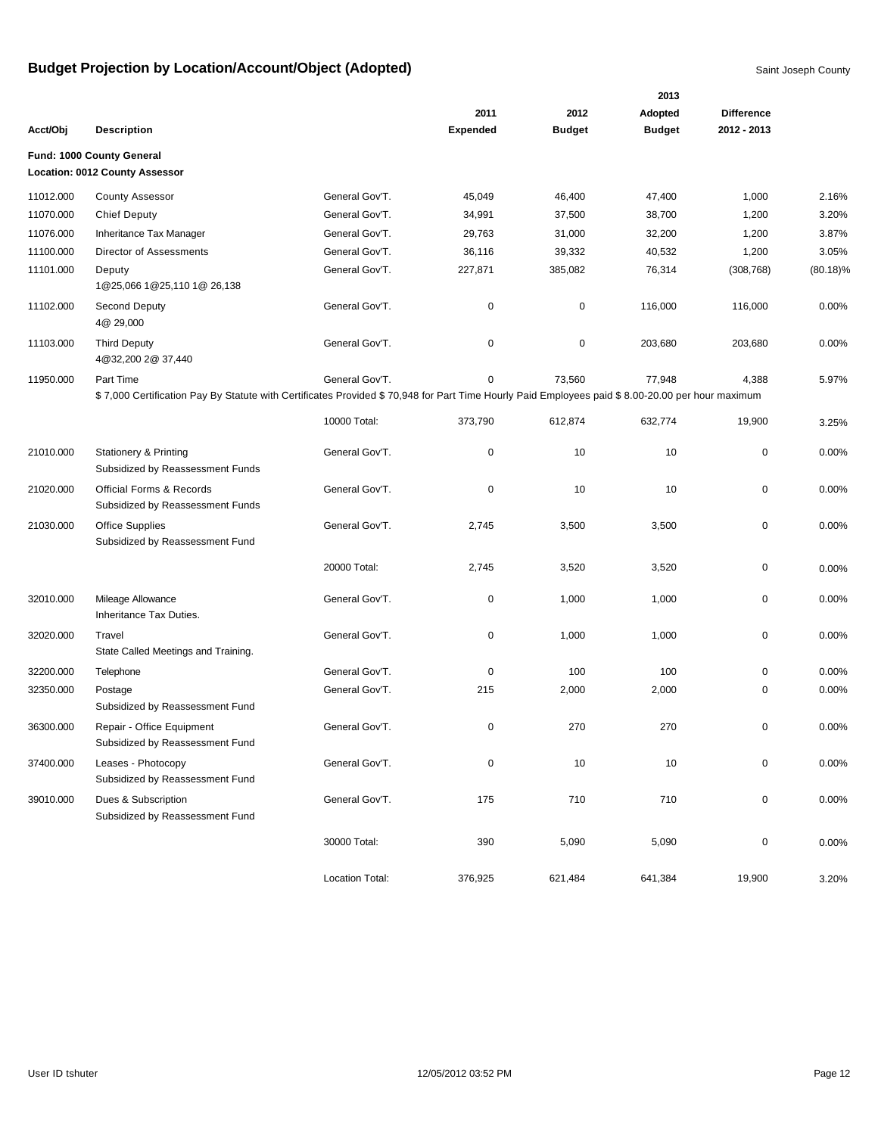|           |                                                                                                                                                 |                 |                 |               | 2013          |                   |             |
|-----------|-------------------------------------------------------------------------------------------------------------------------------------------------|-----------------|-----------------|---------------|---------------|-------------------|-------------|
|           |                                                                                                                                                 |                 | 2011            | 2012          | Adopted       | <b>Difference</b> |             |
| Acct/Obj  | <b>Description</b>                                                                                                                              |                 | <b>Expended</b> | <b>Budget</b> | <b>Budget</b> | 2012 - 2013       |             |
|           | Fund: 1000 County General                                                                                                                       |                 |                 |               |               |                   |             |
|           | Location: 0012 County Assessor                                                                                                                  |                 |                 |               |               |                   |             |
| 11012.000 | <b>County Assessor</b>                                                                                                                          | General Gov'T.  | 45,049          | 46,400        | 47,400        | 1,000             | 2.16%       |
| 11070.000 | <b>Chief Deputy</b>                                                                                                                             | General Gov'T.  | 34,991          | 37,500        | 38,700        | 1,200             | 3.20%       |
| 11076.000 | Inheritance Tax Manager                                                                                                                         | General Gov'T.  | 29,763          | 31,000        | 32,200        | 1,200             | 3.87%       |
| 11100.000 | Director of Assessments                                                                                                                         | General Gov'T.  | 36,116          | 39,332        | 40,532        | 1,200             | 3.05%       |
| 11101.000 | Deputy<br>1@25,066 1@25,110 1@ 26,138                                                                                                           | General Gov'T.  | 227,871         | 385,082       | 76,314        | (308, 768)        | $(80.18)\%$ |
| 11102.000 | Second Deputy<br>4@ 29,000                                                                                                                      | General Gov'T.  | 0               | 0             | 116,000       | 116,000           | 0.00%       |
| 11103.000 | <b>Third Deputy</b><br>4@32,200 2@ 37,440                                                                                                       | General Gov'T.  | 0               | 0             | 203,680       | 203,680           | 0.00%       |
| 11950.000 | Part Time                                                                                                                                       | General Gov'T.  | 0               | 73,560        | 77,948        | 4,388             | 5.97%       |
|           | \$7,000 Certification Pay By Statute with Certificates Provided \$70,948 for Part Time Hourly Paid Employees paid \$8.00-20.00 per hour maximum |                 |                 |               |               |                   |             |
|           |                                                                                                                                                 | 10000 Total:    | 373,790         | 612,874       | 632,774       | 19,900            | 3.25%       |
| 21010.000 | <b>Stationery &amp; Printing</b><br>Subsidized by Reassessment Funds                                                                            | General Gov'T.  | 0               | 10            | 10            | 0                 | 0.00%       |
| 21020.000 | <b>Official Forms &amp; Records</b><br>Subsidized by Reassessment Funds                                                                         | General Gov'T.  | 0               | 10            | 10            | 0                 | 0.00%       |
| 21030.000 | Office Supplies<br>Subsidized by Reassessment Fund                                                                                              | General Gov'T.  | 2,745           | 3,500         | 3,500         | 0                 | 0.00%       |
|           |                                                                                                                                                 | 20000 Total:    | 2,745           | 3,520         | 3,520         | 0                 | 0.00%       |
| 32010.000 | Mileage Allowance<br>Inheritance Tax Duties.                                                                                                    | General Gov'T.  | 0               | 1,000         | 1,000         | 0                 | 0.00%       |
| 32020.000 | Travel<br>State Called Meetings and Training.                                                                                                   | General Gov'T.  | 0               | 1,000         | 1,000         | 0                 | 0.00%       |
| 32200.000 | Telephone                                                                                                                                       | General Gov'T.  | 0               | 100           | 100           | 0                 | 0.00%       |
| 32350.000 | Postage<br>Subsidized by Reassessment Fund                                                                                                      | General Gov'T.  | 215             | 2,000         | 2,000         | 0                 | 0.00%       |
| 36300.000 | Repair - Office Equipment<br>Subsidized by Reassessment Fund                                                                                    | General Gov'T.  | 0               | 270           | 270           | 0                 | 0.00%       |
| 37400.000 | Leases - Photocopy<br>Subsidized by Reassessment Fund                                                                                           | General Gov'T.  | 0               | 10            | 10            | $\mathbf 0$       | 0.00%       |
| 39010.000 | Dues & Subscription<br>Subsidized by Reassessment Fund                                                                                          | General Gov'T.  | 175             | 710           | 710           | 0                 | 0.00%       |
|           |                                                                                                                                                 | 30000 Total:    | 390             | 5,090         | 5,090         | 0                 | 0.00%       |
|           |                                                                                                                                                 | Location Total: | 376,925         | 621,484       | 641,384       | 19,900            | 3.20%       |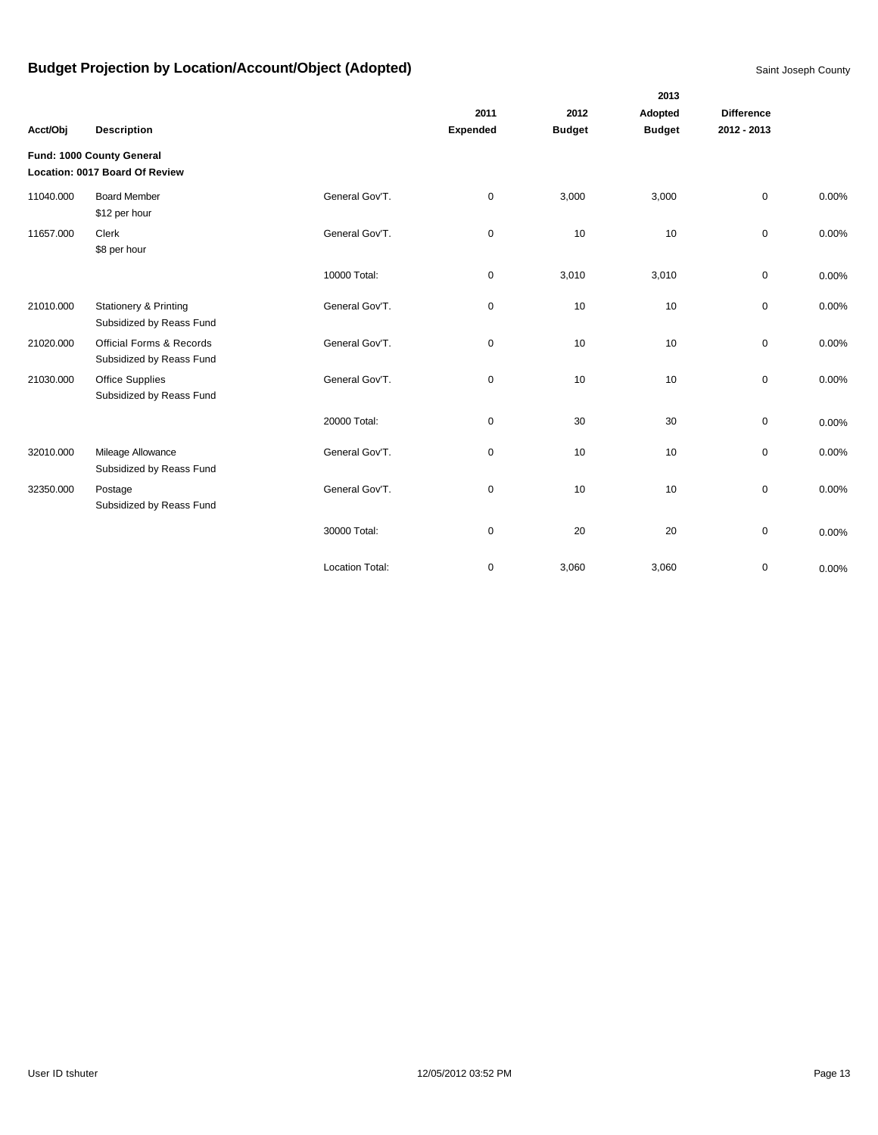|           |                                                              |                        |             |               | 2013          |                   |       |
|-----------|--------------------------------------------------------------|------------------------|-------------|---------------|---------------|-------------------|-------|
|           |                                                              |                        | 2011        | 2012          | Adopted       | <b>Difference</b> |       |
| Acct/Obj  | <b>Description</b>                                           |                        | Expended    | <b>Budget</b> | <b>Budget</b> | 2012 - 2013       |       |
|           | Fund: 1000 County General<br>Location: 0017 Board Of Review  |                        |             |               |               |                   |       |
| 11040.000 | <b>Board Member</b><br>\$12 per hour                         | General Gov'T.         | $\pmb{0}$   | 3,000         | 3,000         | $\mathbf 0$       | 0.00% |
| 11657.000 | Clerk<br>\$8 per hour                                        | General Gov'T.         | $\pmb{0}$   | 10            | 10            | $\mathsf{O}$      | 0.00% |
|           |                                                              | 10000 Total:           | $\pmb{0}$   | 3,010         | 3,010         | $\mathbf 0$       | 0.00% |
| 21010.000 | <b>Stationery &amp; Printing</b><br>Subsidized by Reass Fund | General Gov'T.         | 0           | 10            | 10            | $\mathbf 0$       | 0.00% |
| 21020.000 | Official Forms & Records<br>Subsidized by Reass Fund         | General Gov'T.         | 0           | 10            | 10            | 0                 | 0.00% |
| 21030.000 | <b>Office Supplies</b><br>Subsidized by Reass Fund           | General Gov'T.         | $\pmb{0}$   | 10            | 10            | $\mathbf 0$       | 0.00% |
|           |                                                              | 20000 Total:           | $\pmb{0}$   | 30            | 30            | $\mathbf 0$       | 0.00% |
| 32010.000 | Mileage Allowance<br>Subsidized by Reass Fund                | General Gov'T.         | $\pmb{0}$   | 10            | 10            | $\mathsf{O}$      | 0.00% |
| 32350.000 | Postage<br>Subsidized by Reass Fund                          | General Gov'T.         | $\pmb{0}$   | 10            | 10            | $\mathbf 0$       | 0.00% |
|           |                                                              | 30000 Total:           | 0           | 20            | 20            | $\pmb{0}$         | 0.00% |
|           |                                                              | <b>Location Total:</b> | $\mathbf 0$ | 3,060         | 3,060         | $\mathbf 0$       | 0.00% |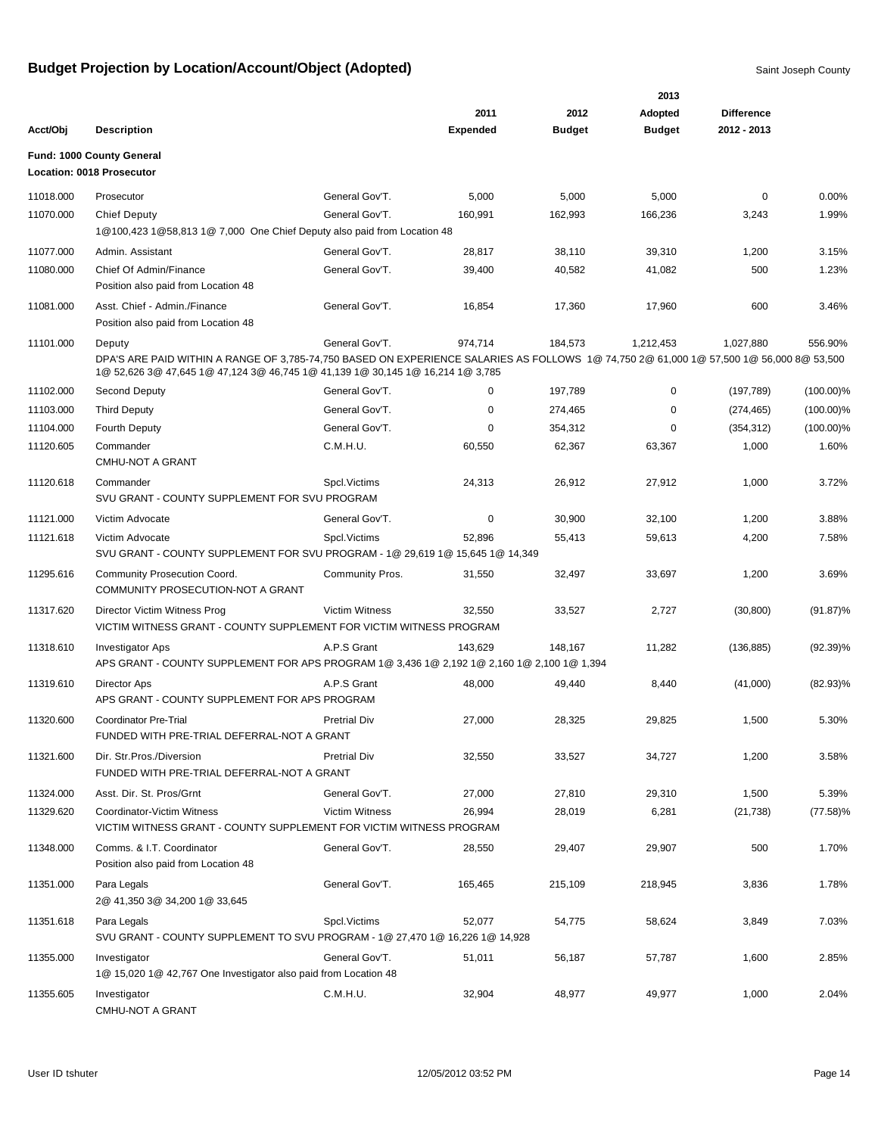|           |                                                                                                                                                                                                                           |                        |                 |         | 2013          |                   |              |
|-----------|---------------------------------------------------------------------------------------------------------------------------------------------------------------------------------------------------------------------------|------------------------|-----------------|---------|---------------|-------------------|--------------|
|           |                                                                                                                                                                                                                           |                        | 2011            | 2012    | Adopted       | <b>Difference</b> |              |
| Acct/Obj  | <b>Description</b>                                                                                                                                                                                                        |                        | <b>Expended</b> | Budget  | <b>Budget</b> | 2012 - 2013       |              |
|           | <b>Fund: 1000 County General</b><br>Location: 0018 Prosecutor                                                                                                                                                             |                        |                 |         |               |                   |              |
| 11018.000 | Prosecutor                                                                                                                                                                                                                | General Gov'T.         | 5,000           | 5,000   | 5,000         | 0                 | 0.00%        |
| 11070.000 | <b>Chief Deputy</b><br>1@100,423 1@58,813 1@ 7,000 One Chief Deputy also paid from Location 48                                                                                                                            | General Gov'T.         | 160,991         | 162,993 | 166,236       | 3,243             | 1.99%        |
| 11077.000 | Admin. Assistant                                                                                                                                                                                                          | General Gov'T.         | 28,817          | 38,110  | 39,310        | 1,200             | 3.15%        |
| 11080.000 | Chief Of Admin/Finance<br>Position also paid from Location 48                                                                                                                                                             | General Gov'T.         | 39,400          | 40,582  | 41,082        | 500               | 1.23%        |
| 11081.000 | Asst. Chief - Admin./Finance<br>Position also paid from Location 48                                                                                                                                                       | General Gov'T.         | 16,854          | 17,360  | 17,960        | 600               | 3.46%        |
| 11101.000 | Deputy                                                                                                                                                                                                                    | General Gov'T.         | 974,714         | 184,573 | 1,212,453     | 1,027,880         | 556.90%      |
|           | DPA'S ARE PAID WITHIN A RANGE OF 3,785-74,750 BASED ON EXPERIENCE SALARIES AS FOLLOWS 1@ 74,750 2@ 61,000 1@ 57,500 1@ 56,000 8@ 53,500<br>1@ 52,626 3@ 47,645 1@ 47,124 3@ 46,745 1@ 41,139 1@ 30,145 1@ 16,214 1@ 3,785 |                        |                 |         |               |                   |              |
| 11102.000 | Second Deputy                                                                                                                                                                                                             | General Gov'T.         | 0               | 197,789 | 0             | (197, 789)        | $(100.00)\%$ |
| 11103.000 | <b>Third Deputy</b>                                                                                                                                                                                                       | General Gov'T.         | 0               | 274,465 | 0             | (274, 465)        | $(100.00)\%$ |
| 11104.000 | <b>Fourth Deputy</b>                                                                                                                                                                                                      | General Gov'T.         | 0               | 354,312 | $\Omega$      | (354, 312)        | $(100.00)\%$ |
| 11120.605 | Commander<br><b>CMHU-NOT A GRANT</b>                                                                                                                                                                                      | C.M.H.U.               | 60,550          | 62,367  | 63,367        | 1,000             | 1.60%        |
| 11120.618 | Commander<br>SVU GRANT - COUNTY SUPPLEMENT FOR SVU PROGRAM                                                                                                                                                                | Spcl.Victims           | 24,313          | 26,912  | 27,912        | 1,000             | 3.72%        |
| 11121.000 | Victim Advocate                                                                                                                                                                                                           | General Gov'T.         | 0               | 30,900  | 32,100        | 1,200             | 3.88%        |
| 11121.618 | Victim Advocate<br>SVU GRANT - COUNTY SUPPLEMENT FOR SVU PROGRAM - 1@ 29,619 1@ 15,645 1@ 14,349                                                                                                                          | Spcl. Victims          | 52,896          | 55,413  | 59,613        | 4,200             | 7.58%        |
| 11295.616 | Community Prosecution Coord.<br>COMMUNITY PROSECUTION-NOT A GRANT                                                                                                                                                         | <b>Community Pros.</b> | 31,550          | 32,497  | 33,697        | 1,200             | 3.69%        |
| 11317.620 | Director Victim Witness Prog<br>VICTIM WITNESS GRANT - COUNTY SUPPLEMENT FOR VICTIM WITNESS PROGRAM                                                                                                                       | <b>Victim Witness</b>  | 32,550          | 33,527  | 2,727         | (30, 800)         | $(91.87)\%$  |
| 11318.610 | <b>Investigator Aps</b><br>APS GRANT - COUNTY SUPPLEMENT FOR APS PROGRAM 1@ 3,436 1@ 2,192 1@ 2,160 1@ 2,100 1@ 1,394                                                                                                     | A.P.S Grant            | 143,629         | 148,167 | 11,282        | (136, 885)        | $(92.39)\%$  |
| 11319.610 | Director Aps<br>APS GRANT - COUNTY SUPPLEMENT FOR APS PROGRAM                                                                                                                                                             | A.P.S Grant            | 48,000          | 49,440  | 8,440         | (41,000)          | $(82.93)\%$  |
| 11320.600 | <b>Coordinator Pre-Trial</b><br>FUNDED WITH PRE-TRIAL DEFERRAL-NOT A GRANT                                                                                                                                                | <b>Pretrial Div</b>    | 27,000          | 28,325  | 29,825        | 1,500             | 5.30%        |
| 11321.600 | Dir. Str. Pros./Diversion<br>FUNDED WITH PRE-TRIAL DEFERRAL-NOT A GRANT                                                                                                                                                   | <b>Pretrial Div</b>    | 32,550          | 33,527  | 34,727        | 1,200             | 3.58%        |
| 11324.000 | Asst. Dir. St. Pros/Grnt                                                                                                                                                                                                  | General Gov'T.         | 27,000          | 27,810  | 29,310        | 1,500             | 5.39%        |
| 11329.620 | Coordinator-Victim Witness<br>VICTIM WITNESS GRANT - COUNTY SUPPLEMENT FOR VICTIM WITNESS PROGRAM                                                                                                                         | <b>Victim Witness</b>  | 26,994          | 28,019  | 6,281         | (21, 738)         | $(77.58)\%$  |
| 11348.000 | Comms. & I.T. Coordinator<br>Position also paid from Location 48                                                                                                                                                          | General Gov'T.         | 28,550          | 29,407  | 29,907        | 500               | 1.70%        |
| 11351.000 | Para Legals<br>2@ 41,350 3@ 34,200 1@ 33,645                                                                                                                                                                              | General Gov'T.         | 165,465         | 215,109 | 218,945       | 3,836             | 1.78%        |
| 11351.618 | Para Legals<br>SVU GRANT - COUNTY SUPPLEMENT TO SVU PROGRAM - 1@ 27,470 1@ 16,226 1@ 14,928                                                                                                                               | Spcl.Victims           | 52,077          | 54,775  | 58,624        | 3,849             | 7.03%        |
| 11355.000 | Investigator<br>1@ 15,020 1@ 42,767 One Investigator also paid from Location 48                                                                                                                                           | General Gov'T.         | 51,011          | 56,187  | 57,787        | 1,600             | 2.85%        |
| 11355.605 | Investigator<br>CMHU-NOT A GRANT                                                                                                                                                                                          | C.M.H.U.               | 32,904          | 48,977  | 49,977        | 1,000             | 2.04%        |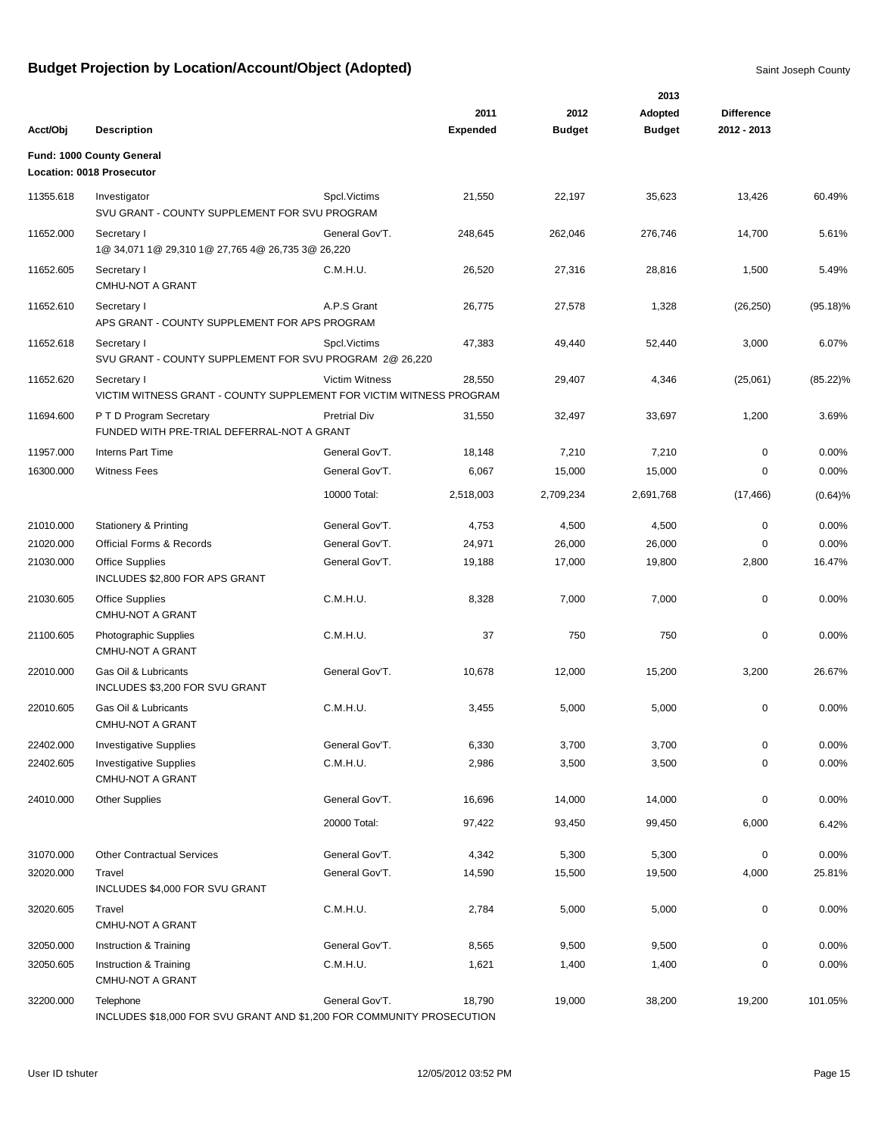|           |                                                                                    |                       |                         |                       | 2013                     |                                  |             |
|-----------|------------------------------------------------------------------------------------|-----------------------|-------------------------|-----------------------|--------------------------|----------------------------------|-------------|
| Acct/Obj  | <b>Description</b>                                                                 |                       | 2011<br><b>Expended</b> | 2012<br><b>Budget</b> | Adopted<br><b>Budget</b> | <b>Difference</b><br>2012 - 2013 |             |
|           | Fund: 1000 County General                                                          |                       |                         |                       |                          |                                  |             |
|           | Location: 0018 Prosecutor                                                          |                       |                         |                       |                          |                                  |             |
| 11355.618 | Investigator<br>SVU GRANT - COUNTY SUPPLEMENT FOR SVU PROGRAM                      | Spcl. Victims         | 21,550                  | 22,197                | 35,623                   | 13,426                           | 60.49%      |
| 11652.000 | Secretary I<br>1@ 34,071 1@ 29,310 1@ 27,765 4@ 26,735 3@ 26,220                   | General Gov'T.        | 248,645                 | 262,046               | 276,746                  | 14,700                           | 5.61%       |
| 11652.605 | Secretary I<br>CMHU-NOT A GRANT                                                    | C.M.H.U.              | 26,520                  | 27,316                | 28,816                   | 1,500                            | 5.49%       |
| 11652.610 | Secretary I<br>APS GRANT - COUNTY SUPPLEMENT FOR APS PROGRAM                       | A.P.S Grant           | 26,775                  | 27,578                | 1,328                    | (26, 250)                        | $(95.18)\%$ |
| 11652.618 | Secretary I<br>SVU GRANT - COUNTY SUPPLEMENT FOR SVU PROGRAM 2@ 26,220             | Spcl. Victims         | 47,383                  | 49,440                | 52,440                   | 3,000                            | 6.07%       |
| 11652.620 | Secretary I<br>VICTIM WITNESS GRANT - COUNTY SUPPLEMENT FOR VICTIM WITNESS PROGRAM | <b>Victim Witness</b> | 28,550                  | 29,407                | 4,346                    | (25,061)                         | $(85.22)\%$ |
| 11694.600 | P T D Program Secretary<br>FUNDED WITH PRE-TRIAL DEFERRAL-NOT A GRANT              | <b>Pretrial Div</b>   | 31,550                  | 32,497                | 33,697                   | 1,200                            | 3.69%       |
| 11957.000 | <b>Interns Part Time</b>                                                           | General Gov'T.        | 18,148                  | 7,210                 | 7,210                    | $\mathbf 0$                      | 0.00%       |
| 16300.000 | <b>Witness Fees</b>                                                                | General Gov'T.        | 6,067                   | 15,000                | 15,000                   | 0                                | 0.00%       |
|           |                                                                                    | 10000 Total:          | 2,518,003               | 2,709,234             | 2,691,768                | (17, 466)                        | (0.64)%     |
| 21010.000 | <b>Stationery &amp; Printing</b>                                                   | General Gov'T.        | 4,753                   | 4,500                 | 4,500                    | $\mathbf 0$                      | 0.00%       |
| 21020.000 | <b>Official Forms &amp; Records</b>                                                | General Gov'T.        | 24,971                  | 26,000                | 26,000                   | $\mathbf 0$                      | 0.00%       |
| 21030.000 | <b>Office Supplies</b><br>INCLUDES \$2,800 FOR APS GRANT                           | General Gov'T.        | 19,188                  | 17,000                | 19,800                   | 2,800                            | 16.47%      |
| 21030.605 | <b>Office Supplies</b><br><b>CMHU-NOT A GRANT</b>                                  | C.M.H.U.              | 8,328                   | 7,000                 | 7,000                    | 0                                | 0.00%       |
| 21100.605 | Photographic Supplies<br><b>CMHU-NOT A GRANT</b>                                   | C.M.H.U.              | 37                      | 750                   | 750                      | 0                                | 0.00%       |
| 22010.000 | Gas Oil & Lubricants<br>INCLUDES \$3,200 FOR SVU GRANT                             | General Gov'T.        | 10,678                  | 12,000                | 15,200                   | 3,200                            | 26.67%      |
| 22010.605 | Gas Oil & Lubricants<br><b>CMHU-NOT A GRANT</b>                                    | C.M.H.U.              | 3,455                   | 5,000                 | 5,000                    | 0                                | 0.00%       |
| 22402.000 | <b>Investigative Supplies</b>                                                      | General Gov'T.        | 6,330                   | 3,700                 | 3,700                    | $\pmb{0}$                        | 0.00%       |
| 22402.605 | <b>Investigative Supplies</b><br>CMHU-NOT A GRANT                                  | C.M.H.U.              | 2,986                   | 3,500                 | 3,500                    | 0                                | 0.00%       |
| 24010.000 | <b>Other Supplies</b>                                                              | General Gov'T.        | 16,696                  | 14,000                | 14,000                   | $\pmb{0}$                        | 0.00%       |
|           |                                                                                    | 20000 Total:          | 97,422                  | 93,450                | 99,450                   | 6,000                            | 6.42%       |
| 31070.000 | <b>Other Contractual Services</b>                                                  | General Gov'T.        | 4,342                   | 5,300                 | 5,300                    | 0                                | 0.00%       |
| 32020.000 | Travel<br>INCLUDES \$4,000 FOR SVU GRANT                                           | General Gov'T.        | 14,590                  | 15,500                | 19,500                   | 4,000                            | 25.81%      |
| 32020.605 | Travel<br>CMHU-NOT A GRANT                                                         | C.M.H.U.              | 2,784                   | 5,000                 | 5,000                    | 0                                | 0.00%       |
| 32050.000 | Instruction & Training                                                             | General Gov'T.        | 8,565                   | 9,500                 | 9,500                    | $\pmb{0}$                        | 0.00%       |
| 32050.605 | Instruction & Training<br>CMHU-NOT A GRANT                                         | C.M.H.U.              | 1,621                   | 1,400                 | 1,400                    | 0                                | 0.00%       |
| 32200.000 | Telephone<br>INCLUDES \$18,000 FOR SVU GRANT AND \$1,200 FOR COMMUNITY PROSECUTION | General Gov'T.        | 18,790                  | 19,000                | 38,200                   | 19,200                           | 101.05%     |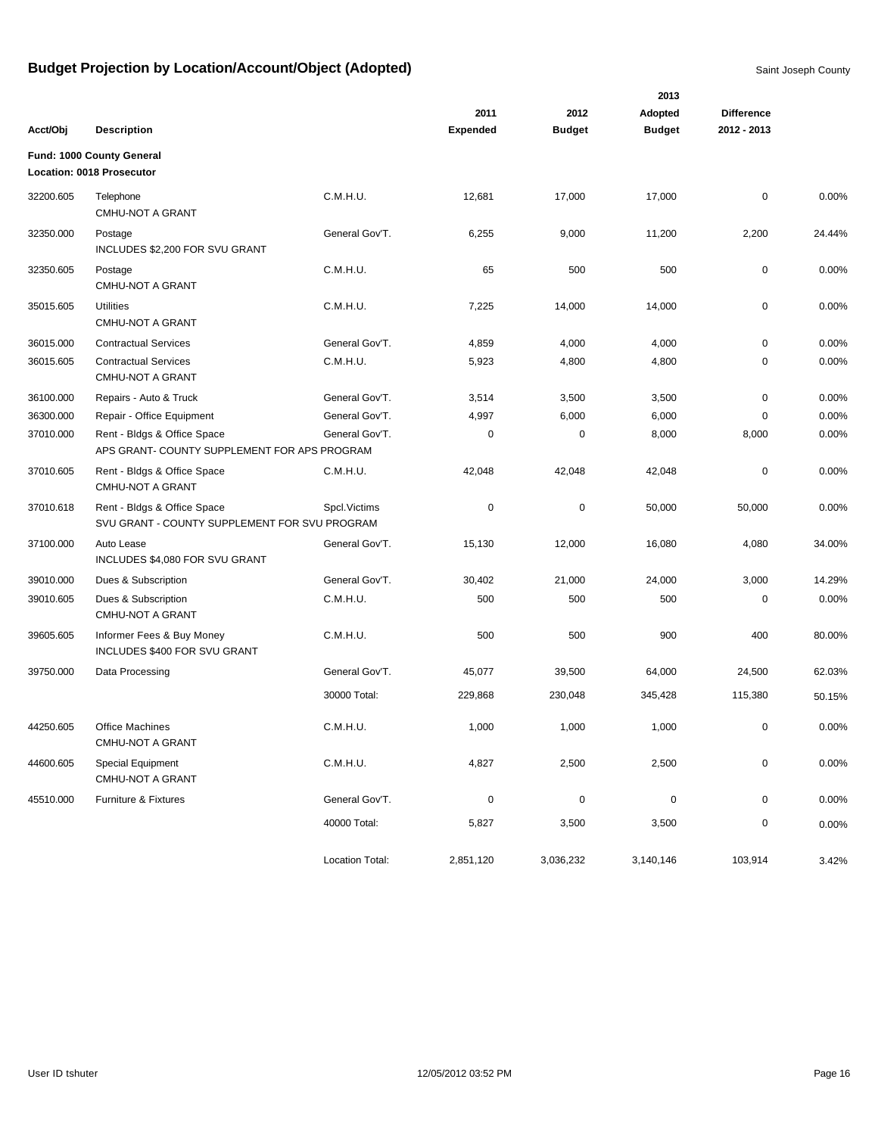|           |                                                                              | 2013            |                 |               |               |                   |        |  |  |
|-----------|------------------------------------------------------------------------------|-----------------|-----------------|---------------|---------------|-------------------|--------|--|--|
|           |                                                                              |                 | 2011            | 2012          | Adopted       | <b>Difference</b> |        |  |  |
| Acct/Obj  | <b>Description</b>                                                           |                 | <b>Expended</b> | <b>Budget</b> | <b>Budget</b> | 2012 - 2013       |        |  |  |
|           | Fund: 1000 County General                                                    |                 |                 |               |               |                   |        |  |  |
|           | Location: 0018 Prosecutor                                                    |                 |                 |               |               |                   |        |  |  |
| 32200.605 | Telephone<br>CMHU-NOT A GRANT                                                | C.M.H.U.        | 12,681          | 17,000        | 17,000        | 0                 | 0.00%  |  |  |
| 32350.000 | Postage<br>INCLUDES \$2,200 FOR SVU GRANT                                    | General Gov'T.  | 6,255           | 9,000         | 11,200        | 2,200             | 24.44% |  |  |
| 32350.605 | Postage<br>CMHU-NOT A GRANT                                                  | C.M.H.U.        | 65              | 500           | 500           | 0                 | 0.00%  |  |  |
| 35015.605 | <b>Utilities</b><br>CMHU-NOT A GRANT                                         | C.M.H.U.        | 7,225           | 14,000        | 14,000        | 0                 | 0.00%  |  |  |
| 36015.000 | <b>Contractual Services</b>                                                  | General Gov'T.  | 4,859           | 4,000         | 4,000         | 0                 | 0.00%  |  |  |
| 36015.605 | <b>Contractual Services</b><br><b>CMHU-NOT A GRANT</b>                       | C.M.H.U.        | 5,923           | 4,800         | 4,800         | 0                 | 0.00%  |  |  |
| 36100.000 | Repairs - Auto & Truck                                                       | General Gov'T.  | 3,514           | 3,500         | 3,500         | 0                 | 0.00%  |  |  |
| 36300.000 | Repair - Office Equipment                                                    | General Gov'T.  | 4,997           | 6,000         | 6,000         | 0                 | 0.00%  |  |  |
| 37010.000 | Rent - Bldgs & Office Space<br>APS GRANT- COUNTY SUPPLEMENT FOR APS PROGRAM  | General Gov'T.  | 0               | $\pmb{0}$     | 8,000         | 8,000             | 0.00%  |  |  |
| 37010.605 | Rent - Bldgs & Office Space<br>CMHU-NOT A GRANT                              | C.M.H.U.        | 42,048          | 42,048        | 42,048        | 0                 | 0.00%  |  |  |
| 37010.618 | Rent - Bldgs & Office Space<br>SVU GRANT - COUNTY SUPPLEMENT FOR SVU PROGRAM | Spcl. Victims   | 0               | $\pmb{0}$     | 50,000        | 50,000            | 0.00%  |  |  |
| 37100.000 | Auto Lease<br>INCLUDES \$4,080 FOR SVU GRANT                                 | General Gov'T.  | 15,130          | 12,000        | 16,080        | 4,080             | 34.00% |  |  |
| 39010.000 | Dues & Subscription                                                          | General Gov'T.  | 30,402          | 21,000        | 24,000        | 3,000             | 14.29% |  |  |
| 39010.605 | Dues & Subscription<br>CMHU-NOT A GRANT                                      | C.M.H.U.        | 500             | 500           | 500           | $\mathbf 0$       | 0.00%  |  |  |
| 39605.605 | Informer Fees & Buy Money<br>INCLUDES \$400 FOR SVU GRANT                    | C.M.H.U.        | 500             | 500           | 900           | 400               | 80.00% |  |  |
| 39750.000 | Data Processing                                                              | General Gov'T.  | 45,077          | 39,500        | 64,000        | 24,500            | 62.03% |  |  |
|           |                                                                              | 30000 Total:    | 229,868         | 230,048       | 345,428       | 115,380           | 50.15% |  |  |
| 44250.605 | <b>Office Machines</b><br>CMHU-NOT A GRANT                                   | C.M.H.U.        | 1,000           | 1,000         | 1,000         | 0                 | 0.00%  |  |  |
| 44600.605 | Special Equipment<br>CMHU-NOT A GRANT                                        | C.M.H.U.        | 4,827           | 2,500         | 2,500         | 0                 | 0.00%  |  |  |
| 45510.000 | Furniture & Fixtures                                                         | General Gov'T.  | $\pmb{0}$       | $\pmb{0}$     | $\pmb{0}$     | 0                 | 0.00%  |  |  |
|           |                                                                              | 40000 Total:    | 5,827           | 3,500         | 3,500         | 0                 | 0.00%  |  |  |
|           |                                                                              | Location Total: | 2,851,120       | 3,036,232     | 3,140,146     | 103,914           | 3.42%  |  |  |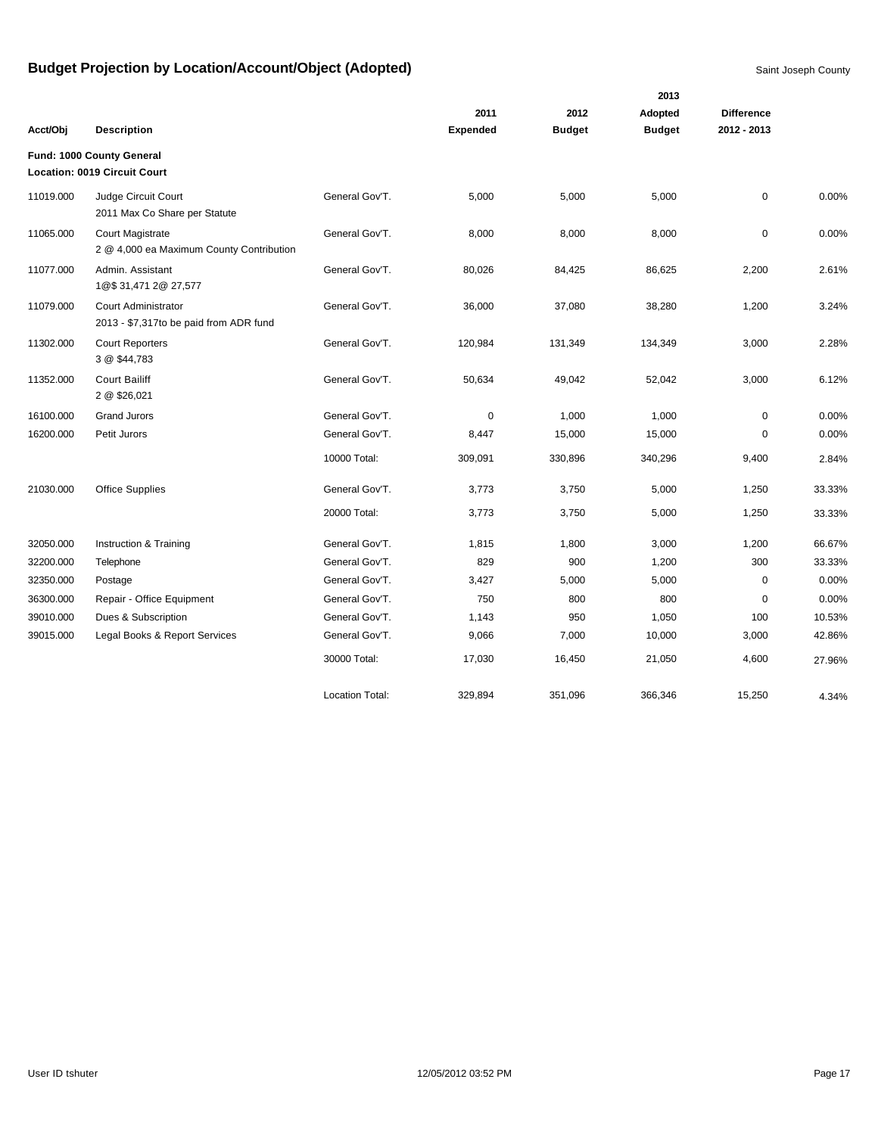|           |                                                                     |                 |                 |               | 2013          |                   |        |
|-----------|---------------------------------------------------------------------|-----------------|-----------------|---------------|---------------|-------------------|--------|
|           |                                                                     |                 | 2011            | 2012          | Adopted       | <b>Difference</b> |        |
| Acct/Obj  | <b>Description</b>                                                  |                 | <b>Expended</b> | <b>Budget</b> | <b>Budget</b> | 2012 - 2013       |        |
|           | Fund: 1000 County General                                           |                 |                 |               |               |                   |        |
|           | <b>Location: 0019 Circuit Court</b>                                 |                 |                 |               |               |                   |        |
| 11019.000 | Judge Circuit Court<br>2011 Max Co Share per Statute                | General Gov'T.  | 5,000           | 5,000         | 5,000         | $\mathbf 0$       | 0.00%  |
| 11065.000 | <b>Court Magistrate</b><br>2 @ 4,000 ea Maximum County Contribution | General Gov'T.  | 8,000           | 8,000         | 8,000         | $\mathbf 0$       | 0.00%  |
| 11077.000 | Admin, Assistant<br>1@\$31,4712@27,577                              | General Gov'T.  | 80,026          | 84,425        | 86,625        | 2,200             | 2.61%  |
| 11079.000 | Court Administrator<br>2013 - \$7,317to be paid from ADR fund       | General Gov'T.  | 36,000          | 37,080        | 38,280        | 1,200             | 3.24%  |
| 11302.000 | <b>Court Reporters</b><br>3 @ \$44,783                              | General Gov'T.  | 120,984         | 131,349       | 134,349       | 3,000             | 2.28%  |
| 11352.000 | <b>Court Bailiff</b><br>2 @ \$26,021                                | General Gov'T.  | 50,634          | 49,042        | 52,042        | 3,000             | 6.12%  |
| 16100.000 | <b>Grand Jurors</b>                                                 | General Gov'T.  | 0               | 1,000         | 1,000         | $\mathbf 0$       | 0.00%  |
| 16200.000 | Petit Jurors                                                        | General Gov'T.  | 8,447           | 15,000        | 15,000        | 0                 | 0.00%  |
|           |                                                                     | 10000 Total:    | 309,091         | 330,896       | 340,296       | 9,400             | 2.84%  |
| 21030.000 | <b>Office Supplies</b>                                              | General Gov'T.  | 3,773           | 3,750         | 5,000         | 1,250             | 33.33% |
|           |                                                                     | 20000 Total:    | 3,773           | 3,750         | 5,000         | 1,250             | 33.33% |
| 32050.000 | Instruction & Training                                              | General Gov'T.  | 1,815           | 1,800         | 3,000         | 1,200             | 66.67% |
| 32200.000 | Telephone                                                           | General Gov'T.  | 829             | 900           | 1,200         | 300               | 33.33% |
| 32350.000 | Postage                                                             | General Gov'T.  | 3,427           | 5,000         | 5,000         | 0                 | 0.00%  |
| 36300.000 | Repair - Office Equipment                                           | General Gov'T.  | 750             | 800           | 800           | 0                 | 0.00%  |
| 39010.000 | Dues & Subscription                                                 | General Gov'T.  | 1,143           | 950           | 1,050         | 100               | 10.53% |
| 39015.000 | Legal Books & Report Services                                       | General Gov'T.  | 9,066           | 7,000         | 10,000        | 3,000             | 42.86% |
|           |                                                                     | 30000 Total:    | 17,030          | 16,450        | 21,050        | 4,600             | 27.96% |
|           |                                                                     | Location Total: | 329,894         | 351,096       | 366,346       | 15,250            | 4.34%  |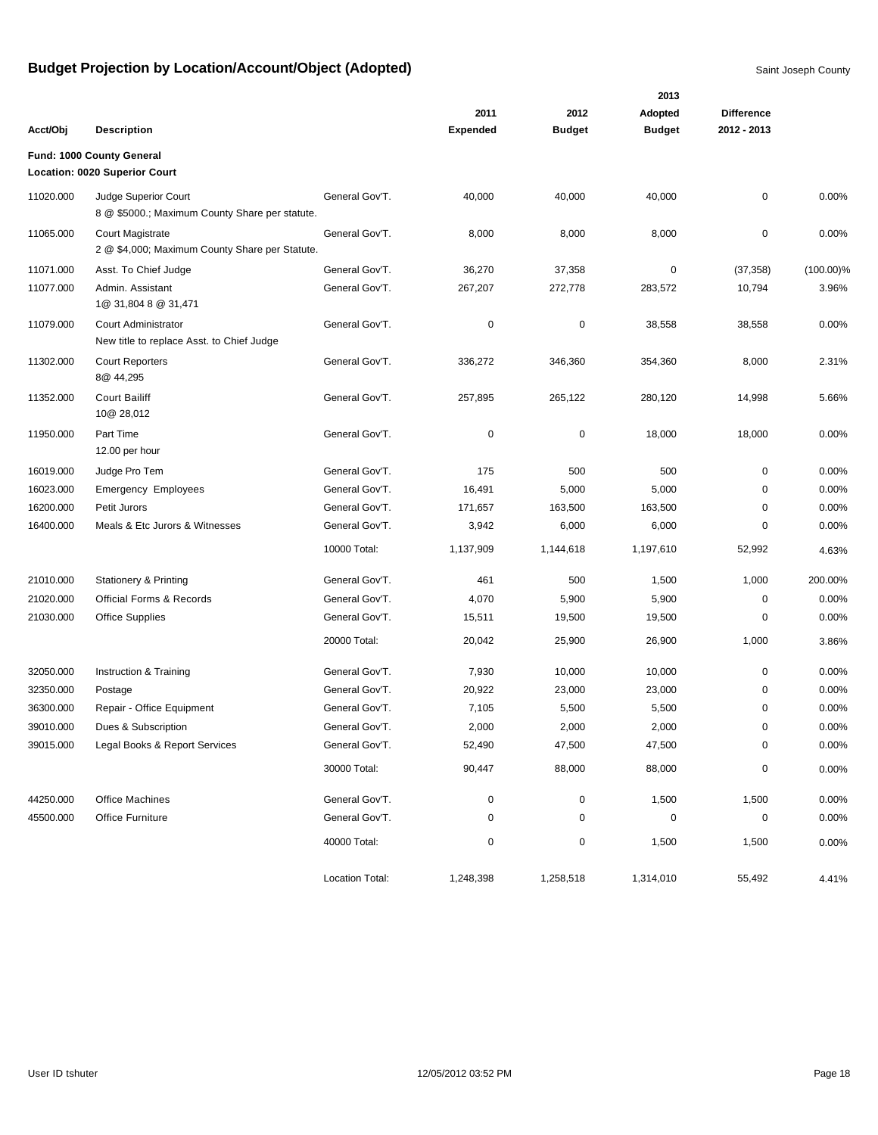|           |                                                                        |                 |                 |               | 2013          |                   |              |
|-----------|------------------------------------------------------------------------|-----------------|-----------------|---------------|---------------|-------------------|--------------|
|           |                                                                        |                 | 2011            | 2012          | Adopted       | <b>Difference</b> |              |
| Acct/Obj  | <b>Description</b>                                                     |                 | <b>Expended</b> | <b>Budget</b> | <b>Budget</b> | 2012 - 2013       |              |
|           | Fund: 1000 County General<br>Location: 0020 Superior Court             |                 |                 |               |               |                   |              |
|           |                                                                        |                 |                 |               |               |                   |              |
| 11020.000 | Judge Superior Court<br>8 @ \$5000.; Maximum County Share per statute. | General Gov'T.  | 40,000          | 40,000        | 40,000        | 0                 | 0.00%        |
| 11065.000 | Court Magistrate<br>2 @ \$4,000; Maximum County Share per Statute.     | General Gov'T.  | 8,000           | 8,000         | 8,000         | 0                 | 0.00%        |
| 11071.000 | Asst. To Chief Judge                                                   | General Gov'T.  | 36,270          | 37,358        | 0             | (37, 358)         | $(100.00)\%$ |
| 11077.000 | Admin. Assistant<br>1@ 31,804 8 @ 31,471                               | General Gov'T.  | 267,207         | 272,778       | 283,572       | 10,794            | 3.96%        |
| 11079.000 | Court Administrator<br>New title to replace Asst. to Chief Judge       | General Gov'T.  | 0               | $\mathbf 0$   | 38,558        | 38,558            | 0.00%        |
| 11302.000 | <b>Court Reporters</b><br>8@ 44,295                                    | General Gov'T.  | 336,272         | 346,360       | 354,360       | 8,000             | 2.31%        |
| 11352.000 | <b>Court Bailiff</b><br>10@ 28,012                                     | General Gov'T.  | 257,895         | 265,122       | 280,120       | 14,998            | 5.66%        |
| 11950.000 | Part Time<br>12.00 per hour                                            | General Gov'T.  | 0               | $\pmb{0}$     | 18,000        | 18,000            | 0.00%        |
| 16019.000 | Judge Pro Tem                                                          | General Gov'T.  | 175             | 500           | 500           | 0                 | 0.00%        |
| 16023.000 | <b>Emergency Employees</b>                                             | General Gov'T.  | 16,491          | 5,000         | 5,000         | 0                 | 0.00%        |
| 16200.000 | Petit Jurors                                                           | General Gov'T.  | 171,657         | 163,500       | 163,500       | 0                 | 0.00%        |
| 16400.000 | Meals & Etc Jurors & Witnesses                                         | General Gov'T.  | 3,942           | 6,000         | 6,000         | 0                 | 0.00%        |
|           |                                                                        | 10000 Total:    | 1,137,909       | 1,144,618     | 1,197,610     | 52,992            | 4.63%        |
| 21010.000 | <b>Stationery &amp; Printing</b>                                       | General Gov'T.  | 461             | 500           | 1,500         | 1,000             | 200.00%      |
| 21020.000 | <b>Official Forms &amp; Records</b>                                    | General Gov'T.  | 4,070           | 5,900         | 5,900         | 0                 | 0.00%        |
| 21030.000 | <b>Office Supplies</b>                                                 | General Gov'T.  | 15,511          | 19,500        | 19,500        | 0                 | 0.00%        |
|           |                                                                        | 20000 Total:    | 20,042          | 25,900        | 26,900        | 1,000             | 3.86%        |
| 32050.000 | Instruction & Training                                                 | General Gov'T.  | 7,930           | 10,000        | 10,000        | 0                 | 0.00%        |
| 32350.000 | Postage                                                                | General Gov'T.  | 20,922          | 23,000        | 23,000        | 0                 | 0.00%        |
| 36300.000 | Repair - Office Equipment                                              | General Gov'T.  | 7,105           | 5,500         | 5,500         | 0                 | 0.00%        |
| 39010.000 | Dues & Subscription                                                    | General Gov'T.  | 2,000           | 2,000         | 2,000         | 0                 | 0.00%        |
| 39015.000 | Legal Books & Report Services                                          | General Gov'T.  | 52,490          | 47,500        | 47,500        | 0                 | 0.00%        |
|           |                                                                        | 30000 Total:    | 90,447          | 88,000        | 88,000        | 0                 | 0.00%        |
| 44250.000 | Office Machines                                                        | General Gov'T.  | 0               | $\pmb{0}$     | 1,500         | 1,500             | 0.00%        |
| 45500.000 | Office Furniture                                                       | General Gov'T.  | 0               | 0             | $\pmb{0}$     | 0                 | 0.00%        |
|           |                                                                        | 40000 Total:    | 0               | $\pmb{0}$     | 1,500         | 1,500             | 0.00%        |
|           |                                                                        | Location Total: | 1,248,398       | 1,258,518     | 1,314,010     | 55,492            | 4.41%        |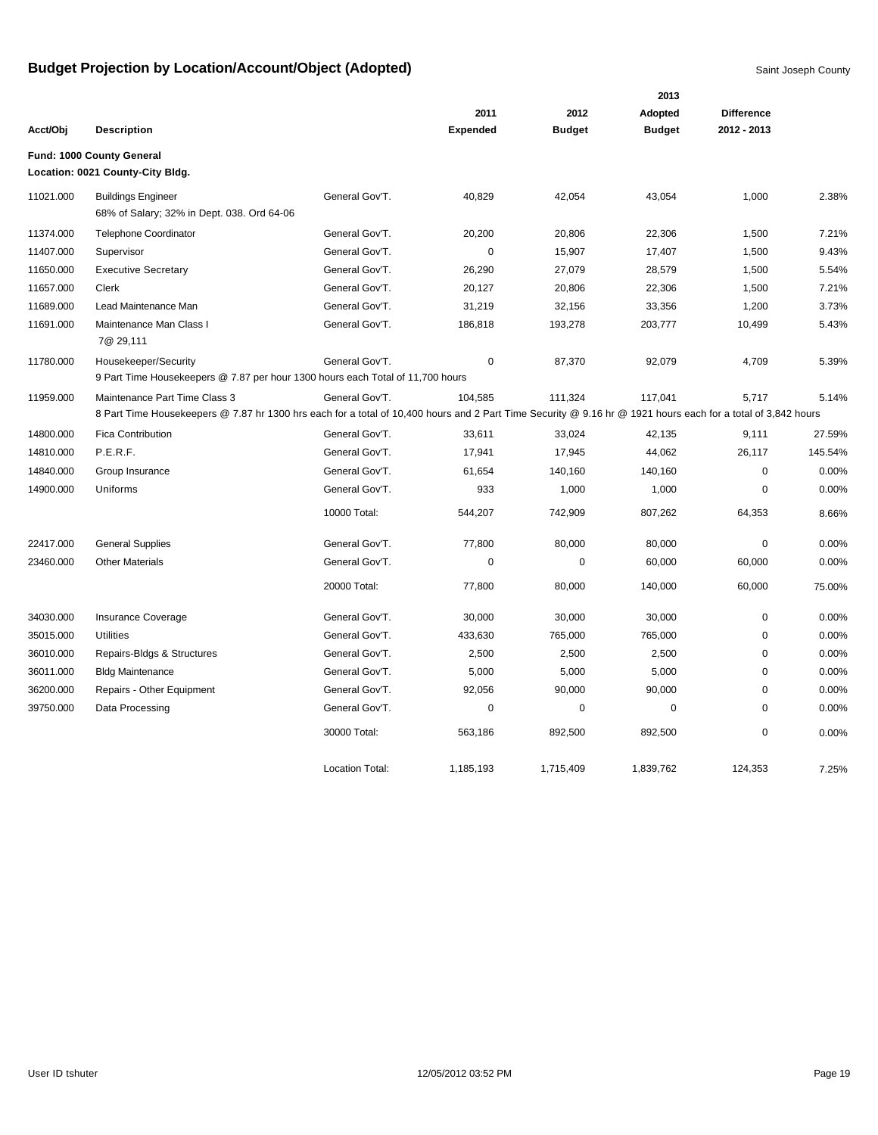|           |                                                                                                                                                                                               |                        |                 |               | 2013          |                   |         |
|-----------|-----------------------------------------------------------------------------------------------------------------------------------------------------------------------------------------------|------------------------|-----------------|---------------|---------------|-------------------|---------|
|           |                                                                                                                                                                                               |                        | 2011            | 2012          | Adopted       | <b>Difference</b> |         |
| Acct/Obj  | <b>Description</b>                                                                                                                                                                            |                        | <b>Expended</b> | <b>Budget</b> | <b>Budget</b> | 2012 - 2013       |         |
|           | Fund: 1000 County General<br>Location: 0021 County-City Bldg.                                                                                                                                 |                        |                 |               |               |                   |         |
| 11021.000 | <b>Buildings Engineer</b><br>68% of Salary; 32% in Dept. 038. Ord 64-06                                                                                                                       | General Gov'T.         | 40,829          | 42,054        | 43,054        | 1,000             | 2.38%   |
| 11374.000 | <b>Telephone Coordinator</b>                                                                                                                                                                  | General Gov'T.         | 20,200          | 20,806        | 22,306        | 1,500             | 7.21%   |
| 11407.000 | Supervisor                                                                                                                                                                                    | General Gov'T.         | $\mathbf 0$     | 15,907        | 17,407        | 1,500             | 9.43%   |
| 11650.000 | <b>Executive Secretary</b>                                                                                                                                                                    | General Gov'T.         | 26,290          | 27,079        | 28,579        | 1,500             | 5.54%   |
| 11657.000 | Clerk                                                                                                                                                                                         | General Gov'T.         | 20,127          | 20,806        | 22,306        | 1,500             | 7.21%   |
| 11689.000 | Lead Maintenance Man                                                                                                                                                                          | General Gov'T.         | 31,219          | 32,156        | 33,356        | 1,200             | 3.73%   |
| 11691.000 | Maintenance Man Class I<br>7@ 29,111                                                                                                                                                          | General Gov'T.         | 186,818         | 193,278       | 203,777       | 10,499            | 5.43%   |
| 11780.000 | Housekeeper/Security<br>9 Part Time Housekeepers @ 7.87 per hour 1300 hours each Total of 11,700 hours                                                                                        | General Gov'T.         | 0               | 87,370        | 92,079        | 4,709             | 5.39%   |
| 11959.000 | Maintenance Part Time Class 3<br>8 Part Time Housekeepers @ 7.87 hr 1300 hrs each for a total of 10,400 hours and 2 Part Time Security @ 9.16 hr @ 1921 hours each for a total of 3,842 hours | General Gov'T.         | 104,585         | 111,324       | 117,041       | 5,717             | 5.14%   |
| 14800.000 | <b>Fica Contribution</b>                                                                                                                                                                      | General Gov'T.         | 33,611          | 33,024        | 42,135        | 9,111             | 27.59%  |
| 14810.000 | P.E.R.F.                                                                                                                                                                                      | General Gov'T.         | 17,941          | 17,945        | 44,062        | 26,117            | 145.54% |
| 14840.000 | Group Insurance                                                                                                                                                                               | General Gov'T.         | 61,654          | 140,160       | 140,160       | 0                 | 0.00%   |
| 14900.000 | Uniforms                                                                                                                                                                                      | General Gov'T.         | 933             | 1,000         | 1,000         | 0                 | 0.00%   |
|           |                                                                                                                                                                                               | 10000 Total:           | 544,207         | 742,909       | 807,262       | 64,353            | 8.66%   |
| 22417.000 | <b>General Supplies</b>                                                                                                                                                                       | General Gov'T.         | 77,800          | 80,000        | 80,000        | 0                 | 0.00%   |
| 23460.000 | <b>Other Materials</b>                                                                                                                                                                        | General Gov'T.         | $\mathbf 0$     | 0             | 60,000        | 60,000            | 0.00%   |
|           |                                                                                                                                                                                               | 20000 Total:           | 77,800          | 80,000        | 140,000       | 60,000            | 75.00%  |
| 34030.000 | Insurance Coverage                                                                                                                                                                            | General Gov'T.         | 30,000          | 30,000        | 30,000        | 0                 | 0.00%   |
| 35015.000 | <b>Utilities</b>                                                                                                                                                                              | General Gov'T.         | 433,630         | 765,000       | 765,000       | 0                 | 0.00%   |
| 36010.000 | Repairs-Bldgs & Structures                                                                                                                                                                    | General Gov'T.         | 2,500           | 2,500         | 2,500         | $\mathbf 0$       | 0.00%   |
| 36011.000 | <b>Bldg Maintenance</b>                                                                                                                                                                       | General Gov'T.         | 5,000           | 5,000         | 5,000         | $\mathbf 0$       | 0.00%   |
| 36200.000 | Repairs - Other Equipment                                                                                                                                                                     | General Gov'T.         | 92,056          | 90,000        | 90,000        | $\mathbf 0$       | 0.00%   |
| 39750.000 | Data Processing                                                                                                                                                                               | General Gov'T.         | 0               | 0             | 0             | $\mathbf 0$       | 0.00%   |
|           |                                                                                                                                                                                               | 30000 Total:           | 563,186         | 892,500       | 892,500       | 0                 | 0.00%   |
|           |                                                                                                                                                                                               | <b>Location Total:</b> | 1,185,193       | 1,715,409     | 1,839,762     | 124.353           | 7.25%   |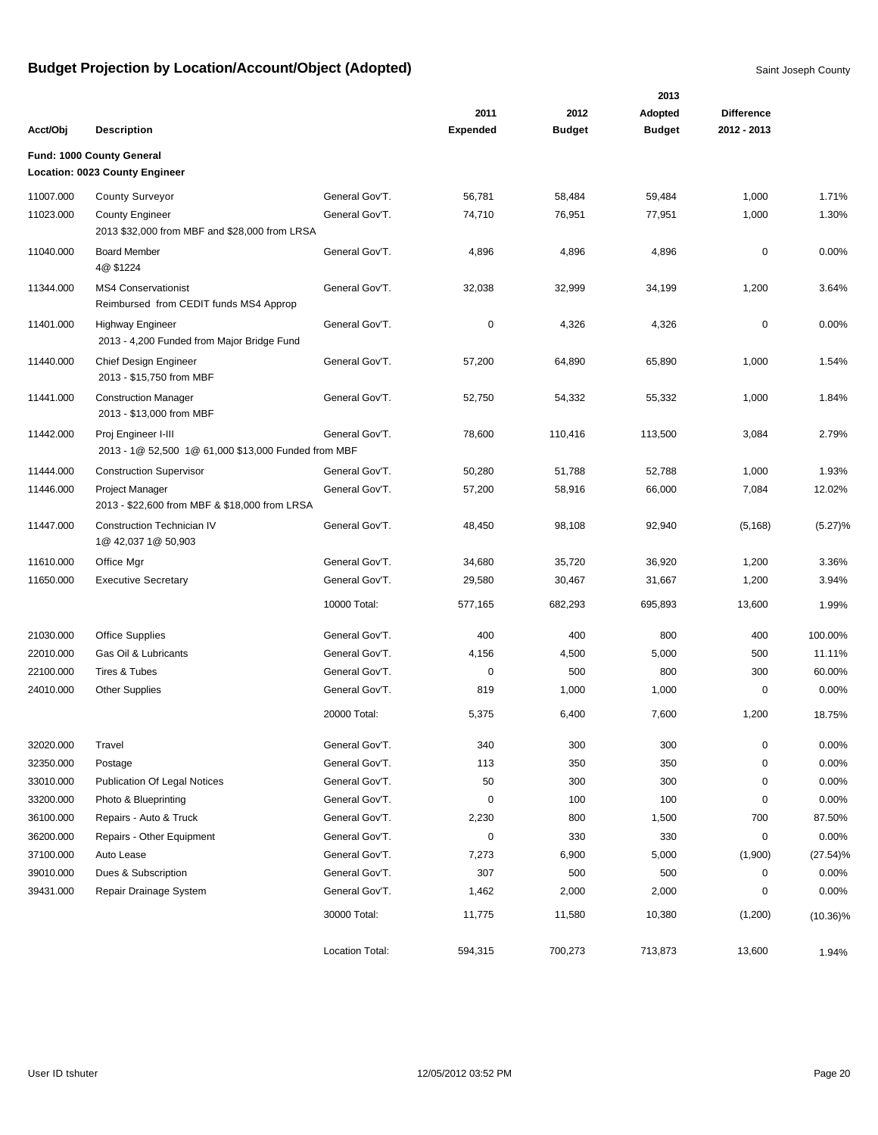|           |                                                                            |                 |                 |               | 2013          |                   |             |
|-----------|----------------------------------------------------------------------------|-----------------|-----------------|---------------|---------------|-------------------|-------------|
|           |                                                                            |                 | 2011            | 2012          | Adopted       | <b>Difference</b> |             |
| Acct/Obj  | <b>Description</b>                                                         |                 | <b>Expended</b> | <b>Budget</b> | <b>Budget</b> | 2012 - 2013       |             |
|           | Fund: 1000 County General                                                  |                 |                 |               |               |                   |             |
|           | Location: 0023 County Engineer                                             |                 |                 |               |               |                   |             |
| 11007.000 | <b>County Surveyor</b>                                                     | General Gov'T.  | 56,781          | 58,484        | 59,484        | 1,000             | 1.71%       |
| 11023.000 | <b>County Engineer</b>                                                     | General Gov'T.  | 74,710          | 76,951        | 77,951        | 1,000             | 1.30%       |
|           | 2013 \$32,000 from MBF and \$28,000 from LRSA                              |                 |                 |               |               |                   |             |
| 11040.000 | <b>Board Member</b><br>4@ \$1224                                           | General Gov'T.  | 4,896           | 4,896         | 4,896         | $\mathbf 0$       | 0.00%       |
| 11344.000 | <b>MS4 Conservationist</b><br>Reimbursed from CEDIT funds MS4 Approp       | General Gov'T.  | 32,038          | 32,999        | 34,199        | 1,200             | 3.64%       |
| 11401.000 | <b>Highway Engineer</b><br>2013 - 4,200 Funded from Major Bridge Fund      | General Gov'T.  | 0               | 4,326         | 4,326         | 0                 | 0.00%       |
| 11440.000 | Chief Design Engineer<br>2013 - \$15,750 from MBF                          | General Gov'T.  | 57,200          | 64,890        | 65,890        | 1,000             | 1.54%       |
| 11441.000 | <b>Construction Manager</b><br>2013 - \$13,000 from MBF                    | General Gov'T.  | 52,750          | 54,332        | 55,332        | 1,000             | 1.84%       |
| 11442.000 | Proj Engineer I-III<br>2013 - 1@ 52,500 1@ 61,000 \$13,000 Funded from MBF | General Gov'T.  | 78,600          | 110,416       | 113,500       | 3,084             | 2.79%       |
| 11444.000 | <b>Construction Supervisor</b>                                             | General Gov'T.  | 50,280          | 51,788        | 52,788        | 1,000             | 1.93%       |
| 11446.000 | <b>Project Manager</b><br>2013 - \$22,600 from MBF & \$18,000 from LRSA    | General Gov'T.  | 57,200          | 58,916        | 66,000        | 7,084             | 12.02%      |
| 11447.000 | <b>Construction Technician IV</b><br>1@ 42,037 1@ 50,903                   | General Gov'T.  | 48,450          | 98,108        | 92,940        | (5, 168)          | (5.27)%     |
| 11610.000 | Office Mgr                                                                 | General Gov'T.  | 34,680          | 35,720        | 36,920        | 1,200             | 3.36%       |
| 11650.000 | <b>Executive Secretary</b>                                                 | General Gov'T.  | 29,580          | 30,467        | 31,667        | 1,200             | 3.94%       |
|           |                                                                            | 10000 Total:    | 577,165         | 682,293       | 695,893       | 13,600            | 1.99%       |
| 21030.000 | <b>Office Supplies</b>                                                     | General Gov'T.  | 400             | 400           | 800           | 400               | 100.00%     |
| 22010.000 | Gas Oil & Lubricants                                                       | General Gov'T.  | 4,156           | 4,500         | 5,000         | 500               | 11.11%      |
| 22100.000 | Tires & Tubes                                                              | General Gov'T.  | 0               | 500           | 800           | 300               | 60.00%      |
| 24010.000 | <b>Other Supplies</b>                                                      | General Gov'T.  | 819             | 1,000         | 1,000         | 0                 | 0.00%       |
|           |                                                                            | 20000 Total:    | 5,375           | 6,400         | 7,600         | 1,200             | 18.75%      |
| 32020.000 | Travel                                                                     | General Gov'T.  | 340             | 300           | 300           | 0                 | 0.00%       |
| 32350.000 | Postage                                                                    | General Gov'T.  | 113             | 350           | 350           | 0                 | 0.00%       |
| 33010.000 | <b>Publication Of Legal Notices</b>                                        | General Gov'T.  | 50              | 300           | 300           | 0                 | 0.00%       |
| 33200.000 | Photo & Blueprinting                                                       | General Gov'T.  | 0               | 100           | 100           | 0                 | 0.00%       |
| 36100.000 | Repairs - Auto & Truck                                                     | General Gov'T.  | 2,230           | 800           | 1,500         | 700               | 87.50%      |
| 36200.000 | Repairs - Other Equipment                                                  | General Gov'T.  | 0               | 330           | 330           | 0                 | 0.00%       |
| 37100.000 | Auto Lease                                                                 | General Gov'T.  | 7,273           | 6,900         | 5,000         | (1,900)           | $(27.54)\%$ |
| 39010.000 | Dues & Subscription                                                        | General Gov'T.  | 307             | 500           | 500           | 0                 | 0.00%       |
| 39431.000 | Repair Drainage System                                                     | General Gov'T.  | 1,462           | 2,000         | 2,000         | 0                 | 0.00%       |
|           |                                                                            | 30000 Total:    | 11,775          | 11,580        | 10,380        | (1,200)           | $(10.36)\%$ |
|           |                                                                            | Location Total: | 594,315         | 700,273       | 713,873       | 13,600            | 1.94%       |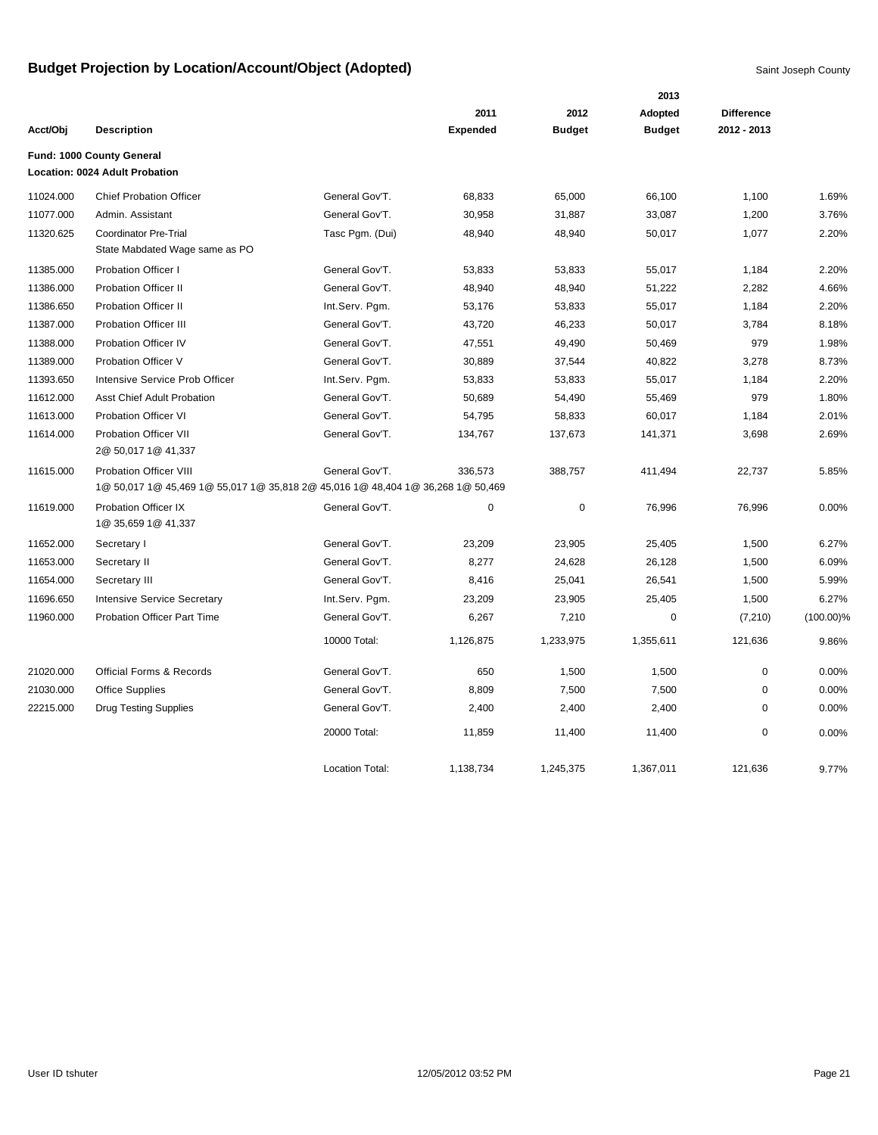|           |                                                                                                           |                        |                 |               | 2013          |                   |              |
|-----------|-----------------------------------------------------------------------------------------------------------|------------------------|-----------------|---------------|---------------|-------------------|--------------|
|           |                                                                                                           |                        | 2011            | 2012          | Adopted       | <b>Difference</b> |              |
| Acct/Obj  | <b>Description</b>                                                                                        |                        | <b>Expended</b> | <b>Budget</b> | <b>Budget</b> | 2012 - 2013       |              |
|           | Fund: 1000 County General<br>Location: 0024 Adult Probation                                               |                        |                 |               |               |                   |              |
| 11024.000 | <b>Chief Probation Officer</b>                                                                            | General Gov'T.         | 68,833          | 65,000        | 66,100        | 1,100             | 1.69%        |
| 11077.000 | Admin. Assistant                                                                                          | General Gov'T.         | 30,958          | 31,887        | 33,087        | 1,200             | 3.76%        |
| 11320.625 | <b>Coordinator Pre-Trial</b><br>State Mabdated Wage same as PO                                            | Tasc Pgm. (Dui)        | 48,940          | 48,940        | 50,017        | 1,077             | 2.20%        |
| 11385.000 | <b>Probation Officer I</b>                                                                                | General Gov'T.         | 53,833          | 53,833        | 55,017        | 1,184             | 2.20%        |
| 11386.000 | <b>Probation Officer II</b>                                                                               | General Gov'T.         | 48,940          | 48,940        | 51,222        | 2,282             | 4.66%        |
| 11386.650 | <b>Probation Officer II</b>                                                                               | Int.Serv. Pgm.         | 53,176          | 53,833        | 55,017        | 1,184             | 2.20%        |
| 11387.000 | <b>Probation Officer III</b>                                                                              | General Gov'T.         | 43,720          | 46,233        | 50,017        | 3,784             | 8.18%        |
| 11388.000 | Probation Officer IV                                                                                      | General Gov'T.         | 47,551          | 49,490        | 50,469        | 979               | 1.98%        |
| 11389.000 | Probation Officer V                                                                                       | General Gov'T.         | 30,889          | 37,544        | 40,822        | 3,278             | 8.73%        |
| 11393.650 | Intensive Service Prob Officer                                                                            | Int.Serv. Pgm.         | 53,833          | 53,833        | 55,017        | 1,184             | 2.20%        |
| 11612.000 | <b>Asst Chief Adult Probation</b>                                                                         | General Gov'T.         | 50,689          | 54,490        | 55,469        | 979               | 1.80%        |
| 11613.000 | <b>Probation Officer VI</b>                                                                               | General Gov'T.         | 54,795          | 58,833        | 60,017        | 1,184             | 2.01%        |
| 11614.000 | Probation Officer VII<br>2@ 50,017 1@ 41,337                                                              | General Gov'T.         | 134,767         | 137,673       | 141,371       | 3,698             | 2.69%        |
| 11615.000 | Probation Officer VIII<br>1@ 50,017 1@ 45,469 1@ 55,017 1@ 35,818 2@ 45,016 1@ 48,404 1@ 36,268 1@ 50,469 | General Gov'T.         | 336,573         | 388,757       | 411,494       | 22,737            | 5.85%        |
| 11619.000 | Probation Officer IX<br>1@ 35,659 1@ 41,337                                                               | General Gov'T.         | 0               | $\mathbf 0$   | 76,996        | 76,996            | 0.00%        |
| 11652.000 | Secretary I                                                                                               | General Gov'T.         | 23,209          | 23,905        | 25,405        | 1,500             | 6.27%        |
| 11653.000 | Secretary II                                                                                              | General Gov'T.         | 8,277           | 24,628        | 26,128        | 1,500             | 6.09%        |
| 11654.000 | Secretary III                                                                                             | General Gov'T.         | 8,416           | 25,041        | 26,541        | 1,500             | 5.99%        |
| 11696.650 | <b>Intensive Service Secretary</b>                                                                        | Int.Serv. Pgm.         | 23,209          | 23,905        | 25,405        | 1,500             | 6.27%        |
| 11960.000 | <b>Probation Officer Part Time</b>                                                                        | General Gov'T.         | 6,267           | 7,210         | 0             | (7, 210)          | $(100.00)\%$ |
|           |                                                                                                           | 10000 Total:           | 1,126,875       | 1,233,975     | 1,355,611     | 121,636           | 9.86%        |
| 21020.000 | <b>Official Forms &amp; Records</b>                                                                       | General Gov'T.         | 650             | 1,500         | 1,500         | 0                 | 0.00%        |
| 21030.000 | <b>Office Supplies</b>                                                                                    | General Gov'T.         | 8,809           | 7,500         | 7,500         | $\mathbf 0$       | 0.00%        |
| 22215.000 | <b>Drug Testing Supplies</b>                                                                              | General Gov'T.         | 2,400           | 2,400         | 2,400         | $\mathbf 0$       | 0.00%        |
|           |                                                                                                           | 20000 Total:           | 11,859          | 11,400        | 11,400        | $\mathbf 0$       | 0.00%        |
|           |                                                                                                           | <b>Location Total:</b> | 1,138,734       | 1,245,375     | 1,367,011     | 121,636           | 9.77%        |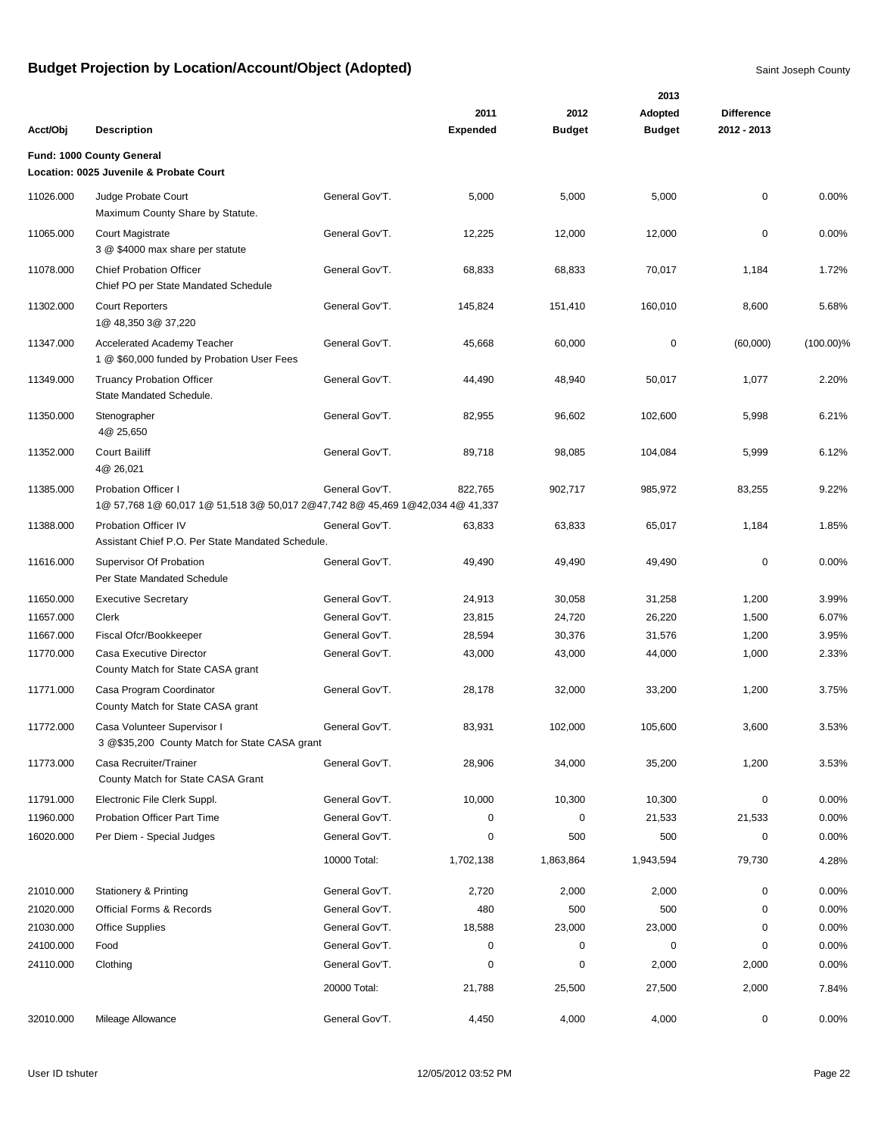|           |                                                                                                             |                |                 |               | 2013          |                   |              |
|-----------|-------------------------------------------------------------------------------------------------------------|----------------|-----------------|---------------|---------------|-------------------|--------------|
|           |                                                                                                             |                | 2011            | 2012          | Adopted       | <b>Difference</b> |              |
| Acct/Obj  | <b>Description</b>                                                                                          |                | <b>Expended</b> | <b>Budget</b> | <b>Budget</b> | 2012 - 2013       |              |
|           | Fund: 1000 County General                                                                                   |                |                 |               |               |                   |              |
|           | Location: 0025 Juvenile & Probate Court                                                                     |                |                 |               |               |                   |              |
| 11026.000 | Judge Probate Court<br>Maximum County Share by Statute.                                                     | General Gov'T. | 5,000           | 5,000         | 5,000         | $\mathbf 0$       | 0.00%        |
| 11065.000 | <b>Court Magistrate</b><br>3 @ \$4000 max share per statute                                                 | General Gov'T. | 12,225          | 12,000        | 12,000        | $\mathbf 0$       | 0.00%        |
| 11078.000 | <b>Chief Probation Officer</b><br>Chief PO per State Mandated Schedule                                      | General Gov'T. | 68,833          | 68,833        | 70,017        | 1,184             | 1.72%        |
| 11302.000 | <b>Court Reporters</b><br>1@ 48,350 3@ 37,220                                                               | General Gov'T. | 145,824         | 151,410       | 160,010       | 8,600             | 5.68%        |
| 11347.000 | Accelerated Academy Teacher<br>1 @ \$60,000 funded by Probation User Fees                                   | General Gov'T. | 45,668          | 60,000        | $\mathbf 0$   | (60,000)          | $(100.00)\%$ |
| 11349.000 | <b>Truancy Probation Officer</b><br>State Mandated Schedule.                                                | General Gov'T. | 44,490          | 48,940        | 50,017        | 1,077             | 2.20%        |
| 11350.000 | Stenographer<br>4@ 25,650                                                                                   | General Gov'T. | 82,955          | 96,602        | 102,600       | 5,998             | 6.21%        |
| 11352.000 | <b>Court Bailiff</b><br>4@ 26,021                                                                           | General Gov'T. | 89,718          | 98,085        | 104,084       | 5,999             | 6.12%        |
| 11385.000 | <b>Probation Officer I</b><br>1@ 57,768 1@ 60,017 1@ 51,518 3@ 50,017 2@47,742 8@ 45,469 1@42,034 4@ 41,337 | General Gov'T. | 822,765         | 902,717       | 985,972       | 83,255            | 9.22%        |
| 11388.000 | <b>Probation Officer IV</b><br>Assistant Chief P.O. Per State Mandated Schedule.                            | General Gov'T. | 63,833          | 63,833        | 65,017        | 1,184             | 1.85%        |
| 11616.000 | Supervisor Of Probation<br>Per State Mandated Schedule                                                      | General Gov'T. | 49,490          | 49,490        | 49,490        | $\mathbf 0$       | 0.00%        |
| 11650.000 | <b>Executive Secretary</b>                                                                                  | General Gov'T. | 24,913          | 30,058        | 31,258        | 1,200             | 3.99%        |
| 11657.000 | Clerk                                                                                                       | General Gov'T. | 23,815          | 24,720        | 26,220        | 1,500             | 6.07%        |
| 11667.000 | Fiscal Ofcr/Bookkeeper                                                                                      | General Gov'T. | 28,594          | 30,376        | 31,576        | 1,200             | 3.95%        |
| 11770.000 | Casa Executive Director<br>County Match for State CASA grant                                                | General Gov'T. | 43,000          | 43,000        | 44,000        | 1,000             | 2.33%        |
| 11771.000 | Casa Program Coordinator<br>County Match for State CASA grant                                               | General Gov'T. | 28,178          | 32,000        | 33,200        | 1,200             | 3.75%        |
| 11772.000 | Casa Volunteer Supervisor I<br>3 @\$35,200 County Match for State CASA grant                                | General Gov'T. | 83,931          | 102,000       | 105.600       | 3,600             | 3.53%        |
| 11773.000 | Casa Recruiter/Trainer<br>County Match for State CASA Grant                                                 | General Gov'T. | 28,906          | 34,000        | 35,200        | 1,200             | 3.53%        |
| 11791.000 | Electronic File Clerk Suppl.                                                                                | General Gov'T. | 10,000          | 10,300        | 10,300        | $\pmb{0}$         | 0.00%        |
| 11960.000 | <b>Probation Officer Part Time</b>                                                                          | General Gov'T. | 0               | 0             | 21,533        | 21,533            | 0.00%        |
| 16020.000 | Per Diem - Special Judges                                                                                   | General Gov'T. | 0               | 500           | 500           | 0                 | 0.00%        |
|           |                                                                                                             | 10000 Total:   | 1,702,138       | 1,863,864     | 1,943,594     | 79,730            | 4.28%        |
| 21010.000 | <b>Stationery &amp; Printing</b>                                                                            | General Gov'T. | 2,720           | 2,000         | 2,000         | 0                 | 0.00%        |
| 21020.000 | Official Forms & Records                                                                                    | General Gov'T. | 480             | 500           | 500           | 0                 | 0.00%        |
| 21030.000 | <b>Office Supplies</b>                                                                                      | General Gov'T. | 18,588          | 23,000        | 23,000        | 0                 | 0.00%        |
| 24100.000 | Food                                                                                                        | General Gov'T. | 0               | 0             | $\pmb{0}$     | 0                 | 0.00%        |
| 24110.000 | Clothing                                                                                                    | General Gov'T. | 0               | 0             | 2,000         | 2,000             | 0.00%        |
|           |                                                                                                             | 20000 Total:   | 21,788          | 25,500        | 27,500        | 2,000             | 7.84%        |
| 32010.000 | Mileage Allowance                                                                                           | General Gov'T. | 4,450           | 4,000         | 4,000         | 0                 | 0.00%        |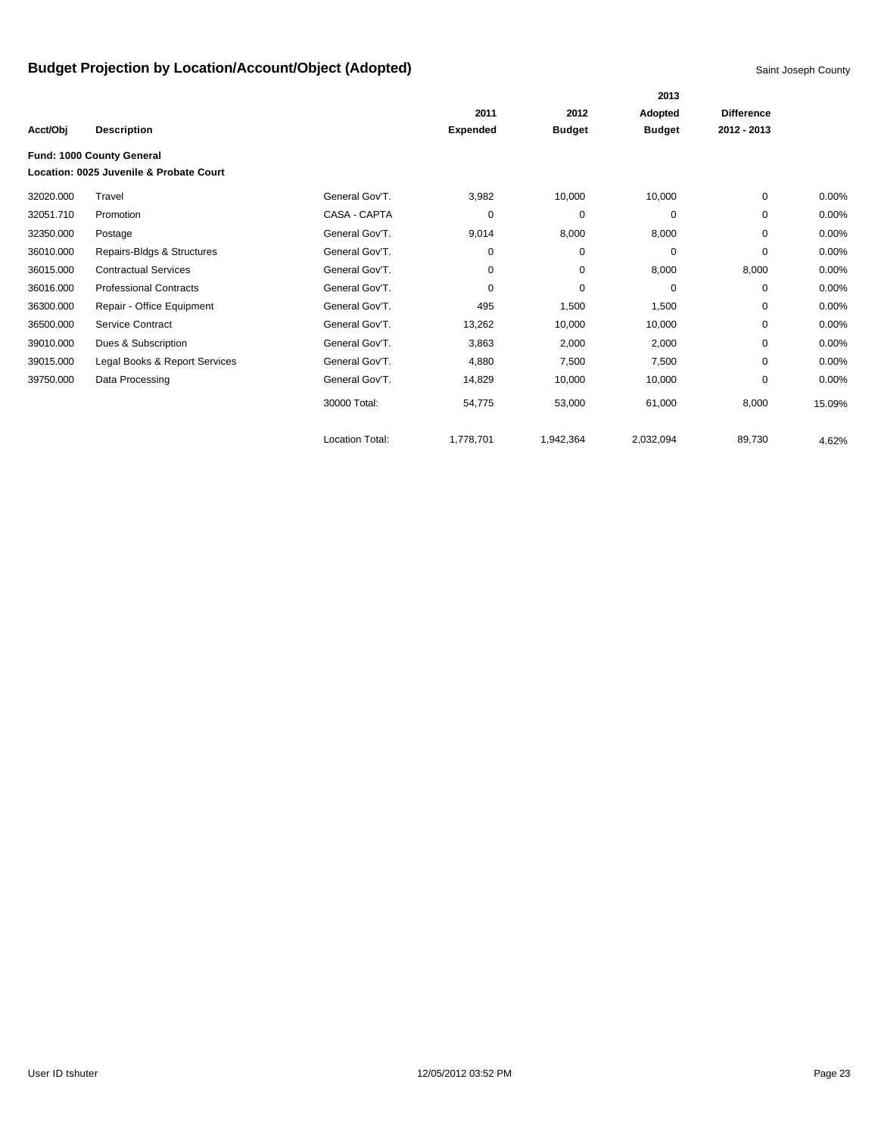|           |                                         |                        |                 |               | 2013          |                   |          |
|-----------|-----------------------------------------|------------------------|-----------------|---------------|---------------|-------------------|----------|
|           |                                         |                        | 2011            | 2012          | Adopted       | <b>Difference</b> |          |
| Acct/Obj  | <b>Description</b>                      |                        | <b>Expended</b> | <b>Budget</b> | <b>Budget</b> | 2012 - 2013       |          |
|           | Fund: 1000 County General               |                        |                 |               |               |                   |          |
|           | Location: 0025 Juvenile & Probate Court |                        |                 |               |               |                   |          |
| 32020.000 | Travel                                  | General Gov'T.         | 3,982           | 10,000        | 10,000        | 0                 | $0.00\%$ |
| 32051.710 | Promotion                               | CASA - CAPTA           | 0               | 0             | 0             | 0                 | 0.00%    |
| 32350.000 | Postage                                 | General Gov'T.         | 9,014           | 8,000         | 8,000         | 0                 | 0.00%    |
| 36010.000 | Repairs-Bldgs & Structures              | General Gov'T.         | 0               | 0             | 0             | 0                 | 0.00%    |
| 36015.000 | <b>Contractual Services</b>             | General Gov'T.         | 0               | 0             | 8,000         | 8,000             | $0.00\%$ |
| 36016.000 | <b>Professional Contracts</b>           | General Gov'T.         | 0               | $\mathbf 0$   | $\mathbf 0$   | 0                 | 0.00%    |
| 36300.000 | Repair - Office Equipment               | General Gov'T.         | 495             | 1,500         | 1,500         | 0                 | $0.00\%$ |
| 36500.000 | Service Contract                        | General Gov'T.         | 13,262          | 10,000        | 10,000        | 0                 | 0.00%    |
| 39010.000 | Dues & Subscription                     | General Gov'T.         | 3,863           | 2,000         | 2,000         | $\Omega$          | 0.00%    |
| 39015.000 | Legal Books & Report Services           | General Gov'T.         | 4,880           | 7,500         | 7,500         | $\Omega$          | 0.00%    |
| 39750.000 | Data Processing                         | General Gov'T.         | 14,829          | 10,000        | 10,000        | 0                 | 0.00%    |
|           |                                         | 30000 Total:           | 54,775          | 53,000        | 61,000        | 8,000             | 15.09%   |
|           |                                         | <b>Location Total:</b> | 1,778,701       | 1,942,364     | 2,032,094     | 89,730            | 4.62%    |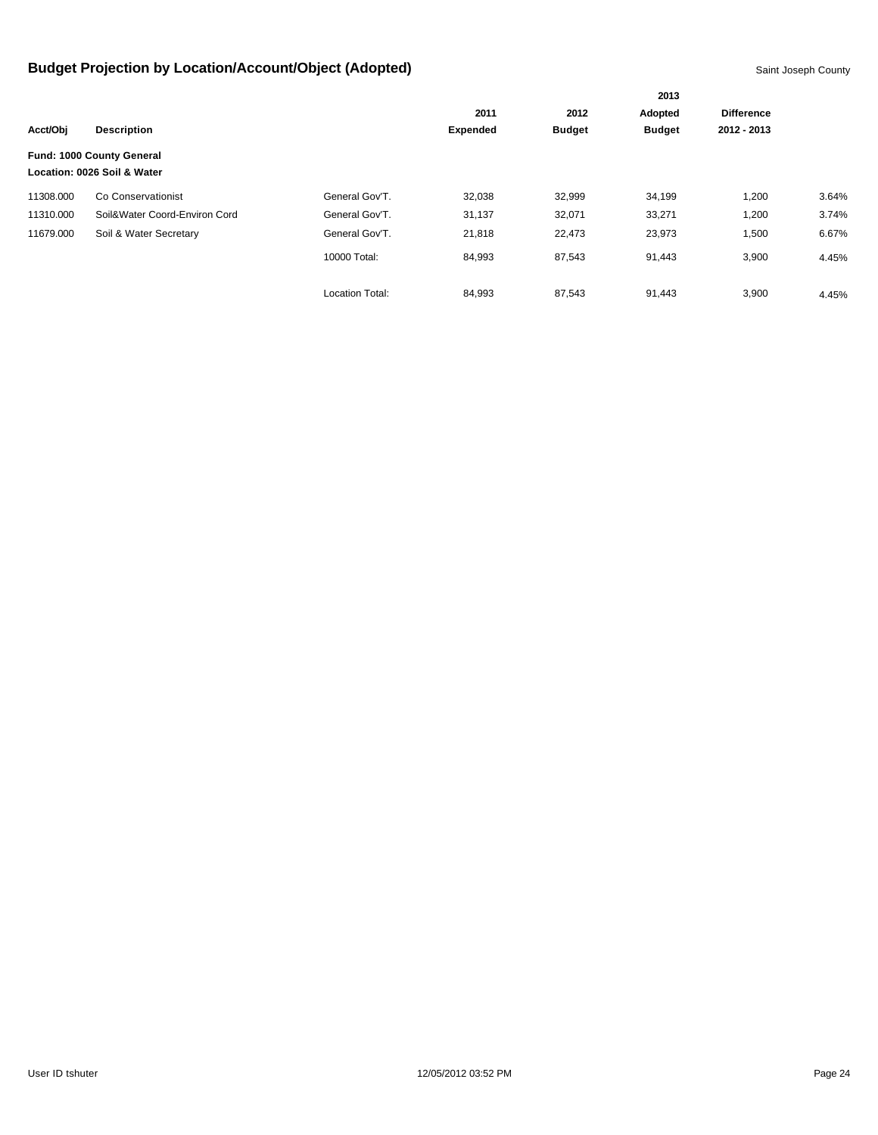| Acct/Obj  |                               |                        |                 |               | 2013<br>Adopted |                   |       |
|-----------|-------------------------------|------------------------|-----------------|---------------|-----------------|-------------------|-------|
|           | <b>Description</b>            |                        | 2011            | 2012          |                 | <b>Difference</b> |       |
|           |                               |                        | <b>Expended</b> | <b>Budget</b> | <b>Budget</b>   | 2012 - 2013       |       |
|           | Fund: 1000 County General     |                        |                 |               |                 |                   |       |
|           | Location: 0026 Soil & Water   |                        |                 |               |                 |                   |       |
| 11308.000 | Co Conservationist            | General Gov'T.         | 32,038          | 32,999        | 34,199          | 1,200             | 3.64% |
| 11310.000 | Soil&Water Coord-Environ Cord | General Gov'T.         | 31,137          | 32,071        | 33,271          | 1,200             | 3.74% |
| 11679.000 | Soil & Water Secretary        | General Gov'T.         | 21,818          | 22,473        | 23,973          | 1,500             | 6.67% |
|           |                               | 10000 Total:           | 84,993          | 87,543        | 91,443          | 3,900             | 4.45% |
|           |                               | <b>Location Total:</b> | 84,993          | 87,543        | 91,443          | 3,900             | 4.45% |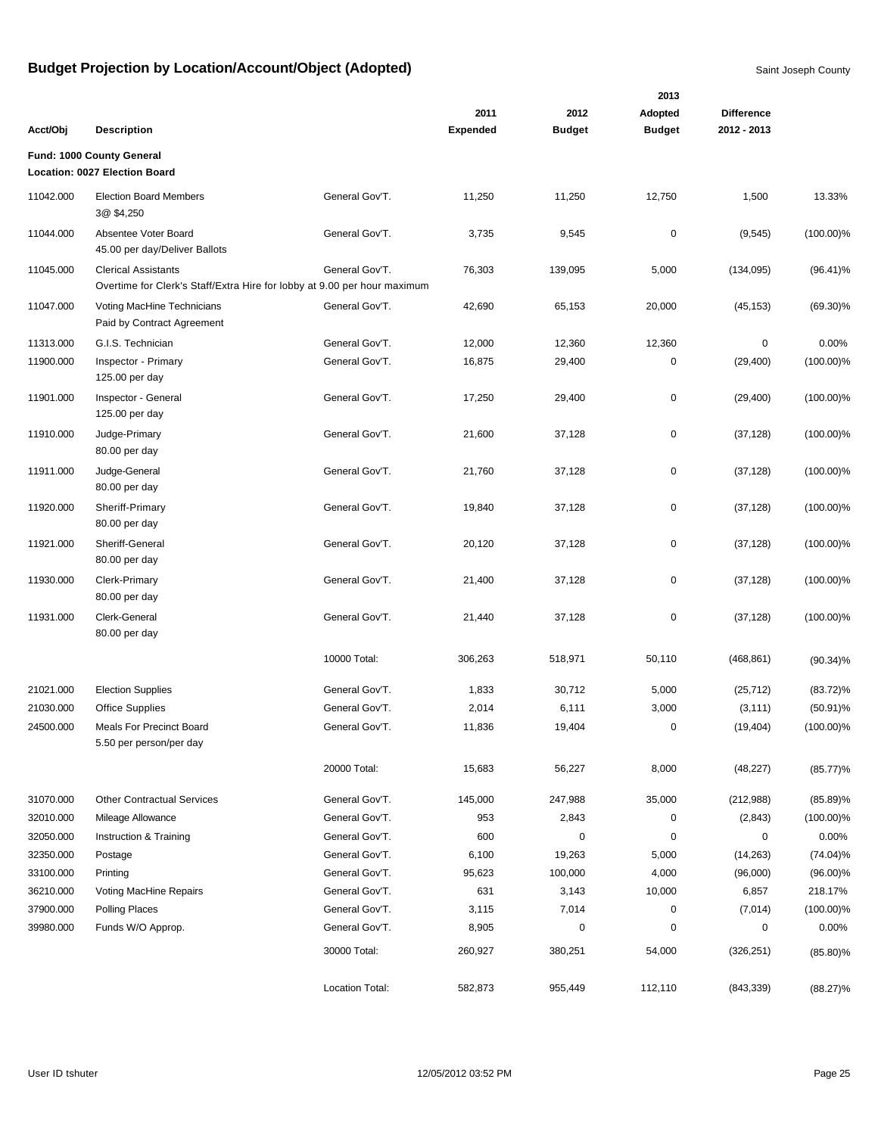|           |                                                                                                        |                 | 2011            | 2012          | 2013<br>Adopted | <b>Difference</b> |              |
|-----------|--------------------------------------------------------------------------------------------------------|-----------------|-----------------|---------------|-----------------|-------------------|--------------|
| Acct/Obj  | <b>Description</b>                                                                                     |                 | <b>Expended</b> | <b>Budget</b> | <b>Budget</b>   | 2012 - 2013       |              |
|           | Fund: 1000 County General                                                                              |                 |                 |               |                 |                   |              |
|           | Location: 0027 Election Board                                                                          |                 |                 |               |                 |                   |              |
| 11042.000 | <b>Election Board Members</b><br>3@ \$4,250                                                            | General Gov'T.  | 11,250          | 11,250        | 12,750          | 1,500             | 13.33%       |
| 11044.000 | Absentee Voter Board<br>45.00 per day/Deliver Ballots                                                  | General Gov'T.  | 3,735           | 9,545         | $\pmb{0}$       | (9, 545)          | $(100.00)\%$ |
| 11045.000 | <b>Clerical Assistants</b><br>Overtime for Clerk's Staff/Extra Hire for lobby at 9.00 per hour maximum | General Gov'T.  | 76,303          | 139,095       | 5,000           | (134,095)         | $(96.41)\%$  |
| 11047.000 | Voting MacHine Technicians<br>Paid by Contract Agreement                                               | General Gov'T.  | 42,690          | 65,153        | 20,000          | (45, 153)         | $(69.30)\%$  |
| 11313.000 | G.I.S. Technician                                                                                      | General Gov'T.  | 12,000          | 12,360        | 12,360          | $\mathbf 0$       | 0.00%        |
| 11900.000 | Inspector - Primary<br>125.00 per day                                                                  | General Gov'T.  | 16,875          | 29,400        | $\mathbf 0$     | (29, 400)         | $(100.00)\%$ |
| 11901.000 | Inspector - General<br>125.00 per day                                                                  | General Gov'T.  | 17,250          | 29,400        | $\pmb{0}$       | (29, 400)         | $(100.00)\%$ |
| 11910.000 | Judge-Primary<br>80.00 per day                                                                         | General Gov'T.  | 21,600          | 37,128        | $\pmb{0}$       | (37, 128)         | $(100.00)\%$ |
| 11911.000 | Judge-General<br>80.00 per day                                                                         | General Gov'T.  | 21,760          | 37,128        | $\pmb{0}$       | (37, 128)         | $(100.00)\%$ |
| 11920.000 | Sheriff-Primary<br>80.00 per day                                                                       | General Gov'T.  | 19,840          | 37,128        | $\mathbf 0$     | (37, 128)         | $(100.00)\%$ |
| 11921.000 | Sheriff-General<br>80.00 per day                                                                       | General Gov'T.  | 20,120          | 37,128        | $\pmb{0}$       | (37, 128)         | $(100.00)\%$ |
| 11930.000 | Clerk-Primary<br>80.00 per day                                                                         | General Gov'T.  | 21,400          | 37,128        | $\mathbf 0$     | (37, 128)         | $(100.00)\%$ |
| 11931.000 | Clerk-General<br>80.00 per day                                                                         | General Gov'T.  | 21,440          | 37,128        | $\mathbf 0$     | (37, 128)         | $(100.00)\%$ |
|           |                                                                                                        | 10000 Total:    | 306,263         | 518,971       | 50,110          | (468, 861)        | $(90.34)\%$  |
| 21021.000 | <b>Election Supplies</b>                                                                               | General Gov'T.  | 1,833           | 30,712        | 5,000           | (25, 712)         | $(83.72)\%$  |
| 21030.000 | <b>Office Supplies</b>                                                                                 | General Gov'T.  | 2,014           | 6,111         | 3,000           | (3, 111)          | $(50.91)\%$  |
| 24500.000 | <b>Meals For Precinct Board</b><br>5.50 per person/per day                                             | General Gov'T.  | 11,836          | 19,404        | $\mathbf 0$     | (19, 404)         | $(100.00)\%$ |
|           |                                                                                                        | 20000 Total:    | 15,683          | 56,227        | 8,000           | (48, 227)         | (85.77)%     |
| 31070.000 | <b>Other Contractual Services</b>                                                                      | General Gov'T.  | 145,000         | 247,988       | 35,000          | (212,988)         | $(85.89)\%$  |
| 32010.000 | Mileage Allowance                                                                                      | General Gov'T.  | 953             | 2,843         | 0               | (2, 843)          | $(100.00)\%$ |
| 32050.000 | Instruction & Training                                                                                 | General Gov'T.  | 600             | $\pmb{0}$     | $\mathbf 0$     | 0                 | 0.00%        |
| 32350.000 | Postage                                                                                                | General Gov'T.  | 6,100           | 19,263        | 5,000           | (14,263)          | $(74.04)\%$  |
| 33100.000 | Printing                                                                                               | General Gov'T.  | 95,623          | 100,000       | 4,000           | (96,000)          | $(96.00)\%$  |
| 36210.000 | Voting MacHine Repairs                                                                                 | General Gov'T.  | 631             | 3,143         | 10,000          | 6,857             | 218.17%      |
| 37900.000 | Polling Places                                                                                         | General Gov'T.  | 3,115           | 7,014         | 0               | (7,014)           | $(100.00)\%$ |
| 39980.000 | Funds W/O Approp.                                                                                      | General Gov'T.  | 8,905           | $\pmb{0}$     | $\mathbf 0$     | $\pmb{0}$         | 0.00%        |
|           |                                                                                                        | 30000 Total:    | 260,927         | 380,251       | 54,000          | (326, 251)        | $(85.80)\%$  |
|           |                                                                                                        | Location Total: | 582,873         | 955,449       | 112,110         | (843, 339)        | $(88.27)\%$  |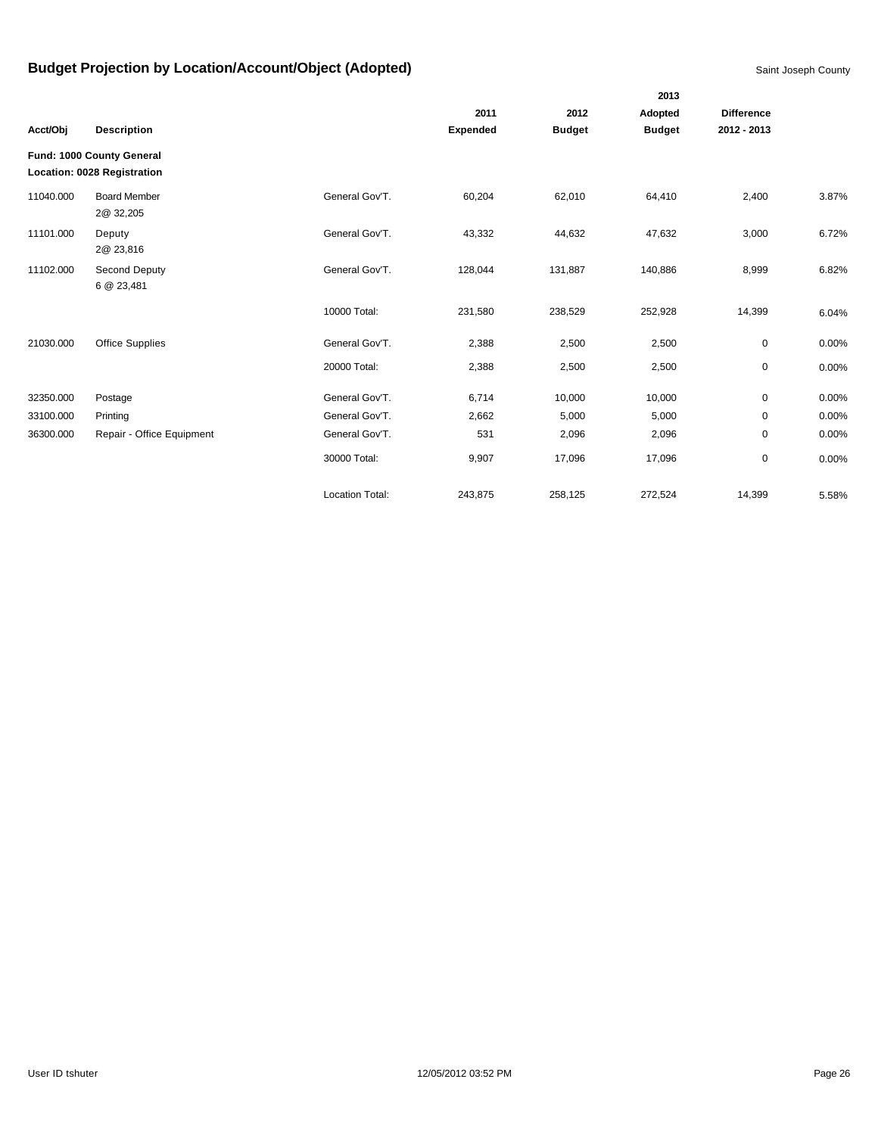|           |                                                          |                 |                 |               | 2013          |                   |       |
|-----------|----------------------------------------------------------|-----------------|-----------------|---------------|---------------|-------------------|-------|
|           |                                                          |                 | 2011            | 2012          | Adopted       | <b>Difference</b> |       |
| Acct/Obj  | <b>Description</b>                                       |                 | <b>Expended</b> | <b>Budget</b> | <b>Budget</b> | 2012 - 2013       |       |
|           | Fund: 1000 County General<br>Location: 0028 Registration |                 |                 |               |               |                   |       |
| 11040.000 | <b>Board Member</b><br>2@ 32,205                         | General Gov'T.  | 60,204          | 62,010        | 64,410        | 2,400             | 3.87% |
| 11101.000 | Deputy<br>2@ 23,816                                      | General Gov'T.  | 43,332          | 44,632        | 47,632        | 3,000             | 6.72% |
| 11102.000 | Second Deputy<br>6 @ 23,481                              | General Gov'T.  | 128,044         | 131,887       | 140,886       | 8,999             | 6.82% |
|           |                                                          | 10000 Total:    | 231,580         | 238,529       | 252,928       | 14,399            | 6.04% |
| 21030.000 | <b>Office Supplies</b>                                   | General Gov'T.  | 2,388           | 2,500         | 2,500         | 0                 | 0.00% |
|           |                                                          | 20000 Total:    | 2,388           | 2,500         | 2,500         | 0                 | 0.00% |
| 32350.000 | Postage                                                  | General Gov'T.  | 6,714           | 10,000        | 10,000        | 0                 | 0.00% |
| 33100.000 | Printing                                                 | General Gov'T.  | 2,662           | 5,000         | 5,000         | 0                 | 0.00% |
| 36300.000 | Repair - Office Equipment                                | General Gov'T.  | 531             | 2,096         | 2,096         | 0                 | 0.00% |
|           |                                                          | 30000 Total:    | 9,907           | 17,096        | 17,096        | 0                 | 0.00% |
|           |                                                          | Location Total: | 243,875         | 258,125       | 272,524       | 14,399            | 5.58% |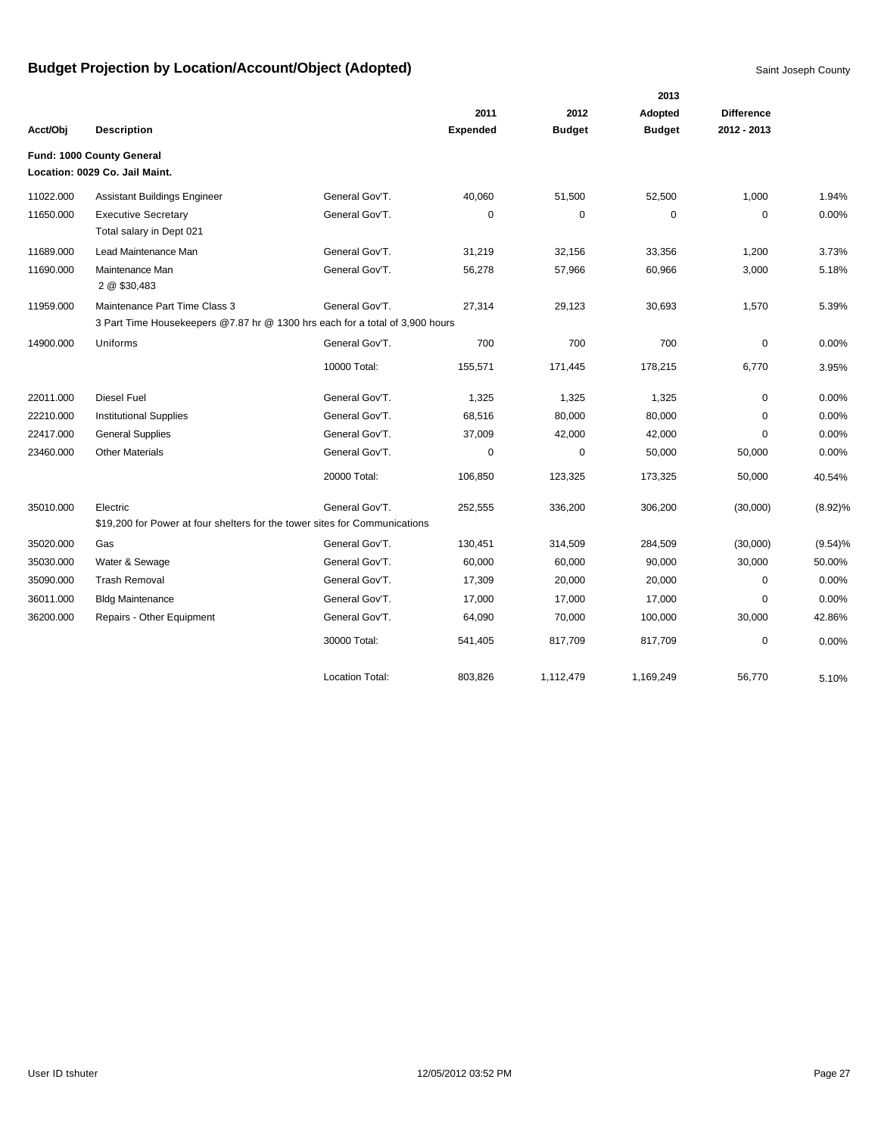|           |                                                                              |                        |                 |               | 2013          |                   |            |
|-----------|------------------------------------------------------------------------------|------------------------|-----------------|---------------|---------------|-------------------|------------|
|           |                                                                              |                        | 2011            | 2012          | Adopted       | <b>Difference</b> |            |
| Acct/Obj  | <b>Description</b>                                                           |                        | <b>Expended</b> | <b>Budget</b> | <b>Budget</b> | 2012 - 2013       |            |
|           | Fund: 1000 County General                                                    |                        |                 |               |               |                   |            |
|           | Location: 0029 Co. Jail Maint.                                               |                        |                 |               |               |                   |            |
| 11022.000 | Assistant Buildings Engineer                                                 | General Gov'T.         | 40,060          | 51,500        | 52,500        | 1,000             | 1.94%      |
| 11650.000 | <b>Executive Secretary</b><br>Total salary in Dept 021                       | General Gov'T.         | $\mathbf 0$     | $\mathbf 0$   | $\mathbf 0$   | $\mathbf 0$       | 0.00%      |
| 11689.000 | Lead Maintenance Man                                                         | General Gov'T.         | 31,219          | 32,156        | 33,356        | 1,200             | 3.73%      |
| 11690.000 | Maintenance Man<br>2 @ \$30,483                                              | General Gov'T.         | 56,278          | 57,966        | 60,966        | 3,000             | 5.18%      |
| 11959.000 | Maintenance Part Time Class 3                                                | General Gov'T.         | 27,314          | 29,123        | 30,693        | 1,570             | 5.39%      |
|           | 3 Part Time Housekeepers @7.87 hr @ 1300 hrs each for a total of 3,900 hours |                        |                 |               |               |                   |            |
| 14900.000 | Uniforms                                                                     | General Gov'T.         | 700             | 700           | 700           | $\mathbf 0$       | 0.00%      |
|           |                                                                              | 10000 Total:           | 155,571         | 171,445       | 178,215       | 6,770             | 3.95%      |
| 22011.000 | <b>Diesel Fuel</b>                                                           | General Gov'T.         | 1,325           | 1,325         | 1,325         | $\mathbf 0$       | 0.00%      |
| 22210.000 | <b>Institutional Supplies</b>                                                | General Gov'T.         | 68,516          | 80,000        | 80,000        | 0                 | 0.00%      |
| 22417.000 | <b>General Supplies</b>                                                      | General Gov'T.         | 37,009          | 42,000        | 42,000        | $\Omega$          | 0.00%      |
| 23460.000 | <b>Other Materials</b>                                                       | General Gov'T.         | $\Omega$        | $\mathbf 0$   | 50,000        | 50,000            | 0.00%      |
|           |                                                                              | 20000 Total:           | 106,850         | 123,325       | 173,325       | 50,000            | 40.54%     |
| 35010.000 | Electric                                                                     | General Gov'T.         | 252,555         | 336,200       | 306,200       | (30,000)          | $(8.92)\%$ |
|           | \$19,200 for Power at four shelters for the tower sites for Communications   |                        |                 |               |               |                   |            |
| 35020.000 | Gas                                                                          | General Gov'T.         | 130,451         | 314,509       | 284,509       | (30,000)          | (9.54)%    |
| 35030.000 | Water & Sewage                                                               | General Gov'T.         | 60,000          | 60,000        | 90,000        | 30,000            | 50.00%     |
| 35090.000 | <b>Trash Removal</b>                                                         | General Gov'T.         | 17,309          | 20,000        | 20,000        | $\mathbf 0$       | 0.00%      |
| 36011.000 | <b>Bldg Maintenance</b>                                                      | General Gov'T.         | 17,000          | 17,000        | 17,000        | $\Omega$          | 0.00%      |
| 36200.000 | Repairs - Other Equipment                                                    | General Gov'T.         | 64,090          | 70,000        | 100,000       | 30,000            | 42.86%     |
|           |                                                                              | 30000 Total:           | 541,405         | 817,709       | 817,709       | $\mathbf 0$       | 0.00%      |
|           |                                                                              | <b>Location Total:</b> | 803,826         | 1,112,479     | 1,169,249     | 56,770            | 5.10%      |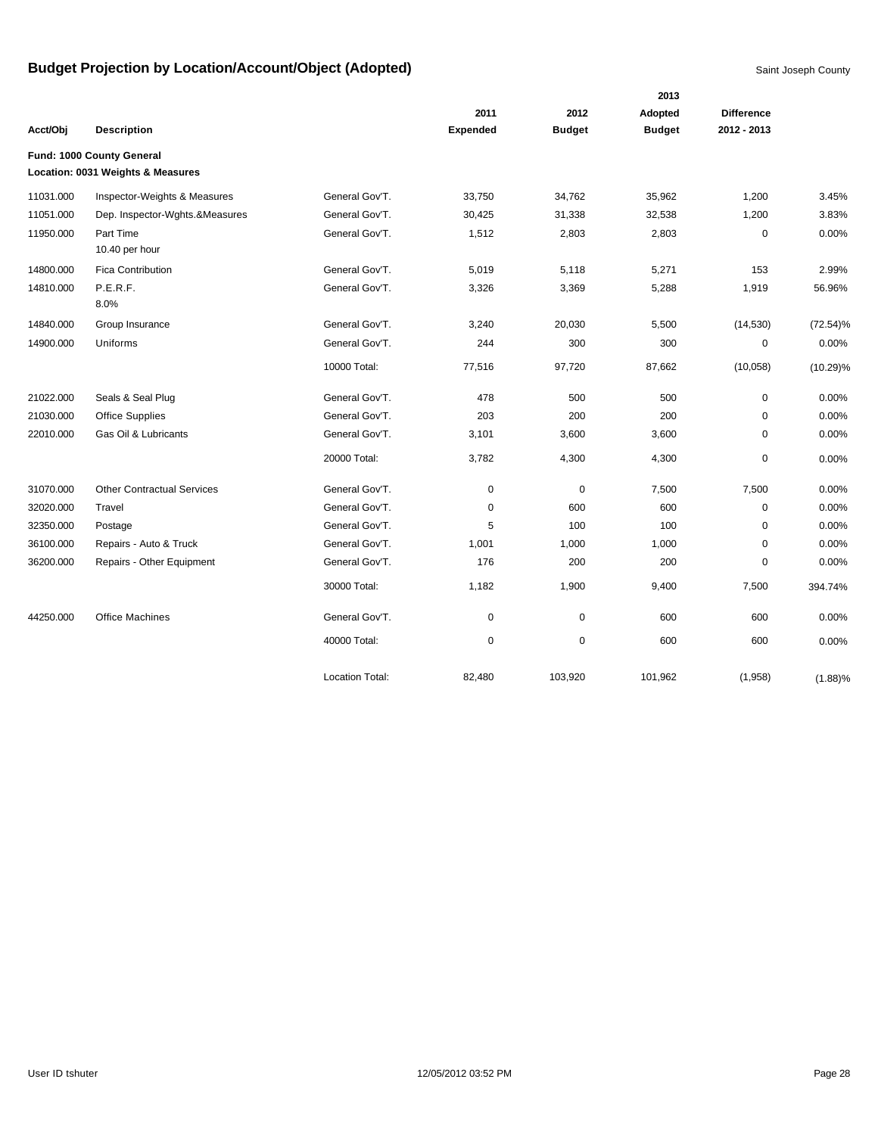|           |                                                                |                        |                 |               | 2013          |                   |             |
|-----------|----------------------------------------------------------------|------------------------|-----------------|---------------|---------------|-------------------|-------------|
|           |                                                                |                        | 2011            | 2012          | Adopted       | <b>Difference</b> |             |
| Acct/Obj  | <b>Description</b>                                             |                        | <b>Expended</b> | <b>Budget</b> | <b>Budget</b> | 2012 - 2013       |             |
|           | Fund: 1000 County General<br>Location: 0031 Weights & Measures |                        |                 |               |               |                   |             |
| 11031.000 | Inspector-Weights & Measures                                   | General Gov'T.         | 33,750          | 34,762        | 35,962        | 1,200             | 3.45%       |
| 11051.000 | Dep. Inspector-Wghts.&Measures                                 | General Gov'T.         | 30,425          | 31,338        | 32,538        | 1,200             | 3.83%       |
| 11950.000 | Part Time                                                      | General Gov'T.         |                 |               |               |                   | 0.00%       |
|           | 10.40 per hour                                                 |                        | 1,512           | 2,803         | 2,803         | 0                 |             |
| 14800.000 | <b>Fica Contribution</b>                                       | General Gov'T.         | 5,019           | 5,118         | 5,271         | 153               | 2.99%       |
| 14810.000 | P.E.R.F.                                                       | General Gov'T.         | 3,326           | 3,369         | 5,288         | 1,919             | 56.96%      |
|           | 8.0%                                                           |                        |                 |               |               |                   |             |
| 14840.000 | Group Insurance                                                | General Gov'T.         | 3,240           | 20,030        | 5,500         | (14, 530)         | $(72.54)\%$ |
| 14900.000 | Uniforms                                                       | General Gov'T.         | 244             | 300           | 300           | 0                 | 0.00%       |
|           |                                                                | 10000 Total:           | 77,516          | 97,720        | 87,662        | (10,058)          | $(10.29)\%$ |
| 21022.000 | Seals & Seal Plug                                              | General Gov'T.         | 478             | 500           | 500           | $\mathbf 0$       | 0.00%       |
| 21030.000 | <b>Office Supplies</b>                                         | General Gov'T.         | 203             | 200           | 200           | 0                 | 0.00%       |
| 22010.000 | Gas Oil & Lubricants                                           | General Gov'T.         | 3,101           | 3,600         | 3,600         | $\Omega$          | 0.00%       |
|           |                                                                | 20000 Total:           | 3,782           | 4,300         | 4,300         | $\mathbf 0$       | 0.00%       |
| 31070.000 | <b>Other Contractual Services</b>                              | General Gov'T.         | $\mathbf 0$     | 0             | 7,500         | 7,500             | 0.00%       |
| 32020.000 | Travel                                                         | General Gov'T.         | $\mathbf 0$     | 600           | 600           | $\mathbf 0$       | 0.00%       |
| 32350.000 | Postage                                                        | General Gov'T.         | 5               | 100           | 100           | $\mathbf 0$       | 0.00%       |
| 36100.000 | Repairs - Auto & Truck                                         | General Gov'T.         | 1,001           | 1,000         | 1,000         | 0                 | 0.00%       |
| 36200.000 | Repairs - Other Equipment                                      | General Gov'T.         | 176             | 200           | 200           | $\mathbf 0$       | 0.00%       |
|           |                                                                | 30000 Total:           | 1,182           | 1,900         | 9,400         | 7,500             | 394.74%     |
| 44250.000 | <b>Office Machines</b>                                         | General Gov'T.         | $\mathbf 0$     | $\pmb{0}$     | 600           | 600               | 0.00%       |
|           |                                                                | 40000 Total:           | 0               | $\pmb{0}$     | 600           | 600               | 0.00%       |
|           |                                                                | <b>Location Total:</b> | 82,480          | 103,920       | 101,962       | (1,958)           | (1.88)%     |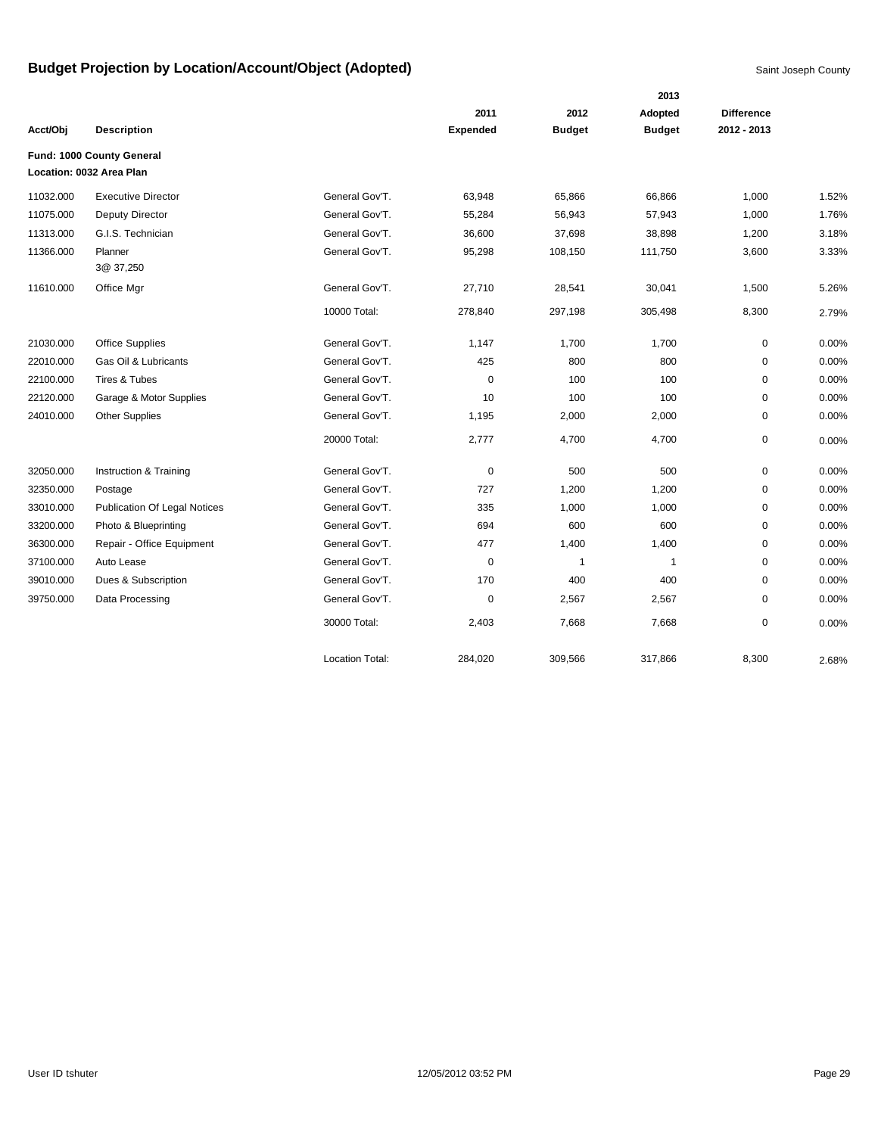|           |                                     |                        |                 |               | 2013          |                   |       |
|-----------|-------------------------------------|------------------------|-----------------|---------------|---------------|-------------------|-------|
|           |                                     |                        | 2011            | 2012          | Adopted       | <b>Difference</b> |       |
| Acct/Obj  | <b>Description</b>                  |                        | <b>Expended</b> | <b>Budget</b> | <b>Budget</b> | 2012 - 2013       |       |
|           | Fund: 1000 County General           |                        |                 |               |               |                   |       |
|           | Location: 0032 Area Plan            |                        |                 |               |               |                   |       |
| 11032.000 | <b>Executive Director</b>           | General Gov'T.         | 63,948          | 65,866        | 66,866        | 1,000             | 1.52% |
| 11075.000 | Deputy Director                     | General Gov'T.         | 55,284          | 56,943        | 57,943        | 1,000             | 1.76% |
| 11313.000 | G.I.S. Technician                   | General Gov'T.         | 36,600          | 37,698        | 38,898        | 1,200             | 3.18% |
| 11366.000 | Planner                             | General Gov'T.         | 95,298          | 108,150       | 111,750       | 3,600             | 3.33% |
|           | 3@ 37,250                           |                        |                 |               |               |                   |       |
| 11610.000 | Office Mgr                          | General Gov'T.         | 27,710          | 28,541        | 30,041        | 1,500             | 5.26% |
|           |                                     | 10000 Total:           | 278,840         | 297,198       | 305,498       | 8,300             | 2.79% |
| 21030.000 | <b>Office Supplies</b>              | General Gov'T.         | 1,147           | 1,700         | 1,700         | $\mathbf 0$       | 0.00% |
| 22010.000 | Gas Oil & Lubricants                | General Gov'T.         | 425             | 800           | 800           | $\mathbf 0$       | 0.00% |
| 22100.000 | Tires & Tubes                       | General Gov'T.         | 0               | 100           | 100           | $\mathbf 0$       | 0.00% |
| 22120.000 | Garage & Motor Supplies             | General Gov'T.         | 10              | 100           | 100           | 0                 | 0.00% |
| 24010.000 | <b>Other Supplies</b>               | General Gov'T.         | 1,195           | 2,000         | 2,000         | 0                 | 0.00% |
|           |                                     | 20000 Total:           | 2,777           | 4,700         | 4,700         | 0                 | 0.00% |
| 32050.000 | Instruction & Training              | General Gov'T.         | 0               | 500           | 500           | 0                 | 0.00% |
| 32350.000 | Postage                             | General Gov'T.         | 727             | 1,200         | 1,200         | 0                 | 0.00% |
| 33010.000 | <b>Publication Of Legal Notices</b> | General Gov'T.         | 335             | 1,000         | 1,000         | $\mathbf 0$       | 0.00% |
| 33200.000 | Photo & Blueprinting                | General Gov'T.         | 694             | 600           | 600           | $\mathbf 0$       | 0.00% |
| 36300.000 | Repair - Office Equipment           | General Gov'T.         | 477             | 1,400         | 1,400         | 0                 | 0.00% |
| 37100.000 | Auto Lease                          | General Gov'T.         | 0               | 1             | $\mathbf{1}$  | $\mathbf 0$       | 0.00% |
| 39010.000 | Dues & Subscription                 | General Gov'T.         | 170             | 400           | 400           | 0                 | 0.00% |
| 39750.000 | Data Processing                     | General Gov'T.         | $\mathbf 0$     | 2,567         | 2,567         | 0                 | 0.00% |
|           |                                     | 30000 Total:           | 2,403           | 7,668         | 7,668         | $\mathbf 0$       | 0.00% |
|           |                                     | <b>Location Total:</b> | 284,020         | 309,566       | 317,866       | 8,300             | 2.68% |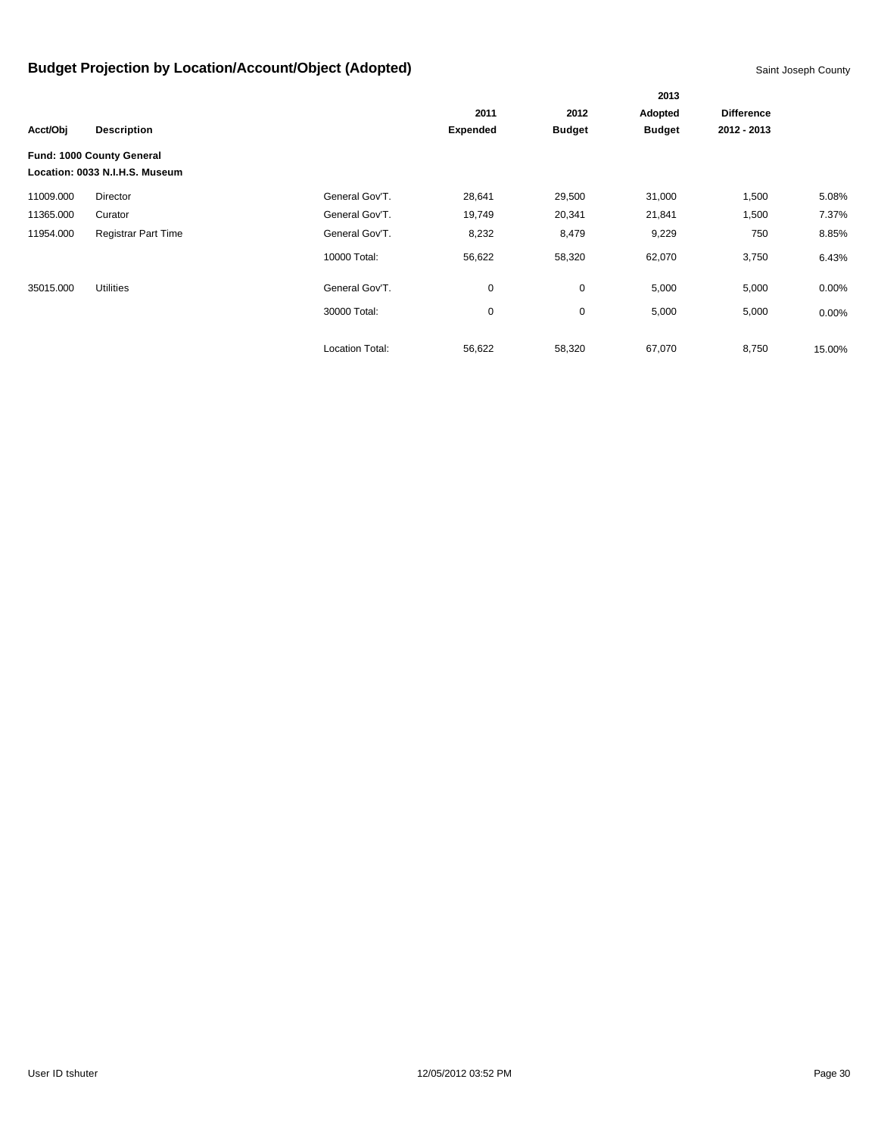|           |                                                             |                 |                 |               | 2013          |                   |          |  |  |
|-----------|-------------------------------------------------------------|-----------------|-----------------|---------------|---------------|-------------------|----------|--|--|
|           |                                                             |                 | 2011            | 2012          | Adopted       | <b>Difference</b> |          |  |  |
| Acct/Obj  | <b>Description</b>                                          |                 | <b>Expended</b> | <b>Budget</b> | <b>Budget</b> | 2012 - 2013       |          |  |  |
|           | Fund: 1000 County General<br>Location: 0033 N.I.H.S. Museum |                 |                 |               |               |                   |          |  |  |
| 11009.000 | Director                                                    | General Gov'T.  | 28,641          | 29,500        | 31,000        | 1,500             | 5.08%    |  |  |
| 11365.000 | Curator                                                     | General Gov'T.  | 19,749          | 20,341        | 21,841        | 1,500             | 7.37%    |  |  |
| 11954.000 | <b>Registrar Part Time</b>                                  | General Gov'T.  | 8,232           | 8,479         | 9,229         | 750               | 8.85%    |  |  |
|           |                                                             | 10000 Total:    | 56,622          | 58,320        | 62,070        | 3,750             | 6.43%    |  |  |
| 35015.000 | <b>Utilities</b>                                            | General Gov'T.  | 0               | $\mathbf 0$   | 5,000         | 5,000             | $0.00\%$ |  |  |
|           |                                                             | 30000 Total:    | 0               | $\mathbf 0$   | 5,000         | 5,000             | 0.00%    |  |  |
|           |                                                             | Location Total: | 56,622          | 58,320        | 67,070        | 8,750             | 15.00%   |  |  |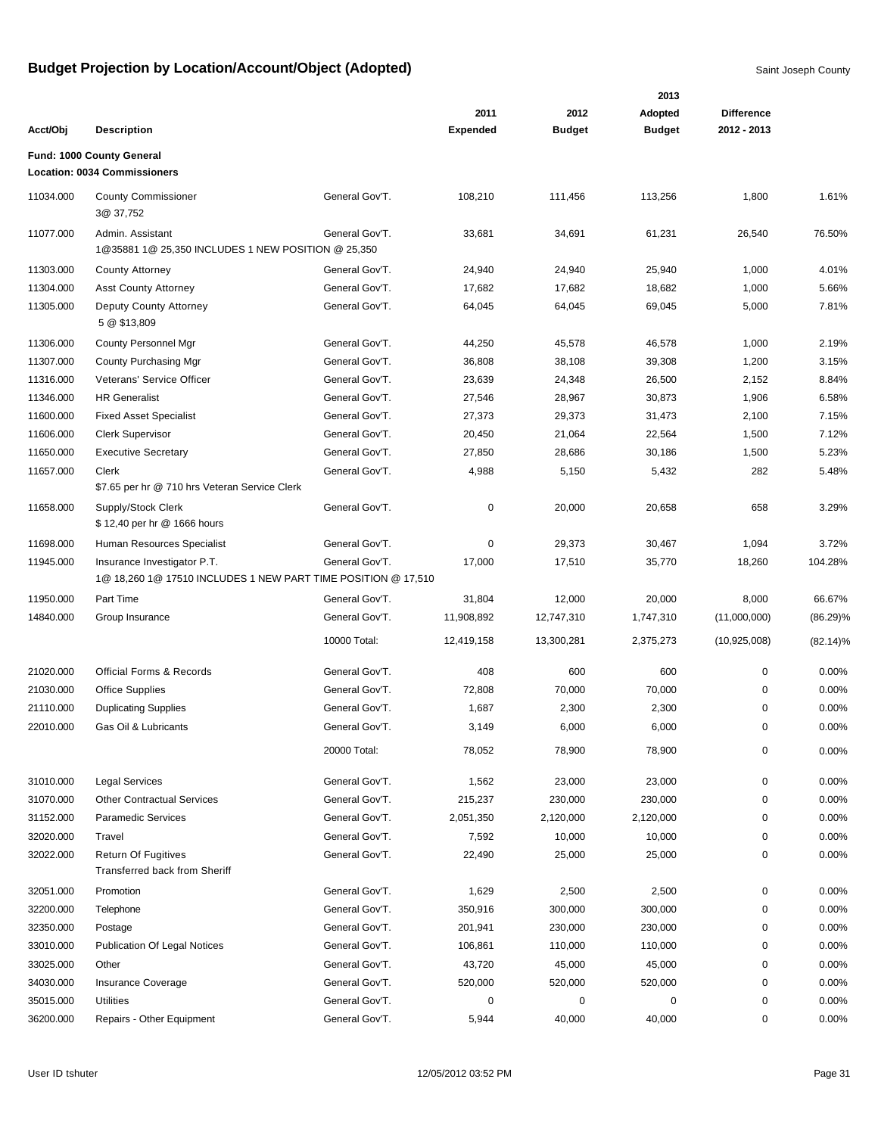|           |                                                                                              |                |                 |               | 2013          |                   |             |
|-----------|----------------------------------------------------------------------------------------------|----------------|-----------------|---------------|---------------|-------------------|-------------|
|           |                                                                                              |                | 2011            | 2012          | Adopted       | <b>Difference</b> |             |
| Acct/Obj  | <b>Description</b>                                                                           |                | <b>Expended</b> | <b>Budget</b> | <b>Budget</b> | 2012 - 2013       |             |
|           | Fund: 1000 County General                                                                    |                |                 |               |               |                   |             |
|           | <b>Location: 0034 Commissioners</b>                                                          |                |                 |               |               |                   |             |
| 11034.000 | <b>County Commissioner</b><br>3@ 37,752                                                      | General Gov'T. | 108,210         | 111,456       | 113,256       | 1,800             | 1.61%       |
| 11077.000 | Admin. Assistant<br>1@35881 1@ 25,350 INCLUDES 1 NEW POSITION @ 25,350                       | General Gov'T. | 33,681          | 34,691        | 61,231        | 26,540            | 76.50%      |
| 11303.000 | <b>County Attorney</b>                                                                       | General Gov'T. | 24,940          | 24,940        | 25,940        | 1,000             | 4.01%       |
| 11304.000 | <b>Asst County Attorney</b>                                                                  | General Gov'T. | 17,682          | 17,682        | 18,682        | 1,000             | 5.66%       |
| 11305.000 | Deputy County Attorney<br>5 @ \$13,809                                                       | General Gov'T. | 64,045          | 64,045        | 69,045        | 5,000             | 7.81%       |
| 11306.000 | County Personnel Mgr                                                                         | General Gov'T. | 44,250          | 45,578        | 46,578        | 1,000             | 2.19%       |
| 11307.000 | County Purchasing Mgr                                                                        | General Gov'T. | 36,808          | 38,108        | 39,308        | 1,200             | 3.15%       |
| 11316.000 | Veterans' Service Officer                                                                    | General Gov'T. | 23,639          | 24,348        | 26,500        | 2,152             | 8.84%       |
| 11346.000 | <b>HR Generalist</b>                                                                         | General Gov'T. | 27,546          | 28,967        | 30,873        | 1,906             | 6.58%       |
| 11600.000 | <b>Fixed Asset Specialist</b>                                                                | General Gov'T. | 27,373          | 29,373        | 31,473        | 2,100             | 7.15%       |
| 11606.000 | <b>Clerk Supervisor</b>                                                                      | General Gov'T. | 20,450          | 21,064        | 22,564        | 1,500             | 7.12%       |
| 11650.000 | <b>Executive Secretary</b>                                                                   | General Gov'T. | 27,850          | 28,686        | 30,186        | 1,500             | 5.23%       |
| 11657.000 | Clerk<br>\$7.65 per hr @ 710 hrs Veteran Service Clerk                                       | General Gov'T. | 4,988           | 5,150         | 5,432         | 282               | 5.48%       |
| 11658.000 | Supply/Stock Clerk<br>\$12,40 per hr @ 1666 hours                                            | General Gov'T. | 0               | 20,000        | 20,658        | 658               | 3.29%       |
| 11698.000 | Human Resources Specialist                                                                   | General Gov'T. | 0               | 29,373        | 30,467        | 1,094             | 3.72%       |
| 11945.000 | Insurance Investigator P.T.<br>1@ 18,260 1@ 17510 INCLUDES 1 NEW PART TIME POSITION @ 17,510 | General Gov'T. | 17,000          | 17,510        | 35,770        | 18,260            | 104.28%     |
| 11950.000 | Part Time                                                                                    | General Gov'T. | 31,804          | 12,000        | 20,000        | 8,000             | 66.67%      |
| 14840.000 | Group Insurance                                                                              | General Gov'T. | 11,908,892      | 12,747,310    | 1,747,310     | (11,000,000)      | $(86.29)\%$ |
|           |                                                                                              | 10000 Total:   | 12,419,158      | 13,300,281    | 2,375,273     | (10,925,008)      | $(82.14)\%$ |
| 21020.000 | <b>Official Forms &amp; Records</b>                                                          | General Gov'T. | 408             | 600           | 600           | 0                 | 0.00%       |
| 21030.000 | <b>Office Supplies</b>                                                                       | General Gov'T. | 72,808          | 70,000        | 70,000        | 0                 | 0.00%       |
| 21110.000 | <b>Duplicating Supplies</b>                                                                  | General Gov'T. | 1,687           | 2,300         | 2,300         | 0                 | 0.00%       |
| 22010.000 | Gas Oil & Lubricants                                                                         | General Gov'T. | 3,149           | 6,000         | 6,000         | 0                 | 0.00%       |
|           |                                                                                              | 20000 Total:   | 78,052          | 78,900        | 78,900        | 0                 | 0.00%       |
| 31010.000 | <b>Legal Services</b>                                                                        | General Gov'T. | 1,562           | 23,000        | 23,000        | 0                 | 0.00%       |
| 31070.000 | <b>Other Contractual Services</b>                                                            | General Gov'T. | 215,237         | 230,000       | 230,000       | 0                 | 0.00%       |
| 31152.000 | <b>Paramedic Services</b>                                                                    | General Gov'T. | 2,051,350       | 2,120,000     | 2,120,000     | 0                 | 0.00%       |
| 32020.000 | Travel                                                                                       | General Gov'T. | 7,592           | 10,000        | 10,000        | 0                 | 0.00%       |
| 32022.000 | <b>Return Of Fugitives</b><br>Transferred back from Sheriff                                  | General Gov'T. | 22,490          | 25,000        | 25,000        | 0                 | 0.00%       |
| 32051.000 | Promotion                                                                                    | General Gov'T. | 1,629           | 2,500         | 2,500         | 0                 | 0.00%       |
| 32200.000 | Telephone                                                                                    | General Gov'T. | 350,916         | 300,000       | 300,000       | 0                 | 0.00%       |
| 32350.000 | Postage                                                                                      | General Gov'T. | 201,941         | 230,000       | 230,000       | 0                 | 0.00%       |
| 33010.000 | <b>Publication Of Legal Notices</b>                                                          | General Gov'T. | 106,861         | 110,000       | 110,000       | 0                 | 0.00%       |
| 33025.000 | Other                                                                                        | General Gov'T. | 43,720          | 45,000        | 45,000        | 0                 | 0.00%       |
| 34030.000 | Insurance Coverage                                                                           | General Gov'T. | 520,000         | 520,000       | 520,000       | 0                 | 0.00%       |
| 35015.000 | <b>Utilities</b>                                                                             | General Gov'T. | 0               | $\pmb{0}$     | 0             | 0                 | 0.00%       |
| 36200.000 | Repairs - Other Equipment                                                                    | General Gov'T. | 5,944           | 40,000        | 40,000        | 0                 | 0.00%       |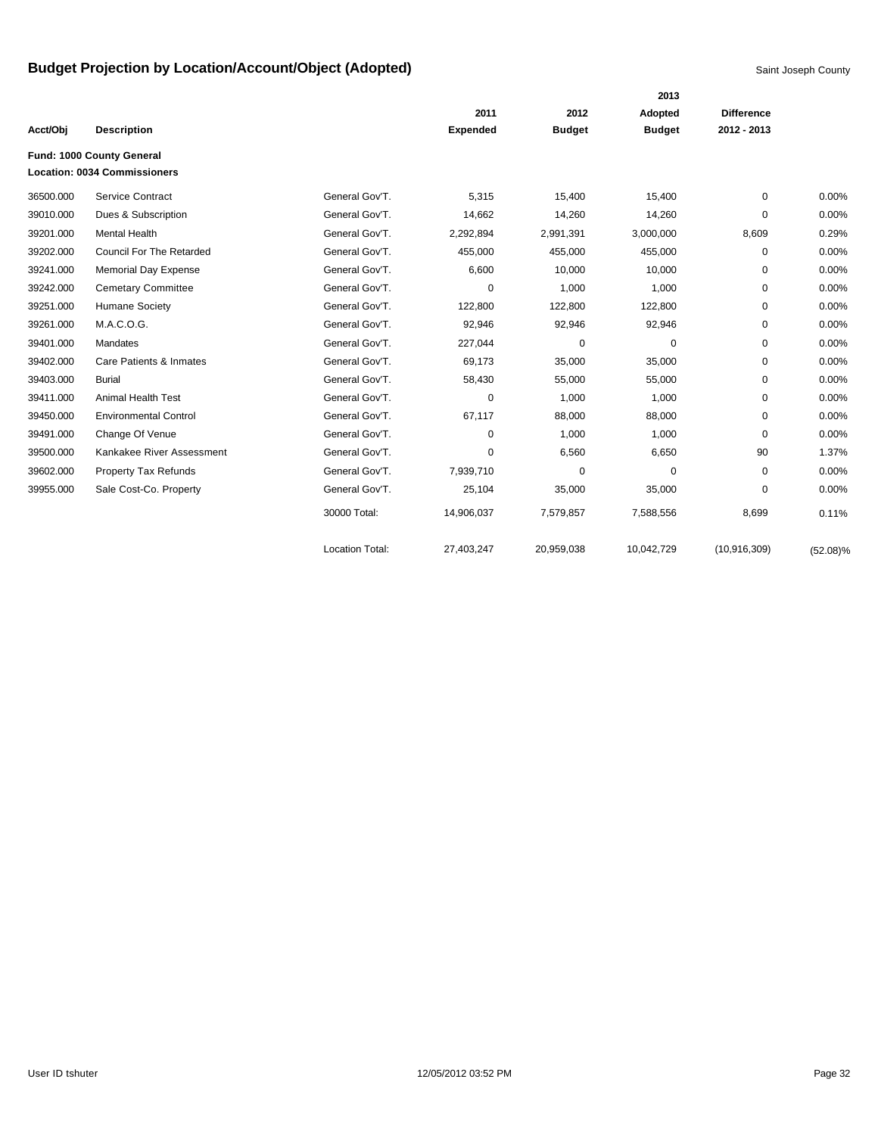|           |                                     |                        |                 |               | 2013          |                   |             |
|-----------|-------------------------------------|------------------------|-----------------|---------------|---------------|-------------------|-------------|
|           |                                     |                        | 2011            | 2012          | Adopted       | <b>Difference</b> |             |
| Acct/Obj  | <b>Description</b>                  |                        | <b>Expended</b> | <b>Budget</b> | <b>Budget</b> | 2012 - 2013       |             |
|           | Fund: 1000 County General           |                        |                 |               |               |                   |             |
|           | <b>Location: 0034 Commissioners</b> |                        |                 |               |               |                   |             |
| 36500.000 | Service Contract                    | General Gov'T.         | 5,315           | 15,400        | 15,400        | $\Omega$          | 0.00%       |
| 39010.000 | Dues & Subscription                 | General Gov'T.         | 14,662          | 14,260        | 14,260        | 0                 | 0.00%       |
| 39201.000 | <b>Mental Health</b>                | General Gov'T.         | 2,292,894       | 2,991,391     | 3,000,000     | 8,609             | 0.29%       |
| 39202.000 | <b>Council For The Retarded</b>     | General Gov'T.         | 455,000         | 455,000       | 455,000       | 0                 | 0.00%       |
| 39241.000 | <b>Memorial Day Expense</b>         | General Gov'T.         | 6,600           | 10,000        | 10,000        | 0                 | 0.00%       |
| 39242.000 | <b>Cemetary Committee</b>           | General Gov'T.         | $\mathbf 0$     | 1,000         | 1,000         | 0                 | 0.00%       |
| 39251.000 | Humane Society                      | General Gov'T.         | 122,800         | 122,800       | 122,800       | 0                 | 0.00%       |
| 39261.000 | M.A.C.O.G.                          | General Gov'T.         | 92,946          | 92,946        | 92,946        | 0                 | 0.00%       |
| 39401.000 | Mandates                            | General Gov'T.         | 227,044         | 0             | 0             | 0                 | 0.00%       |
| 39402.000 | Care Patients & Inmates             | General Gov'T.         | 69,173          | 35,000        | 35,000        | 0                 | 0.00%       |
| 39403.000 | <b>Burial</b>                       | General Gov'T.         | 58,430          | 55,000        | 55,000        | 0                 | 0.00%       |
| 39411.000 | <b>Animal Health Test</b>           | General Gov'T.         | 0               | 1,000         | 1,000         | 0                 | 0.00%       |
| 39450.000 | <b>Environmental Control</b>        | General Gov'T.         | 67,117          | 88,000        | 88,000        | 0                 | 0.00%       |
| 39491.000 | Change Of Venue                     | General Gov'T.         | 0               | 1,000         | 1,000         | $\Omega$          | 0.00%       |
| 39500.000 | Kankakee River Assessment           | General Gov'T.         | 0               | 6,560         | 6,650         | 90                | 1.37%       |
| 39602.000 | Property Tax Refunds                | General Gov'T.         | 7,939,710       | 0             | 0             | $\Omega$          | 0.00%       |
| 39955.000 | Sale Cost-Co. Property              | General Gov'T.         | 25,104          | 35,000        | 35,000        | 0                 | 0.00%       |
|           |                                     | 30000 Total:           | 14,906,037      | 7,579,857     | 7,588,556     | 8,699             | 0.11%       |
|           |                                     | <b>Location Total:</b> | 27.403.247      | 20,959,038    | 10,042,729    | (10, 916, 309)    | $(52.08)\%$ |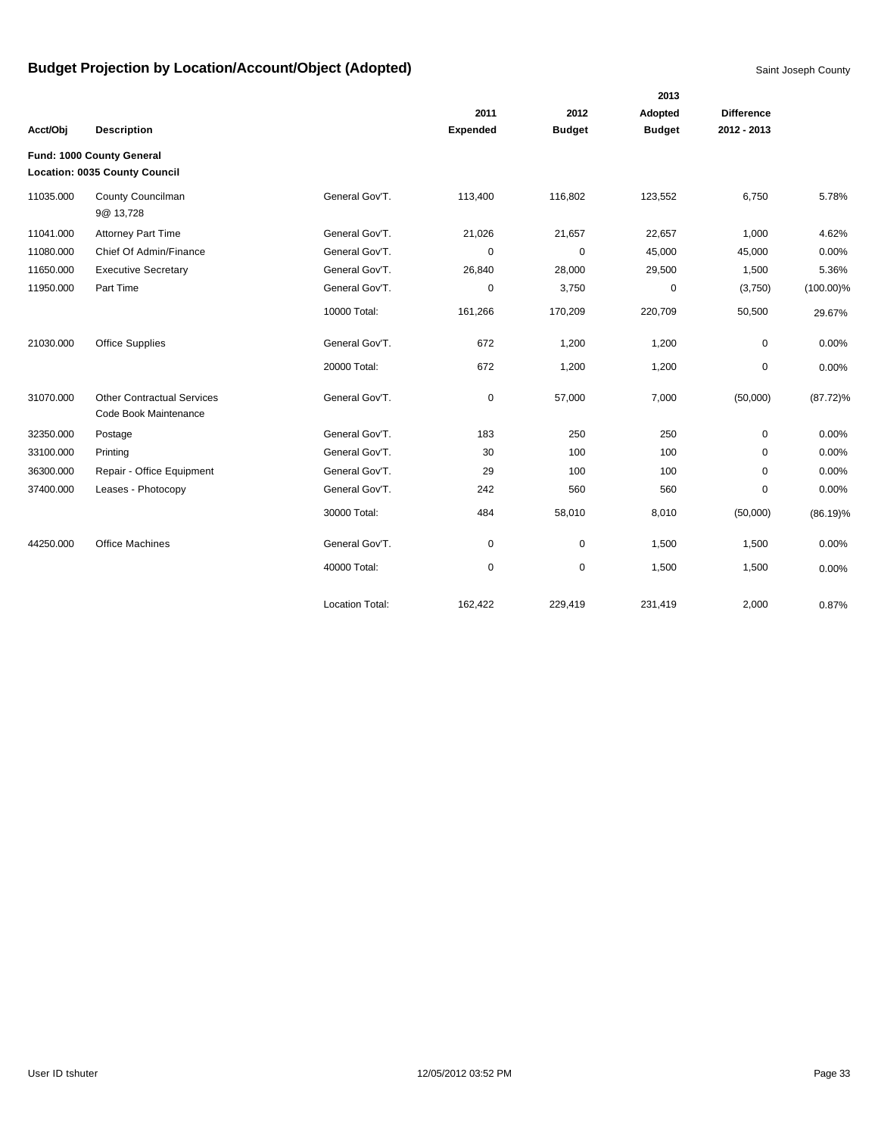|           |                                                                   |                        |                 |               | 2013          |                   |              |
|-----------|-------------------------------------------------------------------|------------------------|-----------------|---------------|---------------|-------------------|--------------|
|           |                                                                   |                        | 2011            | 2012          | Adopted       | <b>Difference</b> |              |
| Acct/Obj  | <b>Description</b>                                                |                        | <b>Expended</b> | <b>Budget</b> | <b>Budget</b> | 2012 - 2013       |              |
|           | Fund: 1000 County General<br><b>Location: 0035 County Council</b> |                        |                 |               |               |                   |              |
| 11035.000 | County Councilman<br>9@ 13,728                                    | General Gov'T.         | 113,400         | 116,802       | 123,552       | 6,750             | 5.78%        |
| 11041.000 | <b>Attorney Part Time</b>                                         | General Gov'T.         | 21,026          | 21,657        | 22,657        | 1,000             | 4.62%        |
| 11080.000 | Chief Of Admin/Finance                                            | General Gov'T.         | $\mathbf 0$     | $\mathbf 0$   | 45,000        | 45,000            | 0.00%        |
| 11650.000 | <b>Executive Secretary</b>                                        | General Gov'T.         | 26,840          | 28,000        | 29,500        | 1,500             | 5.36%        |
| 11950.000 | Part Time                                                         | General Gov'T.         | 0               | 3,750         | 0             | (3,750)           | $(100.00)\%$ |
|           |                                                                   | 10000 Total:           | 161,266         | 170,209       | 220,709       | 50,500            | 29.67%       |
| 21030.000 | <b>Office Supplies</b>                                            | General Gov'T.         | 672             | 1,200         | 1,200         | 0                 | 0.00%        |
|           |                                                                   | 20000 Total:           | 672             | 1,200         | 1,200         | 0                 | 0.00%        |
| 31070.000 | <b>Other Contractual Services</b><br>Code Book Maintenance        | General Gov'T.         | $\mathbf 0$     | 57,000        | 7,000         | (50,000)          | $(87.72)\%$  |
| 32350.000 | Postage                                                           | General Gov'T.         | 183             | 250           | 250           | 0                 | 0.00%        |
| 33100.000 | Printing                                                          | General Gov'T.         | 30              | 100           | 100           | $\Omega$          | 0.00%        |
| 36300.000 | Repair - Office Equipment                                         | General Gov'T.         | 29              | 100           | 100           | $\mathbf 0$       | 0.00%        |
| 37400.000 | Leases - Photocopy                                                | General Gov'T.         | 242             | 560           | 560           | 0                 | 0.00%        |
|           |                                                                   | 30000 Total:           | 484             | 58,010        | 8,010         | (50,000)          | $(86.19)\%$  |
| 44250.000 | <b>Office Machines</b>                                            | General Gov'T.         | 0               | $\mathbf 0$   | 1,500         | 1,500             | 0.00%        |
|           |                                                                   | 40000 Total:           | 0               | 0             | 1,500         | 1,500             | 0.00%        |
|           |                                                                   | <b>Location Total:</b> | 162,422         | 229,419       | 231,419       | 2,000             | 0.87%        |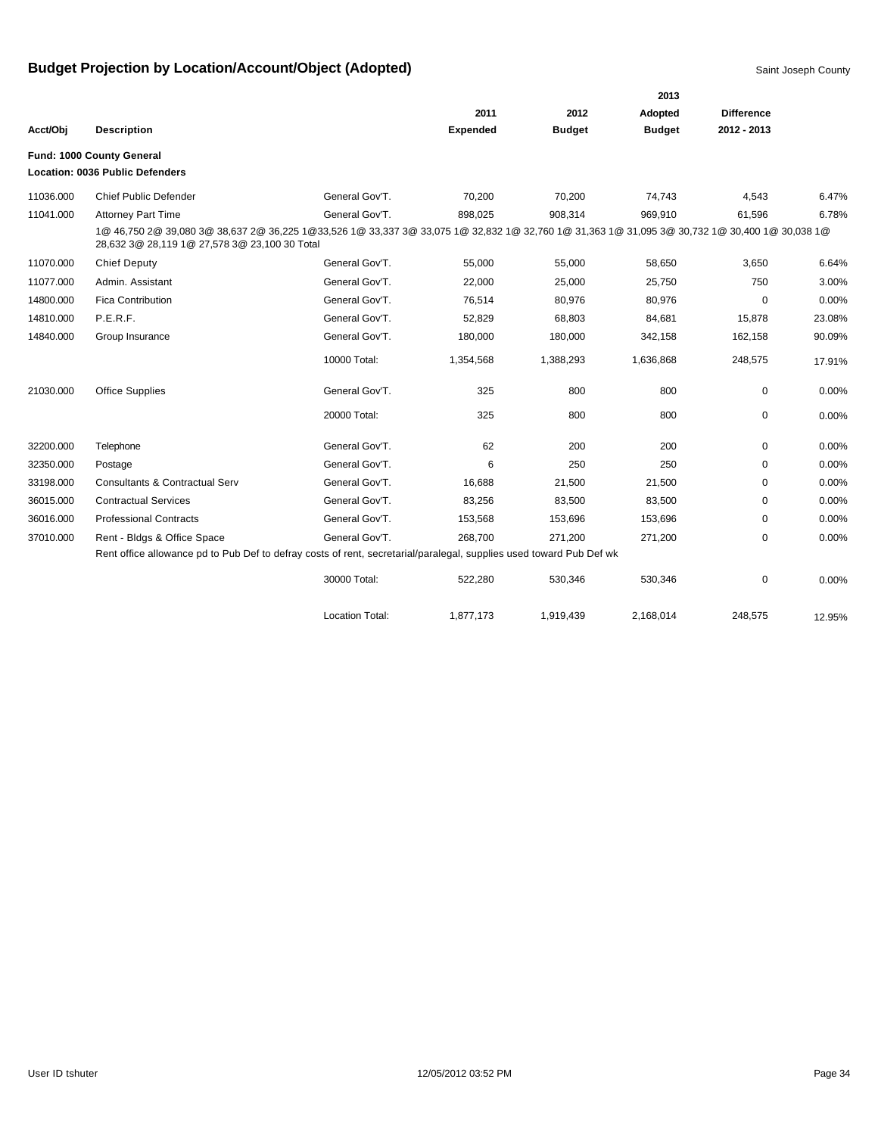|           |                                                                                                                                                                                                |                        |                 |               | 2013          |                   |        |
|-----------|------------------------------------------------------------------------------------------------------------------------------------------------------------------------------------------------|------------------------|-----------------|---------------|---------------|-------------------|--------|
|           |                                                                                                                                                                                                |                        | 2011            | 2012          | Adopted       | <b>Difference</b> |        |
| Acct/Obj  | <b>Description</b>                                                                                                                                                                             |                        | <b>Expended</b> | <b>Budget</b> | <b>Budget</b> | 2012 - 2013       |        |
|           | Fund: 1000 County General                                                                                                                                                                      |                        |                 |               |               |                   |        |
|           | <b>Location: 0036 Public Defenders</b>                                                                                                                                                         |                        |                 |               |               |                   |        |
| 11036.000 | <b>Chief Public Defender</b>                                                                                                                                                                   | General Gov'T.         | 70,200          | 70,200        | 74,743        | 4,543             | 6.47%  |
| 11041.000 | <b>Attorney Part Time</b>                                                                                                                                                                      | General Gov'T.         | 898,025         | 908,314       | 969,910       | 61,596            | 6.78%  |
|           | 1@ 46,750 2@ 39,080 3@ 38,637 2@ 36,225 1@33,526 1@ 33,337 3@ 33,075 1@ 32,832 1@ 32,760 1@ 31,363 1@ 31,095 3@ 30,732 1@ 30,400 1@ 30,038 1@<br>28,632 3@ 28,119 1@ 27,578 3@ 23,100 30 Total |                        |                 |               |               |                   |        |
| 11070.000 | <b>Chief Deputy</b>                                                                                                                                                                            | General Gov'T.         | 55,000          | 55,000        | 58,650        | 3,650             | 6.64%  |
| 11077.000 | Admin. Assistant                                                                                                                                                                               | General Gov'T.         | 22,000          | 25,000        | 25,750        | 750               | 3.00%  |
| 14800.000 | <b>Fica Contribution</b>                                                                                                                                                                       | General Gov'T.         | 76,514          | 80,976        | 80,976        | 0                 | 0.00%  |
| 14810.000 | P.E.R.F.                                                                                                                                                                                       | General Gov'T.         | 52,829          | 68,803        | 84,681        | 15,878            | 23.08% |
| 14840.000 | Group Insurance                                                                                                                                                                                | General Gov'T.         | 180,000         | 180,000       | 342,158       | 162,158           | 90.09% |
|           |                                                                                                                                                                                                | 10000 Total:           | 1,354,568       | 1,388,293     | 1,636,868     | 248,575           | 17.91% |
| 21030.000 | <b>Office Supplies</b>                                                                                                                                                                         | General Gov'T.         | 325             | 800           | 800           | 0                 | 0.00%  |
|           |                                                                                                                                                                                                | 20000 Total:           | 325             | 800           | 800           | 0                 | 0.00%  |
| 32200.000 | Telephone                                                                                                                                                                                      | General Gov'T.         | 62              | 200           | 200           | 0                 | 0.00%  |
| 32350.000 | Postage                                                                                                                                                                                        | General Gov'T.         | 6               | 250           | 250           | 0                 | 0.00%  |
| 33198.000 | <b>Consultants &amp; Contractual Serv</b>                                                                                                                                                      | General Gov'T.         | 16,688          | 21,500        | 21,500        | 0                 | 0.00%  |
| 36015.000 | <b>Contractual Services</b>                                                                                                                                                                    | General Gov'T.         | 83,256          | 83,500        | 83,500        | 0                 | 0.00%  |
| 36016.000 | <b>Professional Contracts</b>                                                                                                                                                                  | General Gov'T.         | 153,568         | 153,696       | 153,696       | 0                 | 0.00%  |
| 37010.000 | Rent - Bldgs & Office Space                                                                                                                                                                    | General Gov'T.         | 268,700         | 271,200       | 271,200       | 0                 | 0.00%  |
|           | Rent office allowance pd to Pub Def to defray costs of rent, secretarial/paralegal, supplies used toward Pub Def wk                                                                            |                        |                 |               |               |                   |        |
|           |                                                                                                                                                                                                | 30000 Total:           | 522,280         | 530,346       | 530,346       | 0                 | 0.00%  |
|           |                                                                                                                                                                                                | <b>Location Total:</b> | 1.877.173       | 1,919,439     | 2.168.014     | 248.575           | 12.95% |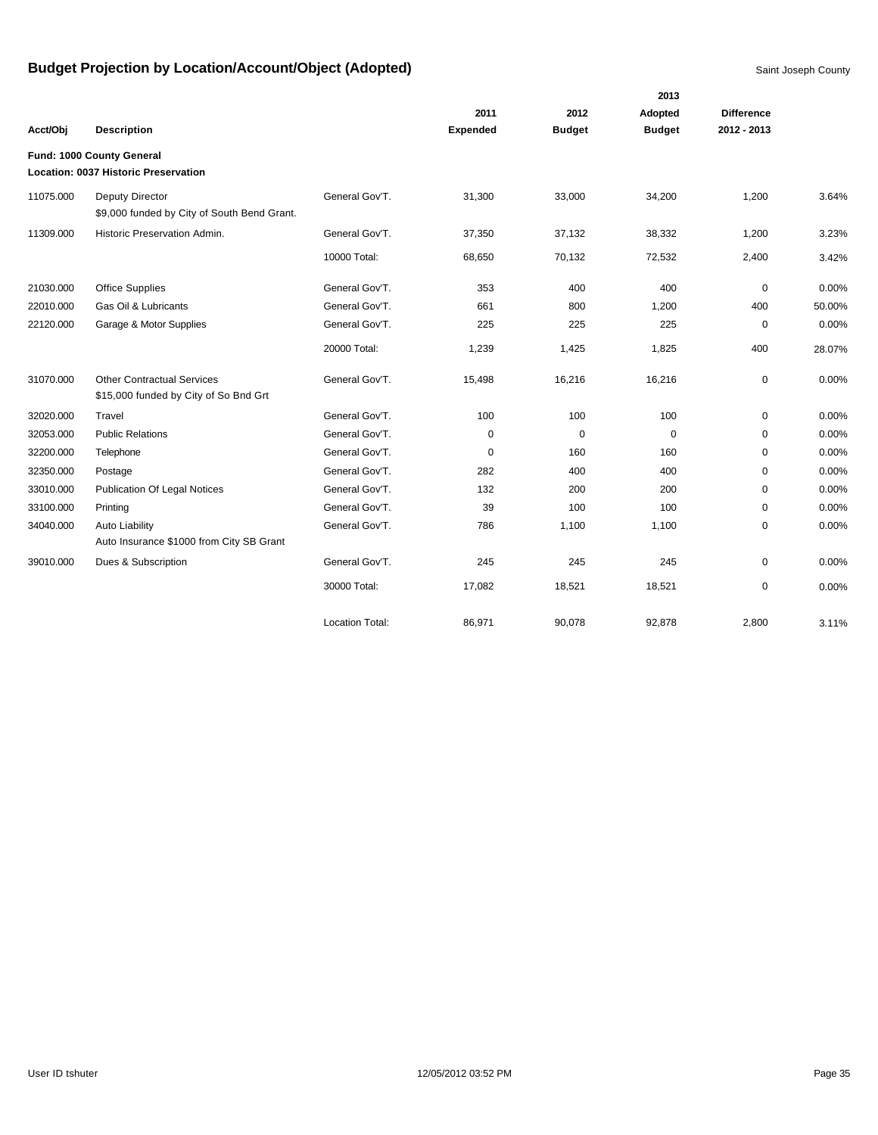|           |                                                                            |                        |                 |               | 2013          |                   |        |
|-----------|----------------------------------------------------------------------------|------------------------|-----------------|---------------|---------------|-------------------|--------|
|           |                                                                            |                        | 2011            | 2012          | Adopted       | <b>Difference</b> |        |
| Acct/Obj  | <b>Description</b>                                                         |                        | <b>Expended</b> | <b>Budget</b> | <b>Budget</b> | 2012 - 2013       |        |
|           | Fund: 1000 County General                                                  |                        |                 |               |               |                   |        |
|           | Location: 0037 Historic Preservation                                       |                        |                 |               |               |                   |        |
| 11075.000 | <b>Deputy Director</b><br>\$9,000 funded by City of South Bend Grant.      | General Gov'T.         | 31,300          | 33,000        | 34,200        | 1,200             | 3.64%  |
| 11309.000 | Historic Preservation Admin.                                               | General Gov'T.         | 37,350          | 37,132        | 38,332        | 1,200             | 3.23%  |
|           |                                                                            | 10000 Total:           | 68,650          | 70,132        | 72,532        | 2,400             | 3.42%  |
| 21030.000 | Office Supplies                                                            | General Gov'T.         | 353             | 400           | 400           | 0                 | 0.00%  |
| 22010.000 | Gas Oil & Lubricants                                                       | General Gov'T.         | 661             | 800           | 1,200         | 400               | 50.00% |
| 22120.000 | Garage & Motor Supplies                                                    | General Gov'T.         | 225             | 225           | 225           | $\mathbf 0$       | 0.00%  |
|           |                                                                            | 20000 Total:           | 1,239           | 1,425         | 1,825         | 400               | 28.07% |
| 31070.000 | <b>Other Contractual Services</b><br>\$15,000 funded by City of So Bnd Grt | General Gov'T.         | 15,498          | 16,216        | 16,216        | 0                 | 0.00%  |
| 32020.000 | Travel                                                                     | General Gov'T.         | 100             | 100           | 100           | $\mathbf 0$       | 0.00%  |
| 32053.000 | <b>Public Relations</b>                                                    | General Gov'T.         | 0               | $\mathbf 0$   | $\mathbf 0$   | $\mathbf 0$       | 0.00%  |
| 32200.000 | Telephone                                                                  | General Gov'T.         | 0               | 160           | 160           | 0                 | 0.00%  |
| 32350.000 | Postage                                                                    | General Gov'T.         | 282             | 400           | 400           | 0                 | 0.00%  |
| 33010.000 | <b>Publication Of Legal Notices</b>                                        | General Gov'T.         | 132             | 200           | 200           | $\mathbf 0$       | 0.00%  |
| 33100.000 | Printing                                                                   | General Gov'T.         | 39              | 100           | 100           | $\mathbf 0$       | 0.00%  |
| 34040.000 | Auto Liability                                                             | General Gov'T.         | 786             | 1,100         | 1,100         | $\mathbf 0$       | 0.00%  |
|           | Auto Insurance \$1000 from City SB Grant                                   |                        |                 |               |               |                   |        |
| 39010.000 | Dues & Subscription                                                        | General Gov'T.         | 245             | 245           | 245           | $\mathbf 0$       | 0.00%  |
|           |                                                                            | 30000 Total:           | 17,082          | 18,521        | 18,521        | $\mathbf 0$       | 0.00%  |
|           |                                                                            | <b>Location Total:</b> | 86,971          | 90.078        | 92.878        | 2.800             | 3.11%  |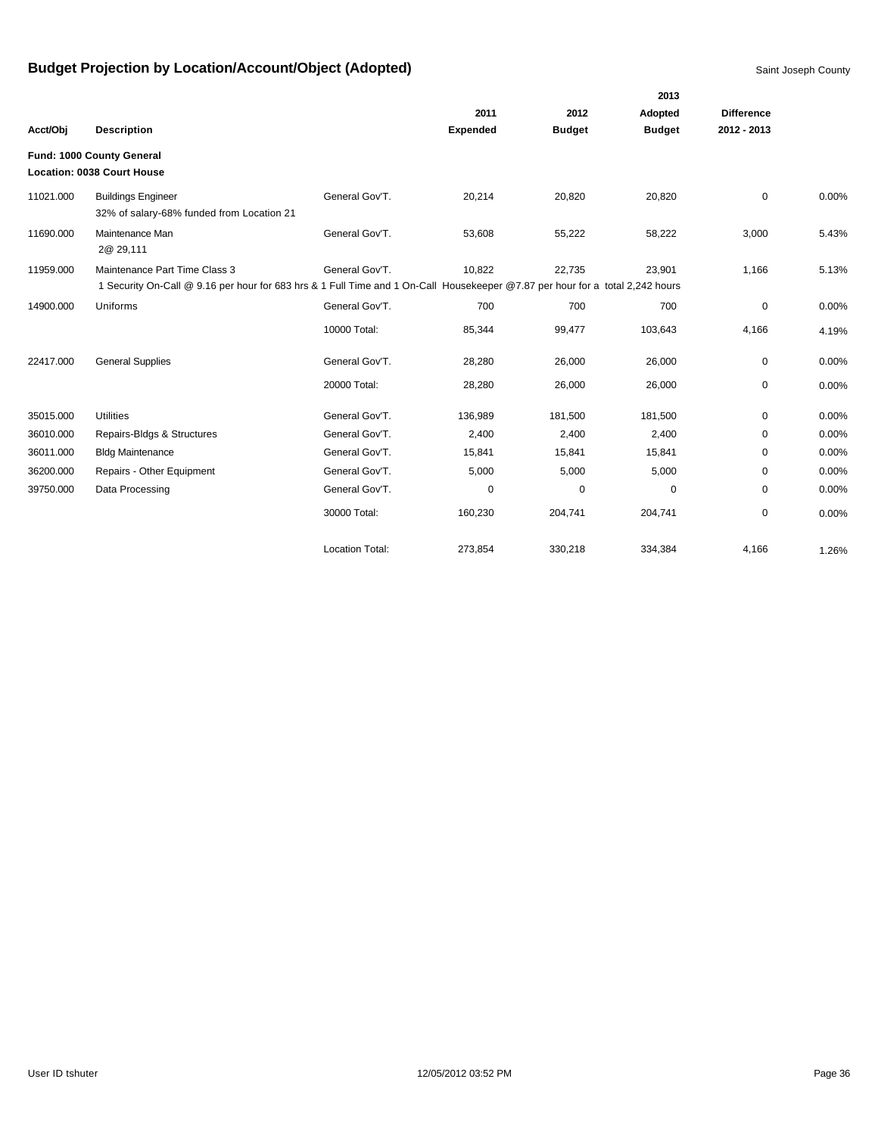|           |                                                                                                                               |                        |                 |               | 2013          |                   |       |
|-----------|-------------------------------------------------------------------------------------------------------------------------------|------------------------|-----------------|---------------|---------------|-------------------|-------|
|           |                                                                                                                               |                        | 2011            | 2012          | Adopted       | <b>Difference</b> |       |
| Acct/Obj  | <b>Description</b>                                                                                                            |                        | <b>Expended</b> | <b>Budget</b> | <b>Budget</b> | 2012 - 2013       |       |
|           | Fund: 1000 County General                                                                                                     |                        |                 |               |               |                   |       |
|           | <b>Location: 0038 Court House</b>                                                                                             |                        |                 |               |               |                   |       |
| 11021.000 | <b>Buildings Engineer</b><br>32% of salary-68% funded from Location 21                                                        | General Gov'T.         | 20,214          | 20,820        | 20,820        | $\mathbf 0$       | 0.00% |
| 11690.000 | Maintenance Man<br>2@ 29,111                                                                                                  | General Gov'T.         | 53,608          | 55,222        | 58,222        | 3,000             | 5.43% |
| 11959.000 | Maintenance Part Time Class 3                                                                                                 | General Gov'T.         | 10,822          | 22,735        | 23,901        | 1,166             | 5.13% |
|           | 1 Security On-Call @ 9.16 per hour for 683 hrs & 1 Full Time and 1 On-Call Housekeeper @7.87 per hour for a total 2,242 hours |                        |                 |               |               |                   |       |
| 14900.000 | Uniforms                                                                                                                      | General Gov'T.         | 700             | 700           | 700           | 0                 | 0.00% |
|           |                                                                                                                               | 10000 Total:           | 85,344          | 99,477        | 103,643       | 4,166             | 4.19% |
| 22417.000 | <b>General Supplies</b>                                                                                                       | General Gov'T.         | 28,280          | 26,000        | 26,000        | 0                 | 0.00% |
|           |                                                                                                                               | 20000 Total:           | 28,280          | 26,000        | 26,000        | 0                 | 0.00% |
| 35015.000 | <b>Utilities</b>                                                                                                              | General Gov'T.         | 136,989         | 181,500       | 181,500       | 0                 | 0.00% |
| 36010.000 | Repairs-Bldgs & Structures                                                                                                    | General Gov'T.         | 2,400           | 2,400         | 2,400         | $\Omega$          | 0.00% |
| 36011.000 | <b>Bldg Maintenance</b>                                                                                                       | General Gov'T.         | 15,841          | 15,841        | 15,841        | $\Omega$          | 0.00% |
| 36200.000 | Repairs - Other Equipment                                                                                                     | General Gov'T.         | 5,000           | 5,000         | 5,000         | 0                 | 0.00% |
| 39750.000 | Data Processing                                                                                                               | General Gov'T.         | 0               | 0             | 0             | 0                 | 0.00% |
|           |                                                                                                                               | 30000 Total:           | 160,230         | 204,741       | 204,741       | 0                 | 0.00% |
|           |                                                                                                                               | <b>Location Total:</b> | 273,854         | 330,218       | 334,384       | 4,166             | 1.26% |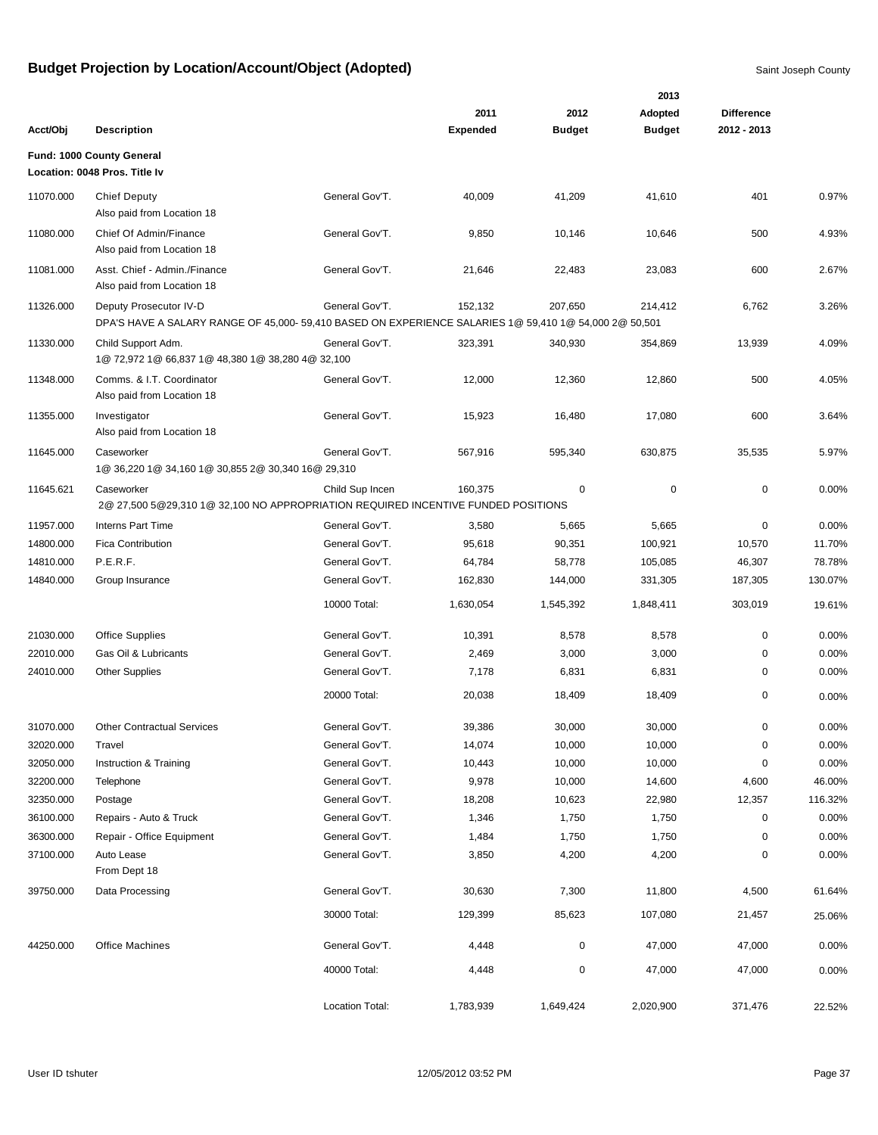|           |                                                                                                                                  |                 |                 |               | 2013          |                   |         |
|-----------|----------------------------------------------------------------------------------------------------------------------------------|-----------------|-----------------|---------------|---------------|-------------------|---------|
|           |                                                                                                                                  |                 | 2011            | 2012          | Adopted       | <b>Difference</b> |         |
| Acct/Obj  | <b>Description</b>                                                                                                               |                 | <b>Expended</b> | <b>Budget</b> | <b>Budget</b> | 2012 - 2013       |         |
|           | Fund: 1000 County General                                                                                                        |                 |                 |               |               |                   |         |
|           | Location: 0048 Pros. Title Iv                                                                                                    |                 |                 |               |               |                   |         |
| 11070.000 | <b>Chief Deputy</b><br>Also paid from Location 18                                                                                | General Gov'T.  | 40,009          | 41,209        | 41,610        | 401               | 0.97%   |
| 11080.000 | Chief Of Admin/Finance<br>Also paid from Location 18                                                                             | General Gov'T.  | 9,850           | 10,146        | 10,646        | 500               | 4.93%   |
| 11081.000 | Asst. Chief - Admin./Finance<br>Also paid from Location 18                                                                       | General Gov'T.  | 21,646          | 22,483        | 23,083        | 600               | 2.67%   |
| 11326.000 | Deputy Prosecutor IV-D<br>DPA'S HAVE A SALARY RANGE OF 45,000- 59,410 BASED ON EXPERIENCE SALARIES 1@ 59,410 1@ 54,000 2@ 50,501 | General Gov'T.  | 152,132         | 207,650       | 214,412       | 6,762             | 3.26%   |
| 11330.000 | Child Support Adm.<br>1@ 72,972 1@ 66,837 1@ 48,380 1@ 38,280 4@ 32,100                                                          | General Gov'T.  | 323,391         | 340,930       | 354,869       | 13,939            | 4.09%   |
| 11348.000 | Comms. & I.T. Coordinator<br>Also paid from Location 18                                                                          | General Gov'T.  | 12,000          | 12,360        | 12,860        | 500               | 4.05%   |
| 11355.000 | Investigator<br>Also paid from Location 18                                                                                       | General Gov'T.  | 15,923          | 16,480        | 17,080        | 600               | 3.64%   |
| 11645.000 | Caseworker<br>1@ 36,220 1@ 34,160 1@ 30,855 2@ 30,340 16@ 29,310                                                                 | General Gov'T.  | 567,916         | 595,340       | 630,875       | 35,535            | 5.97%   |
| 11645.621 | Caseworker<br>2@ 27,500 5@29,310 1@ 32,100 NO APPROPRIATION REQUIRED INCENTIVE FUNDED POSITIONS                                  | Child Sup Incen | 160,375         | 0             | 0             | $\mathbf 0$       | 0.00%   |
| 11957.000 | <b>Interns Part Time</b>                                                                                                         | General Gov'T.  | 3,580           | 5,665         | 5,665         | 0                 | 0.00%   |
| 14800.000 | <b>Fica Contribution</b>                                                                                                         | General Gov'T.  | 95,618          | 90,351        | 100,921       | 10,570            | 11.70%  |
| 14810.000 | P.E.R.F.                                                                                                                         | General Gov'T.  | 64,784          | 58,778        | 105,085       | 46,307            | 78.78%  |
| 14840.000 | Group Insurance                                                                                                                  | General Gov'T.  | 162,830         | 144,000       | 331,305       | 187,305           | 130.07% |
|           |                                                                                                                                  | 10000 Total:    | 1,630,054       | 1,545,392     | 1,848,411     | 303,019           | 19.61%  |
| 21030.000 | <b>Office Supplies</b>                                                                                                           | General Gov'T.  | 10,391          | 8,578         | 8,578         | 0                 | 0.00%   |
| 22010.000 | Gas Oil & Lubricants                                                                                                             | General Gov'T.  | 2,469           | 3,000         | 3,000         | 0                 | 0.00%   |
| 24010.000 | <b>Other Supplies</b>                                                                                                            | General Gov'T.  | 7,178           | 6,831         | 6,831         | 0                 | 0.00%   |
|           |                                                                                                                                  | 20000 Total:    | 20,038          | 18,409        | 18,409        | 0                 | 0.00%   |
| 31070.000 | <b>Other Contractual Services</b>                                                                                                | General Gov'T.  | 39,386          | 30,000        | 30,000        | $\mathbf 0$       | 0.00%   |
| 32020.000 | Travel                                                                                                                           | General Gov'T.  | 14,074          | 10,000        | 10,000        | $\pmb{0}$         | 0.00%   |
| 32050.000 | Instruction & Training                                                                                                           | General Gov'T.  | 10,443          | 10,000        | 10,000        | 0                 | 0.00%   |
| 32200.000 | Telephone                                                                                                                        | General Gov'T.  | 9,978           | 10,000        | 14,600        | 4,600             | 46.00%  |
| 32350.000 | Postage                                                                                                                          | General Gov'T.  | 18,208          | 10,623        | 22,980        | 12,357            | 116.32% |
| 36100.000 | Repairs - Auto & Truck                                                                                                           | General Gov'T.  | 1,346           | 1,750         | 1,750         | 0                 | 0.00%   |
| 36300.000 | Repair - Office Equipment                                                                                                        | General Gov'T.  | 1,484           | 1,750         | 1,750         | 0                 | 0.00%   |
| 37100.000 | Auto Lease<br>From Dept 18                                                                                                       | General Gov'T.  | 3,850           | 4,200         | 4,200         | 0                 | 0.00%   |
| 39750.000 | Data Processing                                                                                                                  | General Gov'T.  | 30,630          | 7,300         | 11,800        | 4,500             | 61.64%  |
|           |                                                                                                                                  | 30000 Total:    | 129,399         | 85,623        | 107,080       | 21,457            | 25.06%  |
| 44250.000 | <b>Office Machines</b>                                                                                                           | General Gov'T.  | 4,448           | $\pmb{0}$     | 47,000        | 47,000            | 0.00%   |
|           |                                                                                                                                  | 40000 Total:    | 4,448           | $\pmb{0}$     | 47,000        | 47,000            | 0.00%   |
|           |                                                                                                                                  | Location Total: | 1,783,939       | 1,649,424     | 2,020,900     | 371,476           | 22.52%  |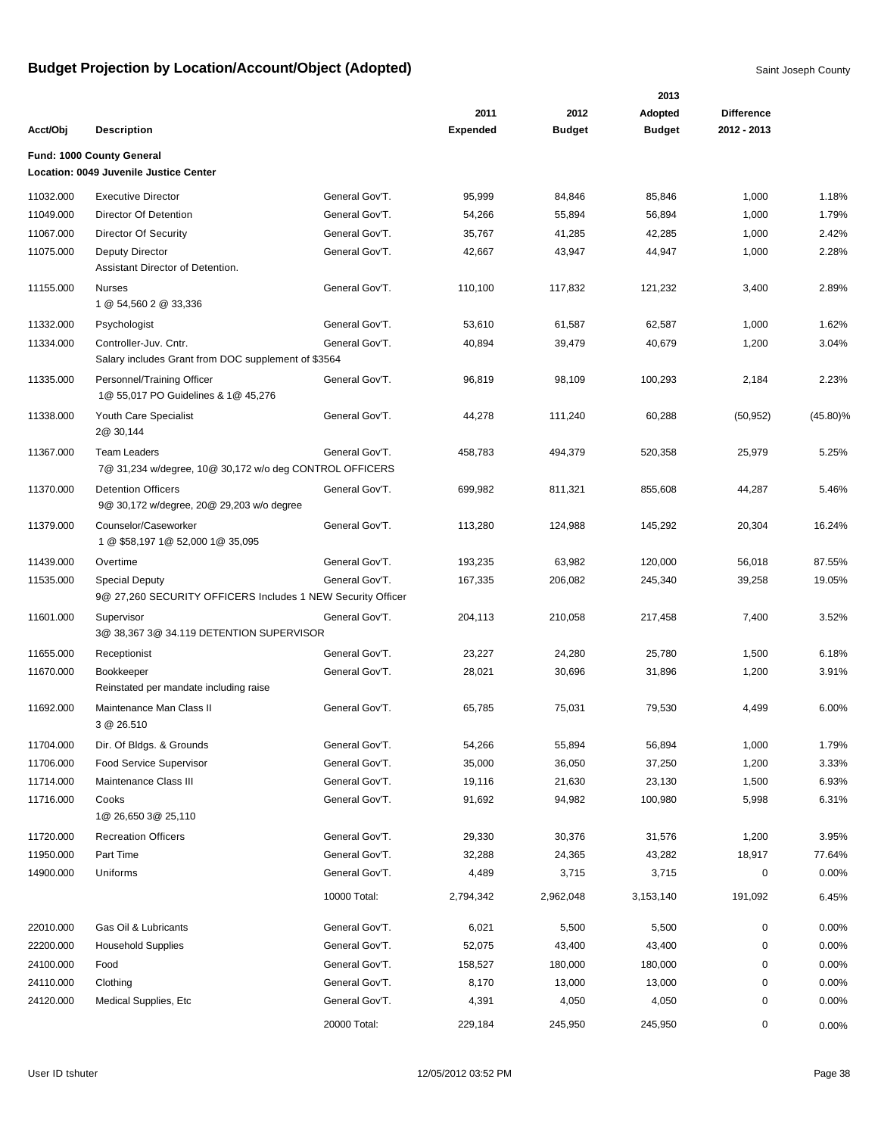|           |                                                                                      |                |                         |                       | 2013                     |                                  |             |
|-----------|--------------------------------------------------------------------------------------|----------------|-------------------------|-----------------------|--------------------------|----------------------------------|-------------|
| Acct/Obj  | <b>Description</b>                                                                   |                | 2011<br><b>Expended</b> | 2012<br><b>Budget</b> | Adopted<br><b>Budget</b> | <b>Difference</b><br>2012 - 2013 |             |
|           |                                                                                      |                |                         |                       |                          |                                  |             |
|           | Fund: 1000 County General<br>Location: 0049 Juvenile Justice Center                  |                |                         |                       |                          |                                  |             |
| 11032.000 | <b>Executive Director</b>                                                            | General Gov'T. | 95,999                  | 84,846                | 85,846                   | 1,000                            | 1.18%       |
| 11049.000 | Director Of Detention                                                                | General Gov'T. | 54,266                  | 55,894                | 56,894                   | 1,000                            | 1.79%       |
| 11067.000 | Director Of Security                                                                 | General Gov'T. | 35,767                  | 41,285                | 42,285                   | 1,000                            | 2.42%       |
| 11075.000 | <b>Deputy Director</b><br>Assistant Director of Detention.                           | General Gov'T. | 42,667                  | 43,947                | 44,947                   | 1,000                            | 2.28%       |
| 11155.000 | <b>Nurses</b><br>1 @ 54,560 2 @ 33,336                                               | General Gov'T. | 110,100                 | 117,832               | 121,232                  | 3,400                            | 2.89%       |
| 11332.000 | Psychologist                                                                         | General Gov'T. | 53,610                  | 61,587                | 62,587                   | 1,000                            | 1.62%       |
| 11334.000 | Controller-Juv. Cntr.<br>Salary includes Grant from DOC supplement of \$3564         | General Gov'T. | 40,894                  | 39,479                | 40,679                   | 1,200                            | 3.04%       |
| 11335.000 | Personnel/Training Officer<br>1@ 55,017 PO Guidelines & 1@ 45,276                    | General Gov'T. | 96,819                  | 98,109                | 100,293                  | 2,184                            | 2.23%       |
| 11338.000 | Youth Care Specialist<br>2@ 30,144                                                   | General Gov'T. | 44,278                  | 111,240               | 60,288                   | (50, 952)                        | $(45.80)\%$ |
| 11367.000 | <b>Team Leaders</b><br>7@ 31,234 w/degree, 10@ 30,172 w/o deg CONTROL OFFICERS       | General Gov'T. | 458,783                 | 494,379               | 520,358                  | 25,979                           | 5.25%       |
| 11370.000 | <b>Detention Officers</b><br>9@ 30,172 w/degree, 20@ 29,203 w/o degree               | General Gov'T. | 699,982                 | 811,321               | 855,608                  | 44,287                           | 5.46%       |
| 11379.000 | Counselor/Caseworker<br>1 @ \$58,197 1 @ 52,000 1 @ 35,095                           | General Gov'T. | 113,280                 | 124,988               | 145,292                  | 20,304                           | 16.24%      |
| 11439.000 | Overtime                                                                             | General Gov'T. | 193,235                 | 63,982                | 120,000                  | 56,018                           | 87.55%      |
| 11535.000 | <b>Special Deputy</b><br>9@ 27,260 SECURITY OFFICERS Includes 1 NEW Security Officer | General Gov'T. | 167,335                 | 206,082               | 245,340                  | 39,258                           | 19.05%      |
| 11601.000 | Supervisor<br>3@ 38,367 3@ 34.119 DETENTION SUPERVISOR                               | General Gov'T. | 204,113                 | 210,058               | 217,458                  | 7,400                            | 3.52%       |
| 11655.000 | Receptionist                                                                         | General Gov'T. | 23,227                  | 24,280                | 25,780                   | 1,500                            | 6.18%       |
| 11670.000 | Bookkeeper<br>Reinstated per mandate including raise                                 | General Gov'T. | 28,021                  | 30,696                | 31,896                   | 1,200                            | 3.91%       |
| 11692.000 | Maintenance Man Class II<br>3 @ 26.510                                               | General Gov'T. | 65,785                  | 75,031                | 79,530                   | 4,499                            | 6.00%       |
| 11704.000 | Dir. Of Bldgs. & Grounds                                                             | General Gov'T. | 54,266                  | 55,894                | 56,894                   | 1,000                            | 1.79%       |
| 11706.000 | Food Service Supervisor                                                              | General Gov'T. | 35,000                  | 36,050                | 37,250                   | 1,200                            | 3.33%       |
| 11714.000 | Maintenance Class III                                                                | General Gov'T. | 19,116                  | 21,630                | 23,130                   | 1,500                            | 6.93%       |
| 11716.000 | Cooks<br>1@ 26,650 3@ 25,110                                                         | General Gov'T. | 91,692                  | 94,982                | 100,980                  | 5,998                            | 6.31%       |
| 11720.000 | <b>Recreation Officers</b>                                                           | General Gov'T. | 29,330                  | 30,376                | 31,576                   | 1,200                            | 3.95%       |
| 11950.000 | Part Time                                                                            | General Gov'T. | 32,288                  | 24,365                | 43,282                   | 18,917                           | 77.64%      |
| 14900.000 | Uniforms                                                                             | General Gov'T. | 4,489                   | 3,715                 | 3,715                    | 0                                | 0.00%       |
|           |                                                                                      | 10000 Total:   | 2,794,342               | 2,962,048             | 3,153,140                | 191,092                          | 6.45%       |
| 22010.000 | Gas Oil & Lubricants                                                                 | General Gov'T. | 6,021                   | 5,500                 | 5,500                    | 0                                | 0.00%       |
| 22200.000 | <b>Household Supplies</b>                                                            | General Gov'T. | 52,075                  | 43,400                | 43,400                   | 0                                | 0.00%       |
| 24100.000 | Food                                                                                 | General Gov'T. | 158,527                 | 180,000               | 180,000                  | 0                                | 0.00%       |
| 24110.000 | Clothing                                                                             | General Gov'T. | 8,170                   | 13,000                | 13,000                   | 0                                | 0.00%       |
| 24120.000 | Medical Supplies, Etc                                                                | General Gov'T. | 4,391                   | 4,050                 | 4,050                    | 0                                | 0.00%       |
|           |                                                                                      | 20000 Total:   | 229,184                 | 245,950               | 245,950                  | 0                                | 0.00%       |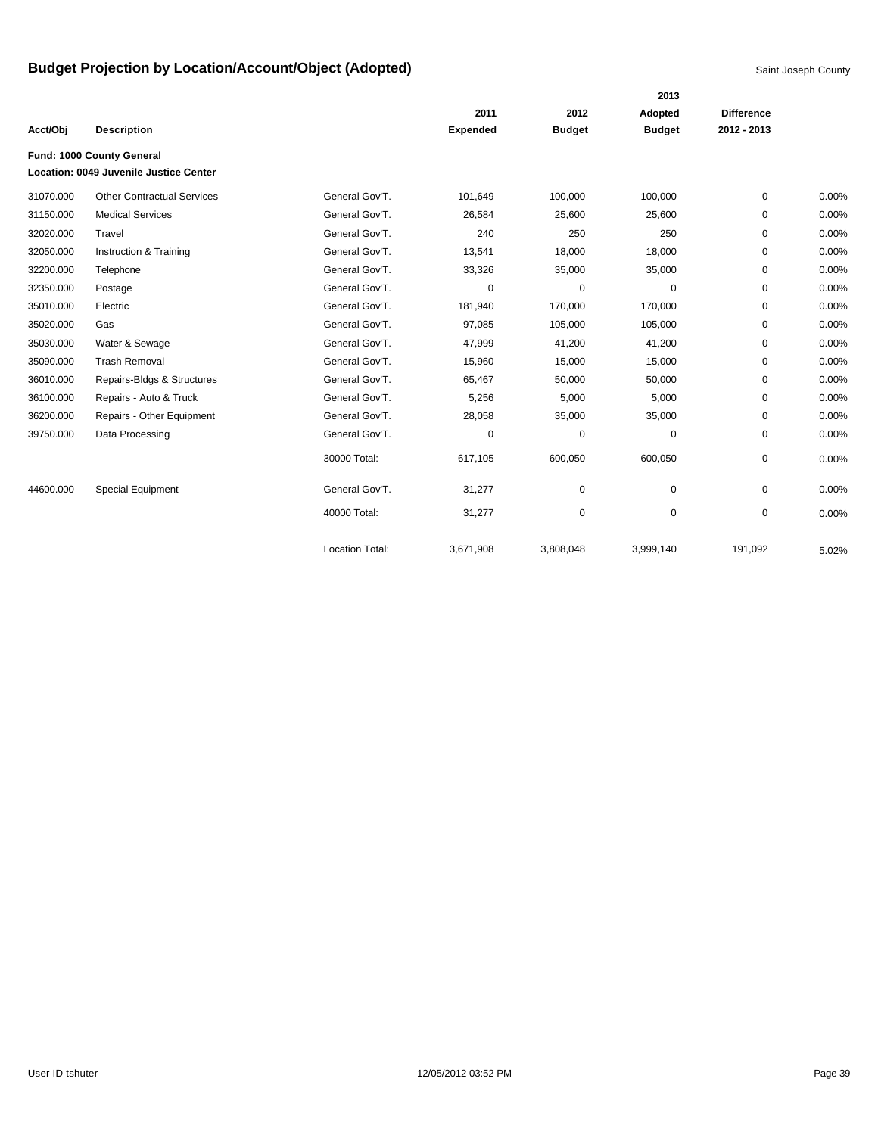|           |                                        |                        |                 |               | 2013          |                   |       |
|-----------|----------------------------------------|------------------------|-----------------|---------------|---------------|-------------------|-------|
|           |                                        |                        | 2011            | 2012          | Adopted       | <b>Difference</b> |       |
| Acct/Obj  | <b>Description</b>                     |                        | <b>Expended</b> | <b>Budget</b> | <b>Budget</b> | 2012 - 2013       |       |
|           | Fund: 1000 County General              |                        |                 |               |               |                   |       |
|           | Location: 0049 Juvenile Justice Center |                        |                 |               |               |                   |       |
| 31070.000 | <b>Other Contractual Services</b>      | General Gov'T.         | 101,649         | 100,000       | 100,000       | 0                 | 0.00% |
| 31150.000 | <b>Medical Services</b>                | General Gov'T.         | 26,584          | 25,600        | 25,600        | 0                 | 0.00% |
| 32020.000 | Travel                                 | General Gov'T.         | 240             | 250           | 250           | 0                 | 0.00% |
| 32050.000 | Instruction & Training                 | General Gov'T.         | 13,541          | 18,000        | 18,000        | 0                 | 0.00% |
| 32200.000 | Telephone                              | General Gov'T.         | 33,326          | 35,000        | 35,000        | 0                 | 0.00% |
| 32350.000 | Postage                                | General Gov'T.         | 0               | 0             | 0             | 0                 | 0.00% |
| 35010.000 | Electric                               | General Gov'T.         | 181,940         | 170,000       | 170,000       | 0                 | 0.00% |
| 35020.000 | Gas                                    | General Gov'T.         | 97,085          | 105,000       | 105,000       | 0                 | 0.00% |
| 35030.000 | Water & Sewage                         | General Gov'T.         | 47,999          | 41,200        | 41,200        | 0                 | 0.00% |
| 35090.000 | <b>Trash Removal</b>                   | General Gov'T.         | 15,960          | 15,000        | 15,000        | 0                 | 0.00% |
| 36010.000 | Repairs-Bldgs & Structures             | General Gov'T.         | 65,467          | 50,000        | 50,000        | 0                 | 0.00% |
| 36100.000 | Repairs - Auto & Truck                 | General Gov'T.         | 5,256           | 5,000         | 5,000         | 0                 | 0.00% |
| 36200.000 | Repairs - Other Equipment              | General Gov'T.         | 28,058          | 35,000        | 35,000        | 0                 | 0.00% |
| 39750.000 | Data Processing                        | General Gov'T.         | 0               | 0             | 0             | 0                 | 0.00% |
|           |                                        | 30000 Total:           | 617,105         | 600,050       | 600,050       | 0                 | 0.00% |
| 44600.000 | Special Equipment                      | General Gov'T.         | 31,277          | 0             | 0             | 0                 | 0.00% |
|           |                                        | 40000 Total:           | 31,277          | 0             | 0             | 0                 | 0.00% |
|           |                                        | <b>Location Total:</b> | 3,671,908       | 3,808,048     | 3,999,140     | 191.092           | 5.02% |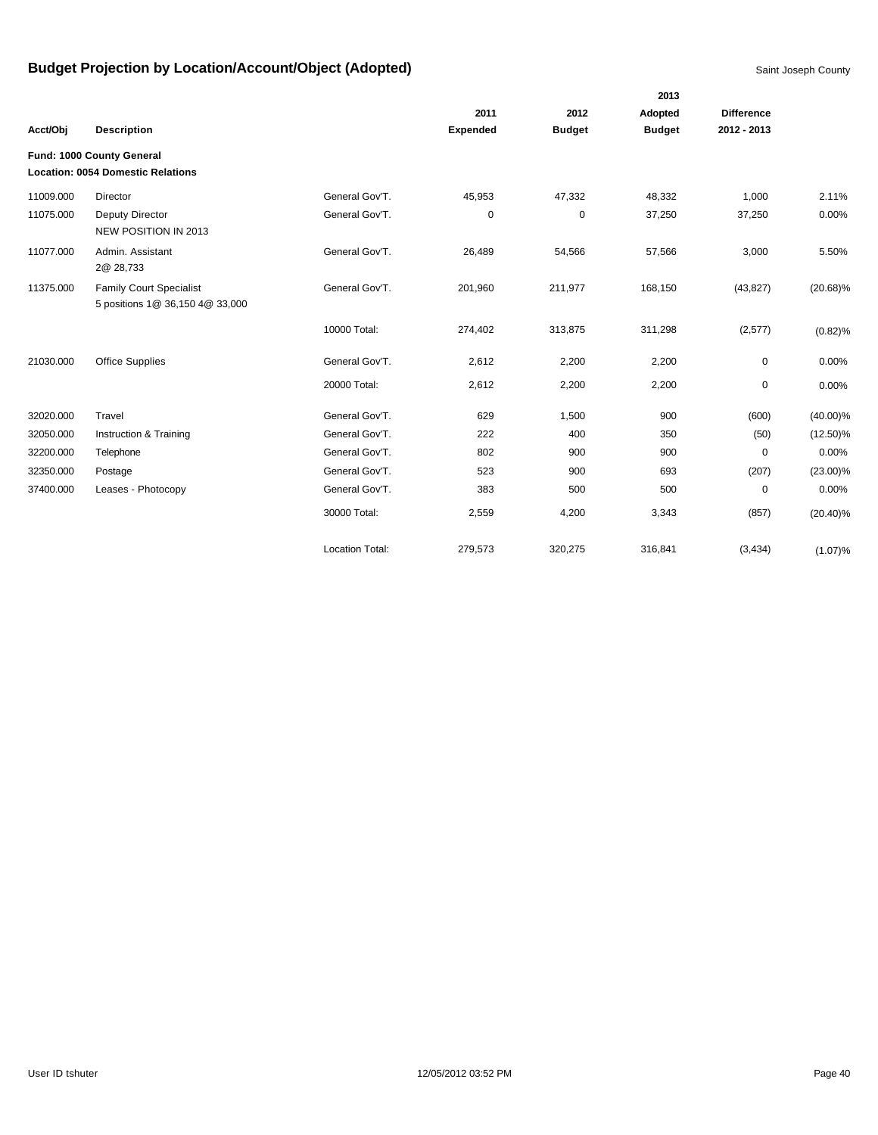|           |                                                                   |                        |                 |               | 2013          |                   |             |
|-----------|-------------------------------------------------------------------|------------------------|-----------------|---------------|---------------|-------------------|-------------|
|           |                                                                   |                        | 2011            | 2012          | Adopted       | <b>Difference</b> |             |
| Acct/Obj  | <b>Description</b>                                                |                        | <b>Expended</b> | <b>Budget</b> | <b>Budget</b> | 2012 - 2013       |             |
|           | Fund: 1000 County General                                         |                        |                 |               |               |                   |             |
|           | <b>Location: 0054 Domestic Relations</b>                          |                        |                 |               |               |                   |             |
| 11009.000 | Director                                                          | General Gov'T.         | 45,953          | 47,332        | 48,332        | 1,000             | 2.11%       |
| 11075.000 | Deputy Director<br>NEW POSITION IN 2013                           | General Gov'T.         | 0               | 0             | 37,250        | 37,250            | 0.00%       |
| 11077.000 | Admin. Assistant<br>2@ 28,733                                     | General Gov'T.         | 26,489          | 54,566        | 57,566        | 3,000             | 5.50%       |
| 11375.000 | <b>Family Court Specialist</b><br>5 positions 1@ 36,150 4@ 33,000 | General Gov'T.         | 201,960         | 211,977       | 168,150       | (43, 827)         | $(20.68)\%$ |
|           |                                                                   | 10000 Total:           | 274,402         | 313,875       | 311,298       | (2,577)           | $(0.82)\%$  |
| 21030.000 | <b>Office Supplies</b>                                            | General Gov'T.         | 2,612           | 2,200         | 2,200         | 0                 | 0.00%       |
|           |                                                                   | 20000 Total:           | 2,612           | 2,200         | 2,200         | 0                 | 0.00%       |
| 32020.000 | Travel                                                            | General Gov'T.         | 629             | 1,500         | 900           | (600)             | $(40.00)\%$ |
| 32050.000 | Instruction & Training                                            | General Gov'T.         | 222             | 400           | 350           | (50)              | $(12.50)\%$ |
| 32200.000 | Telephone                                                         | General Gov'T.         | 802             | 900           | 900           | $\mathbf 0$       | 0.00%       |
| 32350.000 | Postage                                                           | General Gov'T.         | 523             | 900           | 693           | (207)             | $(23.00)\%$ |
| 37400.000 | Leases - Photocopy                                                | General Gov'T.         | 383             | 500           | 500           | 0                 | 0.00%       |
|           |                                                                   | 30000 Total:           | 2,559           | 4,200         | 3,343         | (857)             | $(20.40)\%$ |
|           |                                                                   | <b>Location Total:</b> | 279,573         | 320,275       | 316,841       | (3, 434)          | (1.07)%     |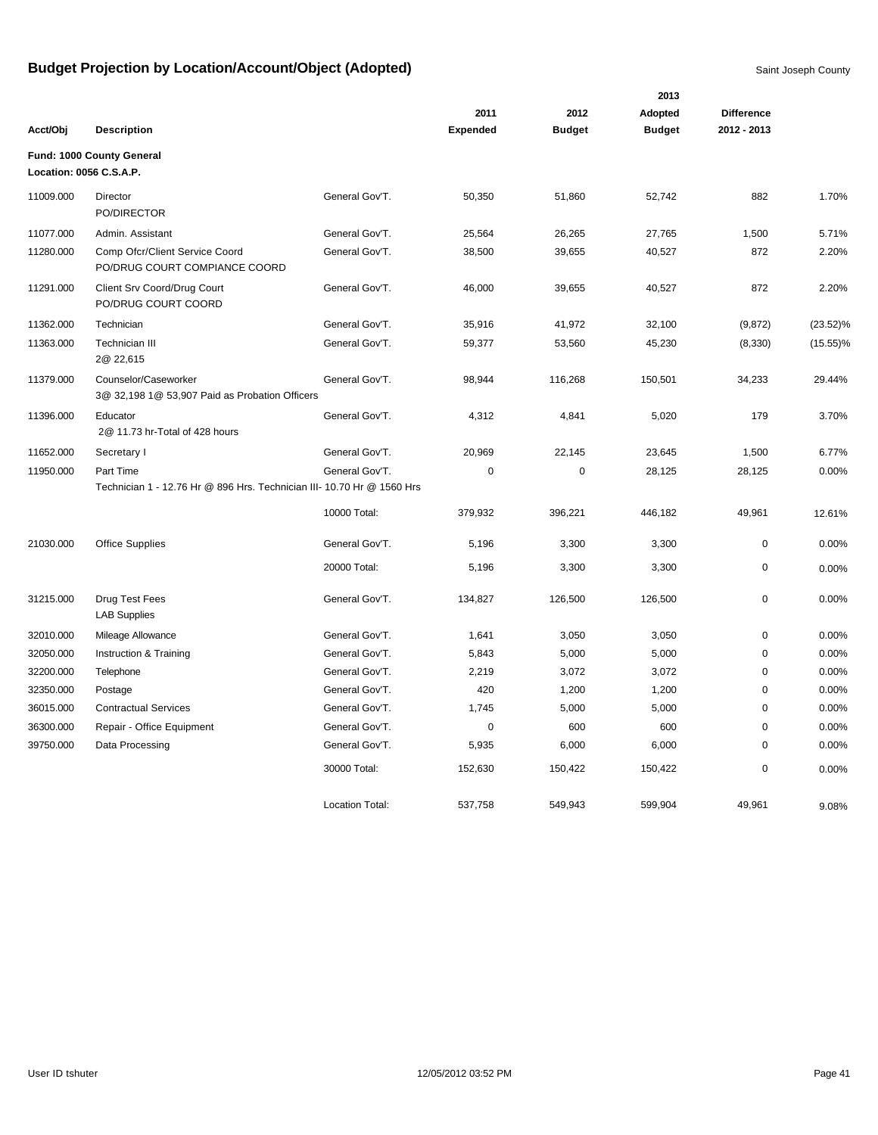|           |                                                                        |                        |                 |               | 2013          |                   |             |
|-----------|------------------------------------------------------------------------|------------------------|-----------------|---------------|---------------|-------------------|-------------|
|           |                                                                        |                        | 2011            | 2012          | Adopted       | <b>Difference</b> |             |
| Acct/Obj  | <b>Description</b>                                                     |                        | <b>Expended</b> | <b>Budget</b> | <b>Budget</b> | 2012 - 2013       |             |
|           | Fund: 1000 County General<br>Location: 0056 C.S.A.P.                   |                        |                 |               |               |                   |             |
| 11009.000 | Director<br>PO/DIRECTOR                                                | General Gov'T.         | 50,350          | 51,860        | 52,742        | 882               | 1.70%       |
| 11077.000 | Admin, Assistant                                                       | General Gov'T.         | 25,564          | 26,265        | 27,765        | 1,500             | 5.71%       |
| 11280.000 | Comp Ofcr/Client Service Coord<br>PO/DRUG COURT COMPIANCE COORD        | General Gov'T.         | 38,500          | 39,655        | 40,527        | 872               | 2.20%       |
| 11291.000 | Client Srv Coord/Drug Court<br>PO/DRUG COURT COORD                     | General Gov'T.         | 46,000          | 39,655        | 40,527        | 872               | 2.20%       |
| 11362.000 | Technician                                                             | General Gov'T.         | 35,916          | 41,972        | 32,100        | (9, 872)          | $(23.52)\%$ |
| 11363.000 | Technician III<br>2@ 22,615                                            | General Gov'T.         | 59,377          | 53,560        | 45,230        | (8, 330)          | $(15.55)\%$ |
| 11379.000 | Counselor/Caseworker<br>3@ 32,198 1@ 53,907 Paid as Probation Officers | General Gov'T.         | 98,944          | 116,268       | 150,501       | 34,233            | 29.44%      |
| 11396.000 | Educator<br>2@ 11.73 hr-Total of 428 hours                             | General Gov'T.         | 4,312           | 4,841         | 5,020         | 179               | 3.70%       |
| 11652.000 | Secretary I                                                            | General Gov'T.         | 20,969          | 22,145        | 23,645        | 1,500             | 6.77%       |
| 11950.000 | Part Time                                                              | General Gov'T.         | $\mathbf 0$     | $\mathbf 0$   | 28,125        | 28,125            | 0.00%       |
|           | Technician 1 - 12.76 Hr @ 896 Hrs. Technician III- 10.70 Hr @ 1560 Hrs |                        |                 |               |               |                   |             |
|           |                                                                        | 10000 Total:           | 379,932         | 396,221       | 446,182       | 49,961            | 12.61%      |
| 21030.000 | <b>Office Supplies</b>                                                 | General Gov'T.         | 5,196           | 3,300         | 3,300         | $\mathbf 0$       | 0.00%       |
|           |                                                                        | 20000 Total:           | 5,196           | 3,300         | 3,300         | 0                 | 0.00%       |
| 31215.000 | Drug Test Fees<br><b>LAB Supplies</b>                                  | General Gov'T.         | 134,827         | 126,500       | 126,500       | $\mathbf 0$       | 0.00%       |
| 32010.000 | Mileage Allowance                                                      | General Gov'T.         | 1,641           | 3,050         | 3,050         | $\mathbf 0$       | 0.00%       |
| 32050.000 | Instruction & Training                                                 | General Gov'T.         | 5,843           | 5,000         | 5,000         | 0                 | 0.00%       |
| 32200.000 | Telephone                                                              | General Gov'T.         | 2,219           | 3,072         | 3,072         | 0                 | 0.00%       |
| 32350.000 | Postage                                                                | General Gov'T.         | 420             | 1,200         | 1,200         | 0                 | 0.00%       |
| 36015.000 | <b>Contractual Services</b>                                            | General Gov'T.         | 1,745           | 5,000         | 5,000         | 0                 | 0.00%       |
| 36300.000 | Repair - Office Equipment                                              | General Gov'T.         | $\pmb{0}$       | 600           | 600           | 0                 | 0.00%       |
| 39750.000 | Data Processing                                                        | General Gov'T.         | 5,935           | 6,000         | 6,000         | 0                 | 0.00%       |
|           |                                                                        | 30000 Total:           | 152,630         | 150,422       | 150,422       | 0                 | 0.00%       |
|           |                                                                        | <b>Location Total:</b> | 537,758         | 549,943       | 599,904       | 49.961            | 9.08%       |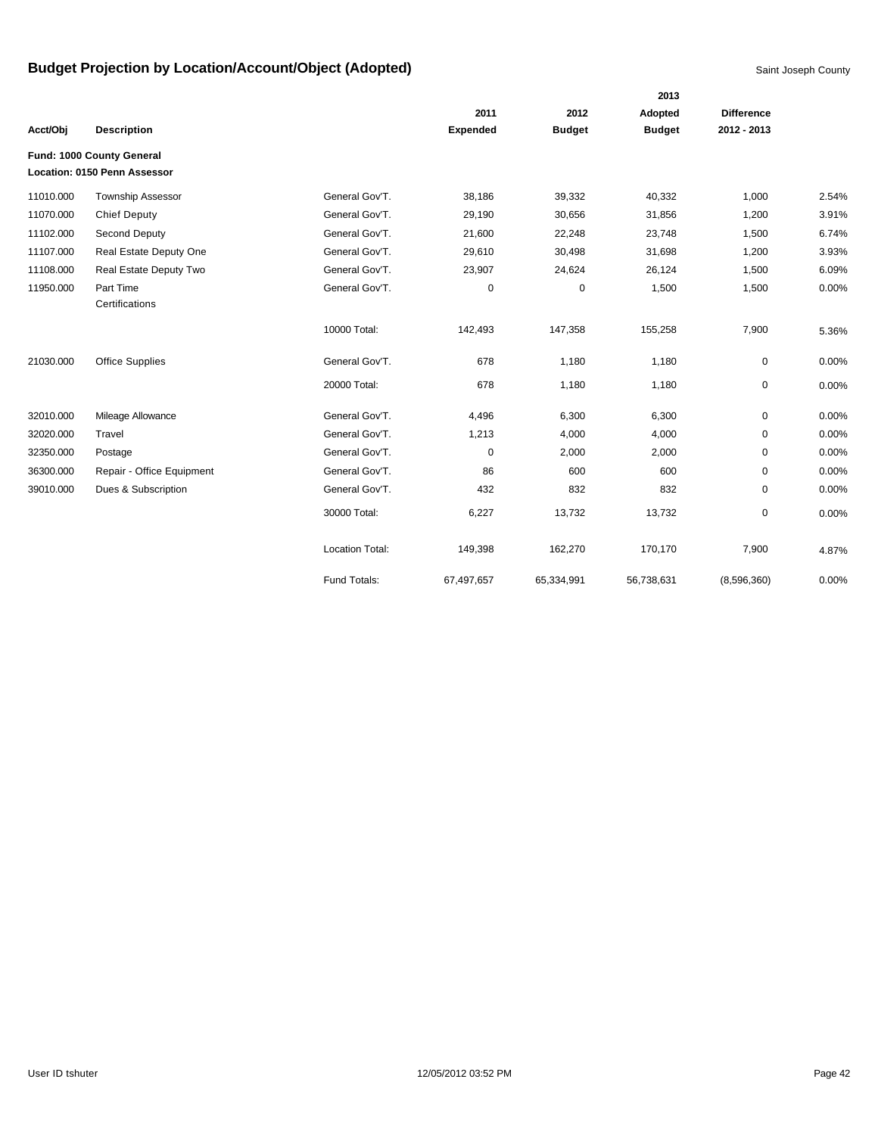|           |                                                           |                        |                 |               | 2013          |                   |       |
|-----------|-----------------------------------------------------------|------------------------|-----------------|---------------|---------------|-------------------|-------|
|           |                                                           |                        | 2011            | 2012          | Adopted       | <b>Difference</b> |       |
| Acct/Obj  | <b>Description</b>                                        |                        | <b>Expended</b> | <b>Budget</b> | <b>Budget</b> | 2012 - 2013       |       |
|           | Fund: 1000 County General<br>Location: 0150 Penn Assessor |                        |                 |               |               |                   |       |
| 11010.000 | <b>Township Assessor</b>                                  | General Gov'T.         | 38,186          | 39,332        | 40,332        | 1,000             | 2.54% |
| 11070.000 | <b>Chief Deputy</b>                                       | General Gov'T.         | 29,190          | 30,656        | 31,856        | 1,200             | 3.91% |
| 11102.000 | Second Deputy                                             | General Gov'T.         | 21,600          | 22,248        | 23,748        | 1,500             | 6.74% |
| 11107.000 | Real Estate Deputy One                                    | General Gov'T.         | 29,610          | 30,498        | 31,698        | 1,200             | 3.93% |
| 11108.000 | Real Estate Deputy Two                                    | General Gov'T.         | 23,907          | 24,624        | 26,124        | 1,500             | 6.09% |
| 11950.000 | Part Time<br>Certifications                               | General Gov'T.         | 0               | $\pmb{0}$     | 1,500         | 1,500             | 0.00% |
|           |                                                           | 10000 Total:           | 142,493         | 147,358       | 155,258       | 7,900             | 5.36% |
| 21030.000 | <b>Office Supplies</b>                                    | General Gov'T.         | 678             | 1,180         | 1,180         | 0                 | 0.00% |
|           |                                                           | 20000 Total:           | 678             | 1,180         | 1,180         | 0                 | 0.00% |
| 32010.000 | Mileage Allowance                                         | General Gov'T.         | 4,496           | 6,300         | 6,300         | 0                 | 0.00% |
| 32020.000 | Travel                                                    | General Gov'T.         | 1,213           | 4,000         | 4,000         | 0                 | 0.00% |
| 32350.000 | Postage                                                   | General Gov'T.         | 0               | 2,000         | 2,000         | 0                 | 0.00% |
| 36300.000 | Repair - Office Equipment                                 | General Gov'T.         | 86              | 600           | 600           | 0                 | 0.00% |
| 39010.000 | Dues & Subscription                                       | General Gov'T.         | 432             | 832           | 832           | 0                 | 0.00% |
|           |                                                           | 30000 Total:           | 6,227           | 13,732        | 13,732        | 0                 | 0.00% |
|           |                                                           | <b>Location Total:</b> | 149,398         | 162,270       | 170,170       | 7,900             | 4.87% |
|           |                                                           | Fund Totals:           | 67,497,657      | 65,334,991    | 56,738,631    | (8,596,360)       | 0.00% |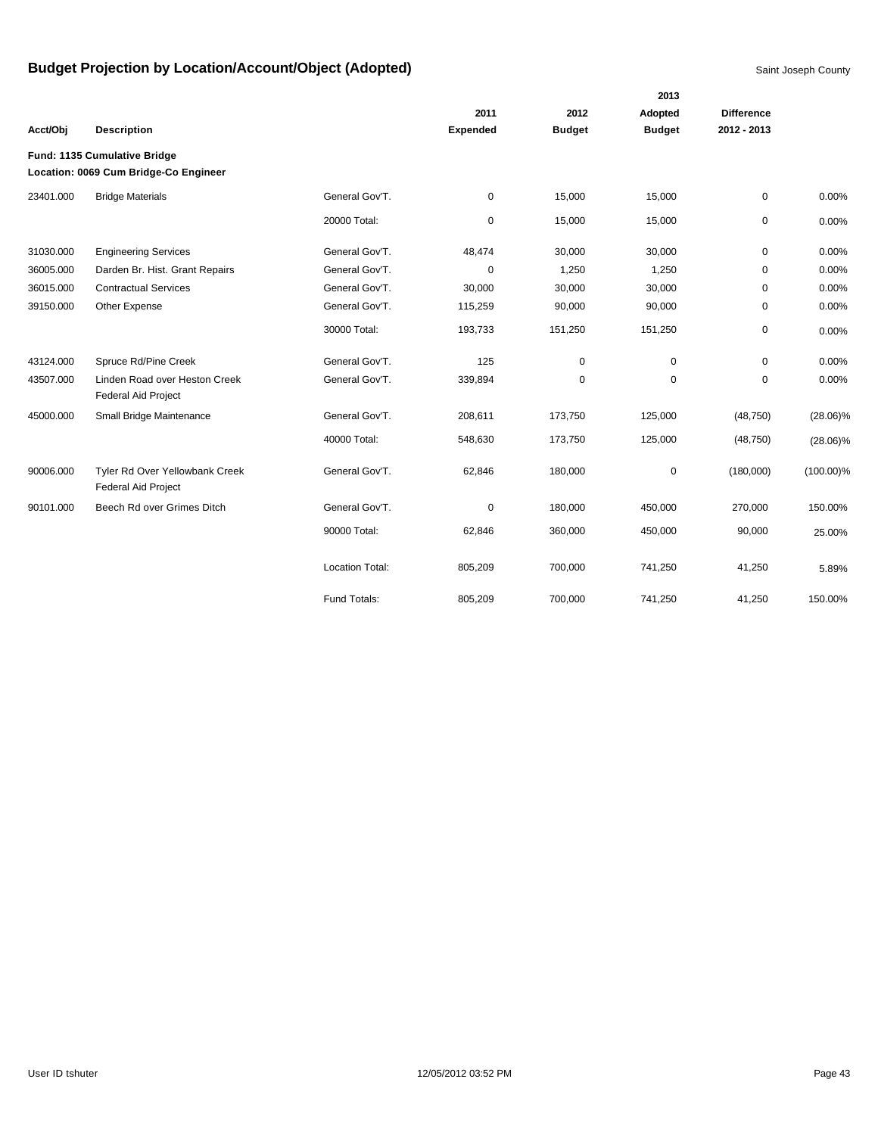|           |                                                                       |                        |                 |               | 2013          |                   |              |
|-----------|-----------------------------------------------------------------------|------------------------|-----------------|---------------|---------------|-------------------|--------------|
|           |                                                                       |                        | 2011            | 2012          | Adopted       | <b>Difference</b> |              |
| Acct/Obj  | <b>Description</b>                                                    |                        | <b>Expended</b> | <b>Budget</b> | <b>Budget</b> | 2012 - 2013       |              |
|           | Fund: 1135 Cumulative Bridge<br>Location: 0069 Cum Bridge-Co Engineer |                        |                 |               |               |                   |              |
| 23401.000 | <b>Bridge Materials</b>                                               | General Gov'T.         | 0               | 15,000        | 15,000        | 0                 | 0.00%        |
|           |                                                                       | 20000 Total:           | 0               | 15,000        | 15,000        | 0                 | 0.00%        |
| 31030.000 | <b>Engineering Services</b>                                           | General Gov'T.         | 48,474          | 30,000        | 30,000        | 0                 | 0.00%        |
| 36005.000 | Darden Br. Hist. Grant Repairs                                        | General Gov'T.         | 0               | 1,250         | 1,250         | 0                 | 0.00%        |
| 36015.000 | <b>Contractual Services</b>                                           | General Gov'T.         | 30,000          | 30,000        | 30,000        | 0                 | 0.00%        |
| 39150.000 | Other Expense                                                         | General Gov'T.         | 115,259         | 90,000        | 90,000        | 0                 | 0.00%        |
|           |                                                                       | 30000 Total:           | 193,733         | 151,250       | 151,250       | 0                 | 0.00%        |
| 43124.000 | Spruce Rd/Pine Creek                                                  | General Gov'T.         | 125             | 0             | $\Omega$      | $\Omega$          | 0.00%        |
| 43507.000 | Linden Road over Heston Creek<br><b>Federal Aid Project</b>           | General Gov'T.         | 339,894         | $\pmb{0}$     | $\mathbf 0$   | $\mathbf 0$       | 0.00%        |
| 45000.000 | Small Bridge Maintenance                                              | General Gov'T.         | 208,611         | 173,750       | 125,000       | (48, 750)         | $(28.06)\%$  |
|           |                                                                       | 40000 Total:           | 548,630         | 173,750       | 125,000       | (48, 750)         | $(28.06)\%$  |
| 90006.000 | Tyler Rd Over Yellowbank Creek<br>Federal Aid Project                 | General Gov'T.         | 62,846          | 180,000       | 0             | (180,000)         | $(100.00)\%$ |
| 90101.000 | Beech Rd over Grimes Ditch                                            | General Gov'T.         | 0               | 180,000       | 450,000       | 270,000           | 150.00%      |
|           |                                                                       | 90000 Total:           | 62,846          | 360,000       | 450,000       | 90,000            | 25.00%       |
|           |                                                                       | <b>Location Total:</b> | 805,209         | 700,000       | 741,250       | 41,250            | 5.89%        |
|           |                                                                       | Fund Totals:           | 805,209         | 700,000       | 741,250       | 41,250            | 150.00%      |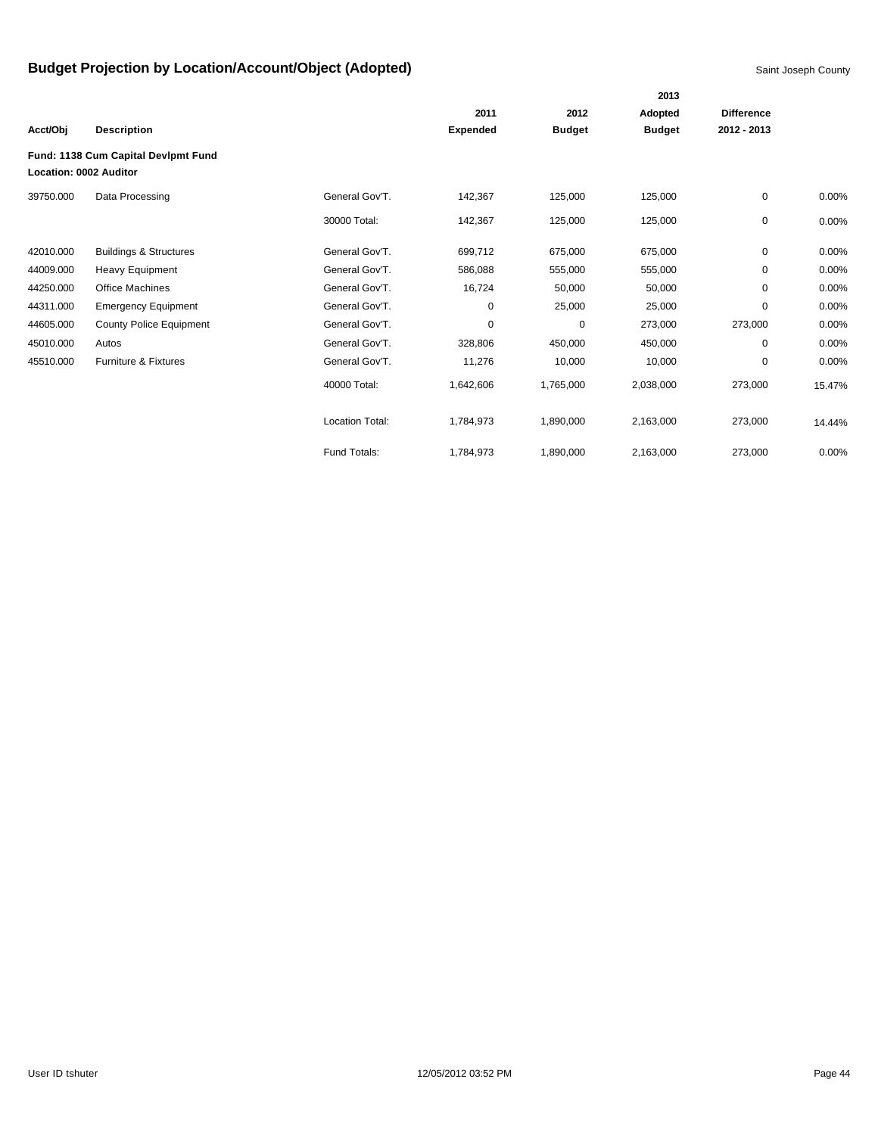|                        |                                     |                 |                 |               | 2013          |                   |          |
|------------------------|-------------------------------------|-----------------|-----------------|---------------|---------------|-------------------|----------|
|                        |                                     |                 | 2011            | 2012          | Adopted       | <b>Difference</b> |          |
| Acct/Obj               | <b>Description</b>                  |                 | <b>Expended</b> | <b>Budget</b> | <b>Budget</b> | 2012 - 2013       |          |
|                        | Fund: 1138 Cum Capital Devlpmt Fund |                 |                 |               |               |                   |          |
| Location: 0002 Auditor |                                     |                 |                 |               |               |                   |          |
| 39750.000              | Data Processing                     | General Gov'T.  | 142,367         | 125,000       | 125,000       | 0                 | 0.00%    |
|                        |                                     | 30000 Total:    | 142,367         | 125,000       | 125,000       | 0                 | $0.00\%$ |
| 42010.000              | <b>Buildings &amp; Structures</b>   | General Gov'T.  | 699,712         | 675,000       | 675,000       | 0                 | 0.00%    |
| 44009.000              | <b>Heavy Equipment</b>              | General Gov'T.  | 586,088         | 555,000       | 555,000       | 0                 | 0.00%    |
| 44250.000              | <b>Office Machines</b>              | General Gov'T.  | 16,724          | 50,000        | 50,000        | 0                 | 0.00%    |
| 44311.000              | <b>Emergency Equipment</b>          | General Gov'T.  | 0               | 25,000        | 25,000        | $\mathbf 0$       | 0.00%    |
| 44605.000              | <b>County Police Equipment</b>      | General Gov'T.  | 0               | 0             | 273,000       | 273,000           | 0.00%    |
| 45010.000              | Autos                               | General Gov'T.  | 328,806         | 450,000       | 450,000       | $\Omega$          | 0.00%    |
| 45510.000              | Furniture & Fixtures                | General Gov'T.  | 11,276          | 10,000        | 10,000        | 0                 | 0.00%    |
|                        |                                     | 40000 Total:    | 1,642,606       | 1,765,000     | 2,038,000     | 273,000           | 15.47%   |
|                        |                                     | Location Total: | 1,784,973       | 1,890,000     | 2,163,000     | 273,000           | 14.44%   |
|                        |                                     | Fund Totals:    | 1,784,973       | 1,890,000     | 2,163,000     | 273,000           | 0.00%    |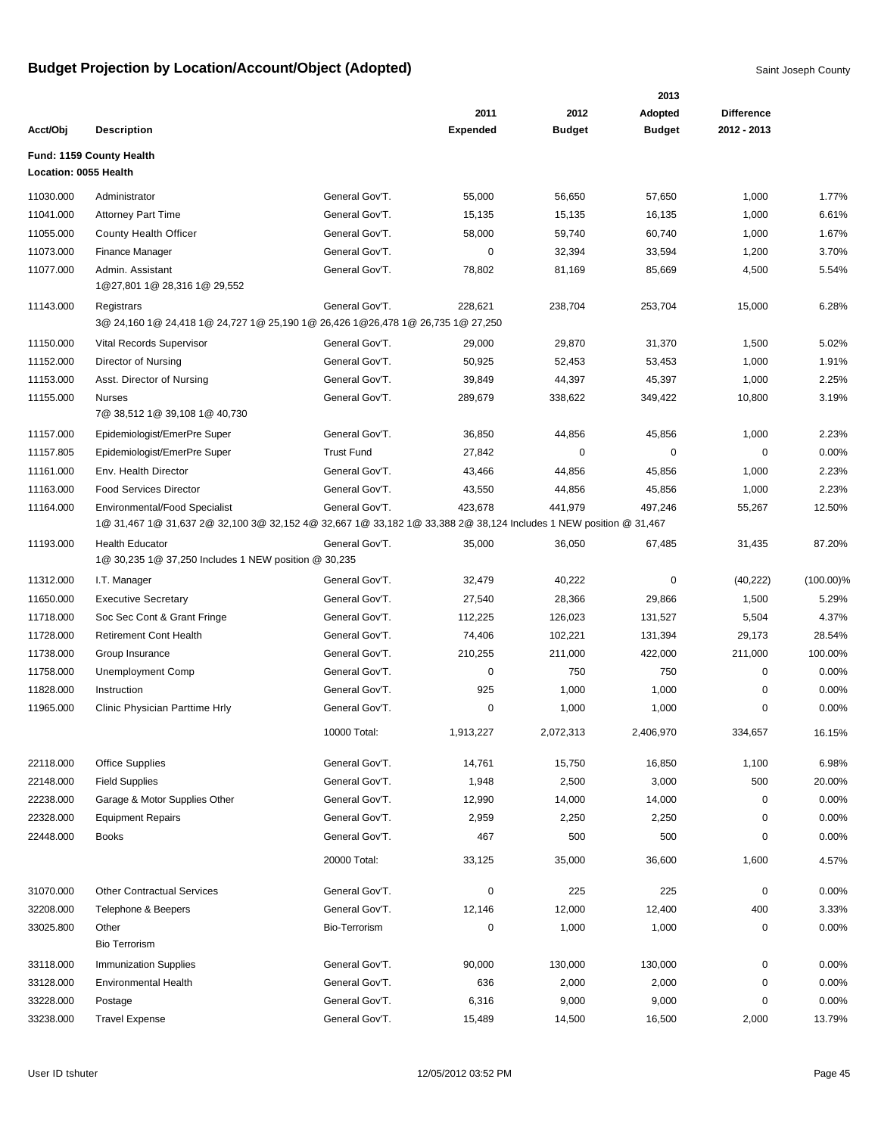|                       |                                                                                                                                                          |                   |                 |               | 2013          |                   |              |
|-----------------------|----------------------------------------------------------------------------------------------------------------------------------------------------------|-------------------|-----------------|---------------|---------------|-------------------|--------------|
|                       |                                                                                                                                                          |                   | 2011            | 2012          | Adopted       | <b>Difference</b> |              |
| Acct/Obj              | <b>Description</b>                                                                                                                                       |                   | <b>Expended</b> | <b>Budget</b> | <b>Budget</b> | 2012 - 2013       |              |
|                       | Fund: 1159 County Health                                                                                                                                 |                   |                 |               |               |                   |              |
| Location: 0055 Health |                                                                                                                                                          |                   |                 |               |               |                   |              |
| 11030.000             | Administrator                                                                                                                                            | General Gov'T.    | 55,000          | 56,650        | 57,650        | 1,000             | 1.77%        |
| 11041.000             | <b>Attorney Part Time</b>                                                                                                                                | General Gov'T.    | 15,135          | 15,135        | 16,135        | 1,000             | 6.61%        |
| 11055.000             | <b>County Health Officer</b>                                                                                                                             | General Gov'T.    | 58,000          | 59,740        | 60,740        | 1,000             | 1.67%        |
| 11073.000             | Finance Manager                                                                                                                                          | General Gov'T.    | 0               | 32,394        | 33,594        | 1,200             | 3.70%        |
| 11077.000             | Admin. Assistant<br>1@27,801 1@ 28,316 1@ 29,552                                                                                                         | General Gov'T.    | 78,802          | 81,169        | 85,669        | 4,500             | 5.54%        |
| 11143.000             | Registrars                                                                                                                                               | General Gov'T.    | 228,621         | 238,704       | 253,704       | 15,000            | 6.28%        |
|                       | 3@ 24,160 1@ 24,418 1@ 24,727 1@ 25,190 1@ 26,426 1@26,478 1@ 26,735 1@ 27,250                                                                           |                   |                 |               |               |                   |              |
| 11150.000             | Vital Records Supervisor                                                                                                                                 | General Gov'T.    | 29,000          | 29,870        | 31,370        | 1,500             | 5.02%        |
| 11152.000             | Director of Nursing                                                                                                                                      | General Gov'T.    | 50,925          | 52,453        | 53,453        | 1,000             | 1.91%        |
| 11153.000             | Asst. Director of Nursing                                                                                                                                | General Gov'T.    | 39,849          | 44,397        | 45,397        | 1,000             | 2.25%        |
| 11155.000             | <b>Nurses</b>                                                                                                                                            | General Gov'T.    | 289,679         | 338,622       | 349,422       | 10,800            | 3.19%        |
|                       | 7@ 38,512 1@ 39,108 1@ 40,730                                                                                                                            |                   |                 |               |               |                   |              |
| 11157.000             | Epidemiologist/EmerPre Super                                                                                                                             | General Gov'T.    | 36,850          | 44,856        | 45,856        | 1,000             | 2.23%        |
| 11157.805             | Epidemiologist/EmerPre Super                                                                                                                             | <b>Trust Fund</b> | 27,842          | 0             | 0             | 0                 | 0.00%        |
| 11161.000             | Env. Health Director                                                                                                                                     | General Gov'T.    | 43,466          | 44,856        | 45,856        | 1,000             | 2.23%        |
| 11163.000             | <b>Food Services Director</b>                                                                                                                            | General Gov'T.    | 43,550          | 44,856        | 45,856        | 1,000             | 2.23%        |
| 11164.000             | <b>Environmental/Food Specialist</b><br>1@ 31,467 1@ 31,637 2@ 32,100 3@ 32,152 4@ 32,667 1@ 33,182 1@ 33,388 2@ 38,124 Includes 1 NEW position @ 31,467 | General Gov'T.    | 423,678         | 441,979       | 497,246       | 55,267            | 12.50%       |
| 11193.000             | <b>Health Educator</b>                                                                                                                                   | General Gov'T.    | 35,000          | 36,050        | 67,485        | 31,435            | 87.20%       |
|                       | 1@ 30,235 1@ 37,250 Includes 1 NEW position @ 30,235                                                                                                     |                   |                 |               |               |                   |              |
| 11312.000             | I.T. Manager                                                                                                                                             | General Gov'T.    | 32,479          | 40,222        | 0             | (40, 222)         | $(100.00)\%$ |
| 11650.000             | <b>Executive Secretary</b>                                                                                                                               | General Gov'T.    | 27,540          | 28,366        | 29,866        | 1,500             | 5.29%        |
| 11718.000             | Soc Sec Cont & Grant Fringe                                                                                                                              | General Gov'T.    | 112,225         | 126,023       | 131,527       | 5,504             | 4.37%        |
| 11728.000             | <b>Retirement Cont Health</b>                                                                                                                            | General Gov'T.    | 74,406          | 102,221       | 131,394       | 29,173            | 28.54%       |
| 11738.000             | Group Insurance                                                                                                                                          | General Gov'T.    | 210,255         | 211,000       | 422,000       | 211,000           | 100.00%      |
| 11758.000             | <b>Unemployment Comp</b>                                                                                                                                 | General Gov'T.    | 0               | 750           | 750           | $\mathbf 0$       | 0.00%        |
| 11828.000             | Instruction                                                                                                                                              | General Gov'T.    | 925             | 1,000         | 1,000         | 0                 | 0.00%        |
| 11965.000             | Clinic Physician Parttime Hrly                                                                                                                           | General Gov'T.    | 0               | 1,000         | 1,000         | 0                 | 0.00%        |
|                       |                                                                                                                                                          | 10000 Total:      | 1,913,227       | 2,072,313     | 2,406,970     | 334,657           | 16.15%       |
| 22118.000             | <b>Office Supplies</b>                                                                                                                                   | General Gov'T.    | 14,761          | 15,750        | 16,850        | 1,100             | 6.98%        |
| 22148.000             | <b>Field Supplies</b>                                                                                                                                    | General Gov'T.    | 1,948           | 2,500         | 3,000         | 500               | 20.00%       |
| 22238.000             | Garage & Motor Supplies Other                                                                                                                            | General Gov'T.    | 12,990          | 14,000        | 14,000        | $\mathbf 0$       | 0.00%        |
| 22328.000             | <b>Equipment Repairs</b>                                                                                                                                 | General Gov'T.    | 2,959           | 2,250         | 2,250         | 0                 | 0.00%        |
| 22448.000             | <b>Books</b>                                                                                                                                             | General Gov'T.    | 467             | 500           | 500           | 0                 | 0.00%        |
|                       |                                                                                                                                                          | 20000 Total:      | 33,125          | 35,000        | 36,600        | 1,600             | 4.57%        |
| 31070.000             | <b>Other Contractual Services</b>                                                                                                                        | General Gov'T.    | 0               | 225           | 225           | 0                 | 0.00%        |
| 32208.000             | Telephone & Beepers                                                                                                                                      | General Gov'T.    | 12,146          | 12,000        | 12,400        | 400               | 3.33%        |
| 33025.800             | Other                                                                                                                                                    | Bio-Terrorism     | 0               | 1,000         | 1,000         | 0                 | 0.00%        |
|                       | <b>Bio Terrorism</b>                                                                                                                                     |                   |                 |               |               |                   |              |
| 33118.000             | <b>Immunization Supplies</b>                                                                                                                             | General Gov'T.    | 90,000          | 130,000       | 130,000       | $\pmb{0}$         | 0.00%        |
| 33128.000             | <b>Environmental Health</b>                                                                                                                              | General Gov'T.    | 636             | 2,000         | 2,000         | 0                 | 0.00%        |
| 33228.000             | Postage                                                                                                                                                  | General Gov'T.    | 6,316           | 9,000         | 9,000         | 0                 | 0.00%        |
| 33238.000             | <b>Travel Expense</b>                                                                                                                                    | General Gov'T.    | 15,489          | 14,500        | 16,500        | 2,000             | 13.79%       |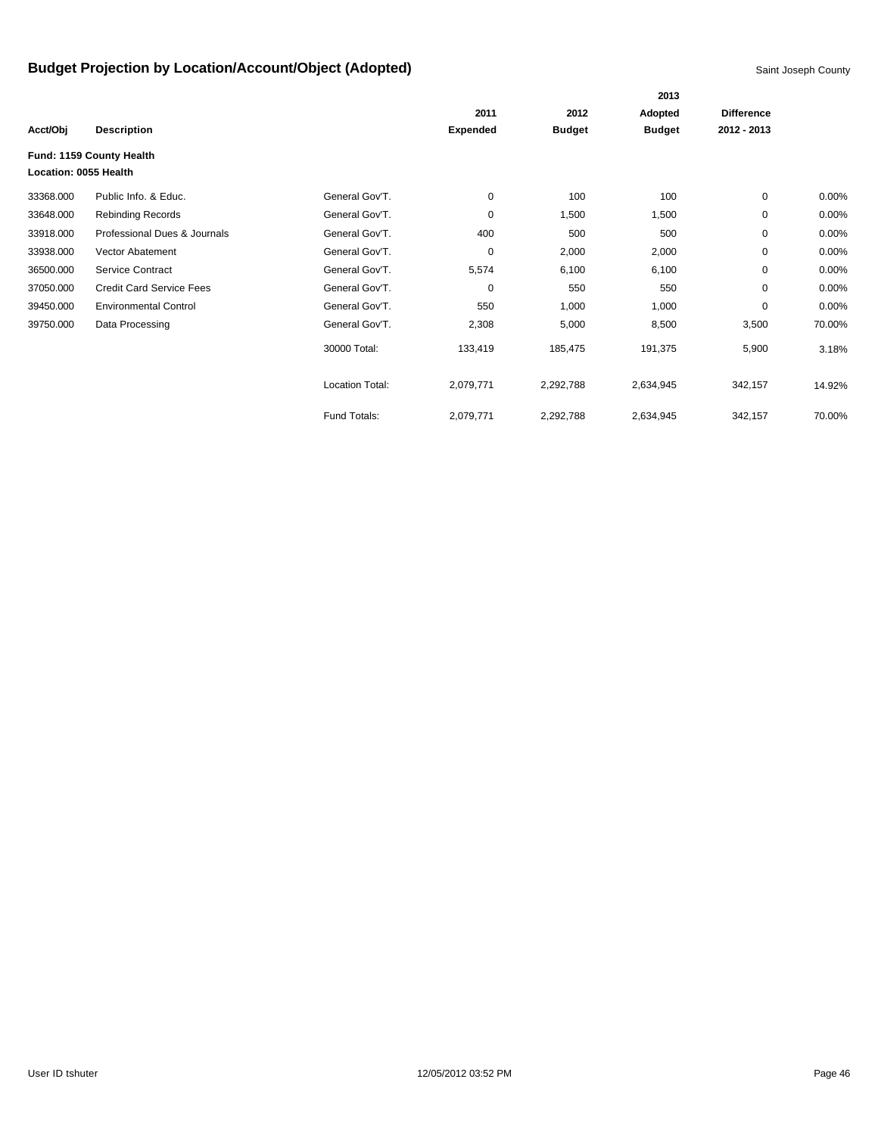|                       |                                 |                        |                 |               | 2013          |                   |          |
|-----------------------|---------------------------------|------------------------|-----------------|---------------|---------------|-------------------|----------|
|                       |                                 |                        | 2011            | 2012          | Adopted       | <b>Difference</b> |          |
| Acct/Obj              | <b>Description</b>              |                        | <b>Expended</b> | <b>Budget</b> | <b>Budget</b> | 2012 - 2013       |          |
| Location: 0055 Health | Fund: 1159 County Health        |                        |                 |               |               |                   |          |
| 33368.000             | Public Info. & Educ.            | General Gov'T.         | 0               | 100           | 100           | $\mathbf 0$       | $0.00\%$ |
| 33648.000             | <b>Rebinding Records</b>        | General Gov'T.         | 0               | 1,500         | 1,500         | $\mathbf 0$       | 0.00%    |
| 33918.000             | Professional Dues & Journals    | General Gov'T.         | 400             | 500           | 500           | 0                 | $0.00\%$ |
| 33938.000             | Vector Abatement                | General Gov'T.         | 0               | 2,000         | 2,000         | 0                 | 0.00%    |
| 36500.000             | Service Contract                | General Gov'T.         | 5,574           | 6,100         | 6,100         | $\mathbf 0$       | 0.00%    |
| 37050.000             | <b>Credit Card Service Fees</b> | General Gov'T.         | 0               | 550           | 550           | 0                 | 0.00%    |
| 39450.000             | <b>Environmental Control</b>    | General Gov'T.         | 550             | 1,000         | 1,000         | 0                 | 0.00%    |
| 39750.000             | Data Processing                 | General Gov'T.         | 2,308           | 5,000         | 8,500         | 3,500             | 70.00%   |
|                       |                                 | 30000 Total:           | 133,419         | 185,475       | 191,375       | 5,900             | 3.18%    |
|                       |                                 | <b>Location Total:</b> | 2,079,771       | 2,292,788     | 2,634,945     | 342,157           | 14.92%   |
|                       |                                 | Fund Totals:           | 2,079,771       | 2,292,788     | 2,634,945     | 342,157           | 70.00%   |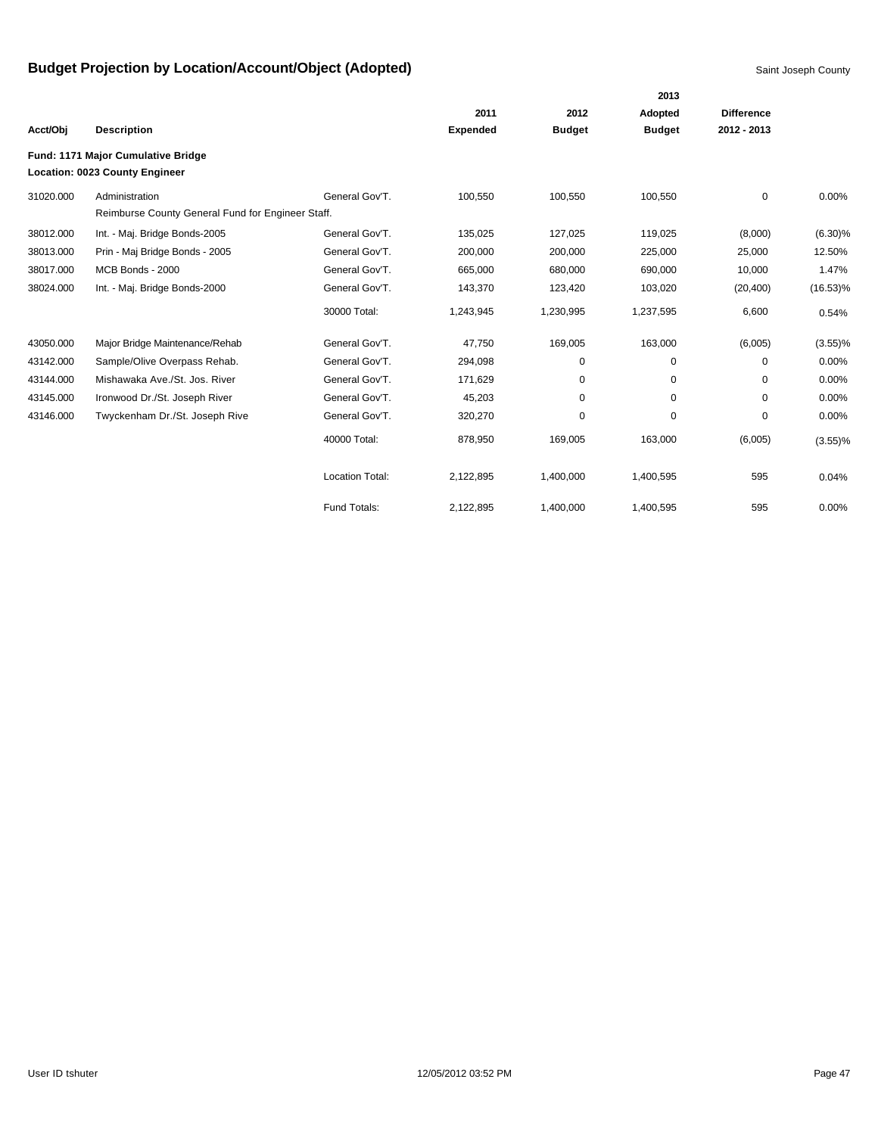|           |                                                   |                        |                 |               | 2013          |                   |             |
|-----------|---------------------------------------------------|------------------------|-----------------|---------------|---------------|-------------------|-------------|
|           |                                                   |                        | 2011            | 2012          | Adopted       | <b>Difference</b> |             |
| Acct/Obj  | <b>Description</b>                                |                        | <b>Expended</b> | <b>Budget</b> | <b>Budget</b> | 2012 - 2013       |             |
|           | Fund: 1171 Major Cumulative Bridge                |                        |                 |               |               |                   |             |
|           | Location: 0023 County Engineer                    |                        |                 |               |               |                   |             |
| 31020.000 | Administration                                    | General Gov'T.         | 100,550         | 100,550       | 100,550       | 0                 | 0.00%       |
|           | Reimburse County General Fund for Engineer Staff. |                        |                 |               |               |                   |             |
| 38012.000 | Int. - Maj. Bridge Bonds-2005                     | General Gov'T.         | 135,025         | 127,025       | 119,025       | (8,000)           | $(6.30)\%$  |
| 38013.000 | Prin - Maj Bridge Bonds - 2005                    | General Gov'T.         | 200,000         | 200,000       | 225,000       | 25,000            | 12.50%      |
| 38017.000 | MCB Bonds - 2000                                  | General Gov'T.         | 665,000         | 680,000       | 690,000       | 10,000            | 1.47%       |
| 38024.000 | Int. - Maj. Bridge Bonds-2000                     | General Gov'T.         | 143,370         | 123,420       | 103,020       | (20, 400)         | $(16.53)\%$ |
|           |                                                   | 30000 Total:           | 1,243,945       | 1,230,995     | 1,237,595     | 6,600             | 0.54%       |
| 43050.000 | Major Bridge Maintenance/Rehab                    | General Gov'T.         | 47.750          | 169,005       | 163,000       | (6,005)           | $(3.55)$ %  |
| 43142.000 | Sample/Olive Overpass Rehab.                      | General Gov'T.         | 294,098         | 0             | 0             | 0                 | 0.00%       |
| 43144.000 | Mishawaka Ave./St. Jos. River                     | General Gov'T.         | 171,629         | 0             | 0             | $\mathbf 0$       | 0.00%       |
| 43145.000 | Ironwood Dr./St. Joseph River                     | General Gov'T.         | 45,203          | 0             | 0             | $\mathbf 0$       | 0.00%       |
| 43146.000 | Twyckenham Dr./St. Joseph Rive                    | General Gov'T.         | 320,270         | 0             | 0             | 0                 | 0.00%       |
|           |                                                   | 40000 Total:           | 878,950         | 169,005       | 163,000       | (6,005)           | $(3.55)$ %  |
|           |                                                   | <b>Location Total:</b> | 2,122,895       | 1,400,000     | 1,400,595     | 595               | 0.04%       |
|           |                                                   | Fund Totals:           | 2,122,895       | 1,400,000     | 1,400,595     | 595               | 0.00%       |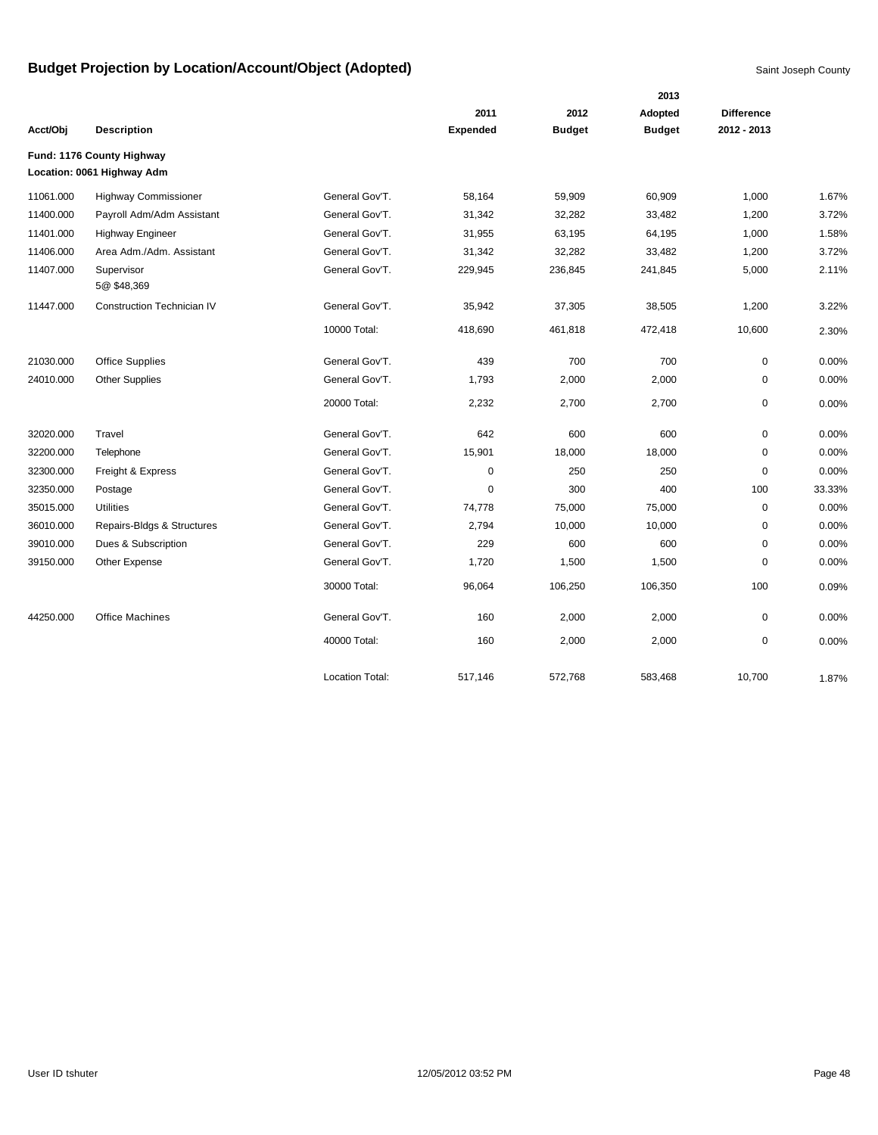|           |                                   |                 |                 |               | 2013          |                   |        |
|-----------|-----------------------------------|-----------------|-----------------|---------------|---------------|-------------------|--------|
|           |                                   |                 | 2011            | 2012          | Adopted       | <b>Difference</b> |        |
| Acct/Obj  | <b>Description</b>                |                 | <b>Expended</b> | <b>Budget</b> | <b>Budget</b> | 2012 - 2013       |        |
|           | Fund: 1176 County Highway         |                 |                 |               |               |                   |        |
|           | Location: 0061 Highway Adm        |                 |                 |               |               |                   |        |
| 11061.000 | <b>Highway Commissioner</b>       | General Gov'T.  | 58,164          | 59,909        | 60,909        | 1,000             | 1.67%  |
| 11400.000 | Payroll Adm/Adm Assistant         | General Gov'T.  | 31,342          | 32,282        | 33,482        | 1,200             | 3.72%  |
| 11401.000 | <b>Highway Engineer</b>           | General Gov'T.  | 31,955          | 63,195        | 64,195        | 1,000             | 1.58%  |
| 11406.000 | Area Adm./Adm. Assistant          | General Gov'T.  | 31,342          | 32,282        | 33,482        | 1,200             | 3.72%  |
| 11407.000 | Supervisor<br>5@ \$48,369         | General Gov'T.  | 229,945         | 236,845       | 241,845       | 5,000             | 2.11%  |
| 11447.000 | <b>Construction Technician IV</b> | General Gov'T.  | 35,942          | 37,305        | 38,505        | 1,200             | 3.22%  |
|           |                                   | 10000 Total:    | 418,690         | 461,818       | 472,418       | 10,600            | 2.30%  |
| 21030.000 | <b>Office Supplies</b>            | General Gov'T.  | 439             | 700           | 700           | 0                 | 0.00%  |
| 24010.000 | <b>Other Supplies</b>             | General Gov'T.  | 1,793           | 2,000         | 2,000         | 0                 | 0.00%  |
|           |                                   | 20000 Total:    | 2,232           | 2,700         | 2,700         | 0                 | 0.00%  |
| 32020.000 | Travel                            | General Gov'T.  | 642             | 600           | 600           | $\mathbf 0$       | 0.00%  |
| 32200.000 | Telephone                         | General Gov'T.  | 15,901          | 18,000        | 18,000        | $\mathbf 0$       | 0.00%  |
| 32300.000 | Freight & Express                 | General Gov'T.  | $\mathbf 0$     | 250           | 250           | $\mathbf 0$       | 0.00%  |
| 32350.000 | Postage                           | General Gov'T.  | $\mathbf 0$     | 300           | 400           | 100               | 33.33% |
| 35015.000 | <b>Utilities</b>                  | General Gov'T.  | 74,778          | 75,000        | 75,000        | $\mathbf 0$       | 0.00%  |
| 36010.000 | Repairs-Bldgs & Structures        | General Gov'T.  | 2,794           | 10,000        | 10,000        | $\mathbf 0$       | 0.00%  |
| 39010.000 | Dues & Subscription               | General Gov'T.  | 229             | 600           | 600           | $\mathbf 0$       | 0.00%  |
| 39150.000 | Other Expense                     | General Gov'T.  | 1,720           | 1,500         | 1,500         | $\mathbf 0$       | 0.00%  |
|           |                                   | 30000 Total:    | 96,064          | 106,250       | 106,350       | 100               | 0.09%  |
| 44250.000 | <b>Office Machines</b>            | General Gov'T.  | 160             | 2,000         | 2,000         | $\mathbf 0$       | 0.00%  |
|           |                                   | 40000 Total:    | 160             | 2,000         | 2,000         | 0                 | 0.00%  |
|           |                                   | Location Total: | 517,146         | 572,768       | 583,468       | 10,700            | 1.87%  |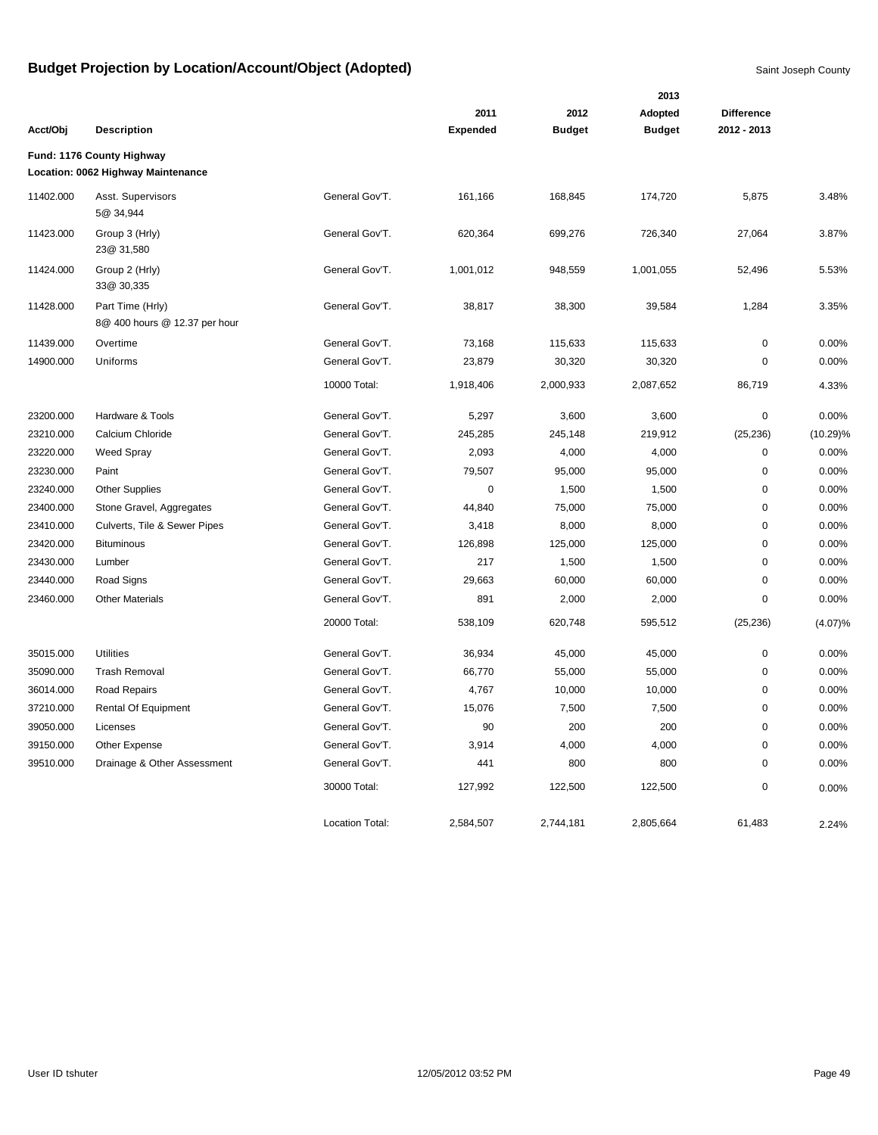|           |                                                                 |                        |                 |               | 2013          |                   |             |
|-----------|-----------------------------------------------------------------|------------------------|-----------------|---------------|---------------|-------------------|-------------|
|           |                                                                 |                        | 2011            | 2012          | Adopted       | <b>Difference</b> |             |
| Acct/Obj  | <b>Description</b>                                              |                        | <b>Expended</b> | <b>Budget</b> | <b>Budget</b> | 2012 - 2013       |             |
|           | Fund: 1176 County Highway<br>Location: 0062 Highway Maintenance |                        |                 |               |               |                   |             |
| 11402.000 | Asst. Supervisors<br>5@ 34,944                                  | General Gov'T.         | 161,166         | 168,845       | 174,720       | 5,875             | 3.48%       |
| 11423.000 | Group 3 (Hrly)<br>23@ 31,580                                    | General Gov'T.         | 620,364         | 699,276       | 726,340       | 27,064            | 3.87%       |
| 11424.000 | Group 2 (Hrly)<br>33@ 30,335                                    | General Gov'T.         | 1,001,012       | 948,559       | 1,001,055     | 52,496            | 5.53%       |
| 11428.000 | Part Time (Hrly)<br>8@ 400 hours @ 12.37 per hour               | General Gov'T.         | 38,817          | 38,300        | 39,584        | 1,284             | 3.35%       |
| 11439.000 | Overtime                                                        | General Gov'T.         | 73,168          | 115,633       | 115,633       | 0                 | 0.00%       |
| 14900.000 | Uniforms                                                        | General Gov'T.         | 23,879          | 30,320        | 30,320        | $\mathbf 0$       | 0.00%       |
|           |                                                                 | 10000 Total:           | 1,918,406       | 2,000,933     | 2,087,652     | 86,719            | 4.33%       |
| 23200.000 | Hardware & Tools                                                | General Gov'T.         | 5,297           | 3,600         | 3,600         | 0                 | 0.00%       |
| 23210.000 | Calcium Chloride                                                | General Gov'T.         | 245,285         | 245,148       | 219,912       | (25, 236)         | $(10.29)\%$ |
| 23220.000 | <b>Weed Spray</b>                                               | General Gov'T.         | 2,093           | 4,000         | 4,000         | 0                 | 0.00%       |
| 23230.000 | Paint                                                           | General Gov'T.         | 79,507          | 95,000        | 95,000        | 0                 | 0.00%       |
| 23240.000 | <b>Other Supplies</b>                                           | General Gov'T.         | $\mathbf 0$     | 1,500         | 1,500         | $\pmb{0}$         | 0.00%       |
| 23400.000 | Stone Gravel, Aggregates                                        | General Gov'T.         | 44,840          | 75,000        | 75,000        | 0                 | 0.00%       |
| 23410.000 | Culverts, Tile & Sewer Pipes                                    | General Gov'T.         | 3,418           | 8,000         | 8,000         | 0                 | 0.00%       |
| 23420.000 | <b>Bituminous</b>                                               | General Gov'T.         | 126,898         | 125,000       | 125,000       | $\mathbf 0$       | 0.00%       |
| 23430.000 | Lumber                                                          | General Gov'T.         | 217             | 1,500         | 1,500         | 0                 | 0.00%       |
| 23440.000 | Road Signs                                                      | General Gov'T.         | 29,663          | 60,000        | 60,000        | 0                 | 0.00%       |
| 23460.000 | <b>Other Materials</b>                                          | General Gov'T.         | 891             | 2,000         | 2,000         | 0                 | 0.00%       |
|           |                                                                 | 20000 Total:           | 538,109         | 620,748       | 595,512       | (25, 236)         | (4.07)%     |
| 35015.000 | <b>Utilities</b>                                                | General Gov'T.         | 36,934          | 45,000        | 45,000        | 0                 | 0.00%       |
| 35090.000 | <b>Trash Removal</b>                                            | General Gov'T.         | 66,770          | 55,000        | 55,000        | $\mathbf 0$       | 0.00%       |
| 36014.000 | Road Repairs                                                    | General Gov'T.         | 4,767           | 10,000        | 10,000        | 0                 | 0.00%       |
| 37210.000 | <b>Rental Of Equipment</b>                                      | General Gov'T.         | 15,076          | 7,500         | 7,500         | 0                 | 0.00%       |
| 39050.000 | Licenses                                                        | General Gov'T.         | 90              | 200           | 200           | $\mathbf 0$       | 0.00%       |
| 39150.000 | Other Expense                                                   | General Gov'T.         | 3,914           | 4,000         | 4,000         | $\mathbf 0$       | 0.00%       |
| 39510.000 | Drainage & Other Assessment                                     | General Gov'T.         | 441             | 800           | 800           | 0                 | 0.00%       |
|           |                                                                 | 30000 Total:           | 127,992         | 122,500       | 122,500       | $\mathbf 0$       | 0.00%       |
|           |                                                                 | <b>Location Total:</b> | 2,584,507       | 2,744,181     | 2,805,664     | 61,483            | 2.24%       |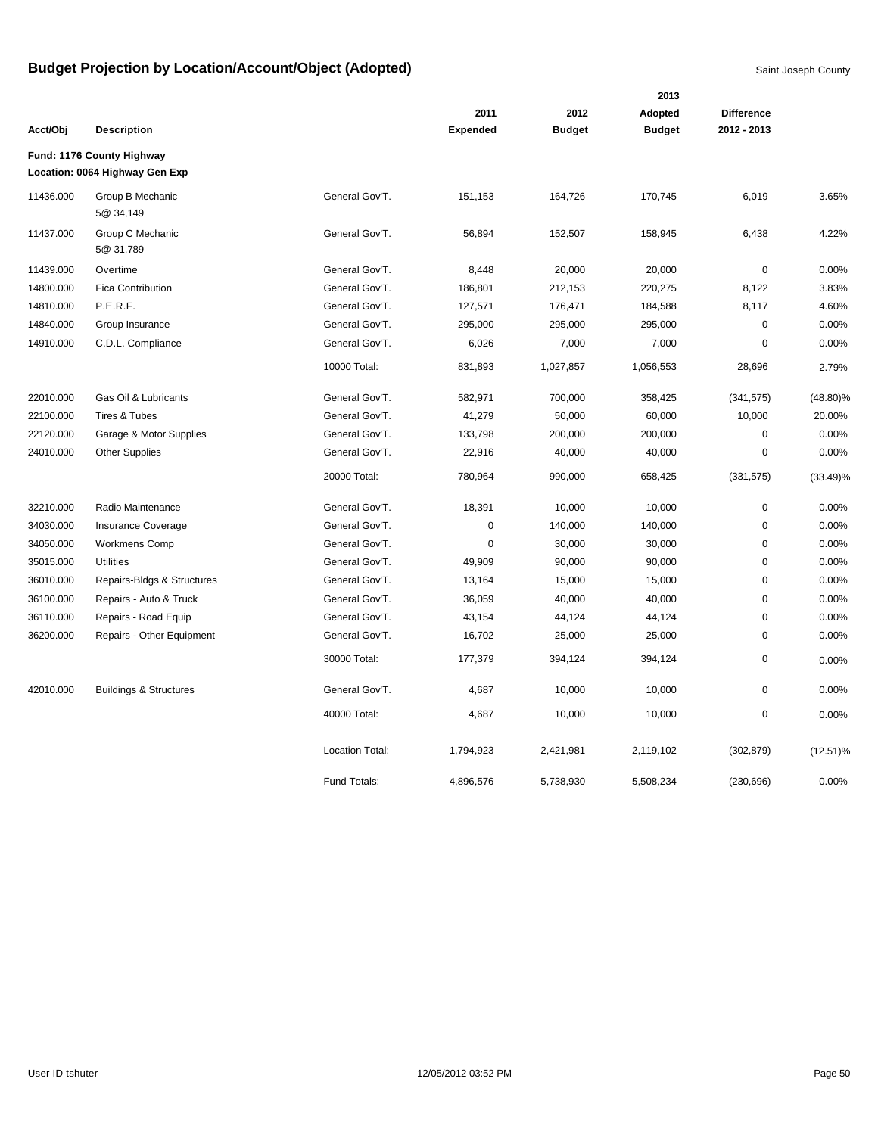|           |                                                             |                        |                 |               | 2013          |                   |             |
|-----------|-------------------------------------------------------------|------------------------|-----------------|---------------|---------------|-------------------|-------------|
|           |                                                             |                        | 2011            | 2012          | Adopted       | <b>Difference</b> |             |
| Acct/Obj  | <b>Description</b>                                          |                        | <b>Expended</b> | <b>Budget</b> | <b>Budget</b> | 2012 - 2013       |             |
|           | Fund: 1176 County Highway<br>Location: 0064 Highway Gen Exp |                        |                 |               |               |                   |             |
| 11436.000 | Group B Mechanic<br>5@ 34,149                               | General Gov'T.         | 151,153         | 164,726       | 170,745       | 6,019             | 3.65%       |
| 11437.000 | Group C Mechanic<br>5@ 31,789                               | General Gov'T.         | 56,894          | 152,507       | 158,945       | 6,438             | 4.22%       |
| 11439.000 | Overtime                                                    | General Gov'T.         | 8,448           | 20,000        | 20,000        | $\mathbf 0$       | 0.00%       |
| 14800.000 | <b>Fica Contribution</b>                                    | General Gov'T.         | 186,801         | 212,153       | 220,275       | 8,122             | 3.83%       |
| 14810.000 | P.E.R.F.                                                    | General Gov'T.         | 127,571         | 176,471       | 184,588       | 8,117             | 4.60%       |
| 14840.000 | Group Insurance                                             | General Gov'T.         | 295,000         | 295,000       | 295,000       | 0                 | 0.00%       |
| 14910.000 | C.D.L. Compliance                                           | General Gov'T.         | 6,026           | 7,000         | 7,000         | $\mathbf 0$       | 0.00%       |
|           |                                                             | 10000 Total:           | 831,893         | 1,027,857     | 1,056,553     | 28,696            | 2.79%       |
| 22010.000 | Gas Oil & Lubricants                                        | General Gov'T.         | 582,971         | 700,000       | 358,425       | (341, 575)        | $(48.80)\%$ |
| 22100.000 | Tires & Tubes                                               | General Gov'T.         | 41,279          | 50,000        | 60,000        | 10,000            | 20.00%      |
| 22120.000 | Garage & Motor Supplies                                     | General Gov'T.         | 133,798         | 200,000       | 200,000       | 0                 | 0.00%       |
| 24010.000 | Other Supplies                                              | General Gov'T.         | 22,916          | 40,000        | 40,000        | $\mathbf 0$       | 0.00%       |
|           |                                                             | 20000 Total:           | 780,964         | 990,000       | 658,425       | (331, 575)        | $(33.49)\%$ |
| 32210.000 | Radio Maintenance                                           | General Gov'T.         | 18,391          | 10,000        | 10,000        | $\mathbf 0$       | 0.00%       |
| 34030.000 | Insurance Coverage                                          | General Gov'T.         | 0               | 140,000       | 140,000       | $\mathbf 0$       | 0.00%       |
| 34050.000 | <b>Workmens Comp</b>                                        | General Gov'T.         | 0               | 30,000        | 30,000        | 0                 | 0.00%       |
| 35015.000 | <b>Utilities</b>                                            | General Gov'T.         | 49,909          | 90,000        | 90,000        | 0                 | 0.00%       |
| 36010.000 | Repairs-Bldgs & Structures                                  | General Gov'T.         | 13,164          | 15,000        | 15,000        | 0                 | 0.00%       |
| 36100.000 | Repairs - Auto & Truck                                      | General Gov'T.         | 36,059          | 40,000        | 40,000        | 0                 | 0.00%       |
| 36110.000 | Repairs - Road Equip                                        | General Gov'T.         | 43,154          | 44,124        | 44,124        | 0                 | 0.00%       |
| 36200.000 | Repairs - Other Equipment                                   | General Gov'T.         | 16,702          | 25,000        | 25,000        | $\pmb{0}$         | 0.00%       |
|           |                                                             | 30000 Total:           | 177,379         | 394,124       | 394,124       | $\pmb{0}$         | 0.00%       |
| 42010.000 | <b>Buildings &amp; Structures</b>                           | General Gov'T.         | 4,687           | 10,000        | 10,000        | 0                 | 0.00%       |
|           |                                                             | 40000 Total:           | 4,687           | 10,000        | 10,000        | 0                 | 0.00%       |
|           |                                                             | <b>Location Total:</b> | 1,794,923       | 2,421,981     | 2,119,102     | (302, 879)        | $(12.51)\%$ |
|           |                                                             | Fund Totals:           | 4,896,576       | 5,738,930     | 5,508,234     | (230, 696)        | 0.00%       |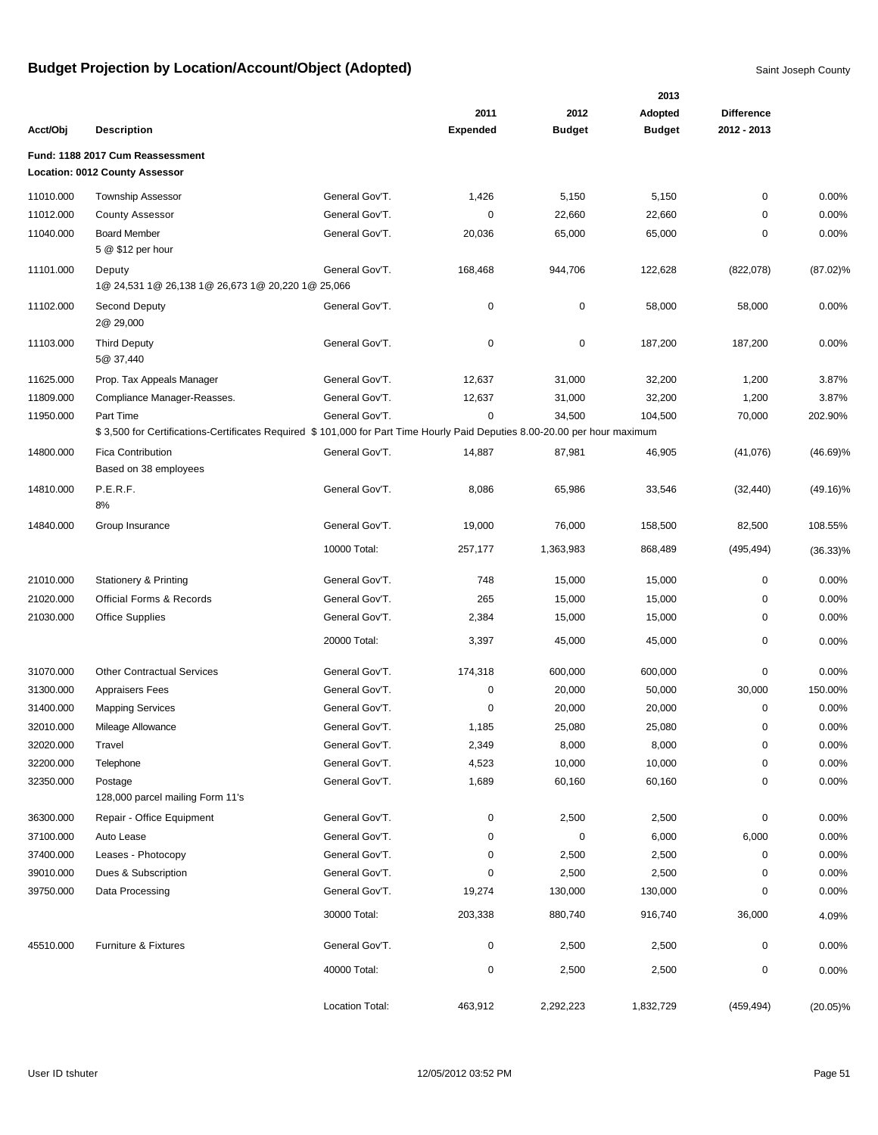|           |                                                                                                                           |                 |                 |               | 2013          |                   |             |
|-----------|---------------------------------------------------------------------------------------------------------------------------|-----------------|-----------------|---------------|---------------|-------------------|-------------|
|           |                                                                                                                           |                 | 2011            | 2012          | Adopted       | <b>Difference</b> |             |
| Acct/Obi  | <b>Description</b>                                                                                                        |                 | <b>Expended</b> | <b>Budget</b> | <b>Budget</b> | 2012 - 2013       |             |
|           | Fund: 1188 2017 Cum Reassessment                                                                                          |                 |                 |               |               |                   |             |
|           | <b>Location: 0012 County Assessor</b>                                                                                     |                 |                 |               |               |                   |             |
| 11010.000 | Township Assessor                                                                                                         | General Gov'T.  | 1,426           | 5,150         | 5,150         | 0                 | 0.00%       |
| 11012.000 | <b>County Assessor</b>                                                                                                    | General Gov'T.  | 0               | 22,660        | 22,660        | $\Omega$          | 0.00%       |
| 11040.000 | <b>Board Member</b>                                                                                                       | General Gov'T.  | 20,036          | 65,000        | 65,000        | 0                 | 0.00%       |
|           | 5 @ \$12 per hour                                                                                                         |                 |                 |               |               |                   |             |
| 11101.000 | Deputy                                                                                                                    | General Gov'T.  | 168,468         | 944,706       | 122,628       | (822,078)         | $(87.02)\%$ |
|           | 1@ 24,531 1@ 26,138 1@ 26,673 1@ 20,220 1@ 25,066                                                                         |                 |                 |               |               |                   |             |
| 11102.000 | Second Deputy                                                                                                             | General Gov'T.  | 0               | 0             | 58,000        | 58,000            | 0.00%       |
|           | 2@ 29,000                                                                                                                 |                 |                 |               |               |                   |             |
| 11103.000 | <b>Third Deputy</b>                                                                                                       | General Gov'T.  | 0               | 0             | 187,200       | 187,200           | 0.00%       |
|           | 5@ 37,440                                                                                                                 |                 |                 |               |               |                   |             |
| 11625.000 | Prop. Tax Appeals Manager                                                                                                 | General Gov'T.  | 12,637          | 31,000        | 32,200        | 1,200             | 3.87%       |
| 11809.000 | Compliance Manager-Reasses.                                                                                               | General Gov'T.  | 12,637          | 31,000        | 32,200        | 1,200             | 3.87%       |
| 11950.000 | Part Time                                                                                                                 | General Gov'T.  | $\mathbf 0$     | 34,500        | 104,500       | 70,000            | 202.90%     |
|           | \$3,500 for Certifications-Certificates Required \$101,000 for Part Time Hourly Paid Deputies 8.00-20.00 per hour maximum |                 |                 |               |               |                   |             |
| 14800.000 | <b>Fica Contribution</b>                                                                                                  | General Gov'T.  | 14,887          | 87,981        | 46,905        | (41,076)          | $(46.69)\%$ |
|           | Based on 38 employees                                                                                                     |                 |                 |               |               |                   |             |
| 14810.000 | P.E.R.F.                                                                                                                  | General Gov'T.  | 8,086           | 65,986        | 33,546        | (32, 440)         | $(49.16)\%$ |
|           | 8%                                                                                                                        |                 |                 |               |               |                   |             |
| 14840.000 | Group Insurance                                                                                                           | General Gov'T.  | 19,000          | 76,000        | 158,500       | 82,500            | 108.55%     |
|           |                                                                                                                           | 10000 Total:    | 257,177         | 1,363,983     | 868,489       | (495, 494)        | $(36.33)\%$ |
|           |                                                                                                                           |                 |                 |               |               |                   |             |
| 21010.000 | <b>Stationery &amp; Printing</b>                                                                                          | General Gov'T.  | 748             | 15,000        | 15,000        | 0                 | 0.00%       |
| 21020.000 | <b>Official Forms &amp; Records</b>                                                                                       | General Gov'T.  | 265             | 15,000        | 15,000        | 0                 | 0.00%       |
| 21030.000 | <b>Office Supplies</b>                                                                                                    | General Gov'T.  | 2,384           | 15,000        | 15,000        | 0                 | 0.00%       |
|           |                                                                                                                           | 20000 Total:    | 3,397           | 45,000        | 45,000        | 0                 | 0.00%       |
|           |                                                                                                                           |                 |                 |               |               |                   |             |
| 31070.000 | <b>Other Contractual Services</b>                                                                                         | General Gov'T.  | 174,318         | 600,000       | 600,000       | 0                 | 0.00%       |
| 31300.000 | <b>Appraisers Fees</b>                                                                                                    | General Gov'T.  | 0               | 20,000        | 50,000        | 30,000            | 150.00%     |
| 31400.000 | <b>Mapping Services</b>                                                                                                   | General Gov'T.  | 0               | 20,000        | 20,000        | 0                 | 0.00%       |
| 32010.000 | Mileage Allowance                                                                                                         | General Gov'T.  | 1,185           | 25,080        | 25,080        | 0                 | 0.00%       |
| 32020.000 | Travel                                                                                                                    | General Gov'T.  | 2,349           | 8,000         | 8,000         | 0                 | 0.00%       |
| 32200.000 | Telephone                                                                                                                 | General Gov'T.  | 4,523           | 10,000        | 10,000        | 0                 | 0.00%       |
| 32350.000 | Postage                                                                                                                   | General Gov'T.  | 1,689           | 60,160        | 60,160        | 0                 | 0.00%       |
|           | 128,000 parcel mailing Form 11's                                                                                          |                 |                 |               |               |                   |             |
| 36300.000 | Repair - Office Equipment                                                                                                 | General Gov'T.  | 0               | 2,500         | 2,500         | 0                 | 0.00%       |
| 37100.000 | Auto Lease                                                                                                                | General Gov'T.  | 0               | 0             | 6,000         | 6,000             | 0.00%       |
| 37400.000 | Leases - Photocopy                                                                                                        | General Gov'T.  | 0               | 2,500         | 2,500         | 0                 | 0.00%       |
| 39010.000 | Dues & Subscription                                                                                                       | General Gov'T.  | 0               | 2,500         | 2,500         | 0                 | 0.00%       |
| 39750.000 | Data Processing                                                                                                           | General Gov'T.  | 19,274          | 130,000       | 130,000       | 0                 | 0.00%       |
|           |                                                                                                                           | 30000 Total:    | 203,338         | 880,740       | 916,740       | 36,000            | 4.09%       |
|           |                                                                                                                           |                 |                 |               |               |                   |             |
| 45510.000 | Furniture & Fixtures                                                                                                      | General Gov'T.  | 0               | 2,500         | 2,500         | 0                 | 0.00%       |
|           |                                                                                                                           | 40000 Total:    | 0               | 2,500         | 2,500         | 0                 | 0.00%       |
|           |                                                                                                                           |                 |                 |               |               |                   |             |
|           |                                                                                                                           | Location Total: | 463,912         | 2,292,223     | 1,832,729     | (459, 494)        | $(20.05)\%$ |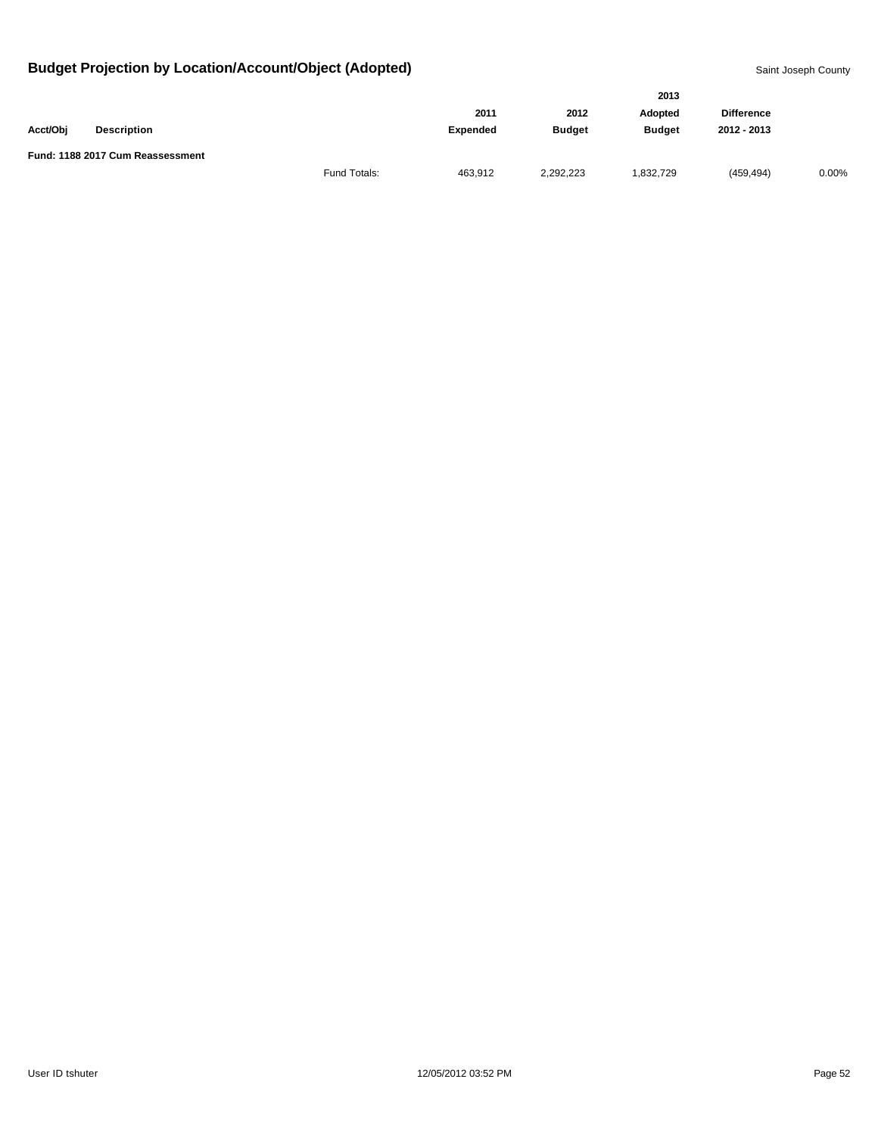|          |                                  |              | 2013            |               |               |                   |       |  |
|----------|----------------------------------|--------------|-----------------|---------------|---------------|-------------------|-------|--|
|          |                                  |              | 2011            | 2012          | Adopted       | <b>Difference</b> |       |  |
| Acct/Obj | <b>Description</b>               |              | <b>Expended</b> | <b>Budget</b> | <b>Budget</b> | 2012 - 2013       |       |  |
|          | Fund: 1188 2017 Cum Reassessment |              |                 |               |               |                   |       |  |
|          |                                  | Fund Totals: | 463.912         | 2,292,223     | .832,729      | (459, 494)        | 0.00% |  |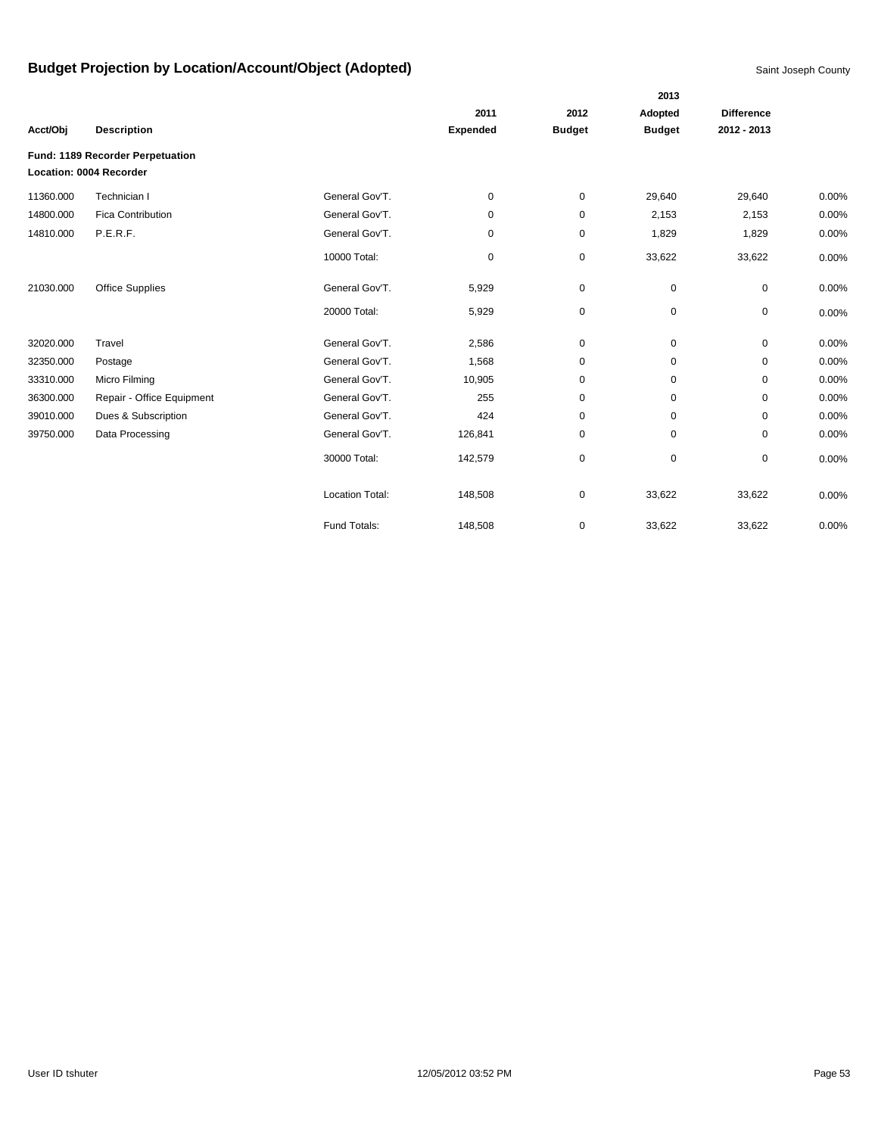|           |                                  |                        |                 |               | 2013          |                   |       |
|-----------|----------------------------------|------------------------|-----------------|---------------|---------------|-------------------|-------|
|           |                                  |                        | 2011            | 2012          | Adopted       | <b>Difference</b> |       |
| Acct/Obj  | <b>Description</b>               |                        | <b>Expended</b> | <b>Budget</b> | <b>Budget</b> | 2012 - 2013       |       |
|           | Fund: 1189 Recorder Perpetuation |                        |                 |               |               |                   |       |
|           | Location: 0004 Recorder          |                        |                 |               |               |                   |       |
| 11360.000 | Technician I                     | General Gov'T.         | 0               | 0             | 29,640        | 29,640            | 0.00% |
| 14800.000 | <b>Fica Contribution</b>         | General Gov'T.         | 0               | 0             | 2,153         | 2,153             | 0.00% |
| 14810.000 | P.E.R.F.                         | General Gov'T.         | 0               | $\pmb{0}$     | 1,829         | 1,829             | 0.00% |
|           |                                  | 10000 Total:           | 0               | $\mathbf 0$   | 33,622        | 33,622            | 0.00% |
| 21030.000 | <b>Office Supplies</b>           | General Gov'T.         | 5,929           | 0             | $\mathbf 0$   | 0                 | 0.00% |
|           |                                  | 20000 Total:           | 5,929           | 0             | $\mathbf 0$   | 0                 | 0.00% |
| 32020.000 | Travel                           | General Gov'T.         | 2,586           | $\pmb{0}$     | $\mathbf 0$   | 0                 | 0.00% |
| 32350.000 | Postage                          | General Gov'T.         | 1,568           | 0             | $\mathbf 0$   | 0                 | 0.00% |
| 33310.000 | Micro Filming                    | General Gov'T.         | 10,905          | $\pmb{0}$     | $\mathbf 0$   | $\mathbf 0$       | 0.00% |
| 36300.000 | Repair - Office Equipment        | General Gov'T.         | 255             | 0             | 0             | $\mathbf 0$       | 0.00% |
| 39010.000 | Dues & Subscription              | General Gov'T.         | 424             | $\mathbf 0$   | 0             | $\mathbf 0$       | 0.00% |
| 39750.000 | Data Processing                  | General Gov'T.         | 126,841         | 0             | 0             | $\mathbf 0$       | 0.00% |
|           |                                  | 30000 Total:           | 142,579         | 0             | $\mathbf 0$   | 0                 | 0.00% |
|           |                                  | <b>Location Total:</b> | 148,508         | 0             | 33,622        | 33,622            | 0.00% |
|           |                                  | Fund Totals:           | 148,508         | $\mathbf 0$   | 33,622        | 33,622            | 0.00% |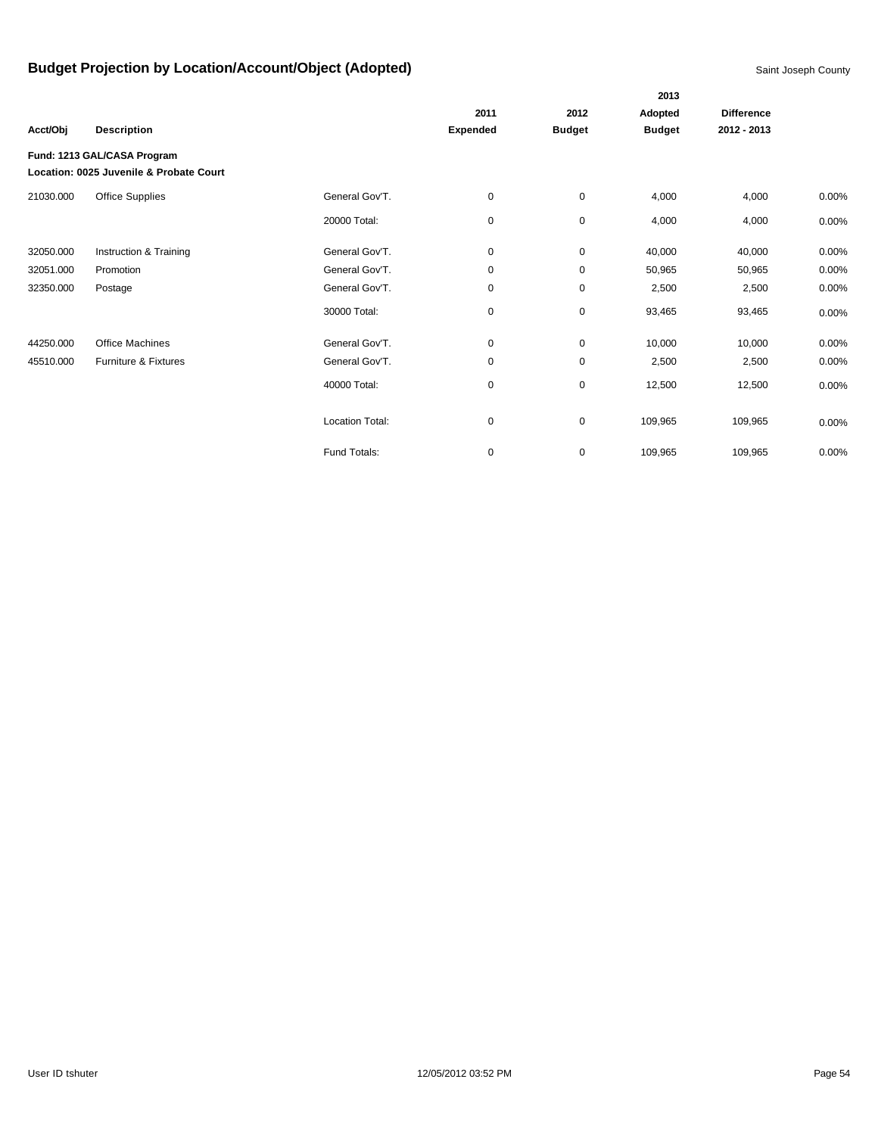|           |                                                                        |                 |                 |               | 2013          |                   |          |
|-----------|------------------------------------------------------------------------|-----------------|-----------------|---------------|---------------|-------------------|----------|
|           |                                                                        |                 | 2011            | 2012          | Adopted       | <b>Difference</b> |          |
| Acct/Obj  | <b>Description</b>                                                     |                 | <b>Expended</b> | <b>Budget</b> | <b>Budget</b> | 2012 - 2013       |          |
|           | Fund: 1213 GAL/CASA Program<br>Location: 0025 Juvenile & Probate Court |                 |                 |               |               |                   |          |
| 21030.000 | Office Supplies                                                        | General Gov'T.  | 0               | $\pmb{0}$     | 4,000         | 4,000             | 0.00%    |
|           |                                                                        | 20000 Total:    | 0               | $\mathbf 0$   | 4,000         | 4,000             | $0.00\%$ |
| 32050.000 | Instruction & Training                                                 | General Gov'T.  | 0               | $\mathbf 0$   | 40,000        | 40,000            | 0.00%    |
| 32051.000 | Promotion                                                              | General Gov'T.  | 0               | 0             | 50,965        | 50,965            | 0.00%    |
| 32350.000 | Postage                                                                | General Gov'T.  | 0               | 0             | 2,500         | 2,500             | 0.00%    |
|           |                                                                        | 30000 Total:    | 0               | 0             | 93,465        | 93,465            | 0.00%    |
| 44250.000 | <b>Office Machines</b>                                                 | General Gov'T.  | 0               | 0             | 10,000        | 10,000            | 0.00%    |
| 45510.000 | Furniture & Fixtures                                                   | General Gov'T.  | 0               | $\pmb{0}$     | 2,500         | 2,500             | 0.00%    |
|           |                                                                        | 40000 Total:    | 0               | $\pmb{0}$     | 12,500        | 12,500            | 0.00%    |
|           |                                                                        | Location Total: | 0               | $\pmb{0}$     | 109,965       | 109,965           | 0.00%    |
|           |                                                                        | Fund Totals:    | 0               | $\mathbf 0$   | 109,965       | 109,965           | 0.00%    |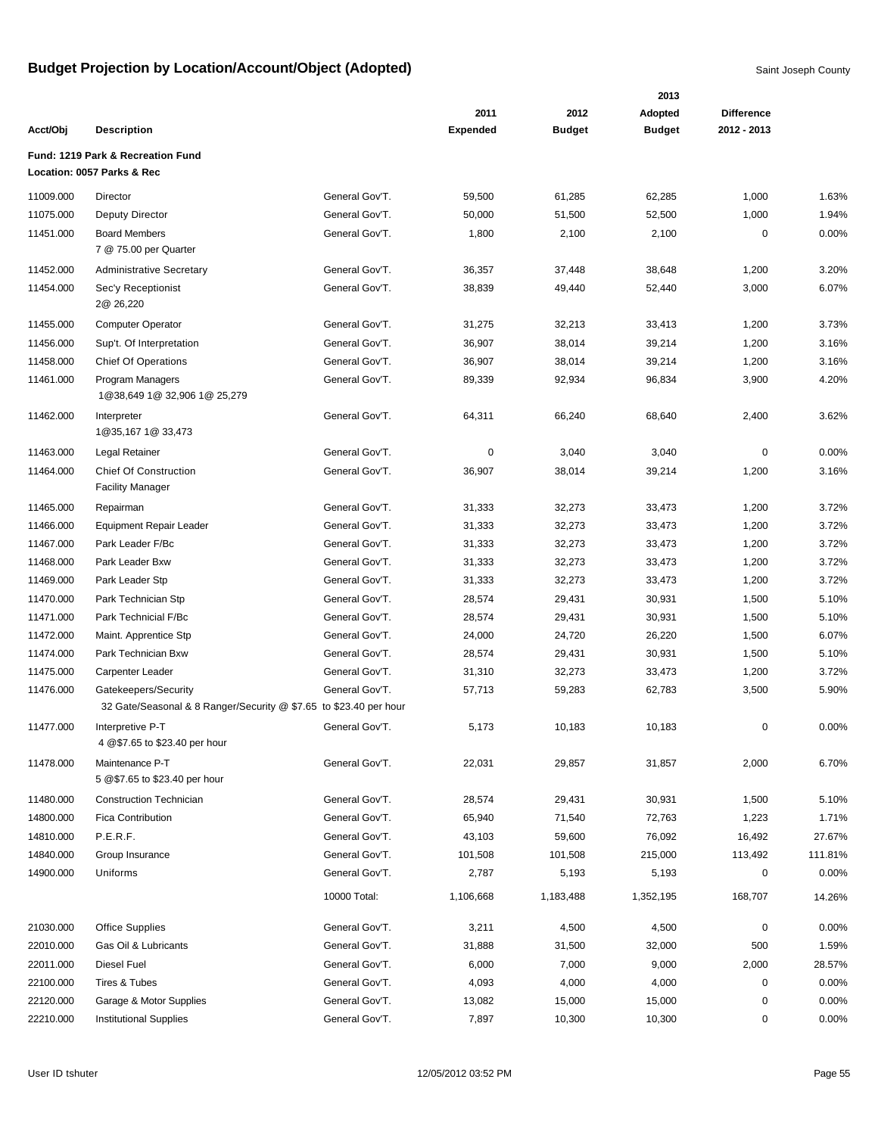|           |                                                                   |                |                 |               | 2013          |                   |         |
|-----------|-------------------------------------------------------------------|----------------|-----------------|---------------|---------------|-------------------|---------|
|           |                                                                   |                | 2011            | 2012          | Adopted       | <b>Difference</b> |         |
| Acct/Obj  | <b>Description</b>                                                |                | <b>Expended</b> | <b>Budget</b> | <b>Budget</b> | 2012 - 2013       |         |
|           | Fund: 1219 Park & Recreation Fund                                 |                |                 |               |               |                   |         |
|           | Location: 0057 Parks & Rec                                        |                |                 |               |               |                   |         |
| 11009.000 | Director                                                          | General Gov'T. | 59,500          | 61,285        | 62,285        | 1,000             | 1.63%   |
| 11075.000 | Deputy Director                                                   | General Gov'T. | 50,000          | 51,500        | 52,500        | 1,000             | 1.94%   |
| 11451.000 | <b>Board Members</b>                                              | General Gov'T. | 1,800           | 2,100         | 2,100         | 0                 | 0.00%   |
|           | 7 @ 75.00 per Quarter                                             |                |                 |               |               |                   |         |
| 11452.000 | <b>Administrative Secretary</b>                                   | General Gov'T. | 36,357          | 37,448        | 38,648        | 1,200             | 3.20%   |
| 11454.000 | Sec'y Receptionist                                                | General Gov'T. | 38,839          | 49,440        | 52,440        | 3,000             | 6.07%   |
|           | 2@ 26,220                                                         |                |                 |               |               |                   |         |
| 11455.000 | <b>Computer Operator</b>                                          | General Gov'T. | 31,275          | 32,213        | 33,413        | 1,200             | 3.73%   |
| 11456.000 | Sup't. Of Interpretation                                          | General Gov'T. | 36,907          | 38,014        | 39,214        | 1,200             | 3.16%   |
| 11458.000 | <b>Chief Of Operations</b>                                        | General Gov'T. | 36,907          | 38,014        | 39,214        | 1,200             | 3.16%   |
| 11461.000 | Program Managers                                                  | General Gov'T. | 89,339          | 92,934        | 96,834        | 3,900             | 4.20%   |
|           | 1@38,649 1@ 32,906 1@ 25,279                                      |                |                 |               |               |                   |         |
| 11462.000 | Interpreter                                                       | General Gov'T. | 64,311          | 66,240        | 68,640        | 2,400             | 3.62%   |
|           | 1@35,167 1@ 33,473                                                |                |                 |               |               |                   |         |
| 11463.000 | Legal Retainer                                                    | General Gov'T. | 0               | 3,040         | 3,040         | 0                 | 0.00%   |
| 11464.000 | <b>Chief Of Construction</b>                                      | General Gov'T. | 36,907          | 38,014        | 39,214        | 1,200             | 3.16%   |
|           | <b>Facility Manager</b>                                           |                |                 |               |               |                   |         |
| 11465.000 | Repairman                                                         | General Gov'T. | 31,333          | 32,273        | 33,473        | 1,200             | 3.72%   |
| 11466.000 | Equipment Repair Leader                                           | General Gov'T. | 31,333          | 32,273        | 33,473        | 1,200             | 3.72%   |
| 11467.000 | Park Leader F/Bc                                                  | General Gov'T. | 31,333          | 32,273        | 33,473        | 1,200             | 3.72%   |
| 11468.000 | Park Leader Bxw                                                   | General Gov'T. | 31,333          | 32,273        | 33,473        | 1,200             | 3.72%   |
| 11469.000 | Park Leader Stp                                                   | General Gov'T. | 31,333          | 32,273        | 33,473        | 1,200             | 3.72%   |
| 11470.000 | Park Technician Stp                                               | General Gov'T. | 28,574          | 29,431        | 30,931        | 1,500             | 5.10%   |
| 11471.000 | Park Technicial F/Bc                                              | General Gov'T. | 28,574          | 29,431        | 30,931        | 1,500             | 5.10%   |
| 11472.000 | Maint. Apprentice Stp                                             | General Gov'T. | 24,000          | 24,720        | 26,220        | 1,500             | 6.07%   |
| 11474.000 | Park Technician Bxw                                               | General Gov'T. | 28,574          | 29,431        | 30,931        | 1,500             | 5.10%   |
| 11475.000 | Carpenter Leader                                                  | General Gov'T. | 31,310          | 32,273        | 33,473        | 1,200             | 3.72%   |
| 11476.000 | Gatekeepers/Security                                              | General Gov'T. | 57,713          | 59,283        | 62,783        | 3,500             | 5.90%   |
|           | 32 Gate/Seasonal & 8 Ranger/Security @ \$7.65 to \$23.40 per hour |                |                 |               |               |                   |         |
| 11477.000 | Interpretive P-T<br>4 @\$7.65 to \$23.40 per hour                 | General Gov'T. | 5,173           | 10,183        | 10,183        | 0                 | 0.00%   |
|           | Maintenance P-T                                                   |                |                 |               |               |                   |         |
| 11478.000 | 5 @\$7.65 to \$23.40 per hour                                     | General Gov'T. | 22,031          | 29,857        | 31,857        | 2,000             | 6.70%   |
| 11480.000 | <b>Construction Technician</b>                                    | General Gov'T. | 28,574          | 29,431        | 30,931        | 1,500             | 5.10%   |
| 14800.000 | Fica Contribution                                                 | General Gov'T. | 65,940          | 71,540        | 72,763        | 1,223             | 1.71%   |
| 14810.000 | P.E.R.F.                                                          | General Gov'T. | 43,103          | 59,600        | 76,092        | 16,492            | 27.67%  |
| 14840.000 | Group Insurance                                                   | General Gov'T. | 101,508         | 101,508       | 215,000       | 113,492           | 111.81% |
| 14900.000 | Uniforms                                                          | General Gov'T. | 2,787           | 5,193         | 5,193         | 0                 | 0.00%   |
|           |                                                                   |                |                 |               |               |                   |         |
|           |                                                                   | 10000 Total:   | 1,106,668       | 1,183,488     | 1,352,195     | 168,707           | 14.26%  |
| 21030.000 | <b>Office Supplies</b>                                            | General Gov'T. | 3,211           | 4,500         | 4,500         | 0                 | 0.00%   |
| 22010.000 | Gas Oil & Lubricants                                              | General Gov'T. | 31,888          | 31,500        | 32,000        | 500               | 1.59%   |
| 22011.000 | Diesel Fuel                                                       | General Gov'T. | 6,000           | 7,000         | 9,000         | 2,000             | 28.57%  |
| 22100.000 | Tires & Tubes                                                     | General Gov'T. | 4,093           | 4,000         | 4,000         | 0                 | 0.00%   |
| 22120.000 | Garage & Motor Supplies                                           | General Gov'T. | 13,082          | 15,000        | 15,000        | 0                 | 0.00%   |
| 22210.000 | <b>Institutional Supplies</b>                                     | General Gov'T. | 7,897           | 10,300        | 10,300        | 0                 | 0.00%   |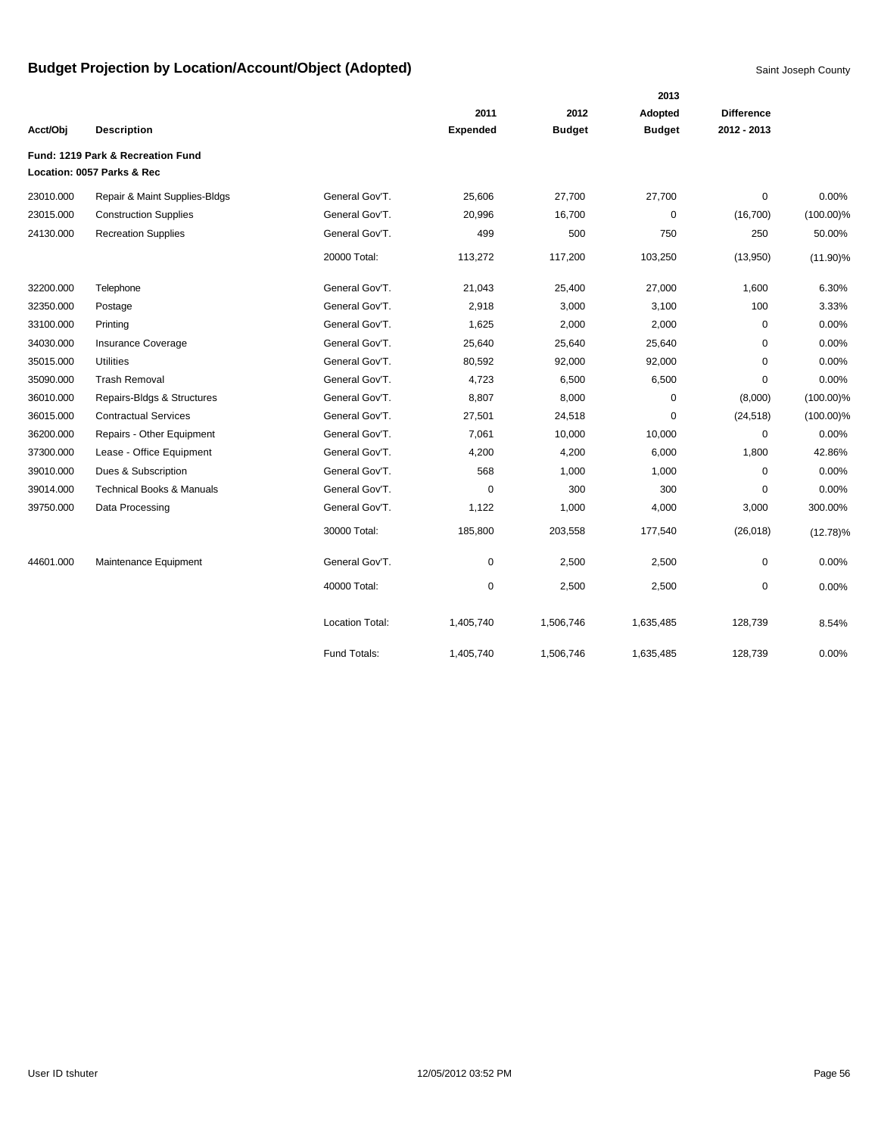|           |                                      |                        |                 |               | 2013          |                   |              |
|-----------|--------------------------------------|------------------------|-----------------|---------------|---------------|-------------------|--------------|
|           |                                      |                        | 2011            | 2012          | Adopted       | <b>Difference</b> |              |
| Acct/Obj  | <b>Description</b>                   |                        | <b>Expended</b> | <b>Budget</b> | <b>Budget</b> | 2012 - 2013       |              |
|           | Fund: 1219 Park & Recreation Fund    |                        |                 |               |               |                   |              |
|           | Location: 0057 Parks & Rec           |                        |                 |               |               |                   |              |
| 23010.000 | Repair & Maint Supplies-Bldgs        | General Gov'T.         | 25,606          | 27,700        | 27,700        | 0                 | 0.00%        |
| 23015.000 | <b>Construction Supplies</b>         | General Gov'T.         | 20,996          | 16,700        | $\pmb{0}$     | (16,700)          | $(100.00)\%$ |
| 24130.000 | <b>Recreation Supplies</b>           | General Gov'T.         | 499             | 500           | 750           | 250               | 50.00%       |
|           |                                      | 20000 Total:           | 113,272         | 117,200       | 103,250       | (13,950)          | $(11.90)\%$  |
| 32200.000 | Telephone                            | General Gov'T.         | 21,043          | 25,400        | 27,000        | 1,600             | 6.30%        |
| 32350.000 | Postage                              | General Gov'T.         | 2,918           | 3,000         | 3,100         | 100               | 3.33%        |
| 33100.000 | Printing                             | General Gov'T.         | 1,625           | 2,000         | 2,000         | $\mathbf 0$       | 0.00%        |
| 34030.000 | <b>Insurance Coverage</b>            | General Gov'T.         | 25,640          | 25,640        | 25,640        | 0                 | 0.00%        |
| 35015.000 | <b>Utilities</b>                     | General Gov'T.         | 80,592          | 92,000        | 92,000        | $\Omega$          | 0.00%        |
| 35090.000 | <b>Trash Removal</b>                 | General Gov'T.         | 4,723           | 6,500         | 6,500         | 0                 | 0.00%        |
| 36010.000 | Repairs-Bldgs & Structures           | General Gov'T.         | 8,807           | 8,000         | $\mathbf 0$   | (8,000)           | $(100.00)\%$ |
| 36015.000 | <b>Contractual Services</b>          | General Gov'T.         | 27,501          | 24,518        | $\mathbf 0$   | (24, 518)         | $(100.00)\%$ |
| 36200.000 | Repairs - Other Equipment            | General Gov'T.         | 7,061           | 10,000        | 10,000        | $\mathbf 0$       | 0.00%        |
| 37300.000 | Lease - Office Equipment             | General Gov'T.         | 4,200           | 4,200         | 6,000         | 1,800             | 42.86%       |
| 39010.000 | Dues & Subscription                  | General Gov'T.         | 568             | 1,000         | 1,000         | $\mathbf 0$       | 0.00%        |
| 39014.000 | <b>Technical Books &amp; Manuals</b> | General Gov'T.         | 0               | 300           | 300           | $\mathbf 0$       | 0.00%        |
| 39750.000 | Data Processing                      | General Gov'T.         | 1,122           | 1,000         | 4,000         | 3,000             | 300.00%      |
|           |                                      | 30000 Total:           | 185,800         | 203,558       | 177,540       | (26, 018)         | $(12.78)\%$  |
| 44601.000 | Maintenance Equipment                | General Gov'T.         | $\pmb{0}$       | 2,500         | 2,500         | $\pmb{0}$         | 0.00%        |
|           |                                      | 40000 Total:           | $\mathbf 0$     | 2,500         | 2,500         | 0                 | 0.00%        |
|           |                                      | <b>Location Total:</b> | 1,405,740       | 1,506,746     | 1,635,485     | 128,739           | 8.54%        |
|           |                                      | Fund Totals:           | 1,405,740       | 1,506,746     | 1,635,485     | 128,739           | 0.00%        |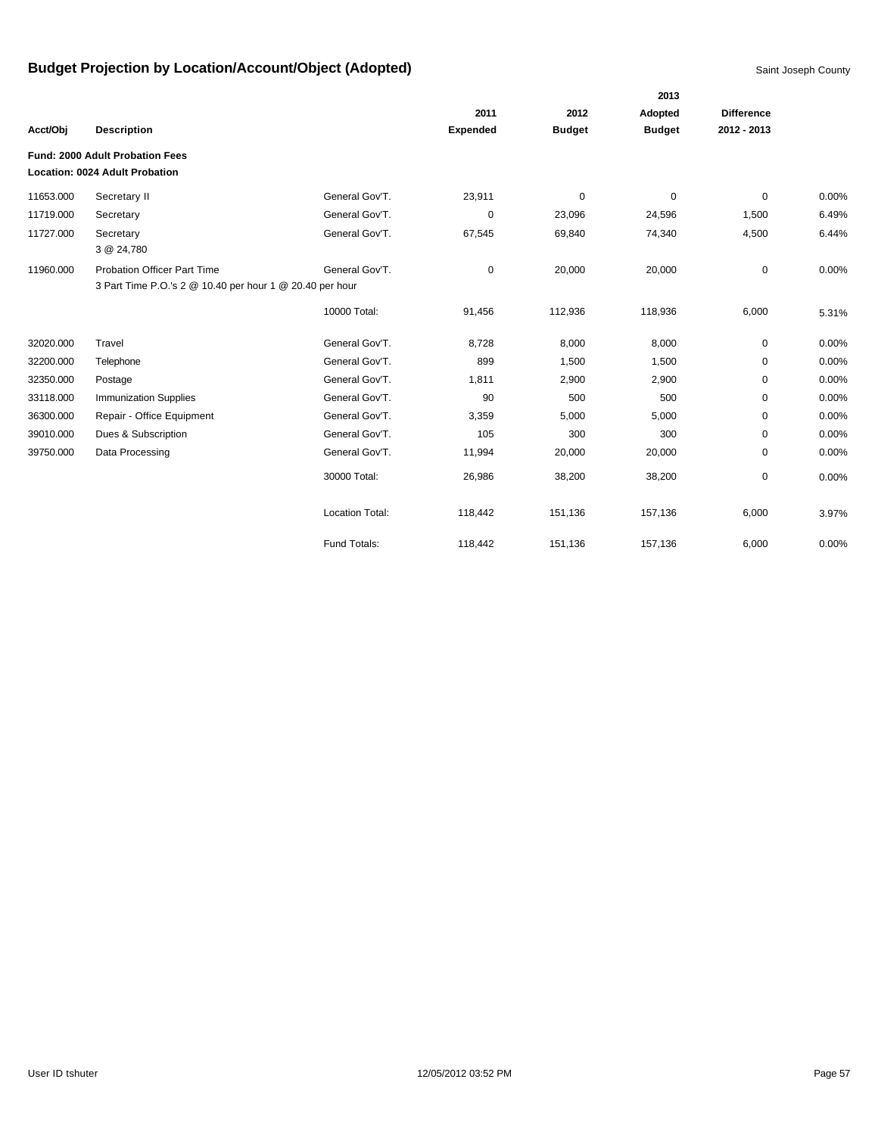|           |                                                          |                        |                 |               | 2013          |                   |       |
|-----------|----------------------------------------------------------|------------------------|-----------------|---------------|---------------|-------------------|-------|
|           |                                                          |                        | 2011            | 2012          | Adopted       | <b>Difference</b> |       |
| Acct/Obj  | <b>Description</b>                                       |                        | <b>Expended</b> | <b>Budget</b> | <b>Budget</b> | 2012 - 2013       |       |
|           | Fund: 2000 Adult Probation Fees                          |                        |                 |               |               |                   |       |
|           | <b>Location: 0024 Adult Probation</b>                    |                        |                 |               |               |                   |       |
| 11653.000 | Secretary II                                             | General Gov'T.         | 23,911          | $\mathbf 0$   | $\mathbf 0$   | $\Omega$          | 0.00% |
| 11719.000 | Secretary                                                | General Gov'T.         | 0               | 23,096        | 24,596        | 1,500             | 6.49% |
| 11727.000 | Secretary                                                | General Gov'T.         | 67,545          | 69,840        | 74,340        | 4,500             | 6.44% |
|           | 3 @ 24,780                                               |                        |                 |               |               |                   |       |
| 11960.000 | <b>Probation Officer Part Time</b>                       | General Gov'T.         | 0               | 20,000        | 20,000        | 0                 | 0.00% |
|           | 3 Part Time P.O.'s 2 @ 10.40 per hour 1 @ 20.40 per hour |                        |                 |               |               |                   |       |
|           |                                                          | 10000 Total:           | 91,456          | 112,936       | 118,936       | 6,000             | 5.31% |
| 32020.000 | Travel                                                   | General Gov'T.         | 8,728           | 8,000         | 8,000         | 0                 | 0.00% |
| 32200.000 | Telephone                                                | General Gov'T.         | 899             | 1,500         | 1,500         | 0                 | 0.00% |
| 32350.000 | Postage                                                  | General Gov'T.         | 1,811           | 2,900         | 2,900         | 0                 | 0.00% |
| 33118.000 | <b>Immunization Supplies</b>                             | General Gov'T.         | 90              | 500           | 500           | 0                 | 0.00% |
| 36300.000 | Repair - Office Equipment                                | General Gov'T.         | 3,359           | 5,000         | 5,000         | 0                 | 0.00% |
| 39010.000 | Dues & Subscription                                      | General Gov'T.         | 105             | 300           | 300           | 0                 | 0.00% |
| 39750.000 | Data Processing                                          | General Gov'T.         | 11,994          | 20,000        | 20,000        | 0                 | 0.00% |
|           |                                                          | 30000 Total:           | 26,986          | 38,200        | 38,200        | 0                 | 0.00% |
|           |                                                          | <b>Location Total:</b> | 118,442         | 151,136       | 157,136       | 6,000             | 3.97% |
|           |                                                          | Fund Totals:           | 118,442         | 151,136       | 157,136       | 6,000             | 0.00% |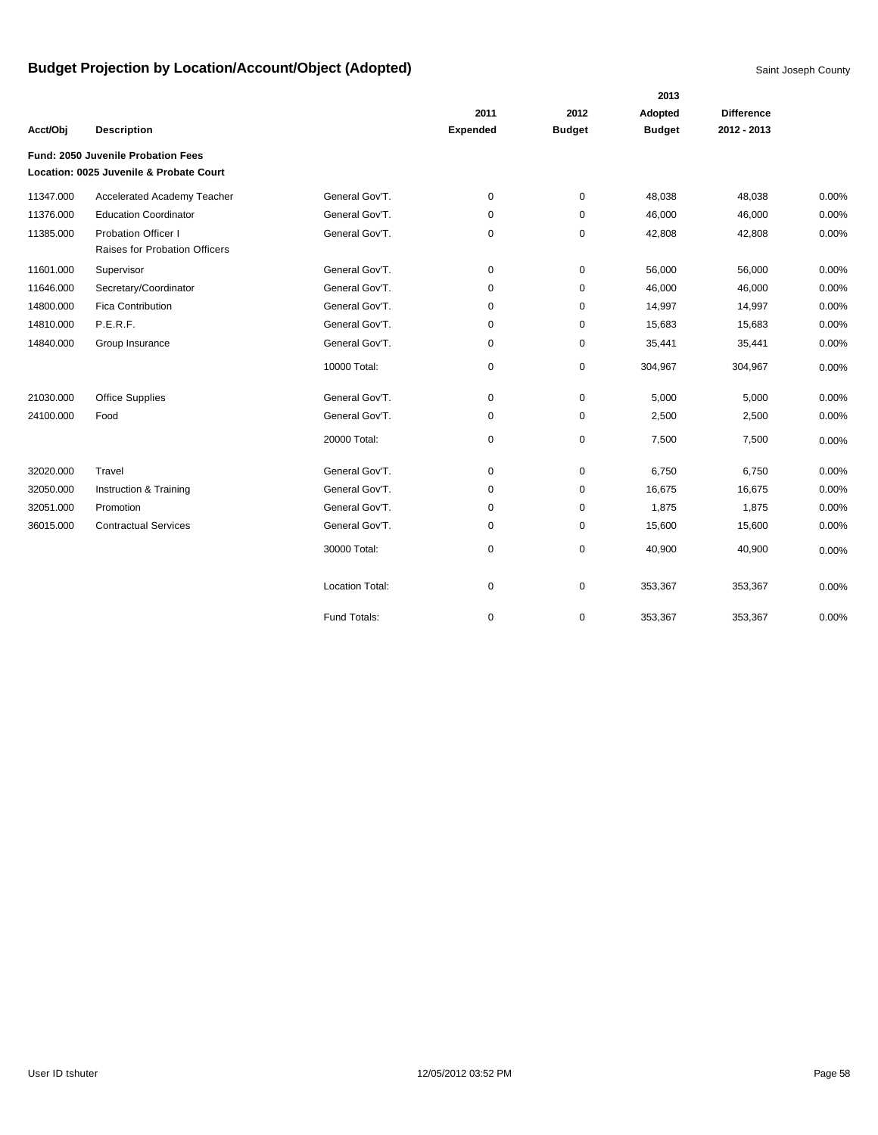|           |                                         |                        |                 |               | 2013          |                   |       |
|-----------|-----------------------------------------|------------------------|-----------------|---------------|---------------|-------------------|-------|
|           |                                         |                        | 2011            | 2012          | Adopted       | <b>Difference</b> |       |
| Acct/Obj  | <b>Description</b>                      |                        | <b>Expended</b> | <b>Budget</b> | <b>Budget</b> | 2012 - 2013       |       |
|           | Fund: 2050 Juvenile Probation Fees      |                        |                 |               |               |                   |       |
|           | Location: 0025 Juvenile & Probate Court |                        |                 |               |               |                   |       |
| 11347.000 | Accelerated Academy Teacher             | General Gov'T.         | $\mathbf 0$     | $\mathbf 0$   | 48,038        | 48,038            | 0.00% |
| 11376.000 | <b>Education Coordinator</b>            | General Gov'T.         | 0               | 0             | 46,000        | 46,000            | 0.00% |
| 11385.000 | <b>Probation Officer I</b>              | General Gov'T.         | 0               | $\pmb{0}$     | 42,808        | 42,808            | 0.00% |
|           | Raises for Probation Officers           |                        |                 |               |               |                   |       |
| 11601.000 | Supervisor                              | General Gov'T.         | 0               | $\mathbf 0$   | 56,000        | 56,000            | 0.00% |
| 11646.000 | Secretary/Coordinator                   | General Gov'T.         | 0               | $\mathbf 0$   | 46,000        | 46,000            | 0.00% |
| 14800.000 | <b>Fica Contribution</b>                | General Gov'T.         | 0               | 0             | 14,997        | 14,997            | 0.00% |
| 14810.000 | P.E.R.F.                                | General Gov'T.         | 0               | $\mathbf 0$   | 15,683        | 15,683            | 0.00% |
| 14840.000 | Group Insurance                         | General Gov'T.         | 0               | $\mathbf 0$   | 35,441        | 35,441            | 0.00% |
|           |                                         | 10000 Total:           | 0               | $\pmb{0}$     | 304,967       | 304,967           | 0.00% |
| 21030.000 | <b>Office Supplies</b>                  | General Gov'T.         | 0               | $\mathbf 0$   | 5,000         | 5,000             | 0.00% |
| 24100.000 | Food                                    | General Gov'T.         | $\mathbf 0$     | $\mathbf 0$   | 2,500         | 2,500             | 0.00% |
|           |                                         | 20000 Total:           | 0               | $\pmb{0}$     | 7,500         | 7,500             | 0.00% |
| 32020.000 | Travel                                  | General Gov'T.         | 0               | $\pmb{0}$     | 6,750         | 6,750             | 0.00% |
| 32050.000 | Instruction & Training                  | General Gov'T.         | 0               | 0             | 16,675        | 16,675            | 0.00% |
| 32051.000 | Promotion                               | General Gov'T.         | 0               | $\mathbf 0$   | 1,875         | 1,875             | 0.00% |
| 36015.000 | <b>Contractual Services</b>             | General Gov'T.         | 0               | $\pmb{0}$     | 15,600        | 15,600            | 0.00% |
|           |                                         | 30000 Total:           | 0               | $\pmb{0}$     | 40,900        | 40,900            | 0.00% |
|           |                                         | <b>Location Total:</b> | 0               | $\mathbf 0$   | 353,367       | 353,367           | 0.00% |
|           |                                         | Fund Totals:           | 0               | $\pmb{0}$     | 353,367       | 353,367           | 0.00% |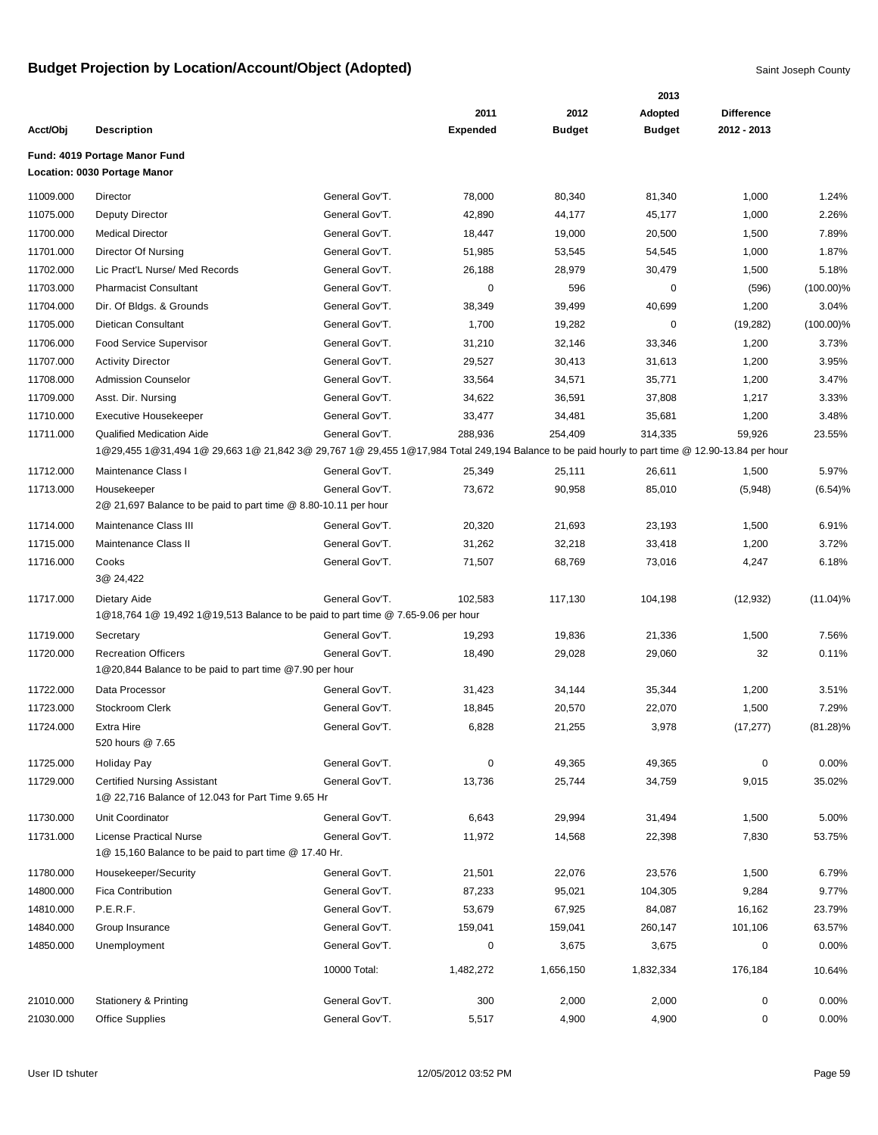|           |                                                                                                                                                                                    |                |                 |               | 2013           |                   |              |
|-----------|------------------------------------------------------------------------------------------------------------------------------------------------------------------------------------|----------------|-----------------|---------------|----------------|-------------------|--------------|
|           |                                                                                                                                                                                    |                | 2011            | 2012          | <b>Adopted</b> | <b>Difference</b> |              |
| Acct/Obj  | <b>Description</b>                                                                                                                                                                 |                | <b>Expended</b> | <b>Budget</b> | <b>Budget</b>  | 2012 - 2013       |              |
|           | Fund: 4019 Portage Manor Fund<br>Location: 0030 Portage Manor                                                                                                                      |                |                 |               |                |                   |              |
| 11009.000 | Director                                                                                                                                                                           | General Gov'T. | 78,000          | 80,340        | 81,340         | 1,000             | 1.24%        |
| 11075.000 | <b>Deputy Director</b>                                                                                                                                                             | General Gov'T. | 42,890          | 44,177        | 45,177         | 1,000             | 2.26%        |
| 11700.000 | <b>Medical Director</b>                                                                                                                                                            | General Gov'T. | 18,447          | 19,000        | 20,500         | 1,500             | 7.89%        |
| 11701.000 | Director Of Nursing                                                                                                                                                                | General Gov'T. | 51,985          | 53,545        | 54,545         | 1,000             | 1.87%        |
| 11702.000 | Lic Pract'L Nurse/ Med Records                                                                                                                                                     | General Gov'T. | 26,188          | 28,979        | 30,479         | 1,500             | 5.18%        |
| 11703.000 | <b>Pharmacist Consultant</b>                                                                                                                                                       | General Gov'T. | 0               | 596           | 0              | (596)             | $(100.00)\%$ |
| 11704.000 | Dir. Of Bldgs. & Grounds                                                                                                                                                           | General Gov'T. | 38,349          | 39,499        | 40,699         | 1,200             | 3.04%        |
| 11705.000 | Dietican Consultant                                                                                                                                                                | General Gov'T. | 1,700           | 19,282        | $\mathbf 0$    | (19, 282)         | $(100.00)\%$ |
| 11706.000 | <b>Food Service Supervisor</b>                                                                                                                                                     | General Gov'T. | 31,210          | 32,146        | 33,346         | 1,200             | 3.73%        |
| 11707.000 | <b>Activity Director</b>                                                                                                                                                           | General Gov'T. | 29,527          | 30,413        | 31,613         | 1,200             | 3.95%        |
| 11708.000 | <b>Admission Counselor</b>                                                                                                                                                         | General Gov'T. | 33,564          | 34,571        | 35,771         | 1,200             | 3.47%        |
| 11709.000 | Asst. Dir. Nursing                                                                                                                                                                 | General Gov'T. | 34,622          | 36,591        | 37,808         | 1,217             | 3.33%        |
| 11710.000 | <b>Executive Housekeeper</b>                                                                                                                                                       | General Gov'T. | 33,477          | 34,481        | 35,681         | 1,200             | 3.48%        |
| 11711.000 | <b>Qualified Medication Aide</b><br>1@29,455 1@31,494 1@ 29,663 1@ 21,842 3@ 29,767 1@ 29,455 1@17,984 Total 249,194 Balance to be paid hourly to part time @ 12.90-13.84 per hour | General Gov'T. | 288,936         | 254,409       | 314,335        | 59,926            | 23.55%       |
| 11712.000 | Maintenance Class I                                                                                                                                                                | General Gov'T. | 25,349          | 25,111        | 26,611         | 1,500             | 5.97%        |
| 11713.000 | Housekeeper                                                                                                                                                                        | General Gov'T. | 73,672          | 90,958        | 85,010         | (5,948)           | (6.54)%      |
|           | 2@ 21,697 Balance to be paid to part time @ 8.80-10.11 per hour                                                                                                                    |                |                 |               |                |                   |              |
| 11714.000 | Maintenance Class III                                                                                                                                                              | General Gov'T. | 20,320          | 21,693        | 23,193         | 1,500             | 6.91%        |
| 11715.000 | Maintenance Class II                                                                                                                                                               | General Gov'T. | 31,262          | 32,218        | 33,418         | 1,200             | 3.72%        |
| 11716.000 | Cooks<br>3@ 24,422                                                                                                                                                                 | General Gov'T. | 71,507          | 68,769        | 73,016         | 4,247             | 6.18%        |
| 11717.000 | Dietary Aide                                                                                                                                                                       | General Gov'T. | 102,583         | 117,130       | 104,198        | (12, 932)         | $(11.04)\%$  |
|           | 1@18,764 1@ 19,492 1@19,513 Balance to be paid to part time @ 7.65-9.06 per hour                                                                                                   |                |                 |               |                |                   |              |
| 11719.000 | Secretary                                                                                                                                                                          | General Gov'T. | 19,293          | 19,836        | 21,336         | 1,500             | 7.56%        |
| 11720.000 | <b>Recreation Officers</b>                                                                                                                                                         | General Gov'T. | 18,490          | 29,028        | 29,060         | 32                | 0.11%        |
|           | 1@20,844 Balance to be paid to part time @7.90 per hour                                                                                                                            |                |                 |               |                |                   |              |
| 11722.000 | Data Processor                                                                                                                                                                     | General Gov'T. | 31,423          | 34,144        | 35,344         | 1,200             | 3.51%        |
| 11723.000 | Stockroom Clerk                                                                                                                                                                    | General Gov'T. | 18,845          | 20,570        | 22,070         | 1,500             | 7.29%        |
| 11724.000 | Extra Hire<br>520 hours @ 7.65                                                                                                                                                     | General Gov'T. | 6,828           | 21,255        | 3,978          | (17, 277)         | $(81.28)\%$  |
| 11725.000 | Holiday Pay                                                                                                                                                                        | General Gov'T. | 0               | 49,365        | 49,365         | 0                 | 0.00%        |
| 11729.000 | <b>Certified Nursing Assistant</b><br>1@ 22,716 Balance of 12.043 for Part Time 9.65 Hr                                                                                            | General Gov'T. | 13,736          | 25,744        | 34,759         | 9,015             | 35.02%       |
| 11730.000 | Unit Coordinator                                                                                                                                                                   | General Gov'T. | 6,643           | 29,994        | 31,494         | 1,500             | 5.00%        |
| 11731.000 | <b>License Practical Nurse</b><br>1@ 15,160 Balance to be paid to part time @ 17.40 Hr.                                                                                            | General Gov'T. | 11,972          | 14,568        | 22,398         | 7,830             | 53.75%       |
| 11780.000 | Housekeeper/Security                                                                                                                                                               | General Gov'T. | 21,501          | 22,076        | 23,576         | 1,500             | 6.79%        |
| 14800.000 | <b>Fica Contribution</b>                                                                                                                                                           | General Gov'T. | 87,233          | 95,021        | 104,305        | 9,284             | 9.77%        |
| 14810.000 | P.E.R.F.                                                                                                                                                                           | General Gov'T. | 53,679          | 67,925        | 84,087         | 16,162            | 23.79%       |
| 14840.000 | Group Insurance                                                                                                                                                                    | General Gov'T. | 159,041         | 159,041       | 260,147        | 101,106           | 63.57%       |
| 14850.000 | Unemployment                                                                                                                                                                       | General Gov'T. | 0               | 3,675         | 3,675          | 0                 | 0.00%        |
|           |                                                                                                                                                                                    | 10000 Total:   | 1,482,272       | 1,656,150     | 1,832,334      | 176,184           | 10.64%       |
| 21010.000 |                                                                                                                                                                                    | General Gov'T. |                 | 2,000         | 2,000          | 0                 | $0.00\%$     |
| 21030.000 | <b>Stationery &amp; Printing</b><br><b>Office Supplies</b>                                                                                                                         | General Gov'T. | 300<br>5,517    | 4,900         | 4,900          | 0                 | $0.00\%$     |
|           |                                                                                                                                                                                    |                |                 |               |                |                   |              |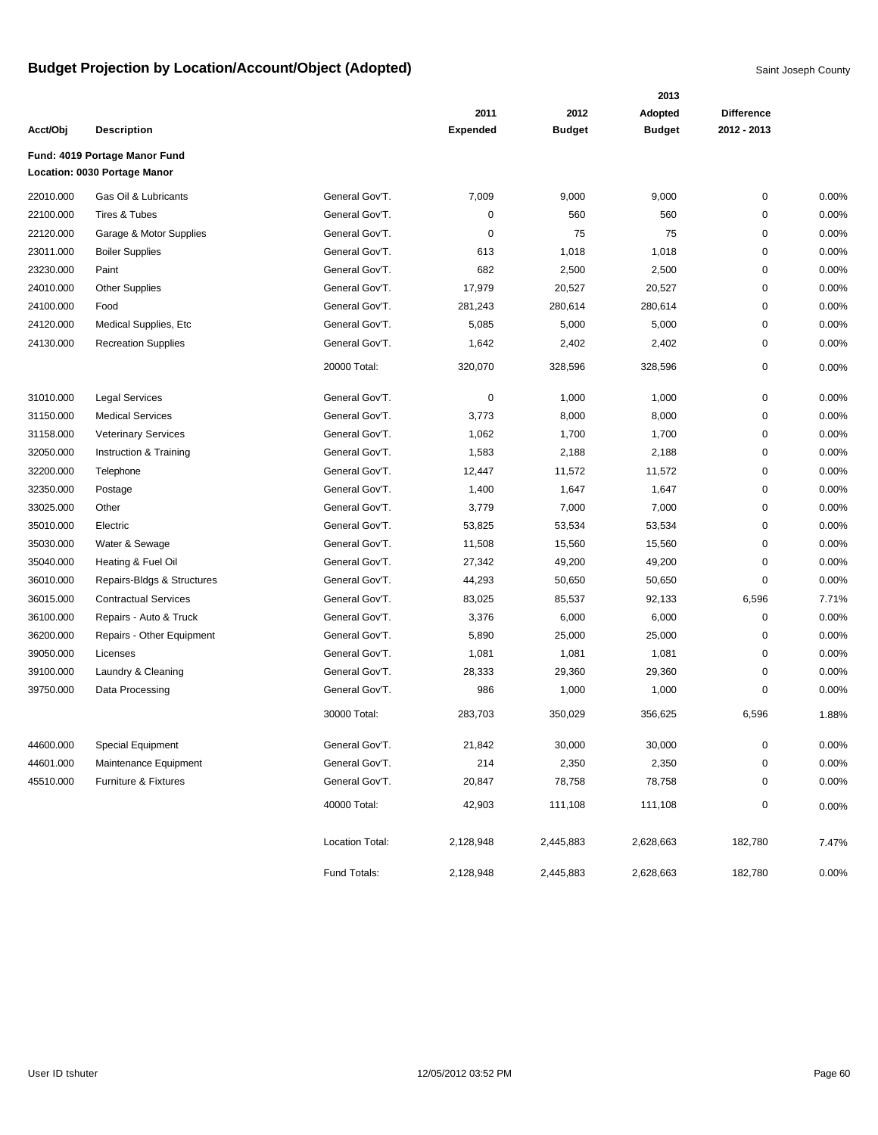|           |                               |                 |                 | 2013          |               |                   |          |
|-----------|-------------------------------|-----------------|-----------------|---------------|---------------|-------------------|----------|
|           |                               |                 | 2011            | 2012          | Adopted       | <b>Difference</b> |          |
| Acct/Obj  | <b>Description</b>            |                 | <b>Expended</b> | <b>Budget</b> | <b>Budget</b> | 2012 - 2013       |          |
|           | Fund: 4019 Portage Manor Fund |                 |                 |               |               |                   |          |
|           | Location: 0030 Portage Manor  |                 |                 |               |               |                   |          |
| 22010.000 | Gas Oil & Lubricants          | General Gov'T.  | 7,009           | 9,000         | 9,000         | 0                 | $0.00\%$ |
| 22100.000 | <b>Tires &amp; Tubes</b>      | General Gov'T.  | 0               | 560           | 560           | 0                 | 0.00%    |
| 22120.000 | Garage & Motor Supplies       | General Gov'T.  | 0               | 75            | 75            | 0                 | 0.00%    |
| 23011.000 | <b>Boiler Supplies</b>        | General Gov'T.  | 613             | 1,018         | 1,018         | 0                 | 0.00%    |
| 23230.000 | Paint                         | General Gov'T.  | 682             | 2,500         | 2,500         | 0                 | 0.00%    |
| 24010.000 | <b>Other Supplies</b>         | General Gov'T.  | 17,979          | 20,527        | 20,527        | 0                 | 0.00%    |
| 24100.000 | Food                          | General Gov'T.  | 281,243         | 280,614       | 280,614       | 0                 | 0.00%    |
| 24120.000 | Medical Supplies, Etc         | General Gov'T.  | 5,085           | 5,000         | 5,000         | 0                 | 0.00%    |
| 24130.000 | <b>Recreation Supplies</b>    | General Gov'T.  | 1,642           | 2,402         | 2,402         | 0                 | 0.00%    |
|           |                               | 20000 Total:    | 320,070         | 328,596       | 328,596       | 0                 | 0.00%    |
| 31010.000 | <b>Legal Services</b>         | General Gov'T.  | 0               | 1,000         | 1,000         | 0                 | 0.00%    |
| 31150.000 | <b>Medical Services</b>       | General Gov'T.  | 3,773           | 8,000         | 8,000         | 0                 | 0.00%    |
| 31158.000 | <b>Veterinary Services</b>    | General Gov'T.  | 1,062           | 1,700         | 1,700         | 0                 | 0.00%    |
| 32050.000 | Instruction & Training        | General Gov'T.  | 1,583           | 2,188         | 2,188         | 0                 | 0.00%    |
| 32200.000 | Telephone                     | General Gov'T.  | 12,447          | 11,572        | 11,572        | 0                 | 0.00%    |
| 32350.000 | Postage                       | General Gov'T.  | 1,400           | 1,647         | 1,647         | 0                 | 0.00%    |
| 33025.000 | Other                         | General Gov'T.  | 3,779           | 7,000         | 7,000         | 0                 | 0.00%    |
| 35010.000 | Electric                      | General Gov'T.  | 53,825          | 53,534        | 53,534        | 0                 | 0.00%    |
| 35030.000 | Water & Sewage                | General Gov'T.  | 11,508          | 15,560        | 15,560        | 0                 | 0.00%    |
| 35040.000 | Heating & Fuel Oil            | General Gov'T.  | 27,342          | 49,200        | 49,200        | 0                 | 0.00%    |
| 36010.000 | Repairs-Bldgs & Structures    | General Gov'T.  | 44,293          | 50,650        | 50,650        | $\mathbf 0$       | 0.00%    |
| 36015.000 | <b>Contractual Services</b>   | General Gov'T.  | 83,025          | 85,537        | 92,133        | 6,596             | 7.71%    |
| 36100.000 | Repairs - Auto & Truck        | General Gov'T.  | 3,376           | 6,000         | 6,000         | $\mathbf 0$       | 0.00%    |
| 36200.000 | Repairs - Other Equipment     | General Gov'T.  | 5,890           | 25,000        | 25,000        | 0                 | 0.00%    |
| 39050.000 | Licenses                      | General Gov'T.  | 1,081           | 1,081         | 1,081         | $\mathbf 0$       | 0.00%    |
| 39100.000 | Laundry & Cleaning            | General Gov'T.  | 28,333          | 29,360        | 29,360        | 0                 | 0.00%    |
| 39750.000 | Data Processing               | General Gov'T.  | 986             | 1,000         | 1,000         | 0                 | 0.00%    |
|           |                               | 30000 Total:    | 283,703         | 350,029       | 356,625       | 6,596             | 1.88%    |
| 44600.000 | Special Equipment             | General Gov'T.  | 21,842          | 30,000        | 30,000        | 0                 | 0.00%    |
| 44601.000 | Maintenance Equipment         | General Gov'T.  | 214             | 2,350         | 2,350         | 0                 | 0.00%    |
| 45510.000 | Furniture & Fixtures          | General Gov'T.  | 20,847          | 78,758        | 78,758        | 0                 | 0.00%    |
|           |                               | 40000 Total:    | 42,903          | 111,108       | 111,108       | 0                 | 0.00%    |
|           |                               | Location Total: | 2,128,948       | 2,445,883     | 2,628,663     | 182,780           | 7.47%    |
|           |                               | Fund Totals:    | 2,128,948       | 2,445,883     | 2,628,663     | 182,780           | 0.00%    |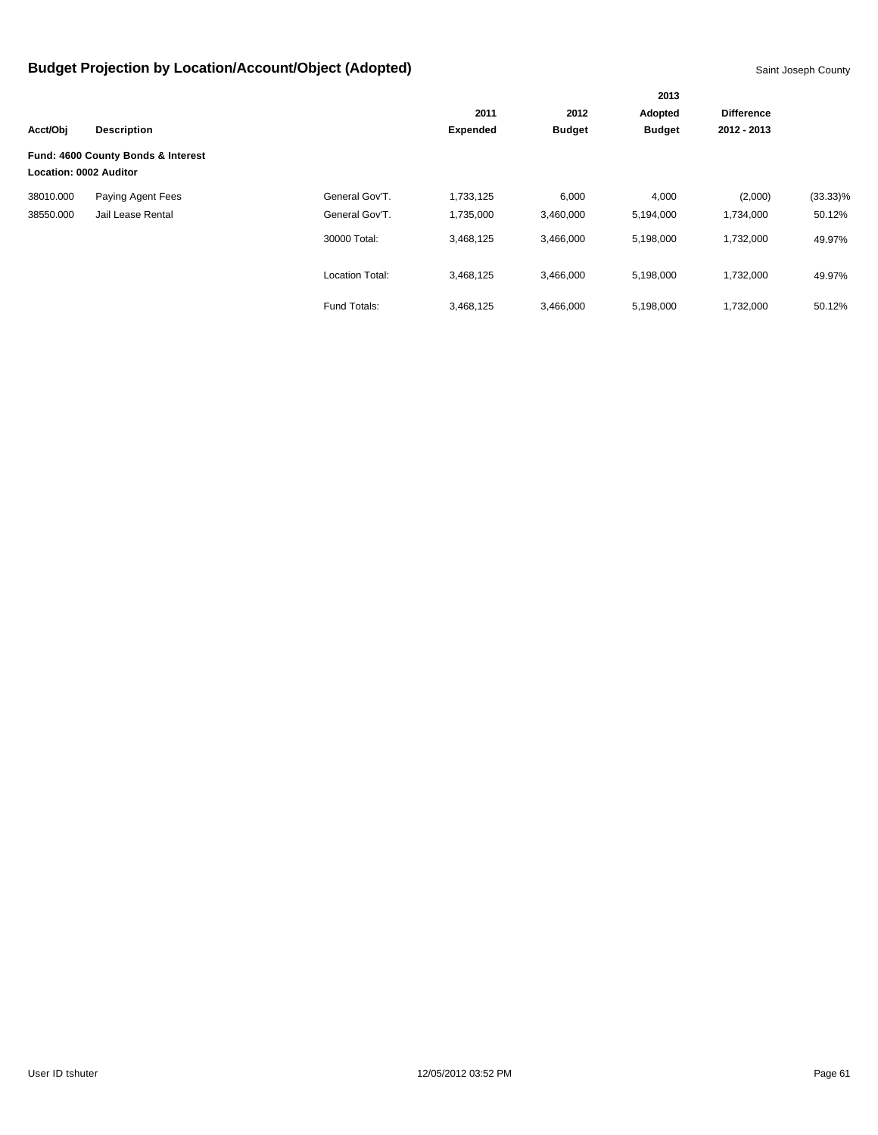|                        |                                    |                        | 2011            | 2012          | Adopted       | <b>Difference</b> |             |  |
|------------------------|------------------------------------|------------------------|-----------------|---------------|---------------|-------------------|-------------|--|
| Acct/Obj               | <b>Description</b>                 |                        | <b>Expended</b> | <b>Budget</b> | <b>Budget</b> | 2012 - 2013       |             |  |
| Location: 0002 Auditor | Fund: 4600 County Bonds & Interest |                        |                 |               |               |                   |             |  |
| 38010.000              | Paying Agent Fees                  | General Gov'T.         | 1,733,125       | 6,000         | 4,000         | (2,000)           | $(33.33)\%$ |  |
| 38550.000              | Jail Lease Rental                  | General Gov'T.         | 1,735,000       | 3,460,000     | 5,194,000     | 1,734,000         | 50.12%      |  |
|                        |                                    | 30000 Total:           | 3,468,125       | 3,466,000     | 5,198,000     | 1,732,000         | 49.97%      |  |
|                        |                                    | <b>Location Total:</b> | 3,468,125       | 3,466,000     | 5,198,000     | 1,732,000         | 49.97%      |  |
|                        |                                    | Fund Totals:           | 3,468,125       | 3,466,000     | 5,198,000     | 1,732,000         | 50.12%      |  |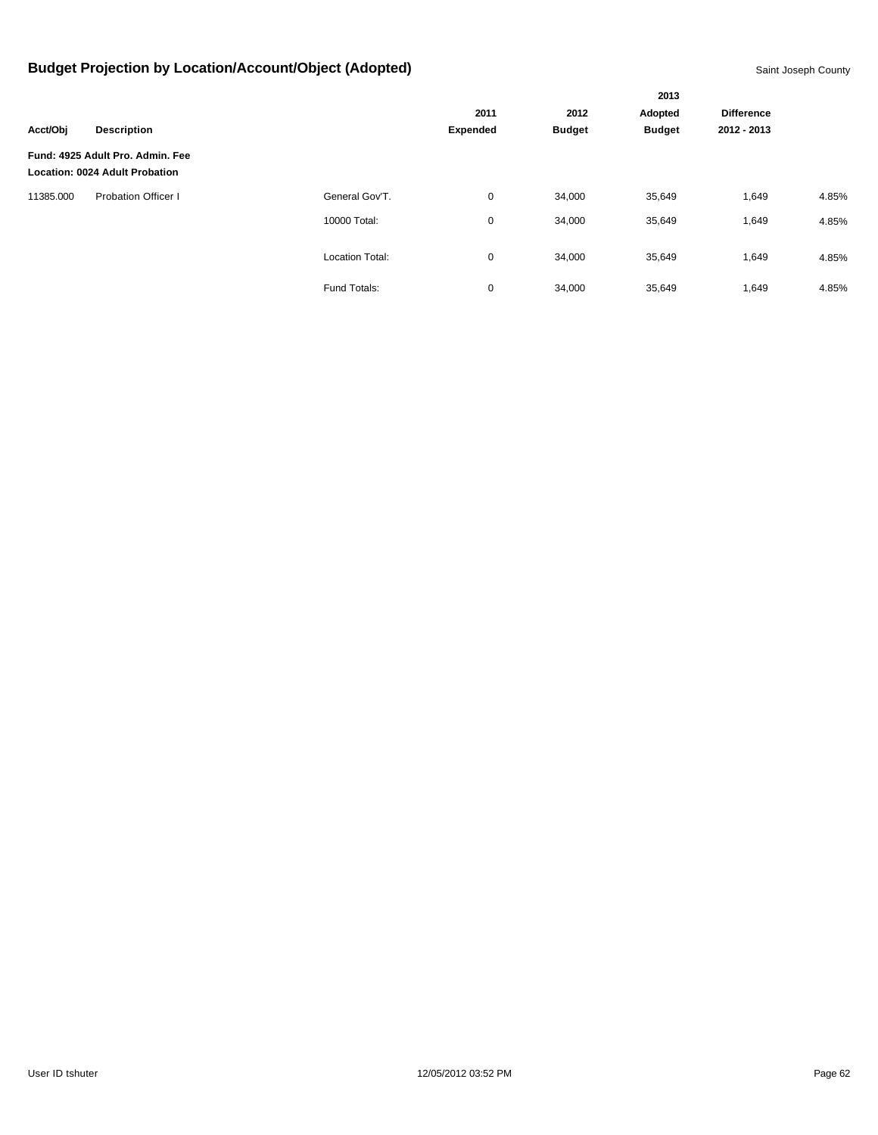|           |                                                                           |                        |               |               | 2013        |                   |       |
|-----------|---------------------------------------------------------------------------|------------------------|---------------|---------------|-------------|-------------------|-------|
|           |                                                                           |                        | 2011          | 2012          | Adopted     | <b>Difference</b> |       |
| Acct/Obj  | <b>Description</b>                                                        | <b>Expended</b>        | <b>Budget</b> | <b>Budget</b> | 2012 - 2013 |                   |       |
|           | Fund: 4925 Adult Pro. Admin. Fee<br><b>Location: 0024 Adult Probation</b> |                        |               |               |             |                   |       |
| 11385.000 | <b>Probation Officer I</b>                                                | General Gov'T.         | 0             | 34,000        | 35,649      | 1,649             | 4.85% |
|           |                                                                           | 10000 Total:           | 0             | 34,000        | 35,649      | 1,649             | 4.85% |
|           |                                                                           | <b>Location Total:</b> | 0             | 34,000        | 35,649      | 1,649             | 4.85% |
|           |                                                                           | Fund Totals:           | 0             | 34,000        | 35,649      | 1,649             | 4.85% |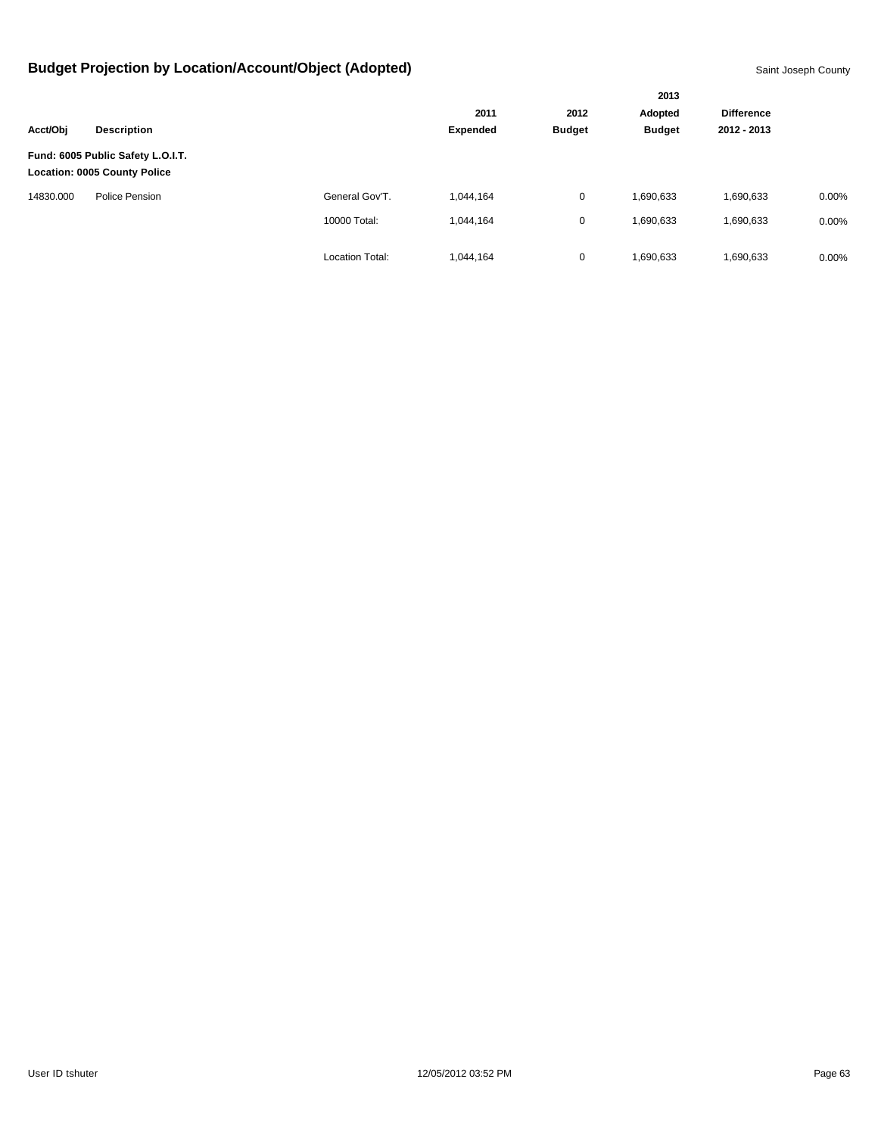|           |                                                                          |                        | 2013            |               |               |                   |          |
|-----------|--------------------------------------------------------------------------|------------------------|-----------------|---------------|---------------|-------------------|----------|
|           |                                                                          |                        | 2011            | 2012          | Adopted       | <b>Difference</b> |          |
| Acct/Obj  | <b>Description</b>                                                       |                        | <b>Expended</b> | <b>Budget</b> | <b>Budget</b> | 2012 - 2013       |          |
|           | Fund: 6005 Public Safety L.O.I.T.<br><b>Location: 0005 County Police</b> |                        |                 |               |               |                   |          |
| 14830.000 | Police Pension                                                           | General Gov'T.         | 1.044.164       | 0             | 1,690,633     | 1,690,633         | 0.00%    |
|           |                                                                          | 10000 Total:           | 1,044,164       | 0             | 1,690,633     | 1,690,633         | 0.00%    |
|           |                                                                          | <b>Location Total:</b> | 1,044,164       | 0             | 1,690,633     | 1,690,633         | $0.00\%$ |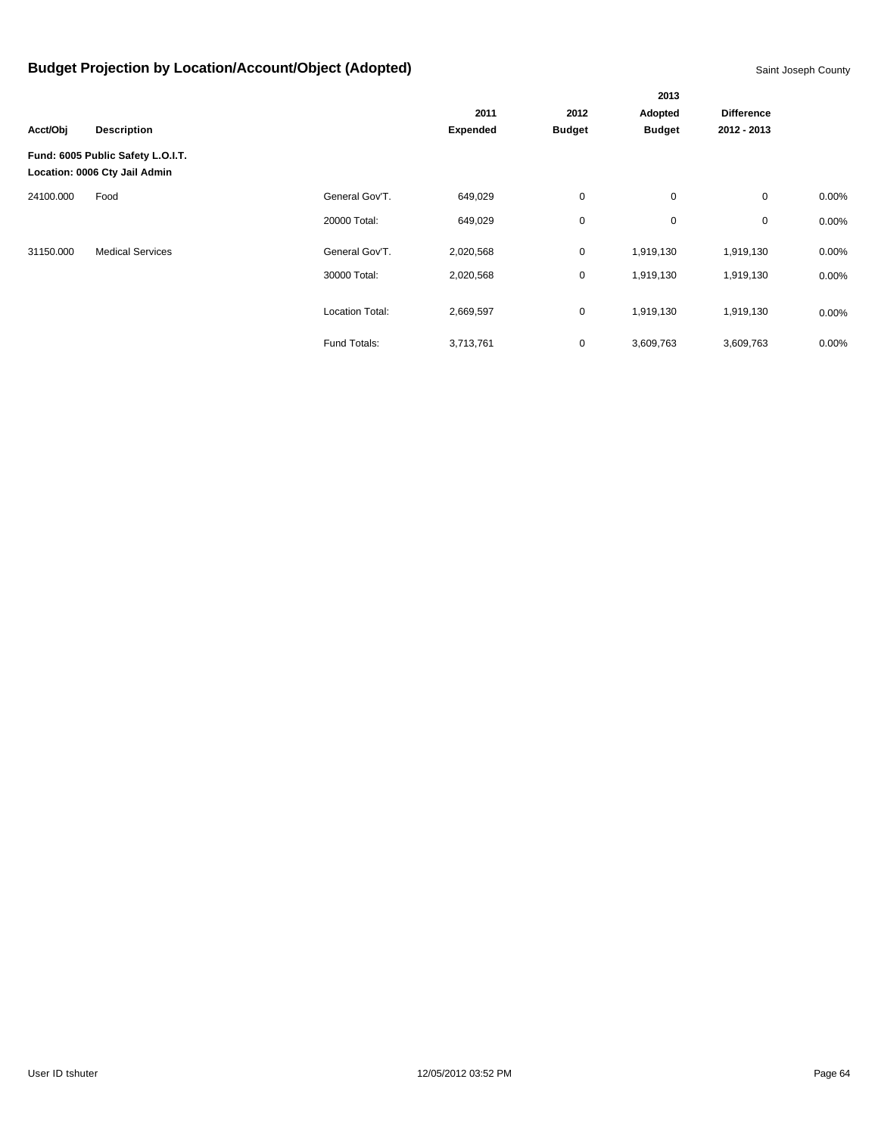|           |                                                                    |                 | 2013            |               |               |                   |          |  |  |
|-----------|--------------------------------------------------------------------|-----------------|-----------------|---------------|---------------|-------------------|----------|--|--|
|           |                                                                    |                 | 2011            | 2012          | Adopted       | <b>Difference</b> |          |  |  |
| Acct/Obj  | <b>Description</b>                                                 |                 | <b>Expended</b> | <b>Budget</b> | <b>Budget</b> | 2012 - 2013       |          |  |  |
|           | Fund: 6005 Public Safety L.O.I.T.<br>Location: 0006 Cty Jail Admin |                 |                 |               |               |                   |          |  |  |
| 24100.000 | Food                                                               | General Gov'T.  | 649,029         | $\mathbf 0$   | $\mathbf 0$   | 0                 | 0.00%    |  |  |
|           |                                                                    | 20000 Total:    | 649,029         | $\mathbf 0$   | 0             | 0                 | 0.00%    |  |  |
| 31150.000 | <b>Medical Services</b>                                            | General Gov'T.  | 2,020,568       | $\mathbf 0$   | 1,919,130     | 1,919,130         | $0.00\%$ |  |  |
|           |                                                                    | 30000 Total:    | 2,020,568       | $\mathbf 0$   | 1,919,130     | 1,919,130         | 0.00%    |  |  |
|           |                                                                    | Location Total: | 2,669,597       | $\mathbf 0$   | 1,919,130     | 1,919,130         | $0.00\%$ |  |  |
|           |                                                                    | Fund Totals:    | 3,713,761       | 0             | 3,609,763     | 3,609,763         | 0.00%    |  |  |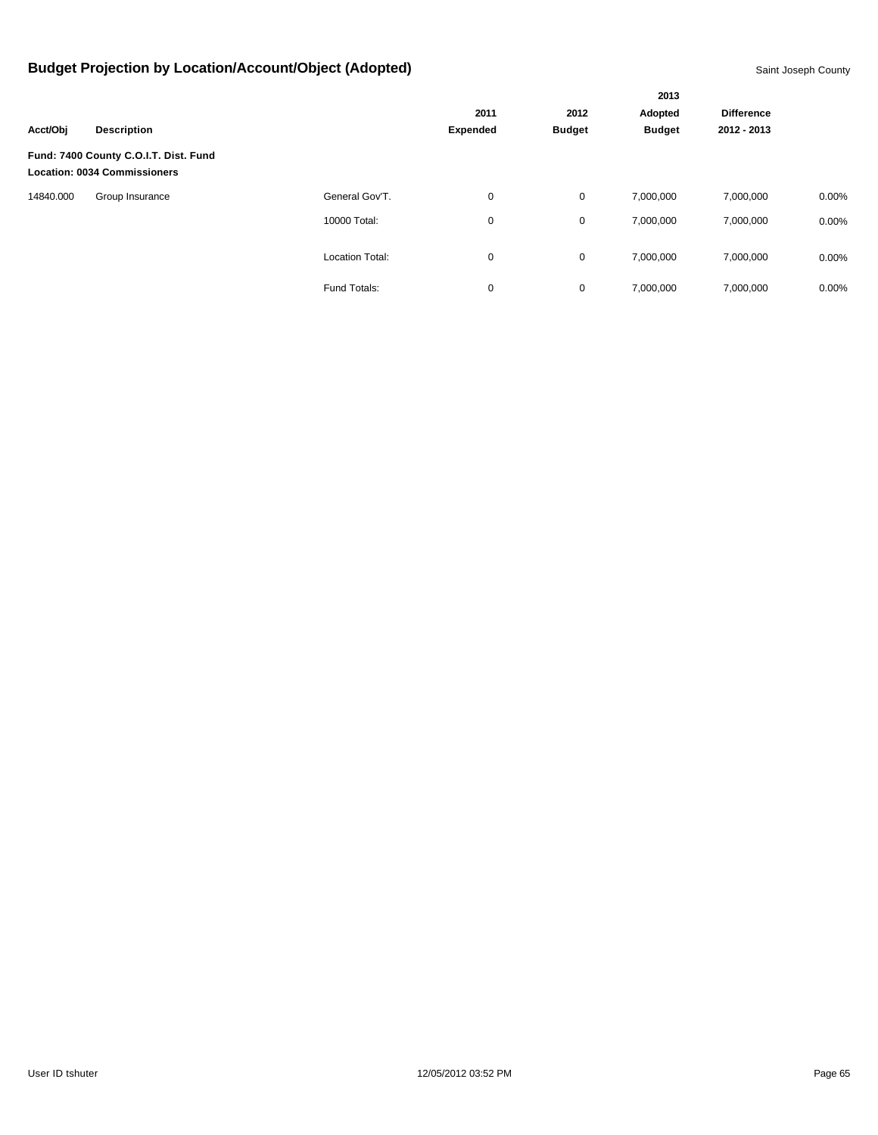|           |                                                                              |                        |                 |               | 2013          |                   |          |
|-----------|------------------------------------------------------------------------------|------------------------|-----------------|---------------|---------------|-------------------|----------|
|           |                                                                              |                        | 2011            | 2012          | Adopted       | <b>Difference</b> |          |
| Acct/Obj  | <b>Description</b>                                                           |                        | <b>Expended</b> | <b>Budget</b> | <b>Budget</b> | 2012 - 2013       |          |
|           | Fund: 7400 County C.O.I.T. Dist. Fund<br><b>Location: 0034 Commissioners</b> |                        |                 |               |               |                   |          |
| 14840.000 | Group Insurance                                                              | General Gov'T.         | 0               | $\mathbf 0$   | 7,000,000     | 7,000,000         | $0.00\%$ |
|           |                                                                              | 10000 Total:           | 0               | $\mathbf 0$   | 7,000,000     | 7,000,000         | $0.00\%$ |
|           |                                                                              | <b>Location Total:</b> | 0               | $\mathbf 0$   | 7,000,000     | 7,000,000         | $0.00\%$ |
|           |                                                                              | Fund Totals:           | 0               | 0             | 7,000,000     | 7,000,000         | 0.00%    |